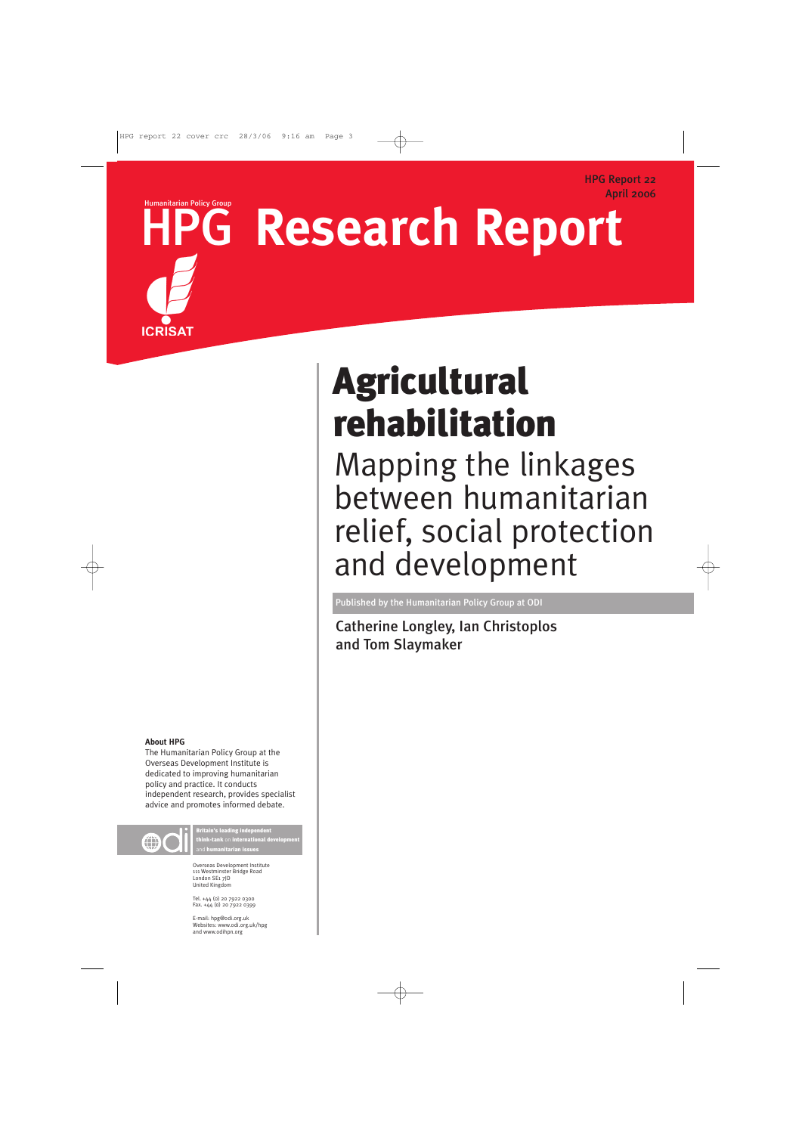HPG Report 22 April 2006

# HPG Research Report

## Agricultural rehabilitation

Mapping the linkages between humanitarian relief, social protection and development

Published by the Humanitarian Policy Group at ODI

Catherine Longley, Ian Christoplos and Tom Slaymaker

#### **About HPG**

ICRISAT

The Humanitarian Policy Group at the Overseas Development Institute is dedicated to improving humanitarian policy and practice. It conducts independent research, provides specialist advice and promotes informed debate.



Britain's leading independent think-tank on international development <del>mmx-canx on mcernacio</del><br>nd **humanitarian <u>issue</u>**s

Overseas Development Institute 111 Westminster Bridge Road London SE1 7JD United Kingdom

Tel. +44 (0) 20 7922 0300 Fax. +44 (0) 20 7922 0399

E-mail: hpg@odi.org.uk Websites: www.odi.org.uk/hpg and www.odihpn.org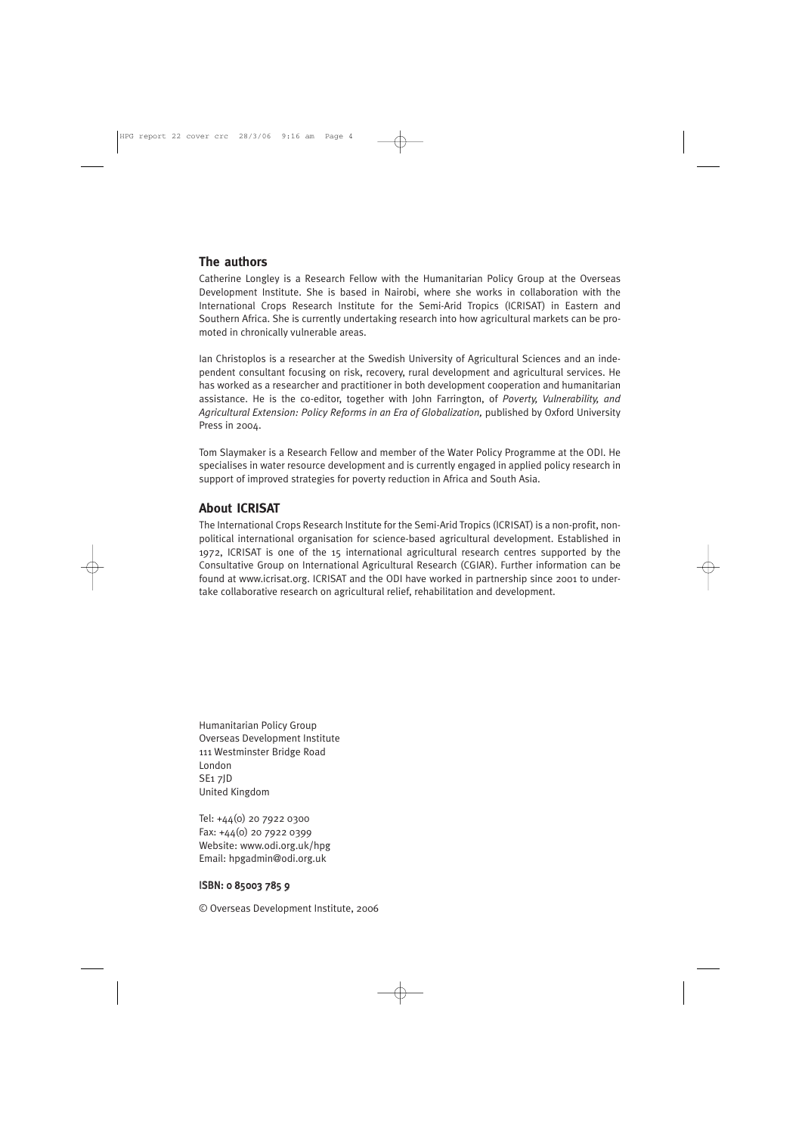#### **The authors**

Catherine Longley is a Research Fellow with the Humanitarian Policy Group at the Overseas Development Institute. She is based in Nairobi, where she works in collaboration with the International Crops Research Institute for the Semi-Arid Tropics (ICRISAT) in Eastern and Southern Africa. She is currently undertaking research into how agricultural markets can be promoted in chronically vulnerable areas.

Ian Christoplos is a researcher at the Swedish University of Agricultural Sciences and an independent consultant focusing on risk, recovery, rural development and agricultural services. He has worked as a researcher and practitioner in both development cooperation and humanitarian assistance. He is the co-editor, together with John Farrington, of *Poverty, Vulnerability, and Agricultural Extension: Policy Reforms in an Era of Globalization,* published by Oxford University Press in 2004.

Tom Slaymaker is a Research Fellow and member of the Water Policy Programme at the ODI. He specialises in water resource development and is currently engaged in applied policy research in support of improved strategies for poverty reduction in Africa and South Asia.

#### **About ICRISAT**

The International Crops Research Institute for the Semi-Arid Tropics (ICRISAT) is a non-profit, nonpolitical international organisation for science-based agricultural development. Established in 1972, ICRISAT is one of the 15 international agricultural research centres supported by the Consultative Group on International Agricultural Research (CGIAR). Further information can be found at www.icrisat.org. ICRISAT and the ODI have worked in partnership since 2001 to undertake collaborative research on agricultural relief, rehabilitation and development.

Humanitarian Policy Group Overseas Development Institute 111 Westminster Bridge Road London SE1 7JD United Kingdom

Tel: +44(0) 20 7922 0300 Fax: +44(0) 20 7922 0399 Website: www.odi.org.uk/hpg Email: hpgadmin@odi.org.uk

#### ISBN: 0 85003 785 9

© Overseas Development Institute, 2006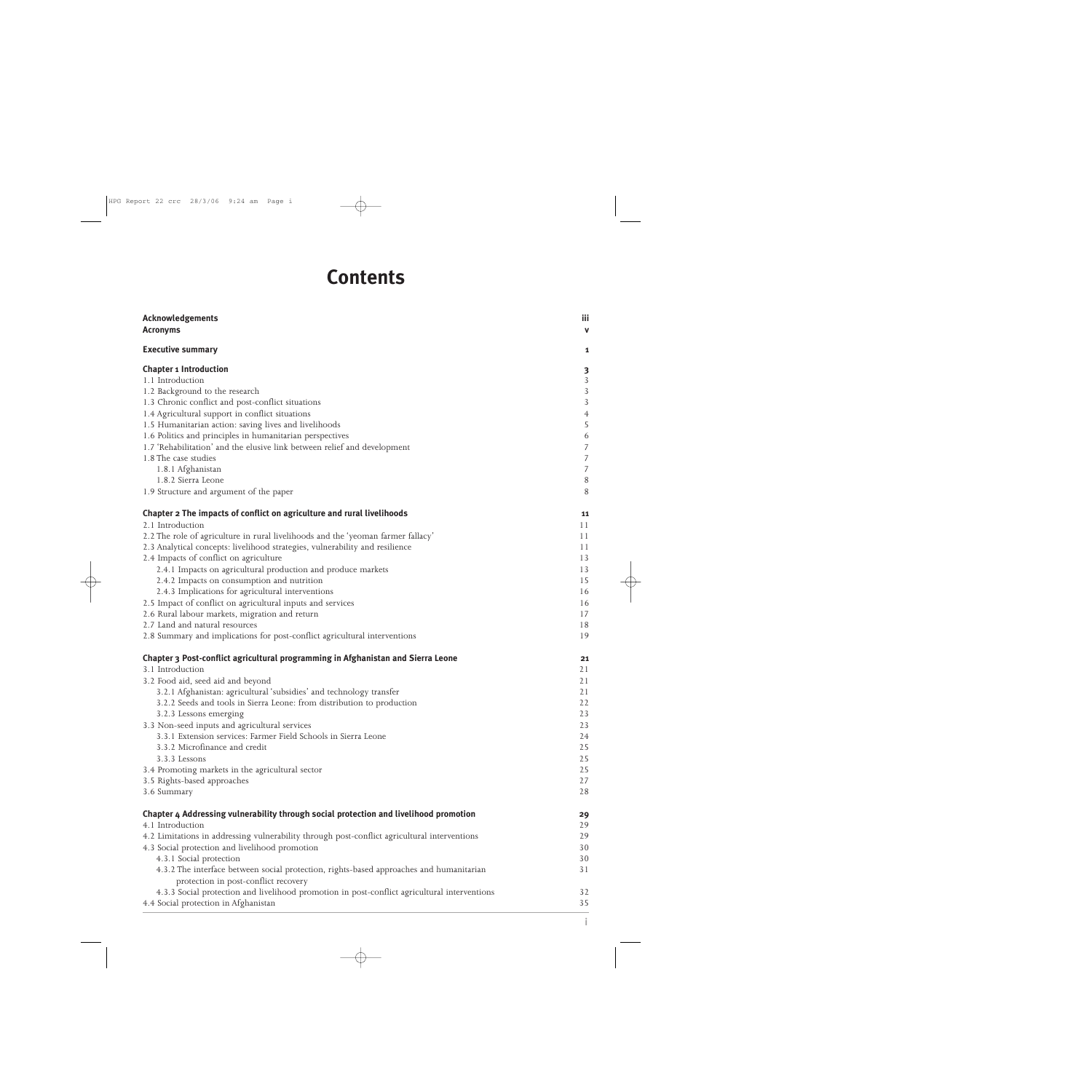## **Contents**

| <b>Acknowledgements</b><br><b>Acronyms</b>                                                                                      | iii<br>v         |
|---------------------------------------------------------------------------------------------------------------------------------|------------------|
| <b>Executive summary</b>                                                                                                        | 1                |
| <b>Chapter 1 Introduction</b>                                                                                                   | 3                |
| 1.1 Introduction                                                                                                                | $\mathfrak{Z}$   |
| 1.2 Background to the research                                                                                                  | $\overline{3}$   |
| 1.3 Chronic conflict and post-conflict situations                                                                               | $\overline{3}$   |
| 1.4 Agricultural support in conflict situations                                                                                 | $\overline{4}$   |
| 1.5 Humanitarian action: saving lives and livelihoods                                                                           | 5                |
| 1.6 Politics and principles in humanitarian perspectives                                                                        | 6                |
| 1.7 'Rehabilitation' and the elusive link between relief and development                                                        | $\overline{7}$   |
| 1.8 The case studies                                                                                                            | $\sqrt{ }$       |
| 1.8.1 Afghanistan                                                                                                               | $\boldsymbol{7}$ |
| 1.8.2 Sierra Leone                                                                                                              | $\,8\,$          |
| 1.9 Structure and argument of the paper                                                                                         | 8                |
| Chapter 2 The impacts of conflict on agriculture and rural livelihoods                                                          | 11               |
| 2.1 Introduction                                                                                                                | 11               |
| 2.2 The role of agriculture in rural livelihoods and the 'yeoman farmer fallacy'                                                | 11               |
| 2.3 Analytical concepts: livelihood strategies, vulnerability and resilience                                                    | 11               |
| 2.4 Impacts of conflict on agriculture                                                                                          | 13               |
| 2.4.1 Impacts on agricultural production and produce markets                                                                    | 13               |
| 2.4.2 Impacts on consumption and nutrition                                                                                      | 15               |
| 2.4.3 Implications for agricultural interventions                                                                               | 16               |
| 2.5 Impact of conflict on agricultural inputs and services                                                                      | 16               |
| 2.6 Rural labour markets, migration and return                                                                                  | 17               |
| 2.7 Land and natural resources                                                                                                  | 18               |
| 2.8 Summary and implications for post-conflict agricultural interventions                                                       | 19               |
| Chapter 3 Post-conflict agricultural programming in Afghanistan and Sierra Leone                                                | 21               |
| 3.1 Introduction                                                                                                                | 21               |
| 3.2 Food aid, seed aid and beyond                                                                                               | 21               |
| 3.2.1 Afghanistan: agricultural 'subsidies' and technology transfer                                                             | 21               |
| 3.2.2 Seeds and tools in Sierra Leone: from distribution to production                                                          | 22               |
| 3.2.3 Lessons emerging                                                                                                          | 23               |
| 3.3 Non-seed inputs and agricultural services                                                                                   | 23               |
| 3.3.1 Extension services: Farmer Field Schools in Sierra Leone                                                                  | 24               |
| 3.3.2 Microfinance and credit                                                                                                   | 25               |
| 3.3.3 Lessons                                                                                                                   | 25               |
| 3.4 Promoting markets in the agricultural sector                                                                                | 25               |
| 3.5 Rights-based approaches                                                                                                     | 27               |
| 3.6 Summary                                                                                                                     | 28               |
| Chapter 4 Addressing vulnerability through social protection and livelihood promotion                                           | 29               |
| 4.1 Introduction                                                                                                                | 29               |
| 4.2 Limitations in addressing vulnerability through post-conflict agricultural interventions                                    | 29               |
| 4.3 Social protection and livelihood promotion                                                                                  | 30               |
| 4.3.1 Social protection                                                                                                         | 30               |
| 4.3.2 The interface between social protection, rights-based approaches and humanitarian<br>protection in post-conflict recovery | 31               |
| 4.3.3 Social protection and livelihood promotion in post-conflict agricultural interventions                                    | 32               |
| 4.4 Social protection in Afghanistan                                                                                            | 35               |

**i**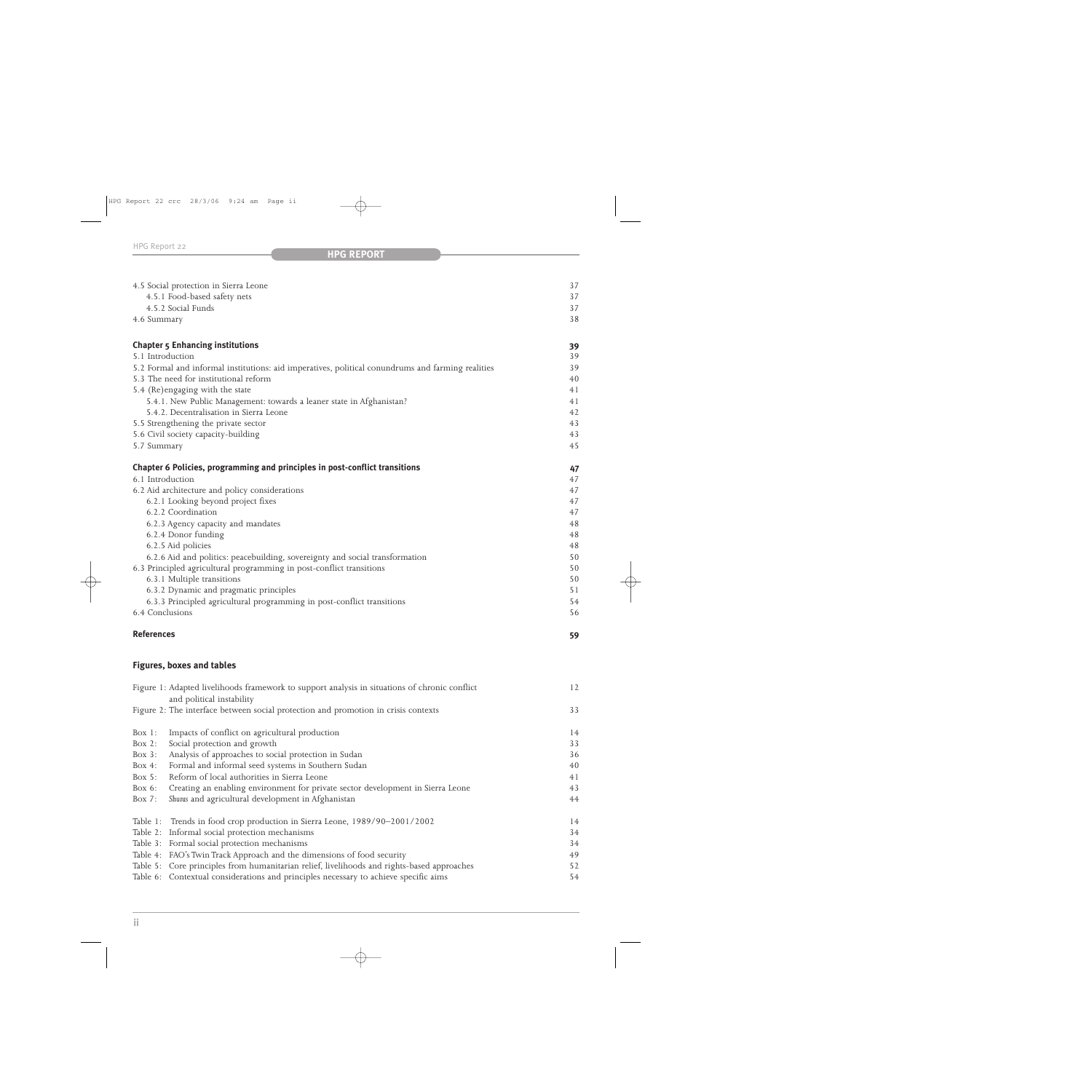#### **HPG REPORT**

| 4.5 Social protection in Sierra Leone                                                             | 37       |
|---------------------------------------------------------------------------------------------------|----------|
| 4.5.1 Food-based safety nets                                                                      | 37       |
| 4.5.2 Social Funds                                                                                | 37       |
| 4.6 Summary                                                                                       | 38       |
|                                                                                                   |          |
| <b>Chapter 5 Enhancing institutions</b>                                                           | 39       |
| 5.1 Introduction                                                                                  | 39       |
| 5.2 Formal and informal institutions: aid imperatives, political conundrums and farming realities | 39       |
| 5.3 The need for institutional reform                                                             | 40       |
| 5.4 (Re)engaging with the state                                                                   | 41       |
| 5.4.1. New Public Management: towards a leaner state in Afghanistan?                              | 41       |
| 5.4.2. Decentralisation in Sierra Leone                                                           | 42       |
| 5.5 Strengthening the private sector                                                              | 43       |
| 5.6 Civil society capacity-building                                                               | 43       |
| 5.7 Summary                                                                                       | 45       |
| Chapter 6 Policies, programming and principles in post-conflict transitions                       | 47       |
| 6.1 Introduction                                                                                  | 47       |
| 6.2 Aid architecture and policy considerations                                                    | 47       |
| 6.2.1 Looking beyond project fixes                                                                | 47       |
| 6.2.2 Coordination                                                                                | 47       |
|                                                                                                   | 48       |
| 6.2.3 Agency capacity and mandates                                                                |          |
| 6.2.4 Donor funding                                                                               | 48<br>48 |
| 6.2.5 Aid policies                                                                                |          |
| 6.2.6 Aid and politics: peacebuilding, sovereignty and social transformation                      | 50       |
| 6.3 Principled agricultural programming in post-conflict transitions                              | 50       |
| 6.3.1 Multiple transitions                                                                        | 50       |
| 6.3.2 Dynamic and pragmatic principles                                                            | 51       |
| 6.3.3 Principled agricultural programming in post-conflict transitions                            | 54       |
| 6.4 Conclusions                                                                                   | 56       |
| <b>References</b>                                                                                 | 59       |

#### **Figures, boxes and tables**

| Figure 1: Adapted livelihoods framework to support analysis in situations of chronic conflict<br>and political instability |                                                                                            |    |  |  |
|----------------------------------------------------------------------------------------------------------------------------|--------------------------------------------------------------------------------------------|----|--|--|
|                                                                                                                            | Figure 2: The interface between social protection and promotion in crisis contexts         | 33 |  |  |
| Box $1$ :                                                                                                                  | Impacts of conflict on agricultural production                                             | 14 |  |  |
| Box $2$ :                                                                                                                  | Social protection and growth                                                               | 33 |  |  |
| Box $3$ :                                                                                                                  | Analysis of approaches to social protection in Sudan                                       | 36 |  |  |
| Box $4$ :                                                                                                                  | Formal and informal seed systems in Southern Sudan                                         | 40 |  |  |
| Box $5$ :                                                                                                                  | Reform of local authorities in Sierra Leone                                                | 41 |  |  |
| Box $6$ :                                                                                                                  | Creating an enabling environment for private sector development in Sierra Leone            | 43 |  |  |
| Box $7:$                                                                                                                   | Shuras and agricultural development in Afghanistan                                         | 44 |  |  |
|                                                                                                                            | Table 1: Trends in food crop production in Sierra Leone, 1989/90-2001/2002                 | 14 |  |  |
|                                                                                                                            | Table 2: Informal social protection mechanisms                                             | 34 |  |  |
|                                                                                                                            | Table 3: Formal social protection mechanisms                                               | 34 |  |  |
|                                                                                                                            | Table 4: FAO's Twin Track Approach and the dimensions of food security                     | 49 |  |  |
|                                                                                                                            | Table 5: Core principles from humanitarian relief, livelihoods and rights-based approaches | 52 |  |  |
|                                                                                                                            | Table 6: Contextual considerations and principles necessary to achieve specific aims       | 54 |  |  |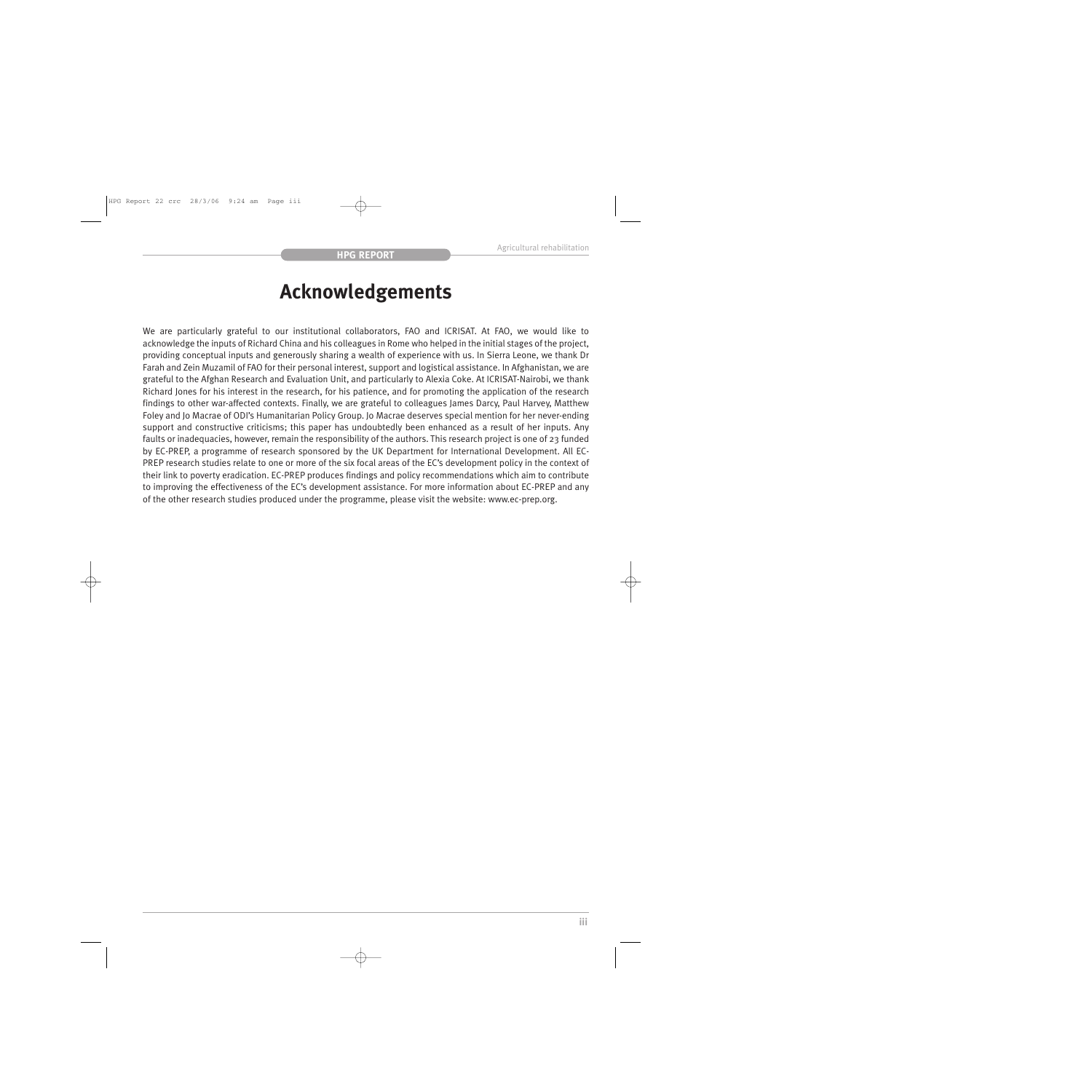## **Acknowledgements**

We are particularly grateful to our institutional collaborators, FAO and ICRISAT. At FAO, we would like to acknowledge the inputs of Richard China and his colleagues in Rome who helped in the initial stages of the project, providing conceptual inputs and generously sharing a wealth of experience with us. In Sierra Leone, we thank Dr Farah and Zein Muzamil of FAO for their personal interest, support and logistical assistance. In Afghanistan, we are grateful to the Afghan Research and Evaluation Unit, and particularly to Alexia Coke. At ICRISAT-Nairobi, we thank Richard Jones for his interest in the research, for his patience, and for promoting the application of the research findings to other war-affected contexts. Finally, we are grateful to colleagues James Darcy, Paul Harvey, Matthew Foley and Jo Macrae of ODI's Humanitarian Policy Group. Jo Macrae deserves special mention for her never-ending support and constructive criticisms; this paper has undoubtedly been enhanced as a result of her inputs. Any faults or inadequacies, however, remain the responsibility of the authors. This research project is one of 23 funded by EC-PREP, a programme of research sponsored by the UK Department for International Development. All EC-PREP research studies relate to one or more of the six focal areas of the EC's development policy in the context of their link to poverty eradication. EC-PREP produces findings and policy recommendations which aim to contribute to improving the effectiveness of the EC's development assistance. For more information about EC-PREP and any of the other research studies produced under the programme, please visit the website: www.ec-prep.org.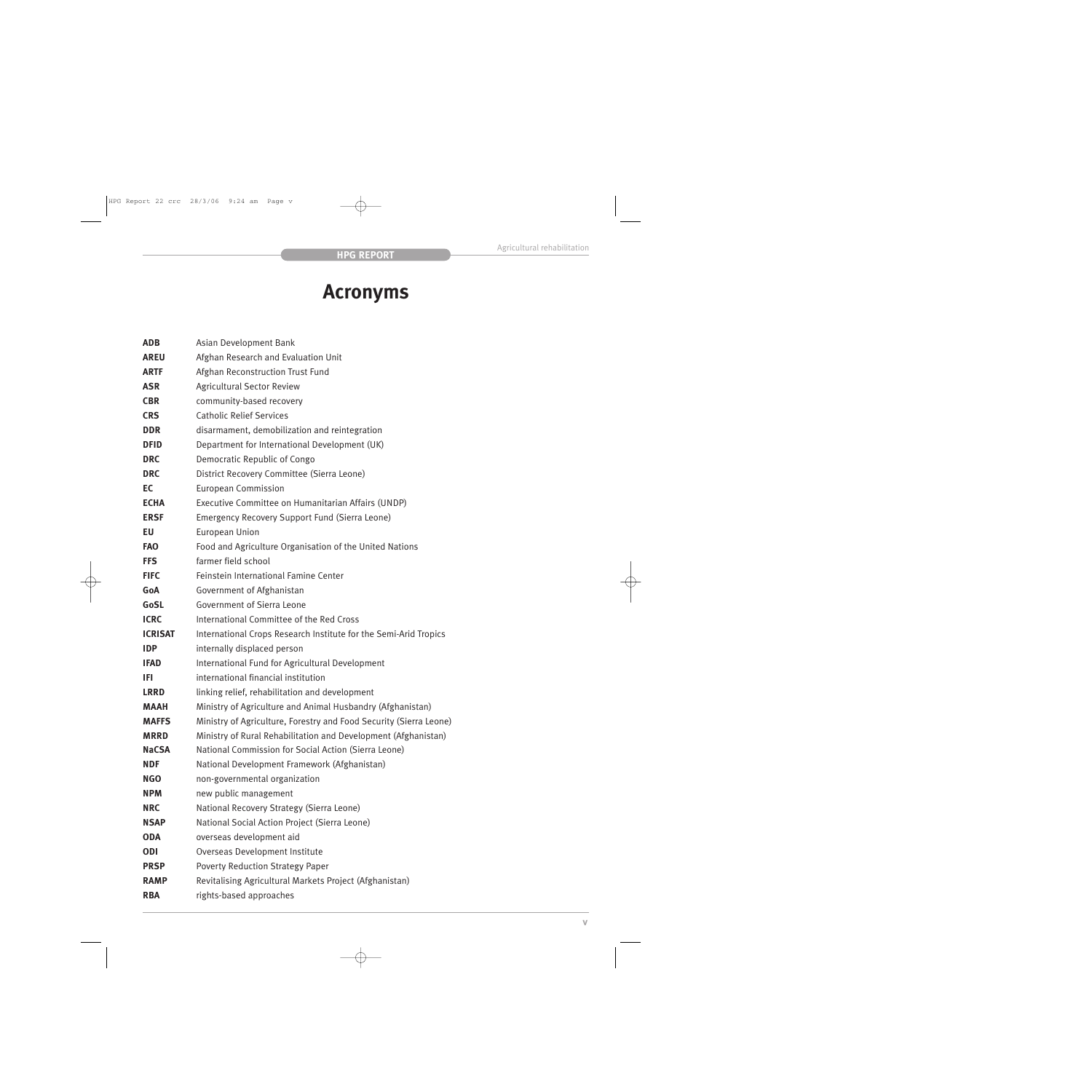## **Acronyms**

| <b>ADB</b>     | Asian Development Bank                                             |
|----------------|--------------------------------------------------------------------|
| <b>AREU</b>    | Afghan Research and Evaluation Unit                                |
| <b>ARTF</b>    | Afghan Reconstruction Trust Fund                                   |
| <b>ASR</b>     | <b>Agricultural Sector Review</b>                                  |
| <b>CBR</b>     | community-based recovery                                           |
| <b>CRS</b>     | <b>Catholic Relief Services</b>                                    |
| <b>DDR</b>     | disarmament, demobilization and reintegration                      |
| <b>DFID</b>    | Department for International Development (UK)                      |
| <b>DRC</b>     | Democratic Republic of Congo                                       |
| <b>DRC</b>     | District Recovery Committee (Sierra Leone)                         |
| EC             | <b>European Commission</b>                                         |
| <b>ECHA</b>    | Executive Committee on Humanitarian Affairs (UNDP)                 |
| <b>ERSF</b>    | Emergency Recovery Support Fund (Sierra Leone)                     |
| EU             | European Union                                                     |
| <b>FAO</b>     | Food and Agriculture Organisation of the United Nations            |
| <b>FFS</b>     | farmer field school                                                |
| <b>FIFC</b>    | Feinstein International Famine Center                              |
| GoA            | Government of Afghanistan                                          |
| GoSL           | <b>Government of Sierra Leone</b>                                  |
| <b>ICRC</b>    | International Committee of the Red Cross                           |
| <b>ICRISAT</b> | International Crops Research Institute for the Semi-Arid Tropics   |
| <b>IDP</b>     | internally displaced person                                        |
| <b>IFAD</b>    | International Fund for Agricultural Development                    |
| IFI            | international financial institution                                |
| <b>LRRD</b>    | linking relief, rehabilitation and development                     |
| <b>MAAH</b>    | Ministry of Agriculture and Animal Husbandry (Afghanistan)         |
| <b>MAFFS</b>   | Ministry of Agriculture, Forestry and Food Security (Sierra Leone) |
| <b>MRRD</b>    | Ministry of Rural Rehabilitation and Development (Afghanistan)     |
| <b>NaCSA</b>   | National Commission for Social Action (Sierra Leone)               |
| <b>NDF</b>     | National Development Framework (Afghanistan)                       |
| <b>NGO</b>     | non-governmental organization                                      |
| <b>NPM</b>     | new public management                                              |
| <b>NRC</b>     | National Recovery Strategy (Sierra Leone)                          |
| <b>NSAP</b>    | National Social Action Project (Sierra Leone)                      |
| <b>ODA</b>     | overseas development aid                                           |
| <b>ODI</b>     | Overseas Development Institute                                     |
| <b>PRSP</b>    | <b>Poverty Reduction Strategy Paper</b>                            |
| <b>RAMP</b>    | Revitalising Agricultural Markets Project (Afghanistan)            |
| <b>RBA</b>     | rights-based approaches                                            |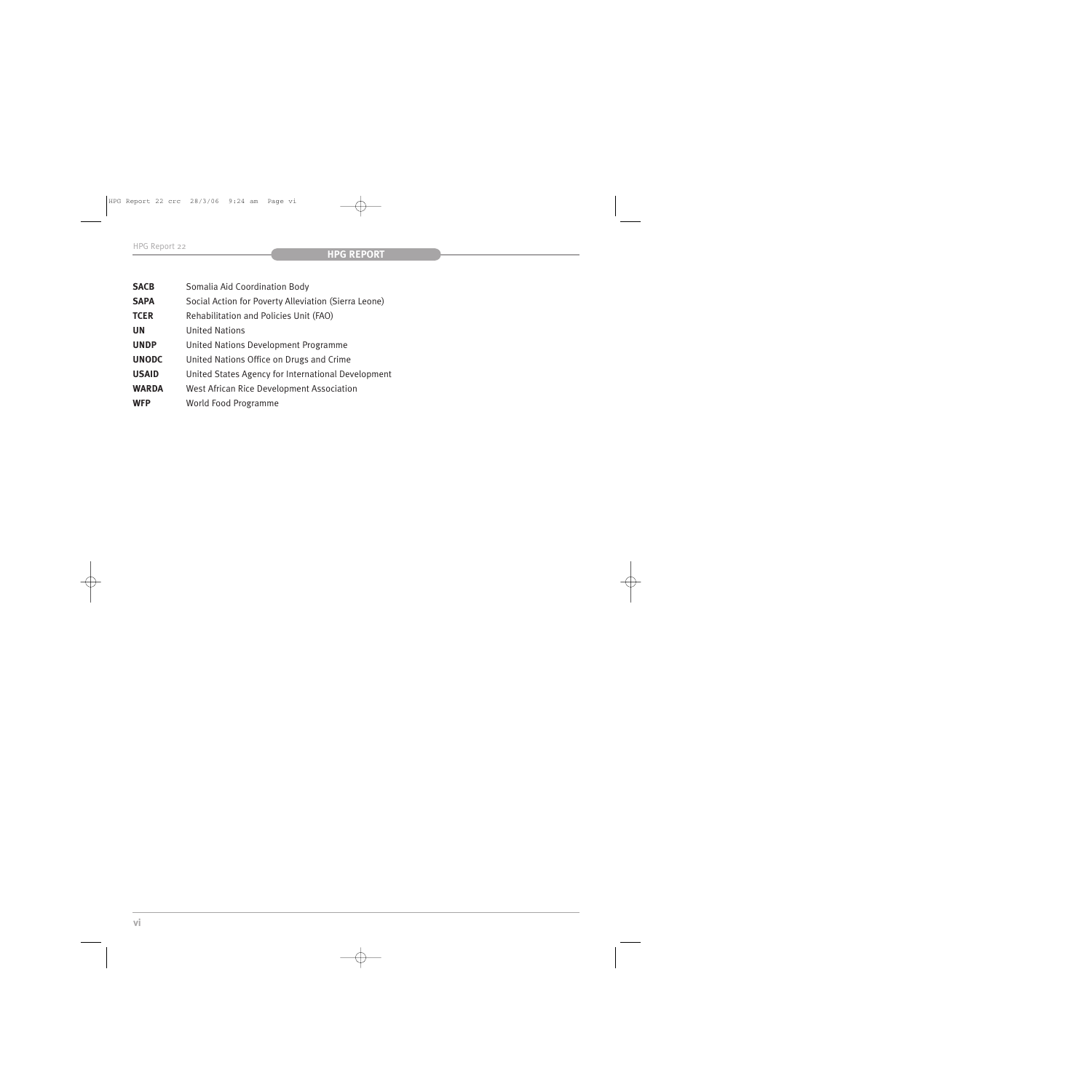| <b>SACB</b>  | Somalia Aid Coordination Body                        |
|--------------|------------------------------------------------------|
| <b>SAPA</b>  | Social Action for Poverty Alleviation (Sierra Leone) |
| <b>TCER</b>  | Rehabilitation and Policies Unit (FAO)               |
| UN           | <b>United Nations</b>                                |
| <b>UNDP</b>  | United Nations Development Programme                 |
| <b>UNODC</b> | United Nations Office on Drugs and Crime             |
| <b>USAID</b> | United States Agency for International Development   |
| <b>WARDA</b> | West African Rice Development Association            |
| <b>WFP</b>   | World Food Programme                                 |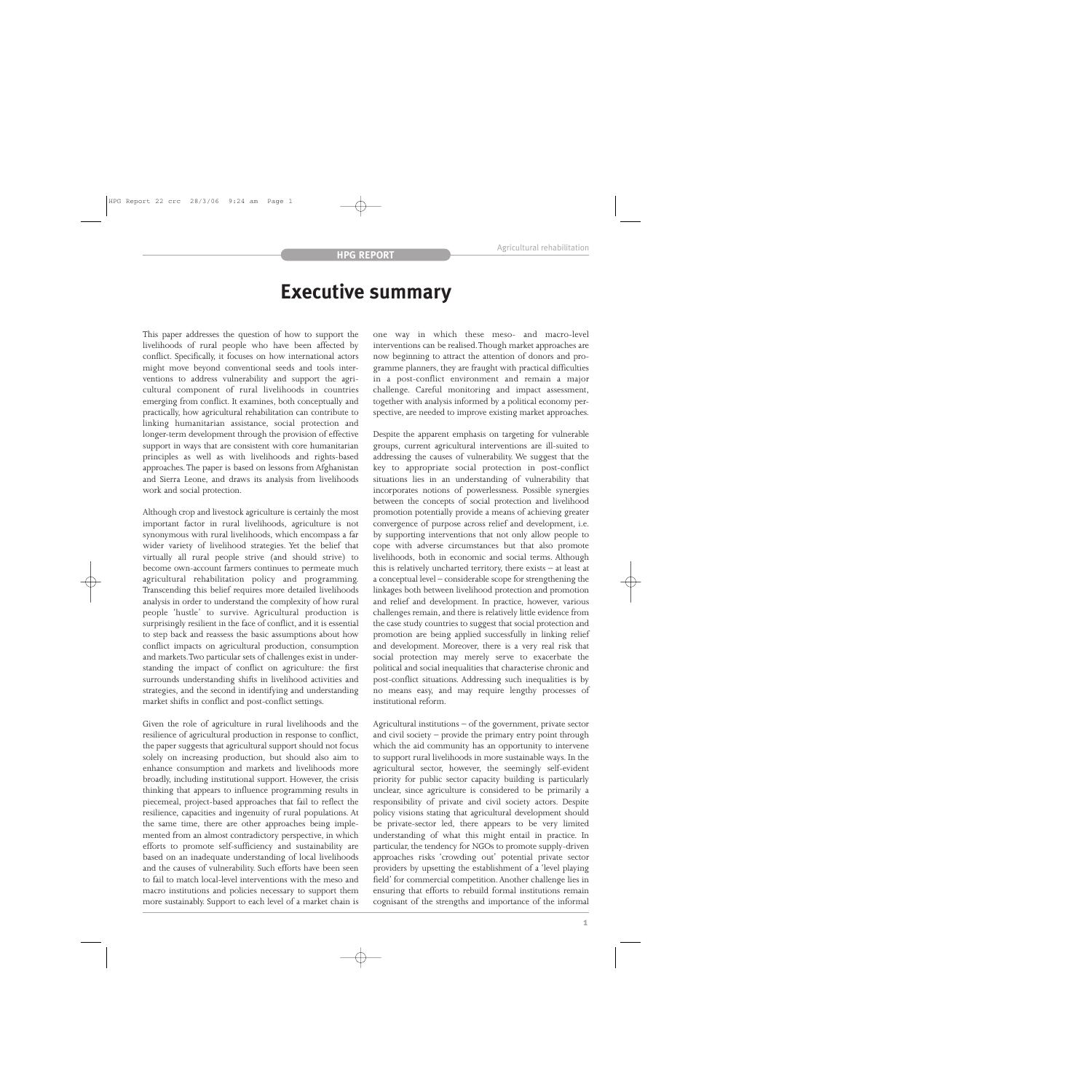### **Executive summary**

This paper addresses the question of how to support the livelihoods of rural people who have been affected by conflict. Specifically, it focuses on how international actors might move beyond conventional seeds and tools interventions to address vulnerability and support the agricultural component of rural livelihoods in countries emerging from conflict. It examines, both conceptually and practically, how agricultural rehabilitation can contribute to linking humanitarian assistance, social protection and longer-term development through the provision of effective support in ways that are consistent with core humanitarian principles as well as with livelihoods and rights-based approaches.The paper is based on lessons from Afghanistan and Sierra Leone, and draws its analysis from livelihoods work and social protection.

Although crop and livestock agriculture is certainly the most important factor in rural livelihoods, agriculture is not synonymous with rural livelihoods, which encompass a far wider variety of livelihood strategies. Yet the belief that virtually all rural people strive (and should strive) to become own-account farmers continues to permeate much agricultural rehabilitation policy and programming. Transcending this belief requires more detailed livelihoods analysis in order to understand the complexity of how rural people 'hustle' to survive. Agricultural production is surprisingly resilient in the face of conflict, and it is essential to step back and reassess the basic assumptions about how conflict impacts on agricultural production, consumption and markets.Two particular sets of challenges exist in understanding the impact of conflict on agriculture: the first surrounds understanding shifts in livelihood activities and strategies, and the second in identifying and understanding market shifts in conflict and post-conflict settings.

Given the role of agriculture in rural livelihoods and the resilience of agricultural production in response to conflict, the paper suggests that agricultural support should not focus solely on increasing production, but should also aim to enhance consumption and markets and livelihoods more broadly, including institutional support. However, the crisis thinking that appears to influence programming results in piecemeal, project-based approaches that fail to reflect the resilience, capacities and ingenuity of rural populations. At the same time, there are other approaches being implemented from an almost contradictory perspective, in which efforts to promote self-sufficiency and sustainability are based on an inadequate understanding of local livelihoods and the causes of vulnerability. Such efforts have been seen to fail to match local-level interventions with the meso and macro institutions and policies necessary to support them more sustainably. Support to each level of a market chain is one way in which these meso- and macro-level interventions can be realised.Though market approaches are now beginning to attract the attention of donors and programme planners, they are fraught with practical difficulties in a post-conflict environment and remain a major challenge. Careful monitoring and impact assessment, together with analysis informed by a political economy perspective, are needed to improve existing market approaches.

Despite the apparent emphasis on targeting for vulnerable groups, current agricultural interventions are ill-suited to addressing the causes of vulnerability. We suggest that the key to appropriate social protection in post-conflict situations lies in an understanding of vulnerability that incorporates notions of powerlessness. Possible synergies between the concepts of social protection and livelihood promotion potentially provide a means of achieving greater convergence of purpose across relief and development, i.e. by supporting interventions that not only allow people to cope with adverse circumstances but that also promote livelihoods, both in economic and social terms. Although this is relatively uncharted territory, there exists – at least at a conceptual level – considerable scope for strengthening the linkages both between livelihood protection and promotion and relief and development. In practice, however, various challenges remain, and there is relatively little evidence from the case study countries to suggest that social protection and promotion are being applied successfully in linking relief and development. Moreover, there is a very real risk that social protection may merely serve to exacerbate the political and social inequalities that characterise chronic and post-conflict situations. Addressing such inequalities is by no means easy, and may require lengthy processes of institutional reform.

Agricultural institutions – of the government, private sector and civil society – provide the primary entry point through which the aid community has an opportunity to intervene to support rural livelihoods in more sustainable ways. In the agricultural sector, however, the seemingly self-evident priority for public sector capacity building is particularly unclear, since agriculture is considered to be primarily a responsibility of private and civil society actors. Despite policy visions stating that agricultural development should be private-sector led, there appears to be very limited understanding of what this might entail in practice. In particular, the tendency for NGOs to promote supply-driven approaches risks 'crowding out' potential private sector providers by upsetting the establishment of a 'level playing field' for commercial competition. Another challenge lies in ensuring that efforts to rebuild formal institutions remain cognisant of the strengths and importance of the informal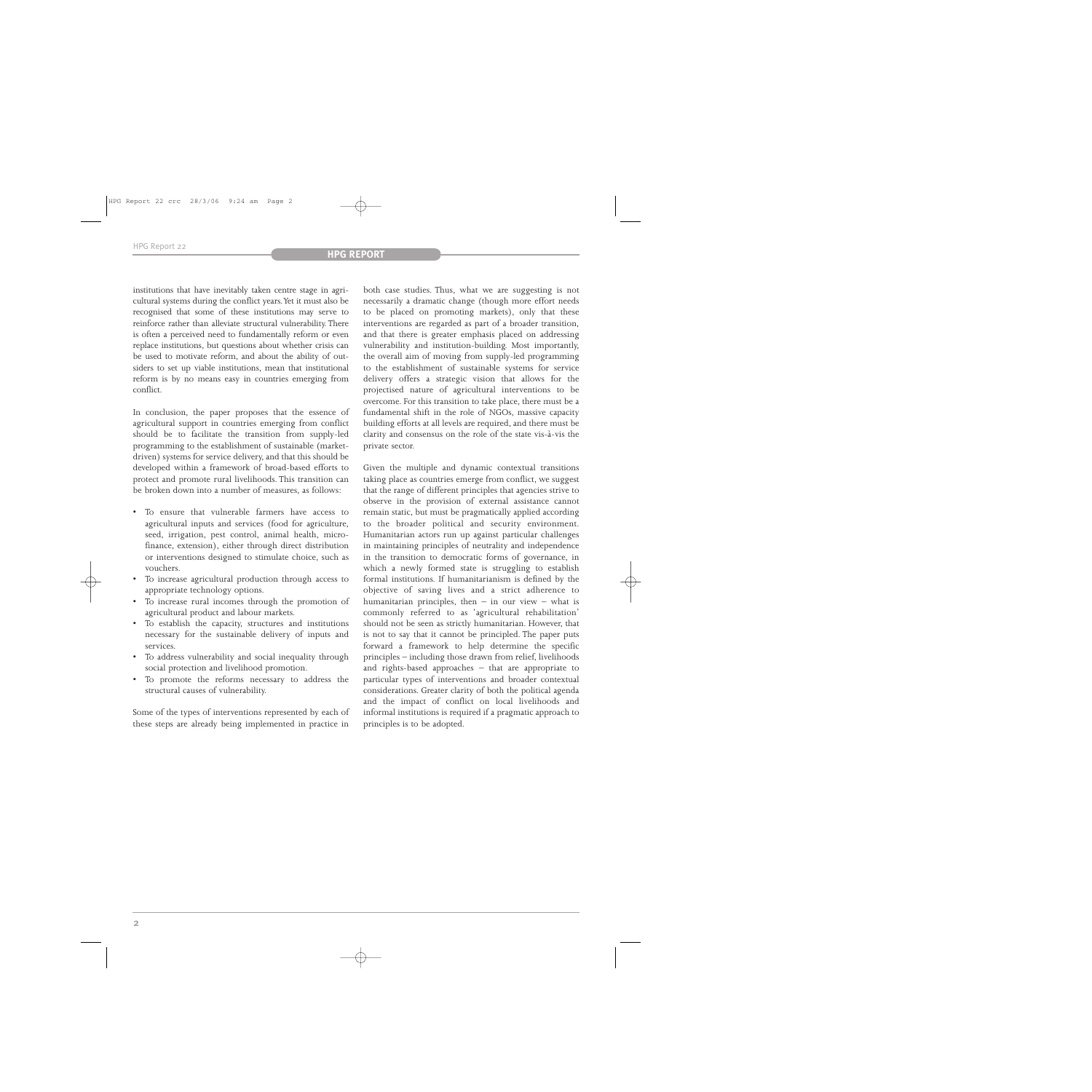institutions that have inevitably taken centre stage in agricultural systems during the conflict years.Yet it must also be recognised that some of these institutions may serve to reinforce rather than alleviate structural vulnerability. There is often a perceived need to fundamentally reform or even replace institutions, but questions about whether crisis can be used to motivate reform, and about the ability of outsiders to set up viable institutions, mean that institutional reform is by no means easy in countries emerging from conflict.

In conclusion, the paper proposes that the essence of agricultural support in countries emerging from conflict should be to facilitate the transition from supply-led programming to the establishment of sustainable (marketdriven) systems for service delivery, and that this should be developed within a framework of broad-based efforts to protect and promote rural livelihoods. This transition can be broken down into a number of measures, as follows:

- To ensure that vulnerable farmers have access to agricultural inputs and services (food for agriculture, seed, irrigation, pest control, animal health, microfinance, extension), either through direct distribution or interventions designed to stimulate choice, such as vouchers.
- To increase agricultural production through access to appropriate technology options.
- To increase rural incomes through the promotion of agricultural product and labour markets.
- To establish the capacity, structures and institutions necessary for the sustainable delivery of inputs and services.
- To address vulnerability and social inequality through social protection and livelihood promotion.
- To promote the reforms necessary to address the structural causes of vulnerability.

Some of the types of interventions represented by each of these steps are already being implemented in practice in

both case studies. Thus, what we are suggesting is not necessarily a dramatic change (though more effort needs to be placed on promoting markets), only that these interventions are regarded as part of a broader transition, and that there is greater emphasis placed on addressing vulnerability and institution-building. Most importantly, the overall aim of moving from supply-led programming to the establishment of sustainable systems for service delivery offers a strategic vision that allows for the projectised nature of agricultural interventions to be overcome. For this transition to take place, there must be a fundamental shift in the role of NGOs, massive capacity building efforts at all levels are required, and there must be clarity and consensus on the role of the state vis-à-vis the private sector.

Given the multiple and dynamic contextual transitions taking place as countries emerge from conflict, we suggest that the range of different principles that agencies strive to observe in the provision of external assistance cannot remain static, but must be pragmatically applied according to the broader political and security environment. Humanitarian actors run up against particular challenges in maintaining principles of neutrality and independence in the transition to democratic forms of governance, in which a newly formed state is struggling to establish formal institutions. If humanitarianism is defined by the objective of saving lives and a strict adherence to humanitarian principles, then  $-$  in our view  $-$  what is commonly referred to as 'agricultural rehabilitation' should not be seen as strictly humanitarian. However, that is not to say that it cannot be principled. The paper puts forward a framework to help determine the specific principles – including those drawn from relief, livelihoods and rights-based approaches – that are appropriate to particular types of interventions and broader contextual considerations. Greater clarity of both the political agenda and the impact of conflict on local livelihoods and informal institutions is required if a pragmatic approach to principles is to be adopted.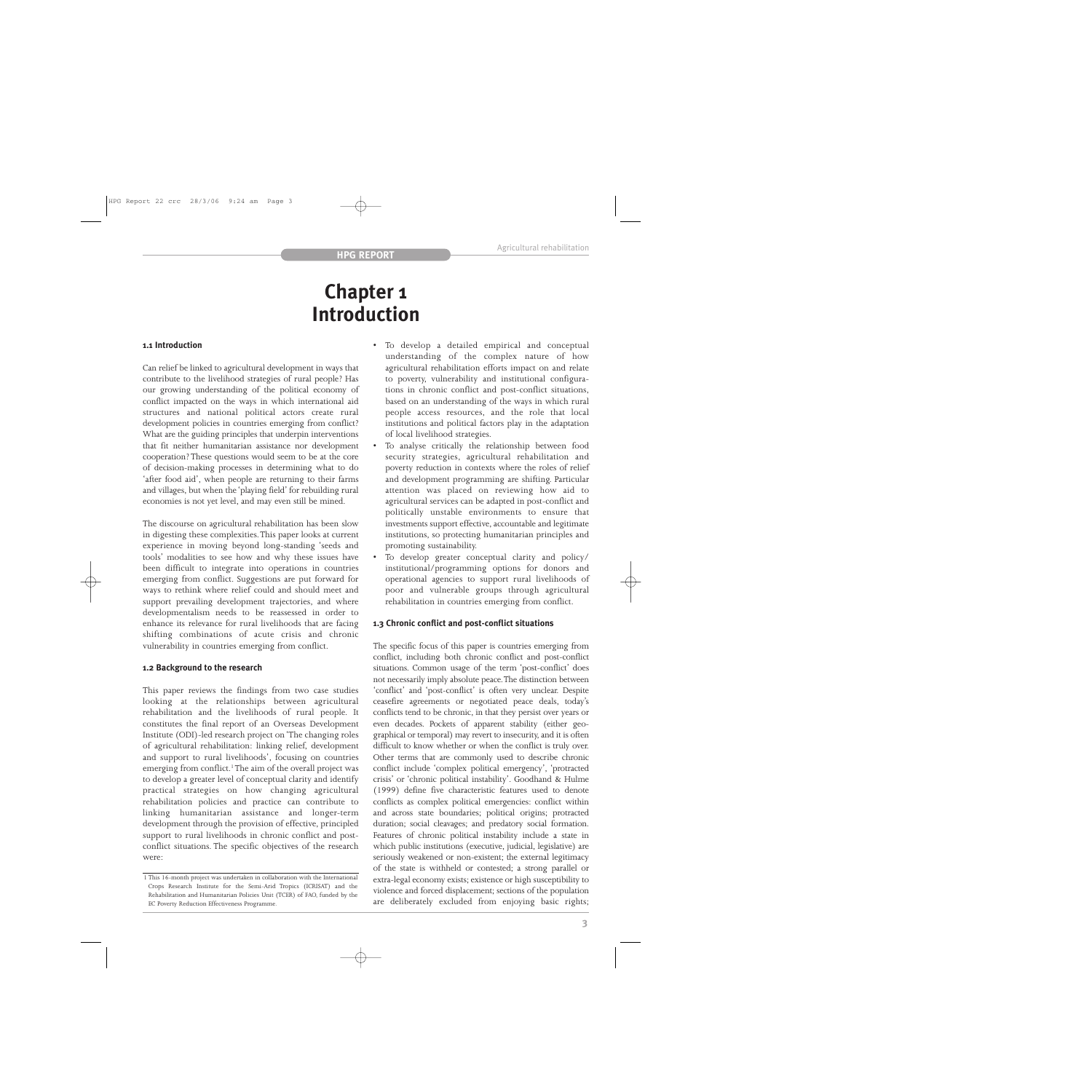## **Chapter 1 Introduction**

#### **1.1 Introduction**

Can relief be linked to agricultural development in ways that contribute to the livelihood strategies of rural people? Has our growing understanding of the political economy of conflict impacted on the ways in which international aid structures and national political actors create rural development policies in countries emerging from conflict? What are the guiding principles that underpin interventions that fit neither humanitarian assistance nor development cooperation? These questions would seem to be at the core of decision-making processes in determining what to do 'after food aid', when people are returning to their farms and villages, but when the 'playing field' for rebuilding rural economies is not yet level, and may even still be mined.

The discourse on agricultural rehabilitation has been slow in digesting these complexities.This paper looks at current experience in moving beyond long-standing 'seeds and tools' modalities to see how and why these issues have been difficult to integrate into operations in countries emerging from conflict. Suggestions are put forward for ways to rethink where relief could and should meet and support prevailing development trajectories, and where developmentalism needs to be reassessed in order to enhance its relevance for rural livelihoods that are facing shifting combinations of acute crisis and chronic vulnerability in countries emerging from conflict.

#### **1.2 Background to the research**

This paper reviews the findings from two case studies looking at the relationships between agricultural rehabilitation and the livelihoods of rural people. It constitutes the final report of an Overseas Development Institute (ODI)-led research project on 'The changing roles of agricultural rehabilitation: linking relief, development and support to rural livelihoods', focusing on countries emerging from conflict.<sup>1</sup>The aim of the overall project was to develop a greater level of conceptual clarity and identify practical strategies on how changing agricultural rehabilitation policies and practice can contribute to linking humanitarian assistance and longer-term development through the provision of effective, principled support to rural livelihoods in chronic conflict and postconflict situations. The specific objectives of the research were:

- To develop a detailed empirical and conceptual understanding of the complex nature of how agricultural rehabilitation efforts impact on and relate to poverty, vulnerability and institutional configurations in chronic conflict and post-conflict situations, based on an understanding of the ways in which rural people access resources, and the role that local institutions and political factors play in the adaptation of local livelihood strategies.
- To analyse critically the relationship between food security strategies, agricultural rehabilitation and poverty reduction in contexts where the roles of relief and development programming are shifting. Particular attention was placed on reviewing how aid to agricultural services can be adapted in post-conflict and politically unstable environments to ensure that investments support effective, accountable and legitimate institutions, so protecting humanitarian principles and promoting sustainability.
- To develop greater conceptual clarity and policy/ institutional/programming options for donors and operational agencies to support rural livelihoods of poor and vulnerable groups through agricultural rehabilitation in countries emerging from conflict.

#### **1.3 Chronic conflict and post-conflict situations**

The specific focus of this paper is countries emerging from conflict, including both chronic conflict and post-conflict situations. Common usage of the term 'post-conflict' does not necessarily imply absolute peace.The distinction between 'conflict' and 'post-conflict' is often very unclear. Despite ceasefire agreements or negotiated peace deals, today's conflicts tend to be chronic, in that they persist over years or even decades. Pockets of apparent stability (either geographical or temporal) may revert to insecurity, and it is often difficult to know whether or when the conflict is truly over. Other terms that are commonly used to describe chronic conflict include 'complex political emergency', 'protracted crisis' or 'chronic political instability'. Goodhand & Hulme (1999) define five characteristic features used to denote conflicts as complex political emergencies: conflict within and across state boundaries; political origins; protracted duration; social cleavages; and predatory social formation. Features of chronic political instability include a state in which public institutions (executive, judicial, legislative) are seriously weakened or non-existent; the external legitimacy of the state is withheld or contested; a strong parallel or extra-legal economy exists; existence or high susceptibility to violence and forced displacement; sections of the population are deliberately excluded from enjoying basic rights;

<sup>1</sup> This 16-month project was undertaken in collaboration with the International Crops Research Institute for the Semi-Arid Tropics (ICRISAT) and the Rehabilitation and Humanitarian Policies Unit (TCER) of FAO, funded by the EC Poverty Reduction Effectiveness Programme.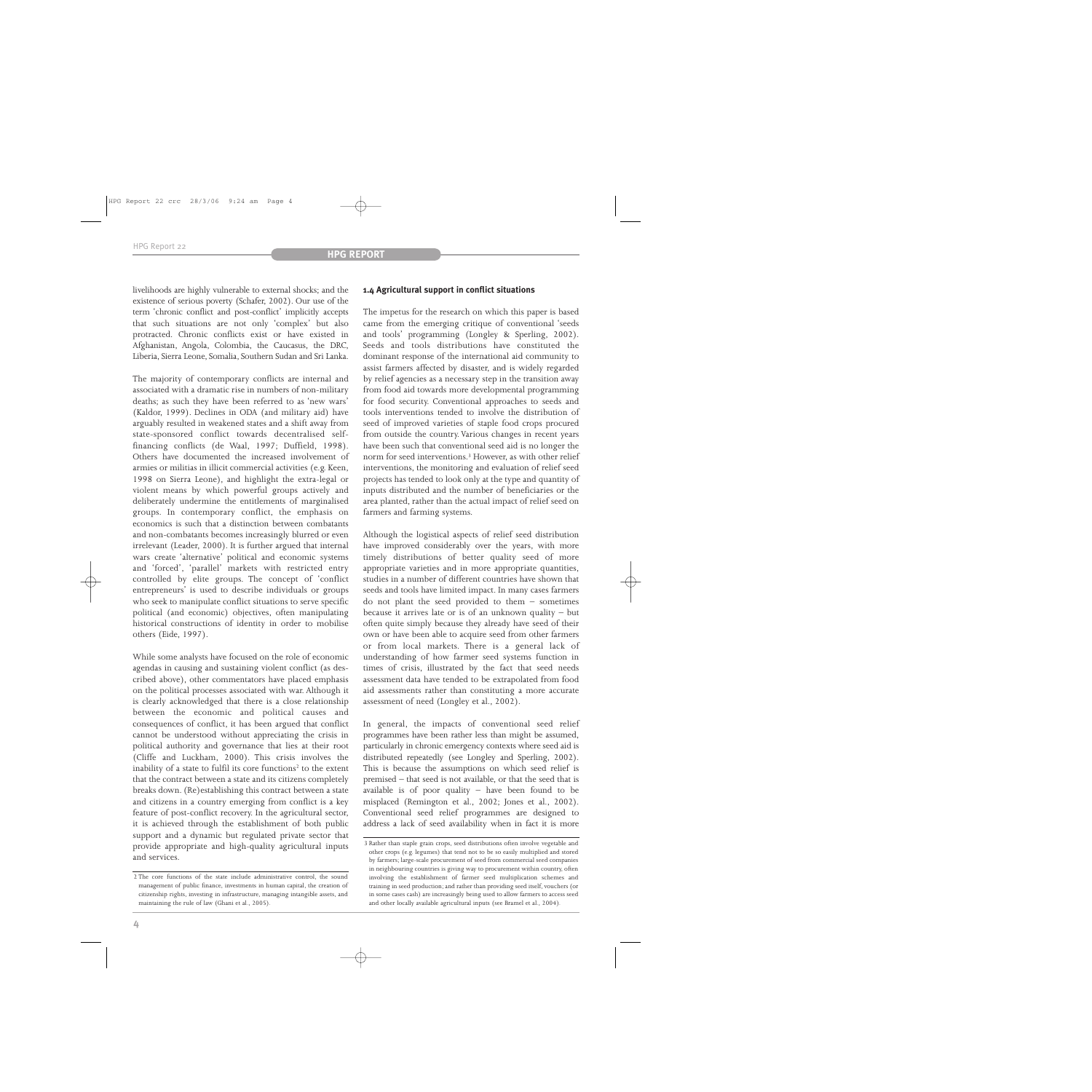livelihoods are highly vulnerable to external shocks; and the existence of serious poverty (Schafer, 2002). Our use of the term 'chronic conflict and post-conflict' implicitly accepts that such situations are not only 'complex' but also protracted. Chronic conflicts exist or have existed in Afghanistan, Angola, Colombia, the Caucasus, the DRC, Liberia, Sierra Leone, Somalia, Southern Sudan and Sri Lanka.

The majority of contemporary conflicts are internal and associated with a dramatic rise in numbers of non-military deaths; as such they have been referred to as 'new wars' (Kaldor, 1999). Declines in ODA (and military aid) have arguably resulted in weakened states and a shift away from state-sponsored conflict towards decentralised selffinancing conflicts (de Waal, 1997; Duffield, 1998). Others have documented the increased involvement of armies or militias in illicit commercial activities (e.g. Keen, 1998 on Sierra Leone), and highlight the extra-legal or violent means by which powerful groups actively and deliberately undermine the entitlements of marginalised groups. In contemporary conflict, the emphasis on economics is such that a distinction between combatants and non-combatants becomes increasingly blurred or even irrelevant (Leader, 2000). It is further argued that internal wars create 'alternative' political and economic systems and 'forced', 'parallel' markets with restricted entry controlled by elite groups. The concept of 'conflict entrepreneurs' is used to describe individuals or groups who seek to manipulate conflict situations to serve specific political (and economic) objectives, often manipulating historical constructions of identity in order to mobilise others (Eide, 1997).

While some analysts have focused on the role of economic agendas in causing and sustaining violent conflict (as described above), other commentators have placed emphasis on the political processes associated with war. Although it is clearly acknowledged that there is a close relationship between the economic and political causes and consequences of conflict, it has been argued that conflict cannot be understood without appreciating the crisis in political authority and governance that lies at their root (Cliffe and Luckham, 2000). This crisis involves the inability of a state to fulfil its core functions<sup>2</sup> to the extent that the contract between a state and its citizens completely breaks down. (Re)establishing this contract between a state and citizens in a country emerging from conflict is a key feature of post-conflict recovery. In the agricultural sector, it is achieved through the establishment of both public support and a dynamic but regulated private sector that provide appropriate and high-quality agricultural inputs and services.

#### **1.4 Agricultural support in conflict situations**

The impetus for the research on which this paper is based came from the emerging critique of conventional 'seeds and tools' programming (Longley & Sperling, 2002). Seeds and tools distributions have constituted the dominant response of the international aid community to assist farmers affected by disaster, and is widely regarded by relief agencies as a necessary step in the transition away from food aid towards more developmental programming for food security. Conventional approaches to seeds and tools interventions tended to involve the distribution of seed of improved varieties of staple food crops procured from outside the country. Various changes in recent years have been such that conventional seed aid is no longer the norm for seed interventions.3 However, as with other relief interventions, the monitoring and evaluation of relief seed projects has tended to look only at the type and quantity of inputs distributed and the number of beneficiaries or the area planted, rather than the actual impact of relief seed on farmers and farming systems.

Although the logistical aspects of relief seed distribution have improved considerably over the years, with more timely distributions of better quality seed of more appropriate varieties and in more appropriate quantities, studies in a number of different countries have shown that seeds and tools have limited impact. In many cases farmers do not plant the seed provided to them – sometimes because it arrives late or is of an unknown quality – but often quite simply because they already have seed of their own or have been able to acquire seed from other farmers or from local markets. There is a general lack of understanding of how farmer seed systems function in times of crisis, illustrated by the fact that seed needs assessment data have tended to be extrapolated from food aid assessments rather than constituting a more accurate assessment of need (Longley et al., 2002).

In general, the impacts of conventional seed relief programmes have been rather less than might be assumed, particularly in chronic emergency contexts where seed aid is distributed repeatedly (see Longley and Sperling, 2002). This is because the assumptions on which seed relief is premised – that seed is not available, or that the seed that is available is of poor quality – have been found to be misplaced (Remington et al., 2002; Jones et al., 2002). Conventional seed relief programmes are designed to address a lack of seed availability when in fact it is more

<sup>2</sup> The core functions of the state include administrative control, the sound management of public finance, investments in human capital, the creation of citizenship rights, investing in infrastructure, managing intangible assets, and maintaining the rule of law (Ghani et al., 2005).

<sup>3</sup> Rather than staple grain crops, seed distributions often involve vegetable and other crops (e.g. legumes) that tend not to be so easily multiplied and stored by farmers; large-scale procurement of seed from commercial seed companies in neighbouring countries is giving way to procurement within country, often involving the establishment of farmer seed multiplication schemes and training in seed production; and rather than providing seed itself, vouchers (or in some cases cash) are increasingly being used to allow farmers to access seed and other locally available agricultural inputs (see Bramel et al., 2004).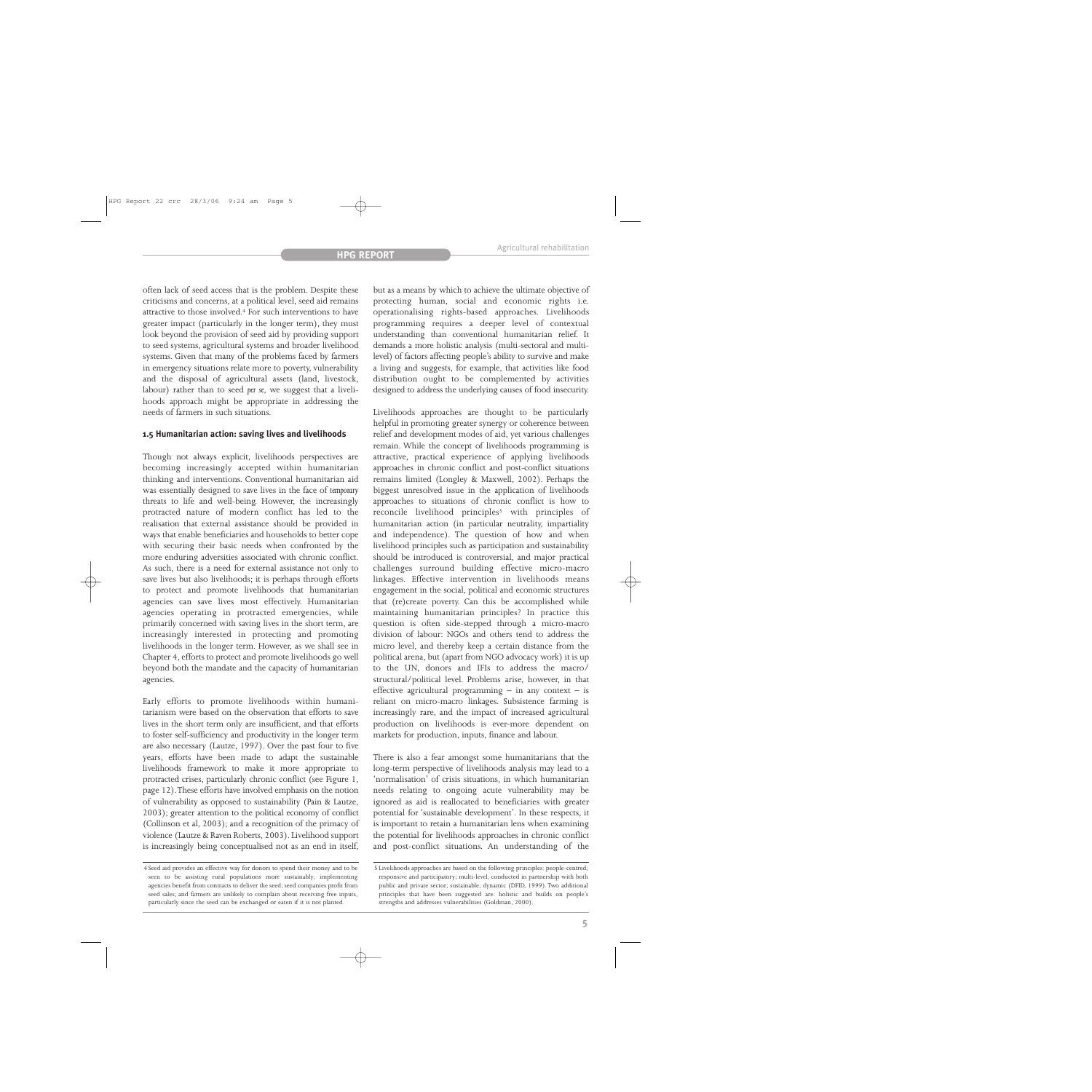often lack of seed access that is the problem. Despite these criticisms and concerns, at a political level, seed aid remains attractive to those involved.<sup>4</sup> For such interventions to have greater impact (particularly in the longer term), they must look beyond the provision of seed aid by providing support to seed systems, agricultural systems and broader livelihood systems. Given that many of the problems faced by farmers in emergency situations relate more to poverty, vulnerability and the disposal of agricultural assets (land, livestock, labour) rather than to seed *per se*, we suggest that a livelihoods approach might be appropriate in addressing the needs of farmers in such situations.

#### **1.5 Humanitarian action: saving lives and livelihoods**

Though not always explicit, livelihoods perspectives are becoming increasingly accepted within humanitarian thinking and interventions. Conventional humanitarian aid was essentially designed to save lives in the face of *temporary* threats to life and well-being. However, the increasingly protracted nature of modern conflict has led to the realisation that external assistance should be provided in ways that enable beneficiaries and households to better cope with securing their basic needs when confronted by the more enduring adversities associated with chronic conflict. As such, there is a need for external assistance not only to save lives but also livelihoods; it is perhaps through efforts to protect and promote livelihoods that humanitarian agencies can save lives most effectively. Humanitarian agencies operating in protracted emergencies, while primarily concerned with saving lives in the short term, are increasingly interested in protecting and promoting livelihoods in the longer term. However, as we shall see in Chapter 4, efforts to protect and promote livelihoods go well beyond both the mandate and the capacity of humanitarian agencies.

Early efforts to promote livelihoods within humanitarianism were based on the observation that efforts to save lives in the short term only are insufficient, and that efforts to foster self-sufficiency and productivity in the longer term are also necessary (Lautze, 1997). Over the past four to five years, efforts have been made to adapt the sustainable livelihoods framework to make it more appropriate to protracted crises, particularly chronic conflict (see Figure 1, page 12).These efforts have involved emphasis on the notion of vulnerability as opposed to sustainability (Pain & Lautze, 2003); greater attention to the political economy of conflict (Collinson et al, 2003); and a recognition of the primacy of violence (Lautze & Raven Roberts, 2003). Livelihood support is increasingly being conceptualised not as an end in itself, but as a means by which to achieve the ultimate objective of protecting human, social and economic rights i.e. operationalising rights-based approaches. Livelihoods programming requires a deeper level of contextual understanding than conventional humanitarian relief. It demands a more holistic analysis (multi-sectoral and multilevel) of factors affecting people's ability to survive and make a living and suggests, for example, that activities like food distribution ought to be complemented by activities designed to address the underlying causes of food insecurity.

Livelihoods approaches are thought to be particularly helpful in promoting greater synergy or coherence between relief and development modes of aid, yet various challenges remain. While the concept of livelihoods programming is attractive, practical experience of applying livelihoods approaches in chronic conflict and post-conflict situations remains limited (Longley & Maxwell, 2002). Perhaps the biggest unresolved issue in the application of livelihoods approaches to situations of chronic conflict is how to reconcile livelihood principles<sup>5</sup> with principles of humanitarian action (in particular neutrality, impartiality and independence). The question of how and when livelihood principles such as participation and sustainability should be introduced is controversial, and major practical challenges surround building effective micro-macro linkages. Effective intervention in livelihoods means engagement in the social, political and economic structures that (re)create poverty. Can this be accomplished while maintaining humanitarian principles? In practice this question is often side-stepped through a micro-macro division of labour: NGOs and others tend to address the micro level, and thereby keep a certain distance from the political arena, but (apart from NGO advocacy work) it is up to the UN, donors and IFIs to address the macro/ structural/political level. Problems arise, however, in that effective agricultural programming  $-$  in any context  $-$  is reliant on micro-macro linkages. Subsistence farming is increasingly rare, and the impact of increased agricultural production on livelihoods is ever-more dependent on markets for production, inputs, finance and labour.

There is also a fear amongst some humanitarians that the long-term perspective of livelihoods analysis may lead to a 'normalisation' of crisis situations, in which humanitarian needs relating to ongoing acute vulnerability may be ignored as aid is reallocated to beneficiaries with greater potential for 'sustainable development'. In these respects, it is important to retain a humanitarian lens when examining the potential for livelihoods approaches in chronic conflict and post-conflict situations. An understanding of the

<sup>4</sup> Seed aid provides an effective way for donors to spend their money and to be seen to be assisting rural populations more sustainably; implementing agencies benefit from contracts to deliver the seed; seed companies profit from seed sales; and farmers are unlikely to complain about receiving free inputs, particularly since the seed can be exchanged or eaten if it is not planted.

<sup>5</sup> Livelihoods approaches are based on the following principles: people-centred; responsive and participatory; multi-level; conducted in partnership with both public and private sector; sustainable; dynamic (DFID, 1999). Two additional principles that have been suggested are: holistic and builds on people's strengths and addresses vulnerabilities (Goldman, 2000).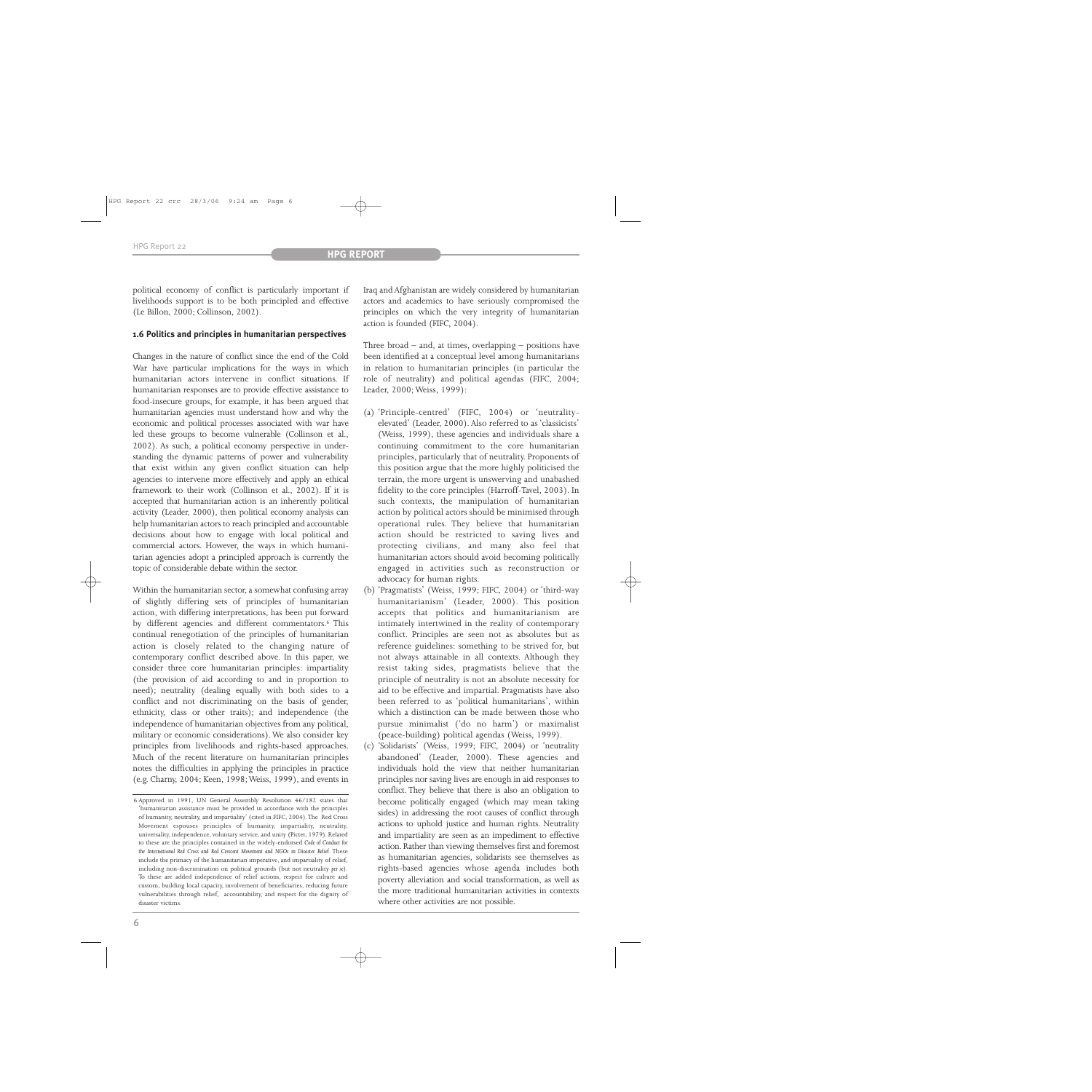political economy of conflict is particularly important if livelihoods support is to be both principled and effective (Le Billon, 2000; Collinson, 2002).

#### **1.6 Politics and principles in humanitarian perspectives**

Changes in the nature of conflict since the end of the Cold War have particular implications for the ways in which humanitarian actors intervene in conflict situations. If humanitarian responses are to provide effective assistance to food-insecure groups, for example, it has been argued that humanitarian agencies must understand how and why the economic and political processes associated with war have led these groups to become vulnerable (Collinson et al., 2002). As such, a political economy perspective in understanding the dynamic patterns of power and vulnerability that exist within any given conflict situation can help agencies to intervene more effectively and apply an ethical framework to their work (Collinson et al., 2002). If it is accepted that humanitarian action is an inherently political activity (Leader, 2000), then political economy analysis can help humanitarian actors to reach principled and accountable decisions about how to engage with local political and commercial actors. However, the ways in which humanitarian agencies adopt a principled approach is currently the topic of considerable debate within the sector.

Within the humanitarian sector, a somewhat confusing array of slightly differing sets of principles of humanitarian action, with differing interpretations, has been put forward by different agencies and different commentators.<sup>6</sup> This continual renegotiation of the principles of humanitarian action is closely related to the changing nature of contemporary conflict described above. In this paper, we consider three core humanitarian principles: impartiality (the provision of aid according to and in proportion to need); neutrality (dealing equally with both sides to a conflict and not discriminating on the basis of gender, ethnicity, class or other traits); and independence (the independence of humanitarian objectives from any political, military or economic considerations). We also consider key principles from livelihoods and rights-based approaches. Much of the recent literature on humanitarian principles notes the difficulties in applying the principles in practice (e.g. Charny, 2004; Keen, 1998;Weiss, 1999), and events in

Iraq and Afghanistan are widely considered by humanitarian actors and academics to have seriously compromised the principles on which the very integrity of humanitarian action is founded (FIFC, 2004).

Three broad – and, at times, overlapping – positions have been identified at a conceptual level among humanitarians in relation to humanitarian principles (in particular the role of neutrality) and political agendas (FIFC, 2004; Leader, 2000; Weiss, 1999):

- (a) 'Principle-centred' (FIFC, 2004) or 'neutralityelevated' (Leader, 2000). Also referred to as 'classicists' (Weiss, 1999), these agencies and individuals share a continuing commitment to the core humanitarian principles, particularly that of neutrality. Proponents of this position argue that the more highly politicised the terrain, the more urgent is unswerving and unabashed fidelity to the core principles (Harroff-Tavel, 2003). In such contexts, the manipulation of humanitarian action by political actors should be minimised through operational rules. They believe that humanitarian action should be restricted to saving lives and protecting civilians, and many also feel that humanitarian actors should avoid becoming politically engaged in activities such as reconstruction or advocacy for human rights.
- (b) 'Pragmatists' (Weiss, 1999; FIFC, 2004) or 'third-way humanitarianism' (Leader, 2000). This position accepts that politics and humanitarianism are intimately intertwined in the reality of contemporary conflict. Principles are seen not as absolutes but as reference guidelines: something to be strived for, but not always attainable in all contexts. Although they resist taking sides, pragmatists believe that the principle of neutrality is not an absolute necessity for aid to be effective and impartial. Pragmatists have also been referred to as 'political humanitarians', within which a distinction can be made between those who pursue minimalist ('do no harm') or maximalist (peace-building) political agendas (Weiss, 1999).
- (c) 'Solidarists' (Weiss, 1999; FIFC, 2004) or 'neutrality abandoned' (Leader, 2000). These agencies and individuals hold the view that neither humanitarian principles nor saving lives are enough in aid responses to conflict. They believe that there is also an obligation to become politically engaged (which may mean taking sides) in addressing the root causes of conflict through actions to uphold justice and human rights. Neutrality and impartiality are seen as an impediment to effective action. Rather than viewing themselves first and foremost as humanitarian agencies, solidarists see themselves as rights-based agencies whose agenda includes both poverty alleviation and social transformation, as well as the more traditional humanitarian activities in contexts where other activities are not possible.

<sup>6</sup> Approved in 1991, UN General Assembly Resolution 46/182 states that 'humanitarian assistance must be provided in accordance with the principles of humanity, neutrality, and impartiality' (cited in FIFC, 2004).The Red Cross Movement espouses principles of humanity, impartiality, neutrality, universality, independence, voluntary service, and unity (Pictet, 1979). Related to these are the principles contained in the widely-endorsed *Code of Conduct for the International Red Cross and Red Crescent Movement and NGOs in Disaster Relief*. These include the primacy of the humanitarian imperative, and impartiality of relief, including non-discrimination on political grounds (but not neutrality *per se*). To these are added independence of relief actions, respect for culture and custom, building local capacity, involvement of beneficiaries, reducing future vulnerabilities through relief, accountability, and respect for the dignity of disaster victims.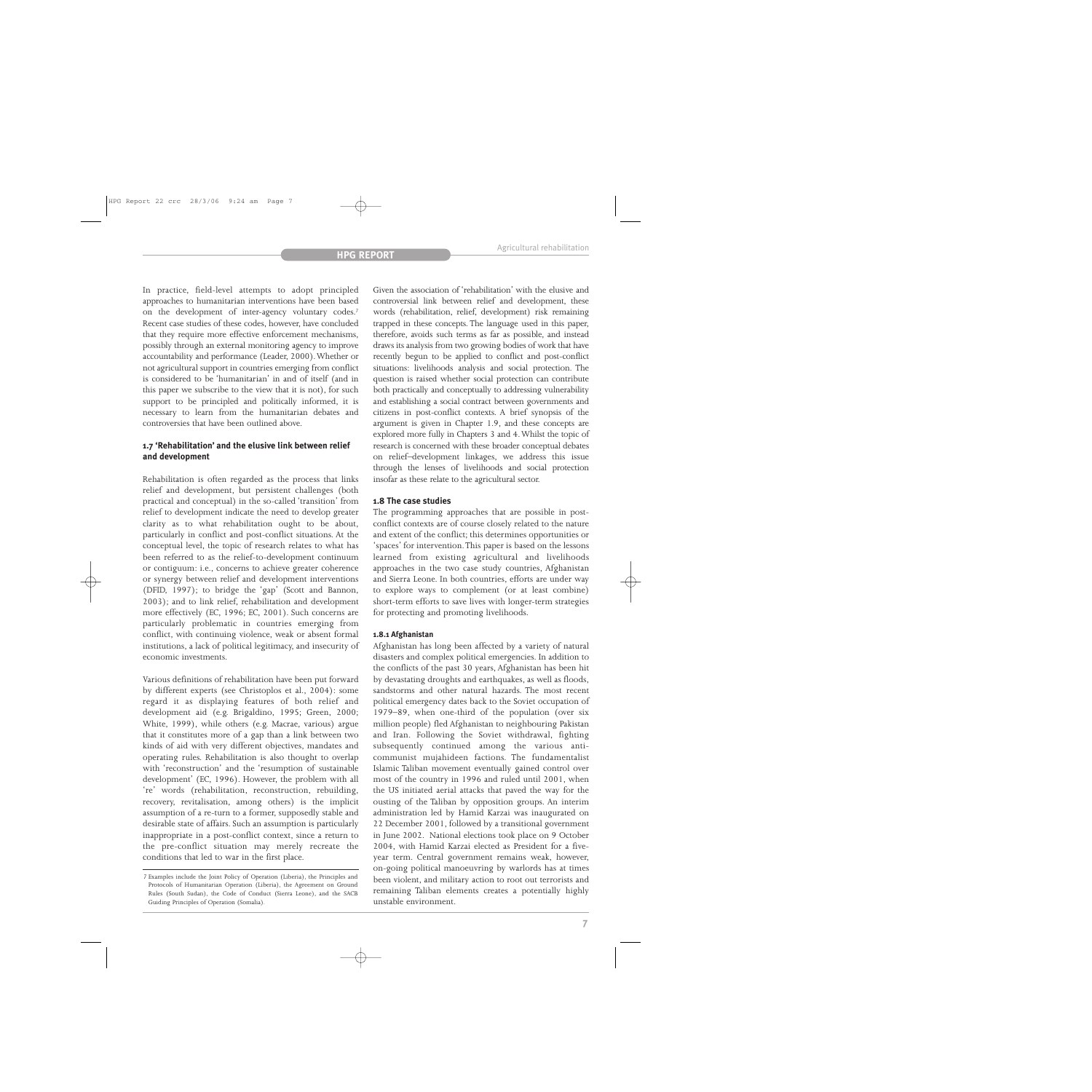In practice, field-level attempts to adopt principled approaches to humanitarian interventions have been based on the development of inter-agency voluntary codes.<sup>7</sup> Recent case studies of these codes, however, have concluded that they require more effective enforcement mechanisms, possibly through an external monitoring agency to improve accountability and performance (Leader, 2000).Whether or not agricultural support in countries emerging from conflict is considered to be 'humanitarian' in and of itself (and in this paper we subscribe to the view that it is not), for such support to be principled and politically informed, it is necessary to learn from the humanitarian debates and controversies that have been outlined above.

#### **1.7 'Rehabilitation' and the elusive link between relief and development**

Rehabilitation is often regarded as the process that links relief and development, but persistent challenges (both practical and conceptual) in the so-called 'transition' from relief to development indicate the need to develop greater clarity as to what rehabilitation ought to be about, particularly in conflict and post-conflict situations. At the conceptual level, the topic of research relates to what has been referred to as the relief-to-development continuum or contiguum: i.e., concerns to achieve greater coherence or synergy between relief and development interventions (DFID, 1997); to bridge the 'gap' (Scott and Bannon, 2003); and to link relief, rehabilitation and development more effectively (EC, 1996; EC, 2001). Such concerns are particularly problematic in countries emerging from conflict, with continuing violence, weak or absent formal institutions, a lack of political legitimacy, and insecurity of economic investments.

Various definitions of rehabilitation have been put forward by different experts (see Christoplos et al., 2004): some regard it as displaying features of both relief and development aid (e.g. Brigaldino, 1995; Green, 2000; White, 1999), while others (e.g. Macrae, various) argue that it constitutes more of a gap than a link between two kinds of aid with very different objectives, mandates and operating rules. Rehabilitation is also thought to overlap with 'reconstruction' and the 'resumption of sustainable development' (EC, 1996). However, the problem with all 're' words (rehabilitation, reconstruction, rebuilding, recovery, revitalisation, among others) is the implicit assumption of a re-turn to a former, supposedly stable and desirable state of affairs. Such an assumption is particularly inappropriate in a post-conflict context, since a return to the pre-conflict situation may merely recreate the conditions that led to war in the first place.

Given the association of 'rehabilitation' with the elusive and controversial link between relief and development, these words (rehabilitation, relief, development) risk remaining trapped in these concepts. The language used in this paper, therefore, avoids such terms as far as possible, and instead draws its analysis from two growing bodies of work that have recently begun to be applied to conflict and post-conflict situations: livelihoods analysis and social protection. The question is raised whether social protection can contribute both practically and conceptually to addressing vulnerability and establishing a social contract between governments and citizens in post-conflict contexts. A brief synopsis of the argument is given in Chapter 1.9, and these concepts are explored more fully in Chapters 3 and 4.Whilst the topic of research is concerned with these broader conceptual debates on relief–development linkages, we address this issue through the lenses of livelihoods and social protection insofar as these relate to the agricultural sector.

#### **1.8 The case studies**

The programming approaches that are possible in postconflict contexts are of course closely related to the nature and extent of the conflict; this determines opportunities or 'spaces' for intervention.This paper is based on the lessons learned from existing agricultural and livelihoods approaches in the two case study countries, Afghanistan and Sierra Leone. In both countries, efforts are under way to explore ways to complement (or at least combine) short-term efforts to save lives with longer-term strategies for protecting and promoting livelihoods.

#### **1.8.1 Afghanistan**

Afghanistan has long been affected by a variety of natural disasters and complex political emergencies. In addition to the conflicts of the past 30 years, Afghanistan has been hit by devastating droughts and earthquakes, as well as floods, sandstorms and other natural hazards. The most recent political emergency dates back to the Soviet occupation of 1979–89, when one-third of the population (over six million people) fled Afghanistan to neighbouring Pakistan and Iran. Following the Soviet withdrawal, fighting subsequently continued among the various anticommunist mujahideen factions. The fundamentalist Islamic Taliban movement eventually gained control over most of the country in 1996 and ruled until 2001, when the US initiated aerial attacks that paved the way for the ousting of the Taliban by opposition groups. An interim administration led by Hamid Karzai was inaugurated on 22 December 2001, followed by a transitional government in June 2002. National elections took place on 9 October 2004, with Hamid Karzai elected as President for a fiveyear term. Central government remains weak, however, on-going political manoeuvring by warlords has at times been violent, and military action to root out terrorists and remaining Taliban elements creates a potentially highly unstable environment.

<sup>7</sup> Examples include the Joint Policy of Operation (Liberia), the Principles and Protocols of Humanitarian Operation (Liberia), the Agreement on Ground Rules (South Sudan), the Code of Conduct (Sierra Leone), and the SACB Guiding Principles of Operation (Somalia).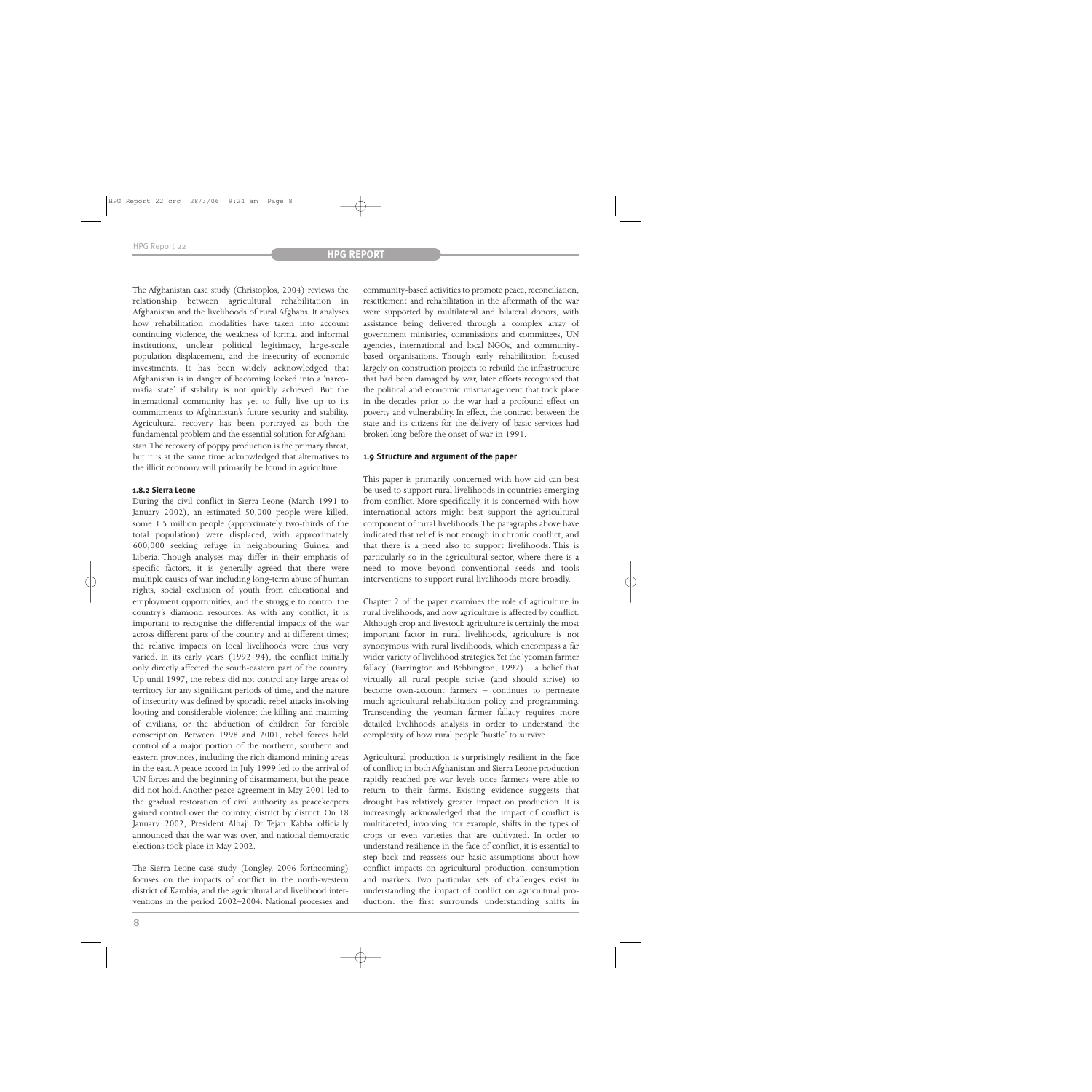The Afghanistan case study (Christoplos, 2004) reviews the relationship between agricultural rehabilitation in Afghanistan and the livelihoods of rural Afghans. It analyses how rehabilitation modalities have taken into account continuing violence, the weakness of formal and informal institutions, unclear political legitimacy, large-scale population displacement, and the insecurity of economic investments. It has been widely acknowledged that Afghanistan is in danger of becoming locked into a 'narcomafia state' if stability is not quickly achieved. But the international community has yet to fully live up to its commitments to Afghanistan's future security and stability. Agricultural recovery has been portrayed as both the fundamental problem and the essential solution for Afghanistan.The recovery of poppy production is the primary threat, but it is at the same time acknowledged that alternatives to the illicit economy will primarily be found in agriculture.

#### **1.8.2 Sierra Leone**

During the civil conflict in Sierra Leone (March 1991 to January 2002), an estimated 50,000 people were killed, some 1.5 million people (approximately two-thirds of the total population) were displaced, with approximately 600,000 seeking refuge in neighbouring Guinea and Liberia. Though analyses may differ in their emphasis of specific factors, it is generally agreed that there were multiple causes of war, including long-term abuse of human rights, social exclusion of youth from educational and employment opportunities, and the struggle to control the country's diamond resources. As with any conflict, it is important to recognise the differential impacts of the war across different parts of the country and at different times; the relative impacts on local livelihoods were thus very varied. In its early years (1992–94), the conflict initially only directly affected the south-eastern part of the country. Up until 1997, the rebels did not control any large areas of territory for any significant periods of time, and the nature of insecurity was defined by sporadic rebel attacks involving looting and considerable violence: the killing and maiming of civilians, or the abduction of children for forcible conscription. Between 1998 and 2001, rebel forces held control of a major portion of the northern, southern and eastern provinces, including the rich diamond mining areas in the east. A peace accord in July 1999 led to the arrival of UN forces and the beginning of disarmament, but the peace did not hold. Another peace agreement in May 2001 led to the gradual restoration of civil authority as peacekeepers gained control over the country, district by district. On 18 January 2002, President Alhaji Dr Tejan Kabba officially announced that the war was over, and national democratic elections took place in May 2002.

The Sierra Leone case study (Longley, 2006 forthcoming) focuses on the impacts of conflict in the north-western district of Kambia, and the agricultural and livelihood interventions in the period 2002–2004. National processes and

community-based activities to promote peace, reconciliation, resettlement and rehabilitation in the aftermath of the war were supported by multilateral and bilateral donors, with assistance being delivered through a complex array of government ministries, commissions and committees, UN agencies, international and local NGOs, and communitybased organisations. Though early rehabilitation focused largely on construction projects to rebuild the infrastructure that had been damaged by war, later efforts recognised that the political and economic mismanagement that took place in the decades prior to the war had a profound effect on poverty and vulnerability. In effect, the contract between the state and its citizens for the delivery of basic services had broken long before the onset of war in 1991.

#### **1.9 Structure and argument of the paper**

This paper is primarily concerned with how aid can best be used to support rural livelihoods in countries emerging from conflict. More specifically, it is concerned with how international actors might best support the agricultural component of rural livelihoods.The paragraphs above have indicated that relief is not enough in chronic conflict, and that there is a need also to support livelihoods. This is particularly so in the agricultural sector, where there is a need to move beyond conventional seeds and tools interventions to support rural livelihoods more broadly.

Chapter 2 of the paper examines the role of agriculture in rural livelihoods, and how agriculture is affected by conflict. Although crop and livestock agriculture is certainly the most important factor in rural livelihoods, agriculture is not synonymous with rural livelihoods, which encompass a far wider variety of livelihood strategies.Yet the 'yeoman farmer fallacy' (Farrington and Bebbington, 1992) – a belief that virtually all rural people strive (and should strive) to become own-account farmers – continues to permeate much agricultural rehabilitation policy and programming. Transcending the yeoman farmer fallacy requires more detailed livelihoods analysis in order to understand the complexity of how rural people 'hustle' to survive.

Agricultural production is surprisingly resilient in the face of conflict; in both Afghanistan and Sierra Leone production rapidly reached pre-war levels once farmers were able to return to their farms. Existing evidence suggests that drought has relatively greater impact on production. It is increasingly acknowledged that the impact of conflict is multifaceted, involving, for example, shifts in the types of crops or even varieties that are cultivated. In order to understand resilience in the face of conflict, it is essential to step back and reassess our basic assumptions about how conflict impacts on agricultural production, consumption and markets. Two particular sets of challenges exist in understanding the impact of conflict on agricultural production: the first surrounds understanding shifts in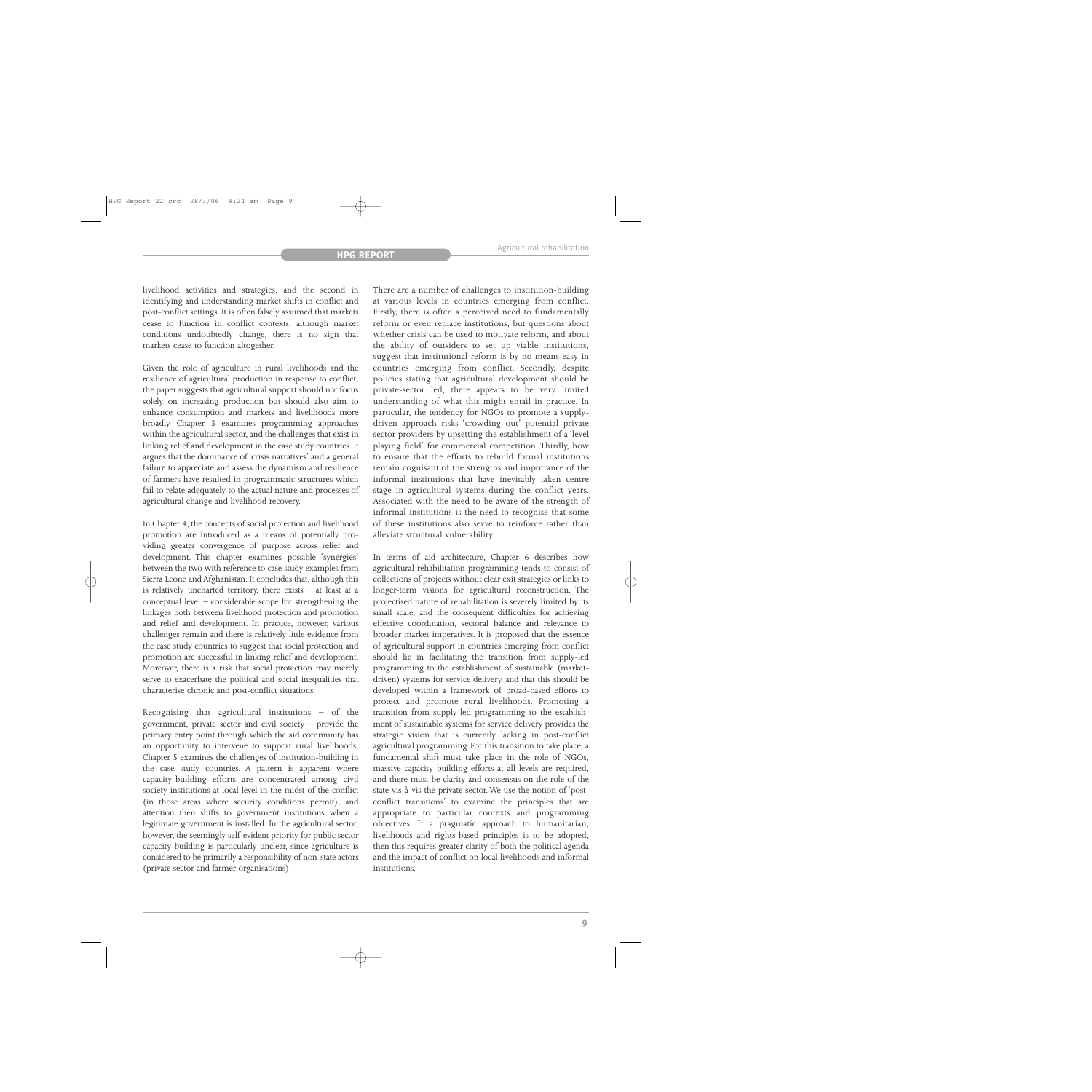livelihood activities and strategies, and the second in identifying and understanding market shifts in conflict and post-conflict settings. It is often falsely assumed that markets cease to function in conflict contexts; although market conditions undoubtedly change, there is no sign that markets cease to function altogether.

Given the role of agriculture in rural livelihoods and the resilience of agricultural production in response to conflict, the paper suggests that agricultural support should not focus solely on increasing production but should also aim to enhance consumption and markets and livelihoods more broadly. Chapter 3 examines programming approaches within the agricultural sector, and the challenges that exist in linking relief and development in the case study countries. It argues that the dominance of 'crisis narratives' and a general failure to appreciate and assess the dynamism and resilience of farmers have resulted in programmatic structures which fail to relate adequately to the actual nature and processes of agricultural change and livelihood recovery.

In Chapter 4, the concepts of social protection and livelihood promotion are introduced as a means of potentially providing greater convergence of purpose across relief and development. This chapter examines possible 'synergies' between the two with reference to case study examples from Sierra Leone and Afghanistan. It concludes that, although this is relatively uncharted territory, there exists  $-$  at least at a conceptual level – considerable scope for strengthening the linkages both between livelihood protection and promotion and relief and development. In practice, however, various challenges remain and there is relatively little evidence from the case study countries to suggest that social protection and promotion are successful in linking relief and development. Moreover, there is a risk that social protection may merely serve to exacerbate the political and social inequalities that characterise chronic and post-conflict situations.

Recognising that agricultural institutions – of the government, private sector and civil society – provide the primary entry point through which the aid community has an opportunity to intervene to support rural livelihoods, Chapter 5 examines the challenges of institution-building in the case study countries. A pattern is apparent where capacity-building efforts are concentrated among civil society institutions at local level in the midst of the conflict (in those areas where security conditions permit), and attention then shifts to government institutions when a legitimate government is installed. In the agricultural sector, however, the seemingly self-evident priority for public sector capacity building is particularly unclear, since agriculture is considered to be primarily a responsibility of non-state actors (private sector and farmer organisations).

There are a number of challenges to institution-building at various levels in countries emerging from conflict. Firstly, there is often a perceived need to fundamentally reform or even replace institutions, but questions about whether crisis can be used to motivate reform, and about the ability of outsiders to set up viable institutions, suggest that institutional reform is by no means easy in countries emerging from conflict. Secondly, despite policies stating that agricultural development should be private-sector led, there appears to be very limited understanding of what this might entail in practice. In particular, the tendency for NGOs to promote a supplydriven approach risks 'crowding out' potential private sector providers by upsetting the establishment of a 'level playing field' for commercial competition. Thirdly, how to ensure that the efforts to rebuild formal institutions remain cognisant of the strengths and importance of the informal institutions that have inevitably taken centre stage in agricultural systems during the conflict years. Associated with the need to be aware of the strength of informal institutions is the need to recognise that some of these institutions also serve to reinforce rather than alleviate structural vulnerability.

In terms of aid architecture, Chapter 6 describes how agricultural rehabilitation programming tends to consist of collections of projects without clear exit strategies or links to longer-term visions for agricultural reconstruction. The projectised nature of rehabilitation is severely limited by its small scale, and the consequent difficulties for achieving effective coordination, sectoral balance and relevance to broader market imperatives. It is proposed that the essence of agricultural support in countries emerging from conflict should lie in facilitating the transition from supply-led programming to the establishment of sustainable (marketdriven) systems for service delivery, and that this should be developed within a framework of broad-based efforts to protect and promote rural livelihoods. Promoting a transition from supply-led programming to the establishment of sustainable systems for service delivery provides the strategic vision that is currently lacking in post-conflict agricultural programming. For this transition to take place, a fundamental shift must take place in the role of NGOs, massive capacity building efforts at all levels are required, and there must be clarity and consensus on the role of the state vis-à-vis the private sector. We use the notion of 'postconflict transitions' to examine the principles that are appropriate to particular contexts and programming objectives. If a pragmatic approach to humanitarian, livelihoods and rights-based principles is to be adopted, then this requires greater clarity of both the political agenda and the impact of conflict on local livelihoods and informal institutions.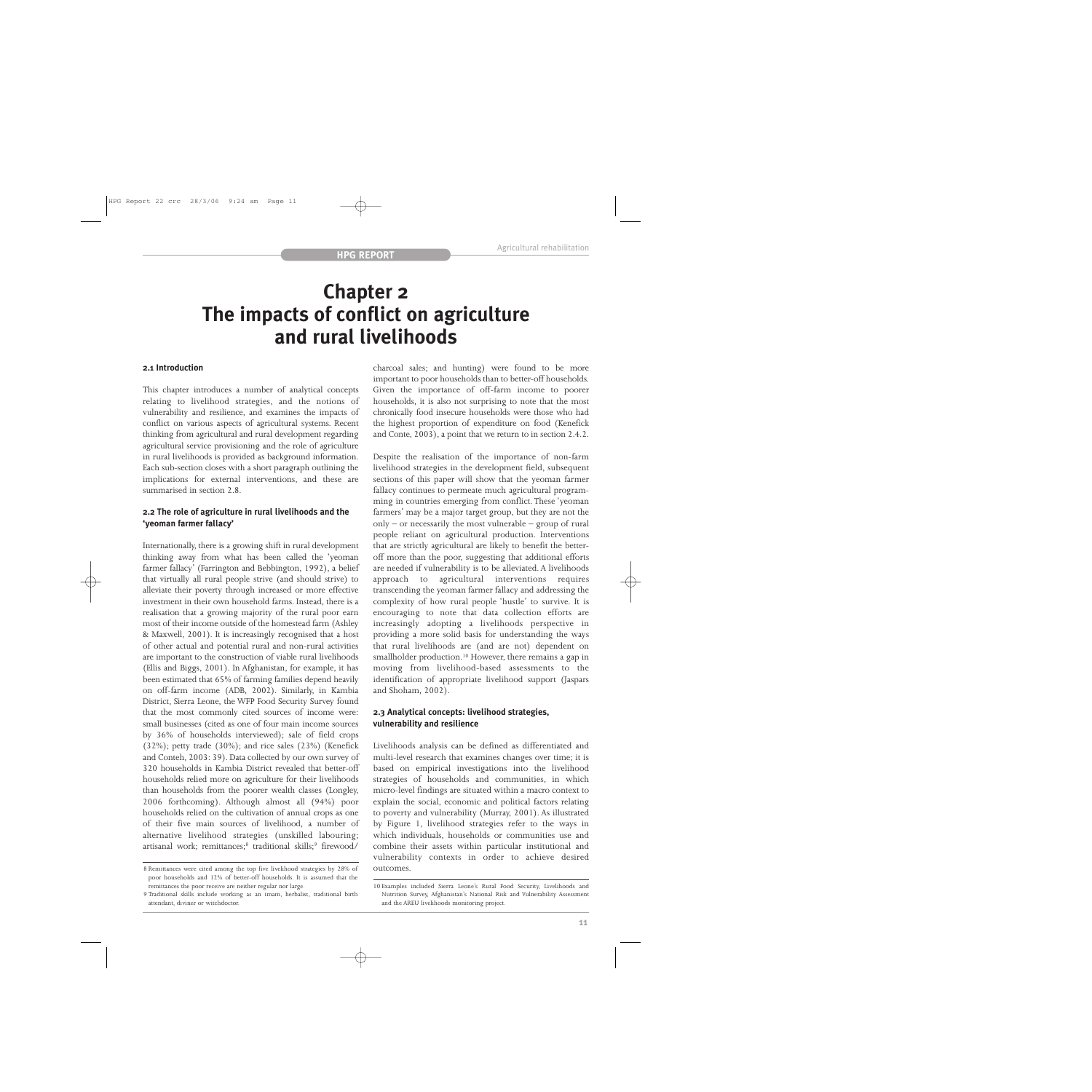## **Chapter 2 The impacts of conflict on agriculture and rural livelihoods**

#### **2.1 Introduction**

This chapter introduces a number of analytical concepts relating to livelihood strategies, and the notions of vulnerability and resilience, and examines the impacts of conflict on various aspects of agricultural systems. Recent thinking from agricultural and rural development regarding agricultural service provisioning and the role of agriculture in rural livelihoods is provided as background information. Each sub-section closes with a short paragraph outlining the implications for external interventions, and these are summarised in section 2.8.

#### **2.2 The role of agriculture in rural livelihoods and the 'yeoman farmer fallacy'**

Internationally, there is a growing shift in rural development thinking away from what has been called the 'yeoman farmer fallacy' (Farrington and Bebbington, 1992), a belief that virtually all rural people strive (and should strive) to alleviate their poverty through increased or more effective investment in their own household farms. Instead, there is a realisation that a growing majority of the rural poor earn most of their income outside of the homestead farm (Ashley & Maxwell, 2001). It is increasingly recognised that a host of other actual and potential rural and non-rural activities are important to the construction of viable rural livelihoods (Ellis and Biggs, 2001). In Afghanistan, for example, it has been estimated that 65% of farming families depend heavily on off-farm income (ADB, 2002). Similarly, in Kambia District, Sierra Leone, the WFP Food Security Survey found that the most commonly cited sources of income were: small businesses (cited as one of four main income sources by 36% of households interviewed); sale of field crops (32%); petty trade (30%); and rice sales (23%) (Kenefick and Conteh, 2003: 39). Data collected by our own survey of 320 households in Kambia District revealed that better-off households relied more on agriculture for their livelihoods than households from the poorer wealth classes (Longley, 2006 forthcoming). Although almost all (94%) poor households relied on the cultivation of annual crops as one of their five main sources of livelihood, a number of alternative livelihood strategies (unskilled labouring; artisanal work; remittances;8 traditional skills;9 firewood/

charcoal sales; and hunting) were found to be more important to poor households than to better-off households. Given the importance of off-farm income to poorer households, it is also not surprising to note that the most chronically food insecure households were those who had the highest proportion of expenditure on food (Kenefick and Conte, 2003), a point that we return to in section 2.4.2.

Despite the realisation of the importance of non-farm livelihood strategies in the development field, subsequent sections of this paper will show that the yeoman farmer fallacy continues to permeate much agricultural programming in countries emerging from conflict. These 'yeoman farmers' may be a major target group, but they are not the only – or necessarily the most vulnerable – group of rural people reliant on agricultural production. Interventions that are strictly agricultural are likely to benefit the betteroff more than the poor, suggesting that additional efforts are needed if vulnerability is to be alleviated. A livelihoods approach to agricultural interventions requires transcending the yeoman farmer fallacy and addressing the complexity of how rural people 'hustle' to survive. It is encouraging to note that data collection efforts are increasingly adopting a livelihoods perspective in providing a more solid basis for understanding the ways that rural livelihoods are (and are not) dependent on smallholder production.<sup>10</sup> However, there remains a gap in moving from livelihood-based assessments to the identification of appropriate livelihood support (Jaspars and Shoham, 2002).

#### **2.3 Analytical concepts: livelihood strategies, vulnerability and resilience**

Livelihoods analysis can be defined as differentiated and multi-level research that examines changes over time; it is based on empirical investigations into the livelihood strategies of households and communities, in which micro-level findings are situated within a macro context to explain the social, economic and political factors relating to poverty and vulnerability (Murray, 2001). As illustrated by Figure 1, livelihood strategies refer to the ways in which individuals, households or communities use and combine their assets within particular institutional and vulnerability contexts in order to achieve desired outcomes.

<sup>8</sup> Remittances were cited among the top five livelihood strategies by 28% of poor households and 12% of better-off households. It is assumed that the remittances the poor receive are neither regular nor large.

<sup>9</sup> Traditional skills include working as an imam, herbalist, traditional birth attendant, diviner or witchdoctor.

<sup>10</sup> Examples included Sierra Leone's Rural Food Security, Livelihoods and Nutrition Survey, Afghanistan's National Risk and Vulnerability Assessment and the AREU livelihoods monitoring project.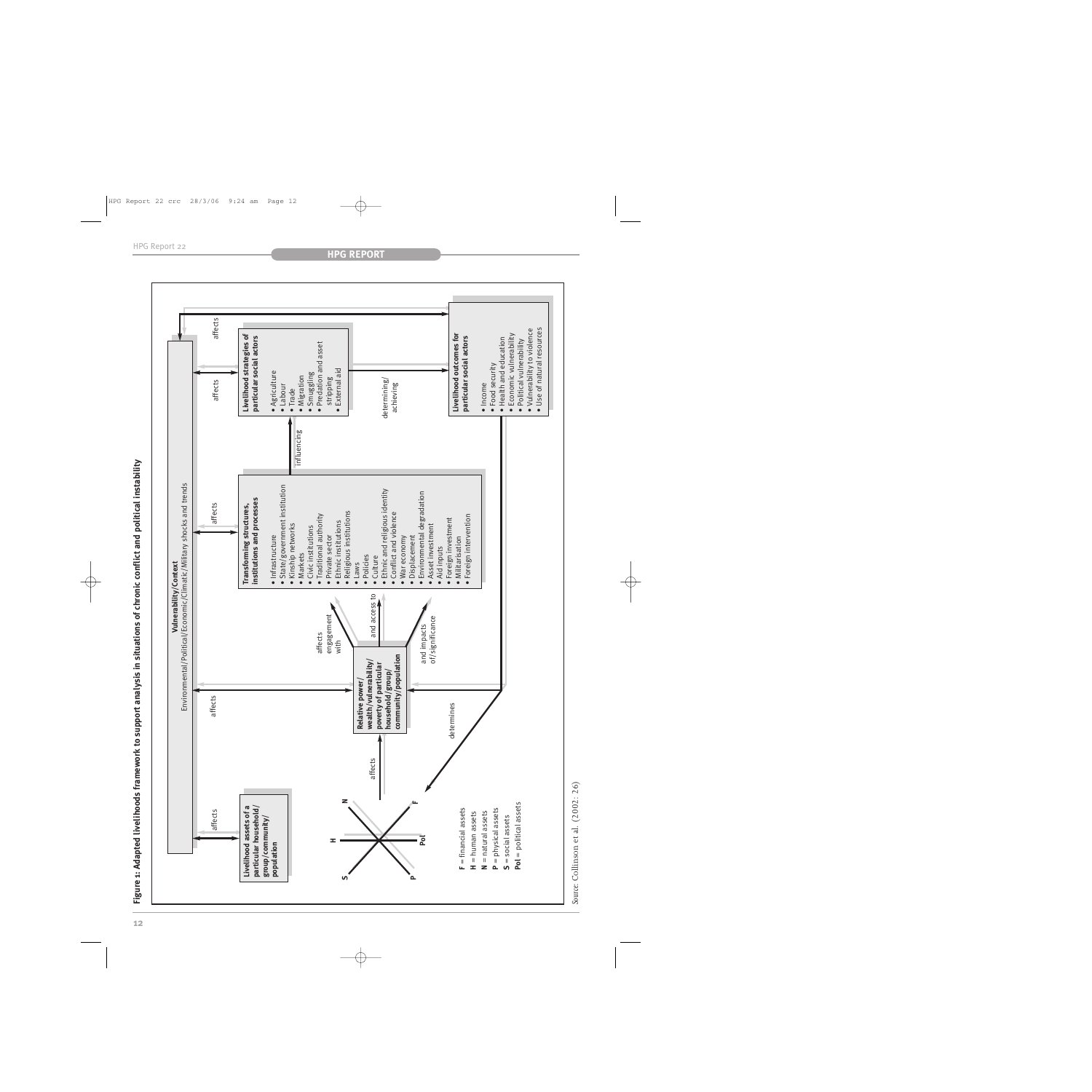

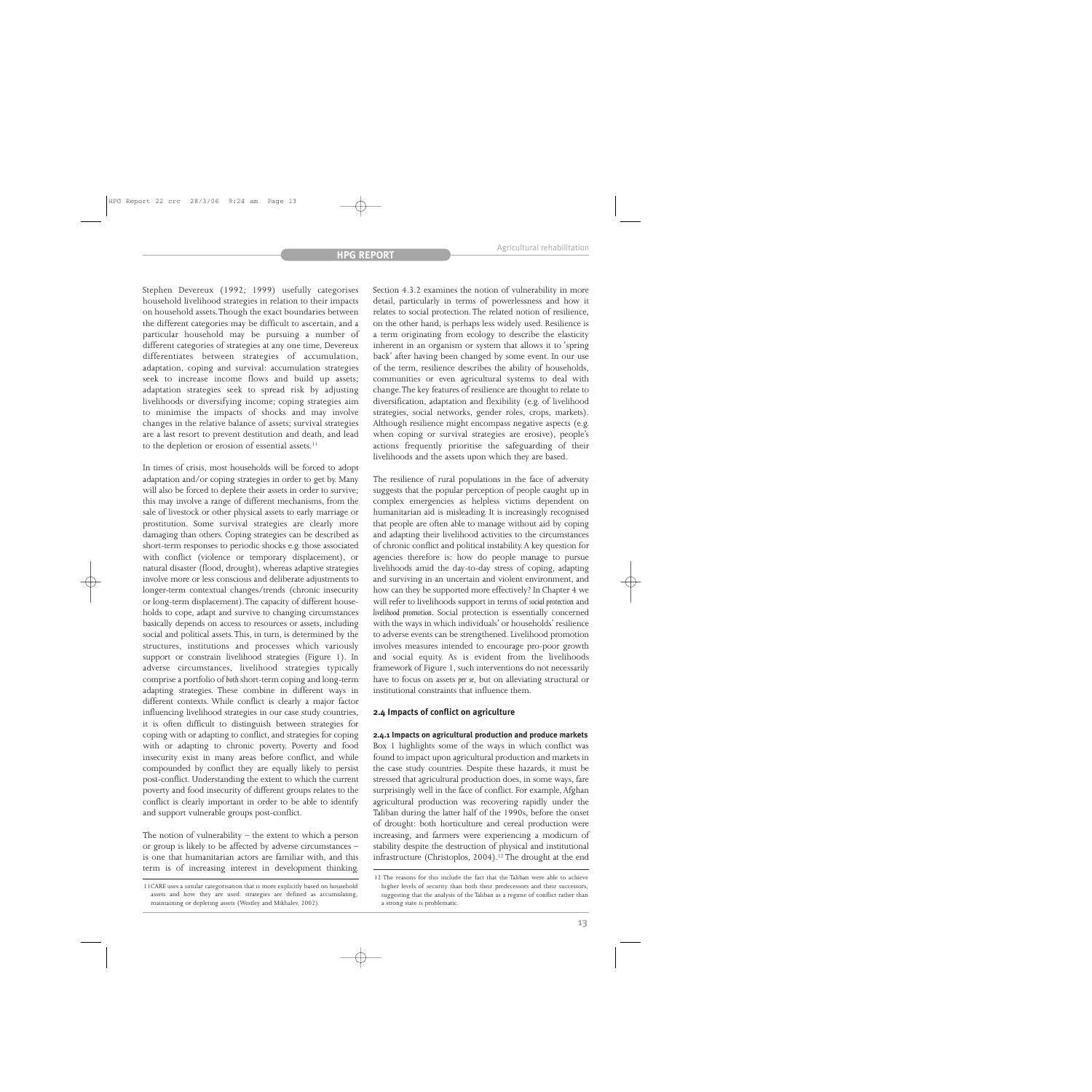Stephen Devereux (1992; 1999) usefully categorises household livelihood strategies in relation to their impacts on household assets.Though the exact boundaries between the different categories may be difficult to ascertain, and a particular household may be pursuing a number of different categories of strategies at any one time, Devereux differentiates between strategies of accumulation, adaptation, coping and survival: accumulation strategies seek to increase income flows and build up assets; adaptation strategies seek to spread risk by adjusting livelihoods or diversifying income; coping strategies aim to minimise the impacts of shocks and may involve changes in the relative balance of assets; survival strategies are a last resort to prevent destitution and death, and lead to the depletion or erosion of essential assets.<sup>11</sup>

In times of crisis, most households will be forced to adopt adaptation and/or coping strategies in order to get by. Many will also be forced to deplete their assets in order to survive; this may involve a range of different mechanisms, from the sale of livestock or other physical assets to early marriage or prostitution. Some survival strategies are clearly more damaging than others. Coping strategies can be described as short-term responses to periodic shocks e.g. those associated with conflict (violence or temporary displacement), or natural disaster (flood, drought), whereas adaptive strategies involve more or less conscious and deliberate adjustments to longer-term contextual changes/trends (chronic insecurity or long-term displacement).The capacity of different households to cope, adapt and survive to changing circumstances basically depends on access to resources or assets, including social and political assets.This, in turn, is determined by the structures, institutions and processes which variously support or constrain livelihood strategies (Figure 1). In adverse circumstances, livelihood strategies typically comprise a portfolio of *both* short-term coping and long-term adapting strategies. These combine in different ways in different contexts. While conflict is clearly a major factor influencing livelihood strategies in our case study countries, it is often difficult to distinguish between strategies for coping with or adapting to conflict, and strategies for coping with or adapting to chronic poverty. Poverty and food insecurity exist in many areas before conflict, and while compounded by conflict they are equally likely to persist post-conflict. Understanding the extent to which the current poverty and food insecurity of different groups relates to the conflict is clearly important in order to be able to identify and support vulnerable groups post-conflict.

The notion of vulnerability – the extent to which a person or group is likely to be affected by adverse circumstances – is one that humanitarian actors are familiar with, and this term is of increasing interest in development thinking.

Section 4.3.2 examines the notion of vulnerability in more detail, particularly in terms of powerlessness and how it relates to social protection. The related notion of resilience, on the other hand, is perhaps less widely used. Resilience is a term originating from ecology to describe the elasticity inherent in an organism or system that allows it to 'spring back' after having been changed by some event. In our use of the term, resilience describes the ability of households, communities or even agricultural systems to deal with change.The key features of resilience are thought to relate to diversification, adaptation and flexibility (e.g. of livelihood strategies, social networks, gender roles, crops, markets). Although resilience might encompass negative aspects (e.g. when coping or survival strategies are erosive), people's actions frequently prioritise the safeguarding of their livelihoods and the assets upon which they are based.

The resilience of rural populations in the face of adversity suggests that the popular perception of people caught up in complex emergencies as helpless victims dependent on humanitarian aid is misleading. It is increasingly recognised that people are often able to manage without aid by coping and adapting their livelihood activities to the circumstances of chronic conflict and political instability.A key question for agencies therefore is: how do people manage to pursue livelihoods amid the day-to-day stress of coping, adapting and surviving in an uncertain and violent environment, and how can they be supported more effectively? In Chapter 4 we will refer to livelihoods support in terms of *social protection* and *livelihood promotion*. Social protection is essentially concerned with the ways in which individuals' or households' resilience to adverse events can be strengthened. Livelihood promotion involves measures intended to encourage pro-poor growth and social equity. As is evident from the livelihoods framework of Figure 1, such interventions do not necessarily have to focus on assets *per se*, but on alleviating structural or institutional constraints that influence them.

#### **2.4 Impacts of conflict on agriculture**

**2.4.1 Impacts on agricultural production and produce markets** Box 1 highlights some of the ways in which conflict was found to impact upon agricultural production and markets in the case study countries. Despite these hazards, it must be stressed that agricultural production does, in some ways, fare surprisingly well in the face of conflict. For example, Afghan agricultural production was recovering rapidly under the Taliban during the latter half of the 1990s, before the onset of drought: both horticulture and cereal production were increasing, and farmers were experiencing a modicum of stability despite the destruction of physical and institutional infrastructure (Christoplos, 2004).12 The drought at the end

<sup>11</sup>CARE uses a similar categorisation that is more explicitly based on household assets and how they are used: strategies are defined as accumulating, maintaining or depleting assets (Westley and Mikhalev, 2002).

<sup>12</sup> The reasons for this include the fact that the Taliban were able to achieve higher levels of security than both their predecessors and their successors, suggesting that the analysis of the Taliban as a regime of conflict rather than a strong state is problematic.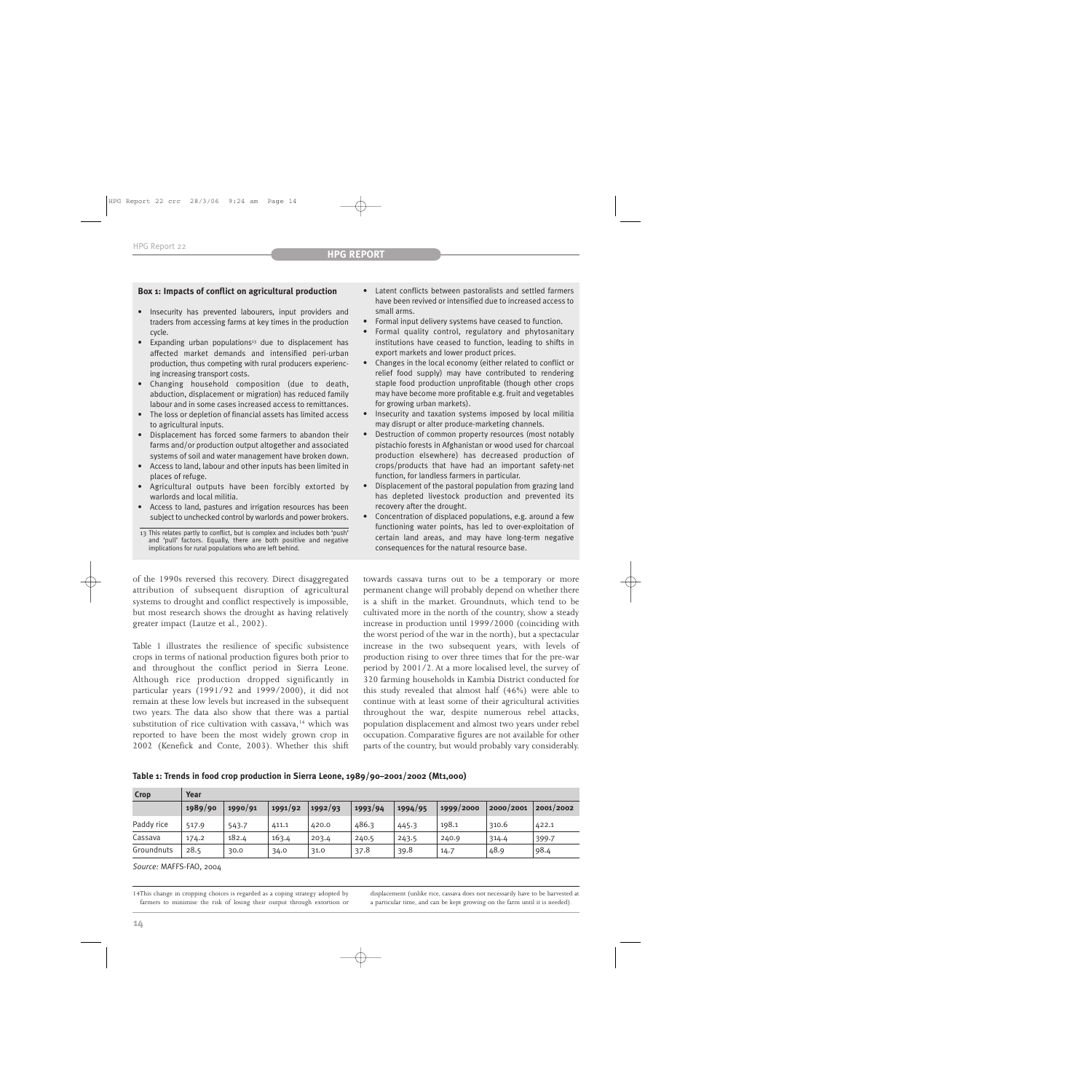#### **Box 1: Impacts of conflict on agricultural production**

- Insecurity has prevented labourers, input providers and traders from accessing farms at key times in the production cycle.
- Expanding urban populations $13$  due to displacement has affected market demands and intensified peri-urban production, thus competing with rural producers experiencing increasing transport costs.
- Changing household composition (due to death, abduction, displacement or migration) has reduced family labour and in some cases increased access to remittances.
- The loss or depletion of financial assets has limited access to agricultural inputs.
- Displacement has forced some farmers to abandon their farms and/or production output altogether and associated systems of soil and water management have broken down.
- Access to land, labour and other inputs has been limited in places of refuge.
- Agricultural outputs have been forcibly extorted by warlords and local militia.
- Access to land, pastures and irrigation resources has been subject to unchecked control by warlords and power brokers.

13 This relates partly to conflict, but is complex and includes both 'push' and 'pull' factors. Equally, there are both positive and negative implications for rural populations who are left behind.

of the 1990s reversed this recovery. Direct disaggregated attribution of subsequent disruption of agricultural systems to drought and conflict respectively is impossible, but most research shows the drought as having relatively greater impact (Lautze et al., 2002).

Table 1 illustrates the resilience of specific subsistence crops in terms of national production figures both prior to and throughout the conflict period in Sierra Leone. Although rice production dropped significantly in particular years (1991/92 and 1999/2000), it did not remain at these low levels but increased in the subsequent two years. The data also show that there was a partial substitution of rice cultivation with cassava,<sup>14</sup> which was reported to have been the most widely grown crop in 2002 (Kenefick and Conte, 2003). Whether this shift

- Latent conflicts between pastoralists and settled farmers have been revived or intensified due to increased access to small arms.
- Formal input delivery systems have ceased to function.
- Formal quality control, regulatory and phytosanitary institutions have ceased to function, leading to shifts in export markets and lower product prices.
- Changes in the local economy (either related to conflict or relief food supply) may have contributed to rendering staple food production unprofitable (though other crops may have become more profitable e.g. fruit and vegetables for growing urban markets).
- Insecurity and taxation systems imposed by local militia may disrupt or alter produce-marketing channels.
- Destruction of common property resources (most notably pistachio forests in Afghanistan or wood used for charcoal production elsewhere) has decreased production of crops/products that have had an important safety-net function, for landless farmers in particular.
- Displacement of the pastoral population from grazing land has depleted livestock production and prevented its recovery after the drought.
- Concentration of displaced populations, e.g. around a few functioning water points, has led to over-exploitation of certain land areas, and may have long-term negative consequences for the natural resource base.

towards cassava turns out to be a temporary or more permanent change will probably depend on whether there is a shift in the market. Groundnuts, which tend to be cultivated more in the north of the country, show a steady increase in production until 1999/2000 (coinciding with the worst period of the war in the north), but a spectacular increase in the two subsequent years, with levels of production rising to over three times that for the pre-war period by 2001/2. At a more localised level, the survey of 320 farming households in Kambia District conducted for this study revealed that almost half (46%) were able to continue with at least some of their agricultural activities throughout the war, despite numerous rebel attacks, population displacement and almost two years under rebel occupation. Comparative figures are not available for other parts of the country, but would probably vary considerably.

#### **Table 1: Trends in food crop production in Sierra Leone, 1989/90–2001/2002 (Mt1,000)**

| <b>Crop</b> | Year    |         |         |         |         |         |           |           |           |
|-------------|---------|---------|---------|---------|---------|---------|-----------|-----------|-----------|
|             | 1989/90 | 1990/91 | 1991/92 | 1992/93 | 1993/94 | 1994/95 | 1999/2000 | 2000/2001 | 2001/2002 |
| Paddy rice  | 517.9   | 543.7   | 411.1   | 420.0   | 486.3   | 445.3   | 198.1     | 310.6     | 422.1     |
| Cassava     | 174.2   | 182.4   | 163.4   | 203.4   | 240.5   | 243.5   | 240.9     | 314.4     | 399.7     |
| Groundnuts  | 28.5    | 30.0    | 34.0    | 31.0    | 37.8    | 39.8    | 14.7      | 48.9      | 98.4      |

*Source:* MAFFS-FAO, 2004

14This change in cropping choices is regarded as a coping strategy adopted by farmers to minimise the risk of losing their output through extortion or

displacement (unlike rice, cassava does not necessarily have to be harvested at a particular time, and can be kept growing on the farm until it is needed).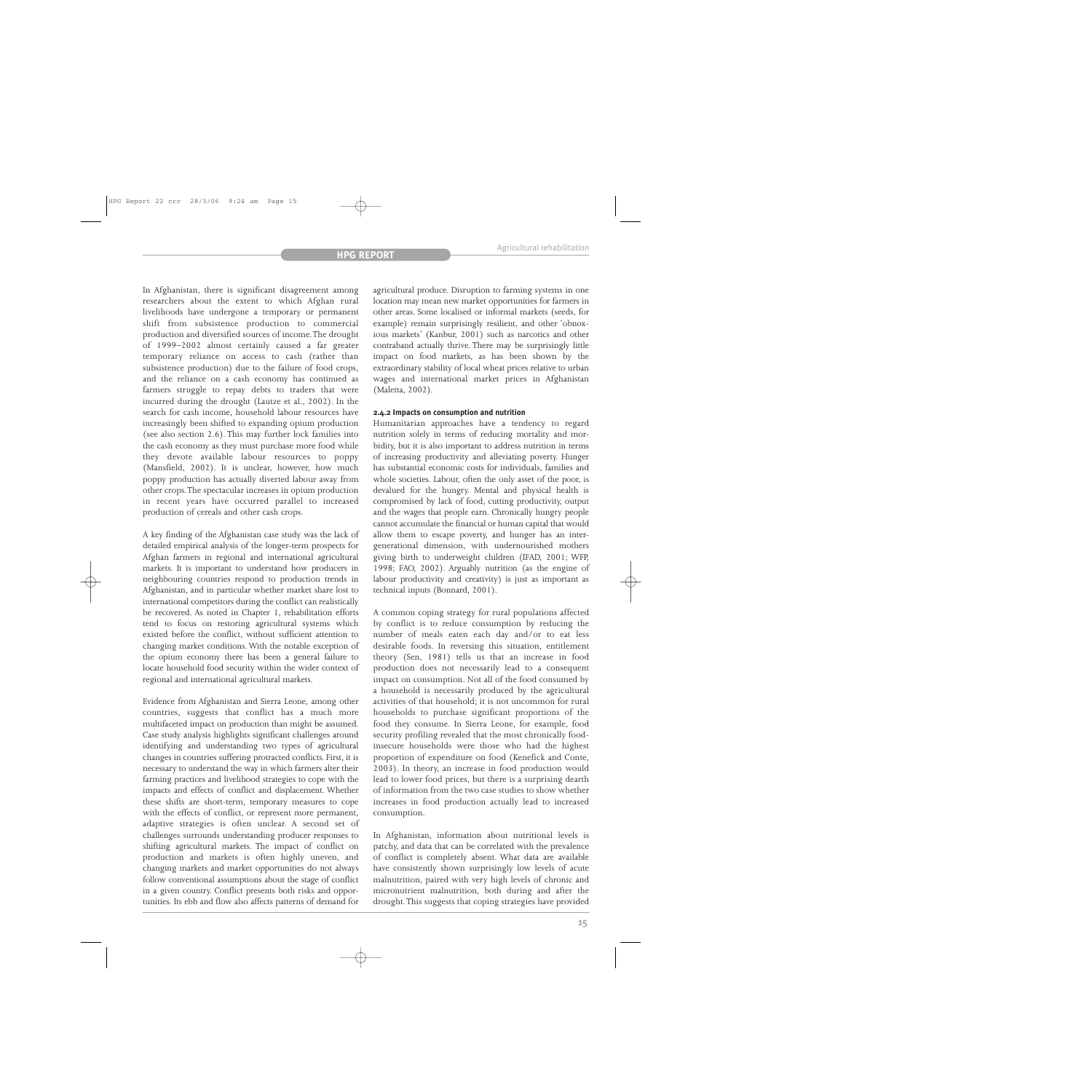In Afghanistan, there is significant disagreement among researchers about the extent to which Afghan rural livelihoods have undergone a temporary or permanent shift from subsistence production to commercial production and diversified sources of income.The drought of 1999–2002 almost certainly caused a far greater temporary reliance on access to cash (rather than subsistence production) due to the failure of food crops, and the reliance on a cash economy has continued as farmers struggle to repay debts to traders that were incurred during the drought (Lautze et al., 2002). In the search for cash income, household labour resources have increasingly been shifted to expanding opium production (see also section 2.6). This may further lock families into the cash economy as they must purchase more food while they devote available labour resources to poppy (Mansfield, 2002). It is unclear, however, how much poppy production has actually diverted labour away from other crops.The spectacular increases in opium production in recent years have occurred parallel to increased production of cereals and other cash crops.

A key finding of the Afghanistan case study was the lack of detailed empirical analysis of the longer-term prospects for Afghan farmers in regional and international agricultural markets. It is important to understand how producers in neighbouring countries respond to production trends in Afghanistan, and in particular whether market share lost to international competitors during the conflict can realistically be recovered. As noted in Chapter 1, rehabilitation efforts tend to focus on restoring agricultural systems which existed before the conflict, without sufficient attention to changing market conditions. With the notable exception of the opium economy there has been a general failure to locate household food security within the wider context of regional and international agricultural markets.

Evidence from Afghanistan and Sierra Leone, among other countries, suggests that conflict has a much more multifaceted impact on production than might be assumed. Case study analysis highlights significant challenges around identifying and understanding two types of agricultural changes in countries suffering protracted conflicts. First, it is necessary to understand the way in which farmers alter their farming practices and livelihood strategies to cope with the impacts and effects of conflict and displacement. Whether these shifts are short-term, temporary measures to cope with the effects of conflict, or represent more permanent, adaptive strategies is often unclear. A second set of challenges surrounds understanding producer responses to shifting agricultural markets. The impact of conflict on production and markets is often highly uneven, and changing markets and market opportunities do not always follow conventional assumptions about the stage of conflict in a given country. Conflict presents both risks and opportunities. Its ebb and flow also affects patterns of demand for

agricultural produce. Disruption to farming systems in one location may mean new market opportunities for farmers in other areas. Some localised or informal markets (seeds, for example) remain surprisingly resilient, and other 'obnoxious markets' (Kanbur, 2001) such as narcotics and other contraband actually thrive. There may be surprisingly little impact on food markets, as has been shown by the extraordinary stability of local wheat prices relative to urban wages and international market prices in Afghanistan (Maletta, 2002).

#### **2.4.2 Impacts on consumption and nutrition**

Humanitarian approaches have a tendency to regard nutrition solely in terms of reducing mortality and morbidity, but it is also important to address nutrition in terms of increasing productivity and alleviating poverty. Hunger has substantial economic costs for individuals, families and whole societies. Labour, often the only asset of the poor, is devalued for the hungry. Mental and physical health is compromised by lack of food, cutting productivity, output and the wages that people earn. Chronically hungry people cannot accumulate the financial or human capital that would allow them to escape poverty, and hunger has an intergenerational dimension, with undernourished mothers giving birth to underweight children (IFAD, 2001; WFP, 1998; FAO, 2002). Arguably nutrition (as the engine of labour productivity and creativity) is just as important as technical inputs (Bonnard, 2001).

A common coping strategy for rural populations affected by conflict is to reduce consumption by reducing the number of meals eaten each day and/or to eat less desirable foods. In reversing this situation, entitlement theory (Sen, 1981) tells us that an increase in food production does not necessarily lead to a consequent impact on consumption. Not all of the food consumed by a household is necessarily produced by the agricultural activities of that household; it is not uncommon for rural households to purchase significant proportions of the food they consume. In Sierra Leone, for example, food security profiling revealed that the most chronically foodinsecure households were those who had the highest proportion of expenditure on food (Kenefick and Conte, 2003). In theory, an increase in food production would lead to lower food prices, but there is a surprising dearth of information from the two case studies to show whether increases in food production actually lead to increased consumption.

In Afghanistan, information about nutritional levels is patchy, and data that can be correlated with the prevalence of conflict is completely absent. What data are available have consistently shown surprisingly low levels of acute malnutrition, paired with very high levels of chronic and micronutrient malnutrition, both during and after the drought.This suggests that coping strategies have provided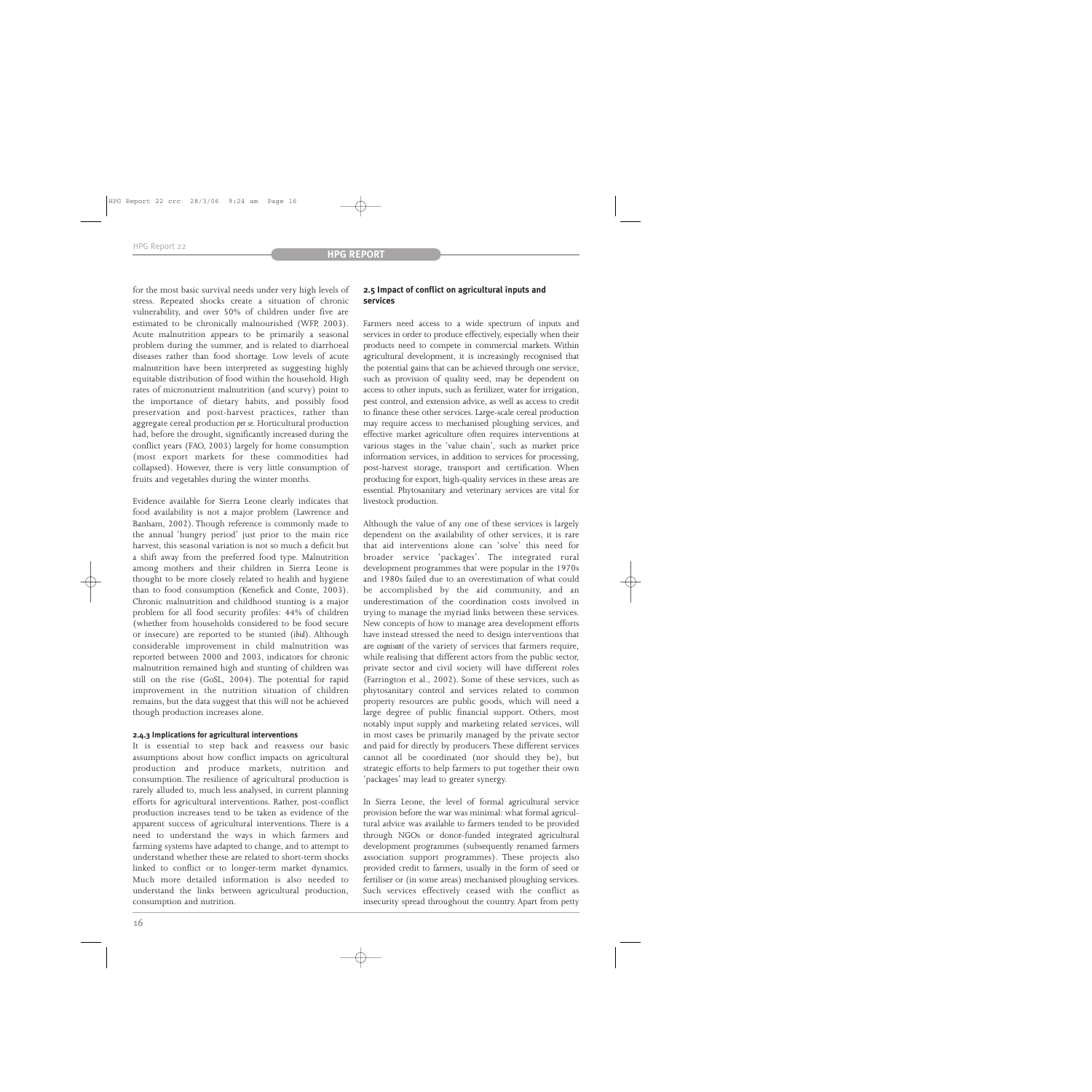for the most basic survival needs under very high levels of stress. Repeated shocks create a situation of chronic vulnerability, and over 50% of children under five are estimated to be chronically malnourished (WFP, 2003). Acute malnutrition appears to be primarily a seasonal problem during the summer, and is related to diarrhoeal diseases rather than food shortage. Low levels of acute malnutrition have been interpreted as suggesting highly equitable distribution of food within the household. High rates of micronutrient malnutrition (and scurvy) point to the importance of dietary habits, and possibly food preservation and post-harvest practices, rather than aggregate cereal production *per se*. Horticultural production had, before the drought, significantly increased during the conflict years (FAO, 2003) largely for home consumption (most export markets for these commodities had collapsed). However, there is very little consumption of fruits and vegetables during the winter months.

Evidence available for Sierra Leone clearly indicates that food availability is not a major problem (Lawrence and Banham, 2002). Though reference is commonly made to the annual 'hungry period' just prior to the main rice harvest, this seasonal variation is not so much a deficit but a shift away from the preferred food type. Malnutrition among mothers and their children in Sierra Leone is thought to be more closely related to health and hygiene than to food consumption (Kenefick and Conte, 2003). Chronic malnutrition and childhood stunting is a major problem for all food security profiles: 44% of children (whether from households considered to be food secure or insecure) are reported to be stunted (*ibid*). Although considerable improvement in child malnutrition was reported between 2000 and 2003, indicators for chronic malnutrition remained high and stunting of children was still on the rise (GoSL, 2004). The potential for rapid improvement in the nutrition situation of children remains, but the data suggest that this will not be achieved though production increases alone.

#### **2.4.3 Implications for agricultural interventions**

It is essential to step back and reassess our basic assumptions about how conflict impacts on agricultural production and produce markets, nutrition and consumption. The resilience of agricultural production is rarely alluded to, much less analysed, in current planning efforts for agricultural interventions. Rather, post-conflict production increases tend to be taken as evidence of the apparent success of agricultural interventions. There is a need to understand the ways in which farmers and farming systems have adapted to change, and to attempt to understand whether these are related to short-term shocks linked to conflict or to longer-term market dynamics. Much more detailed information is also needed to understand the links between agricultural production, consumption and nutrition.

#### **2.5 Impact of conflict on agricultural inputs and services**

Farmers need access to a wide spectrum of inputs and services in order to produce effectively, especially when their products need to compete in commercial markets. Within agricultural development, it is increasingly recognised that the potential gains that can be achieved through one service, such as provision of quality seed, may be dependent on access to other inputs, such as fertilizer, water for irrigation, pest control, and extension advice, as well as access to credit to finance these other services. Large-scale cereal production may require access to mechanised ploughing services, and effective market agriculture often requires interventions at various stages in the 'value chain', such as market price information services, in addition to services for processing, post-harvest storage, transport and certification. When producing for export, high-quality services in these areas are essential. Phytosanitary and veterinary services are vital for livestock production.

Although the value of any one of these services is largely dependent on the availability of other services, it is rare that aid interventions alone can 'solve' this need for broader service 'packages'. The integrated rural development programmes that were popular in the 1970s and 1980s failed due to an overestimation of what could be accomplished by the aid community, and an underestimation of the coordination costs involved in trying to manage the myriad links between these services. New concepts of how to manage area development efforts have instead stressed the need to design interventions that are *cognisant* of the variety of services that farmers require, while realising that different actors from the public sector, private sector and civil society will have different roles (Farrington et al., 2002). Some of these services, such as phytosanitary control and services related to common property resources are public goods, which will need a large degree of public financial support. Others, most notably input supply and marketing related services, will in most cases be primarily managed by the private sector and paid for directly by producers.These different services cannot all be coordinated (nor should they be), but strategic efforts to help farmers to put together their own 'packages' may lead to greater synergy.

In Sierra Leone, the level of formal agricultural service provision before the war was minimal: what formal agricultural advice was available to farmers tended to be provided through NGOs or donor-funded integrated agricultural development programmes (subsequently renamed farmers association support programmes). These projects also provided credit to farmers, usually in the form of seed or fertiliser or (in some areas) mechanised ploughing services. Such services effectively ceased with the conflict as insecurity spread throughout the country. Apart from petty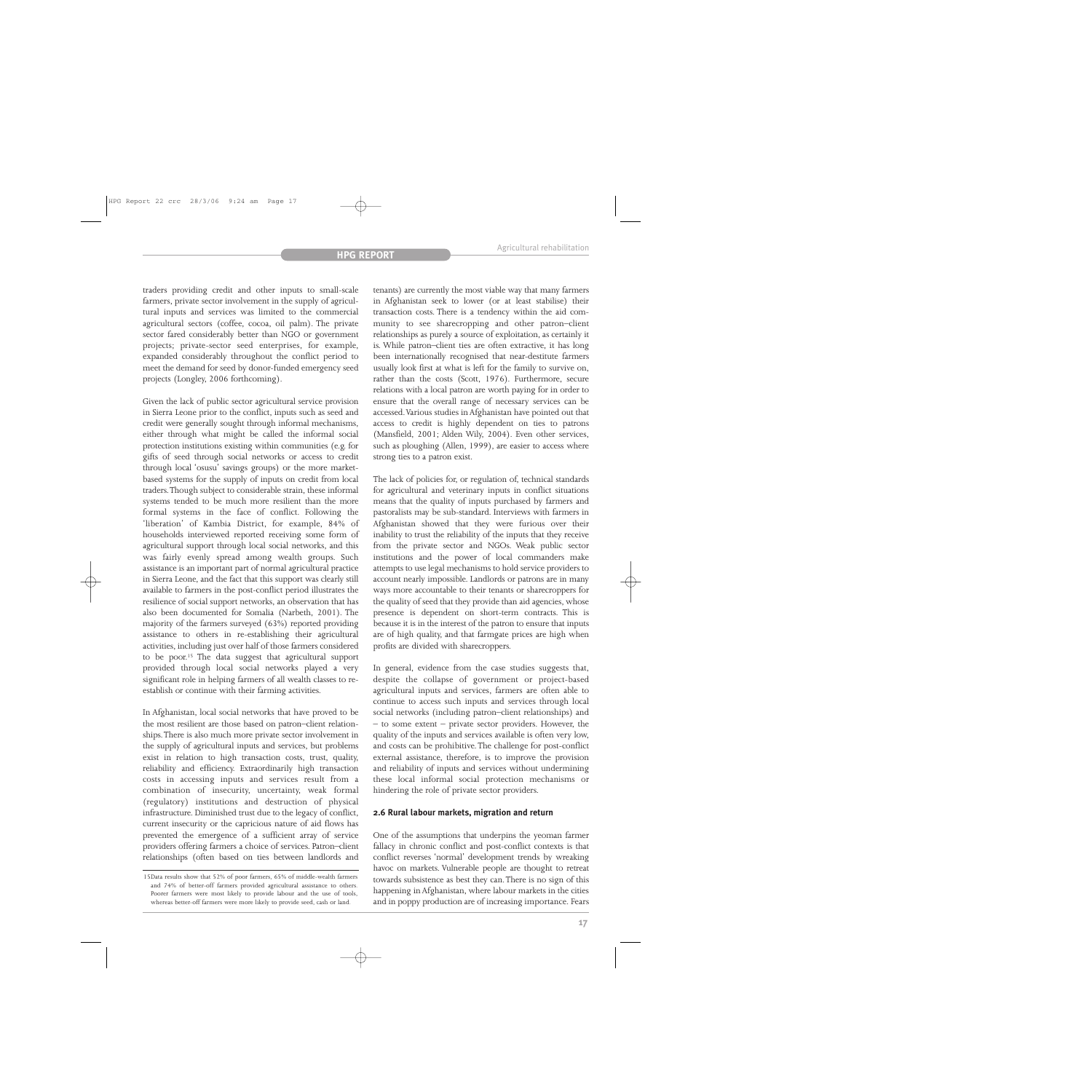traders providing credit and other inputs to small-scale farmers, private sector involvement in the supply of agricultural inputs and services was limited to the commercial agricultural sectors (coffee, cocoa, oil palm). The private sector fared considerably better than NGO or government projects; private-sector seed enterprises, for example, expanded considerably throughout the conflict period to meet the demand for seed by donor-funded emergency seed projects (Longley, 2006 forthcoming).

Given the lack of public sector agricultural service provision in Sierra Leone prior to the conflict, inputs such as seed and credit were generally sought through informal mechanisms, either through what might be called the informal social protection institutions existing within communities (e.g. for gifts of seed through social networks or access to credit through local 'osusu' savings groups) or the more marketbased systems for the supply of inputs on credit from local traders.Though subject to considerable strain, these informal systems tended to be much more resilient than the more formal systems in the face of conflict. Following the 'liberation' of Kambia District, for example, 84% of households interviewed reported receiving some form of agricultural support through local social networks, and this was fairly evenly spread among wealth groups. Such assistance is an important part of normal agricultural practice in Sierra Leone, and the fact that this support was clearly still available to farmers in the post-conflict period illustrates the resilience of social support networks, an observation that has also been documented for Somalia (Narbeth, 2001). The majority of the farmers surveyed (63%) reported providing assistance to others in re-establishing their agricultural activities, including just over half of those farmers considered to be poor.15 The data suggest that agricultural support provided through local social networks played a very significant role in helping farmers of all wealth classes to reestablish or continue with their farming activities.

In Afghanistan, local social networks that have proved to be the most resilient are those based on patron–client relationships.There is also much more private sector involvement in the supply of agricultural inputs and services, but problems exist in relation to high transaction costs, trust, quality, reliability and efficiency. Extraordinarily high transaction costs in accessing inputs and services result from a combination of insecurity, uncertainty, weak formal (regulatory) institutions and destruction of physical infrastructure. Diminished trust due to the legacy of conflict, current insecurity or the capricious nature of aid flows has prevented the emergence of a sufficient array of service providers offering farmers a choice of services. Patron–client relationships (often based on ties between landlords and

tenants) are currently the most viable way that many farmers in Afghanistan seek to lower (or at least stabilise) their transaction costs. There is a tendency within the aid community to see sharecropping and other patron–client relationships as purely a source of exploitation, as certainly it is. While patron–client ties are often extractive, it has long been internationally recognised that near-destitute farmers usually look first at what is left for the family to survive on, rather than the costs (Scott, 1976). Furthermore, secure relations with a local patron are worth paying for in order to ensure that the overall range of necessary services can be accessed.Various studies in Afghanistan have pointed out that access to credit is highly dependent on ties to patrons (Mansfield, 2001; Alden Wily, 2004). Even other services, such as ploughing (Allen, 1999), are easier to access where strong ties to a patron exist.

The lack of policies for, or regulation of, technical standards for agricultural and veterinary inputs in conflict situations means that the quality of inputs purchased by farmers and pastoralists may be sub-standard. Interviews with farmers in Afghanistan showed that they were furious over their inability to trust the reliability of the inputs that they receive from the private sector and NGOs. Weak public sector institutions and the power of local commanders make attempts to use legal mechanisms to hold service providers to account nearly impossible. Landlords or patrons are in many ways more accountable to their tenants or sharecroppers for the quality of seed that they provide than aid agencies, whose presence is dependent on short-term contracts. This is because it is in the interest of the patron to ensure that inputs are of high quality, and that farmgate prices are high when profits are divided with sharecroppers.

In general, evidence from the case studies suggests that, despite the collapse of government or project-based agricultural inputs and services, farmers are often able to continue to access such inputs and services through local social networks (including patron–client relationships) and – to some extent – private sector providers. However, the quality of the inputs and services available is often very low, and costs can be prohibitive.The challenge for post-conflict external assistance, therefore, is to improve the provision and reliability of inputs and services without undermining these local informal social protection mechanisms or hindering the role of private sector providers.

#### **2.6 Rural labour markets, migration and return**

One of the assumptions that underpins the yeoman farmer fallacy in chronic conflict and post-conflict contexts is that conflict reverses 'normal' development trends by wreaking havoc on markets. Vulnerable people are thought to retreat towards subsistence as best they can.There is no sign of this happening in Afghanistan, where labour markets in the cities and in poppy production are of increasing importance. Fears

<sup>15</sup>Data results show that 52% of poor farmers, 65% of middle-wealth farmers and 74% of better-off farmers provided agricultural assistance to others. Poorer farmers were most likely to provide labour and the use of tools, whereas better-off farmers were more likely to provide seed, cash or land.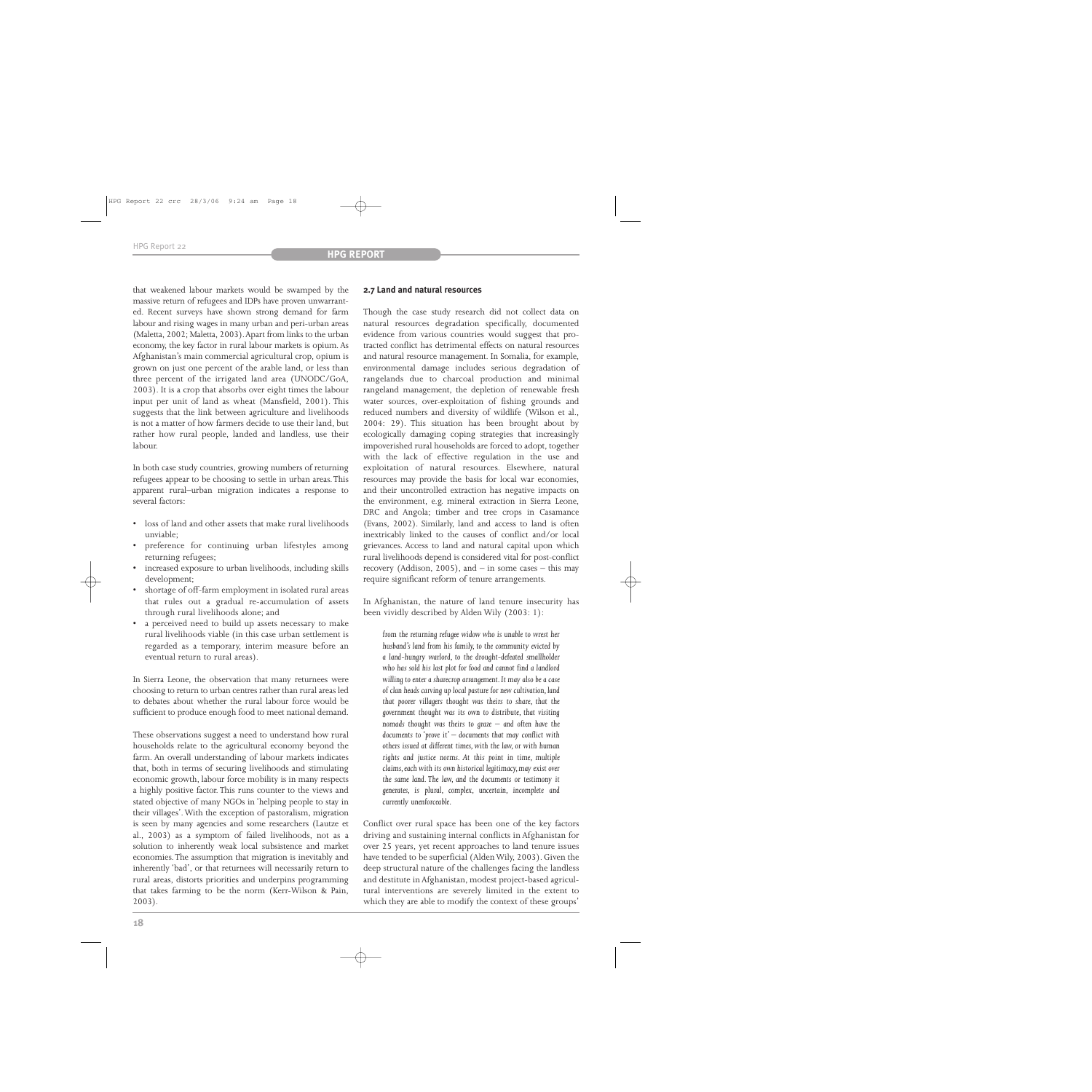that weakened labour markets would be swamped by the massive return of refugees and IDPs have proven unwarranted. Recent surveys have shown strong demand for farm labour and rising wages in many urban and peri-urban areas (Maletta, 2002; Maletta, 2003).Apart from links to the urban economy, the key factor in rural labour markets is opium. As Afghanistan's main commercial agricultural crop, opium is grown on just one percent of the arable land, or less than three percent of the irrigated land area (UNODC/GoA, 2003). It is a crop that absorbs over eight times the labour input per unit of land as wheat (Mansfield, 2001). This suggests that the link between agriculture and livelihoods is not a matter of how farmers decide to use their land, but rather how rural people, landed and landless, use their labour.

In both case study countries, growing numbers of returning refugees appear to be choosing to settle in urban areas.This apparent rural–urban migration indicates a response to several factors:

- loss of land and other assets that make rural livelihoods unviable;
- preference for continuing urban lifestyles among returning refugees;
- increased exposure to urban livelihoods, including skills development;
- shortage of off-farm employment in isolated rural areas that rules out a gradual re-accumulation of assets through rural livelihoods alone; and
- a perceived need to build up assets necessary to make rural livelihoods viable (in this case urban settlement is regarded as a temporary, interim measure before an eventual return to rural areas).

In Sierra Leone, the observation that many returnees were choosing to return to urban centres rather than rural areas led to debates about whether the rural labour force would be sufficient to produce enough food to meet national demand.

These observations suggest a need to understand how rural households relate to the agricultural economy beyond the farm. An overall understanding of labour markets indicates that, both in terms of securing livelihoods and stimulating economic growth, labour force mobility is in many respects a highly positive factor. This runs counter to the views and stated objective of many NGOs in 'helping people to stay in their villages'.With the exception of pastoralism, migration is seen by many agencies and some researchers (Lautze et al., 2003) as a symptom of failed livelihoods, not as a solution to inherently weak local subsistence and market economies.The assumption that migration is inevitably and inherently 'bad', or that returnees will necessarily return to rural areas, distorts priorities and underpins programming that takes farming to be the norm (Kerr-Wilson & Pain, 2003).

#### **2.7 Land and natural resources**

Though the case study research did not collect data on natural resources degradation specifically, documented evidence from various countries would suggest that protracted conflict has detrimental effects on natural resources and natural resource management. In Somalia, for example, environmental damage includes serious degradation of rangelands due to charcoal production and minimal rangeland management, the depletion of renewable fresh water sources, over-exploitation of fishing grounds and reduced numbers and diversity of wildlife (Wilson et al., 2004: 29). This situation has been brought about by ecologically damaging coping strategies that increasingly impoverished rural households are forced to adopt, together with the lack of effective regulation in the use and exploitation of natural resources. Elsewhere, natural resources may provide the basis for local war economies, and their uncontrolled extraction has negative impacts on the environment, e.g. mineral extraction in Sierra Leone, DRC and Angola; timber and tree crops in Casamance (Evans, 2002). Similarly, land and access to land is often inextricably linked to the causes of conflict and/or local grievances. Access to land and natural capital upon which rural livelihoods depend is considered vital for post-conflict recovery (Addison, 2005), and  $-$  in some cases  $-$  this may require significant reform of tenure arrangements.

In Afghanistan, the nature of land tenure insecurity has been vividly described by Alden Wily (2003: 1):

*from the returning refugee widow who is unable to wrest her husband's land from his family, to the community evicted by a land-hungry warlord, to the drought-defeated smallholder who has sold his last plot for food and cannot find a landlord willing to enter a sharecrop arrangement.It may also be a case of clan heads carving up local pasture for new cultivation,land that poorer villagers thought was theirs to share, that the government thought was its own to distribute, that visiting nomads thought was theirs to graze – and often have the documents to 'prove it' – documents that may conflict with others issued at different times, with the law, or with human rights and justice norms. At this point in time, multiple claims,each with its own historical legitimacy,may exist over the same land.The law, and the documents or testimony it generates, is plural, complex, uncertain, incomplete and currently unenforceable.*

Conflict over rural space has been one of the key factors driving and sustaining internal conflicts in Afghanistan for over 25 years, yet recent approaches to land tenure issues have tended to be superficial (Alden Wily, 2003). Given the deep structural nature of the challenges facing the landless and destitute in Afghanistan, modest project-based agricultural interventions are severely limited in the extent to which they are able to modify the context of these groups'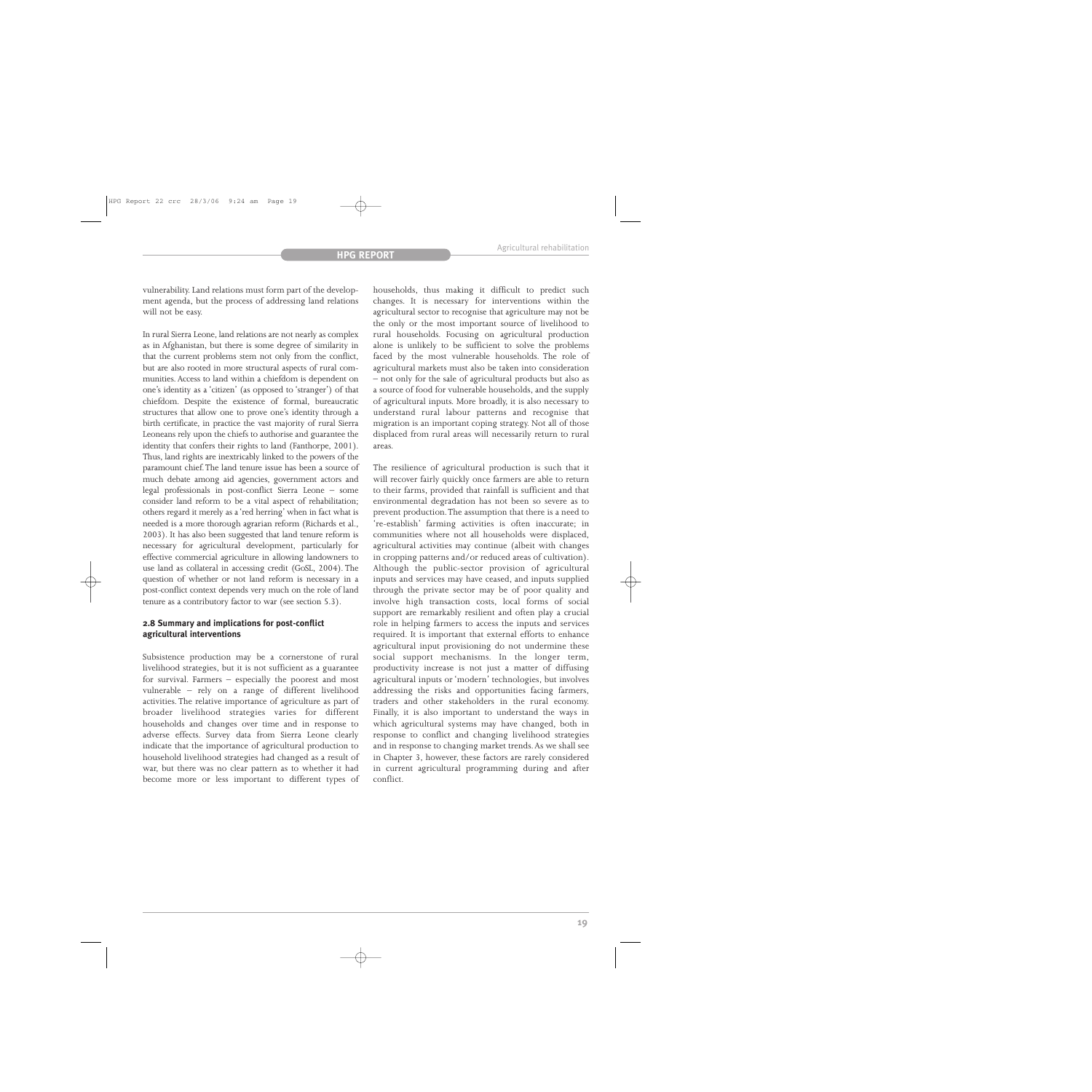vulnerability. Land relations must form part of the development agenda, but the process of addressing land relations will not be easy.

In rural Sierra Leone, land relations are not nearly as complex as in Afghanistan, but there is some degree of similarity in that the current problems stem not only from the conflict, but are also rooted in more structural aspects of rural communities. Access to land within a chiefdom is dependent on one's identity as a 'citizen' (as opposed to 'stranger') of that chiefdom. Despite the existence of formal, bureaucratic structures that allow one to prove one's identity through a birth certificate, in practice the vast majority of rural Sierra Leoneans rely upon the chiefs to authorise and guarantee the identity that confers their rights to land (Fanthorpe, 2001). Thus, land rights are inextricably linked to the powers of the paramount chief.The land tenure issue has been a source of much debate among aid agencies, government actors and legal professionals in post-conflict Sierra Leone – some consider land reform to be a vital aspect of rehabilitation; others regard it merely as a 'red herring' when in fact what is needed is a more thorough agrarian reform (Richards et al., 2003). It has also been suggested that land tenure reform is necessary for agricultural development, particularly for effective commercial agriculture in allowing landowners to use land as collateral in accessing credit (GoSL, 2004). The question of whether or not land reform is necessary in a post-conflict context depends very much on the role of land tenure as a contributory factor to war (see section 5.3).

#### **2.8 Summary and implications for post-conflict agricultural interventions**

Subsistence production may be a cornerstone of rural livelihood strategies, but it is not sufficient as a guarantee for survival. Farmers – especially the poorest and most vulnerable – rely on a range of different livelihood activities. The relative importance of agriculture as part of broader livelihood strategies varies for different households and changes over time and in response to adverse effects. Survey data from Sierra Leone clearly indicate that the importance of agricultural production to household livelihood strategies had changed as a result of war, but there was no clear pattern as to whether it had become more or less important to different types of households, thus making it difficult to predict such changes. It is necessary for interventions within the agricultural sector to recognise that agriculture may not be the only or the most important source of livelihood to rural households. Focusing on agricultural production alone is unlikely to be sufficient to solve the problems faced by the most vulnerable households. The role of agricultural markets must also be taken into consideration – not only for the sale of agricultural products but also as a source of food for vulnerable households, and the supply of agricultural inputs. More broadly, it is also necessary to understand rural labour patterns and recognise that migration is an important coping strategy. Not all of those displaced from rural areas will necessarily return to rural areas.

The resilience of agricultural production is such that it will recover fairly quickly once farmers are able to return to their farms, provided that rainfall is sufficient and that environmental degradation has not been so severe as to prevent production.The assumption that there is a need to 're-establish' farming activities is often inaccurate; in communities where not all households were displaced, agricultural activities may continue (albeit with changes in cropping patterns and/or reduced areas of cultivation). Although the public-sector provision of agricultural inputs and services may have ceased, and inputs supplied through the private sector may be of poor quality and involve high transaction costs, local forms of social support are remarkably resilient and often play a crucial role in helping farmers to access the inputs and services required. It is important that external efforts to enhance agricultural input provisioning do not undermine these social support mechanisms. In the longer term, productivity increase is not just a matter of diffusing agricultural inputs or 'modern' technologies, but involves addressing the risks and opportunities facing farmers, traders and other stakeholders in the rural economy. Finally, it is also important to understand the ways in which agricultural systems may have changed, both in response to conflict and changing livelihood strategies and in response to changing market trends.As we shall see in Chapter 3, however, these factors are rarely considered in current agricultural programming during and after conflict.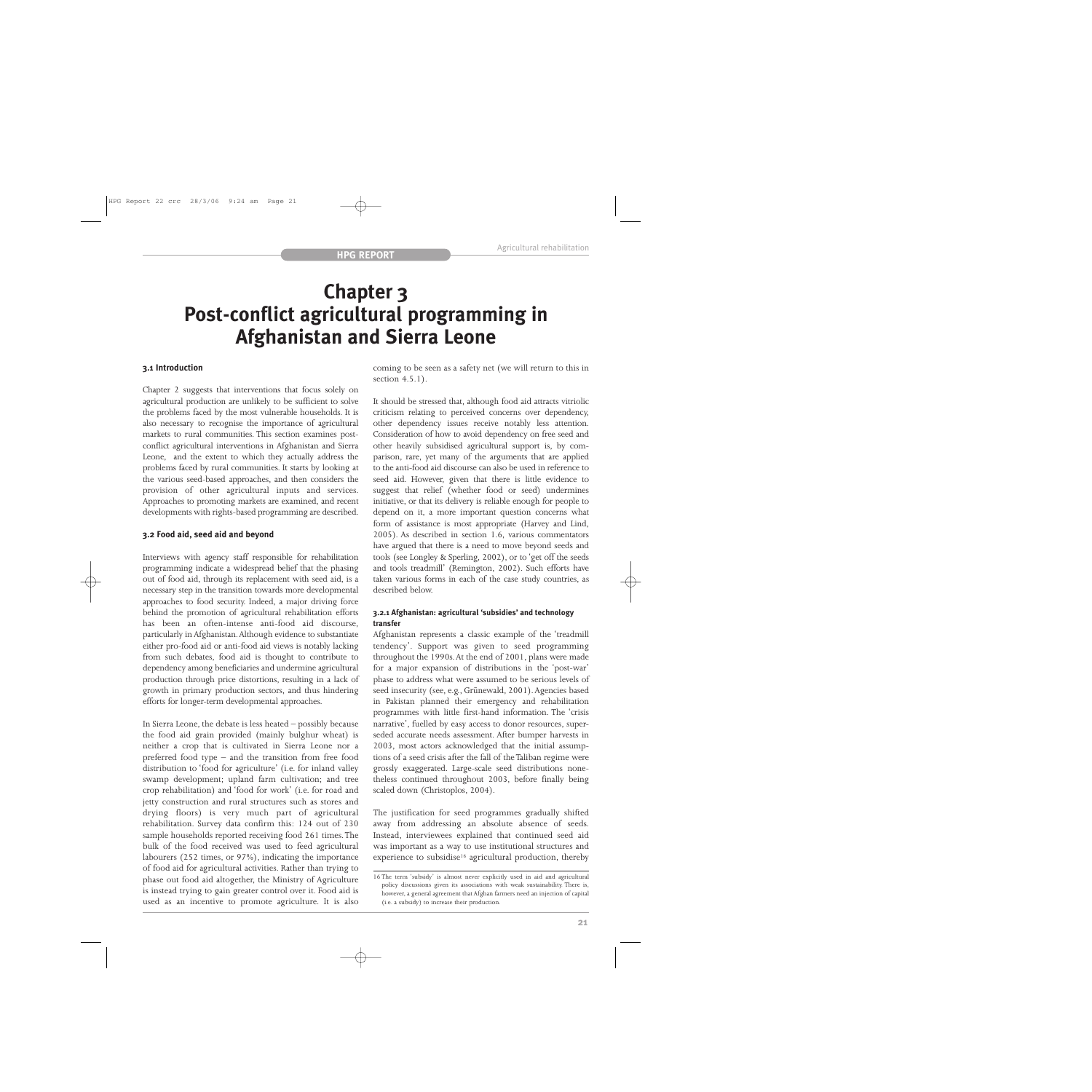## **Chapter 3 Post-conflict agricultural programming in Afghanistan and Sierra Leone**

#### **3.1 Introduction**

Chapter 2 suggests that interventions that focus solely on agricultural production are unlikely to be sufficient to solve the problems faced by the most vulnerable households. It is also necessary to recognise the importance of agricultural markets to rural communities. This section examines postconflict agricultural interventions in Afghanistan and Sierra Leone, and the extent to which they actually address the problems faced by rural communities. It starts by looking at the various seed-based approaches, and then considers the provision of other agricultural inputs and services. Approaches to promoting markets are examined, and recent developments with rights-based programming are described.

#### **3.2 Food aid, seed aid and beyond**

Interviews with agency staff responsible for rehabilitation programming indicate a widespread belief that the phasing out of food aid, through its replacement with seed aid, is a necessary step in the transition towards more developmental approaches to food security. Indeed, a major driving force behind the promotion of agricultural rehabilitation efforts has been an often-intense anti-food aid discourse, particularly in Afghanistan.Although evidence to substantiate either pro-food aid or anti-food aid views is notably lacking from such debates, food aid is thought to contribute to dependency among beneficiaries and undermine agricultural production through price distortions, resulting in a lack of growth in primary production sectors, and thus hindering efforts for longer-term developmental approaches.

In Sierra Leone, the debate is less heated – possibly because the food aid grain provided (mainly bulghur wheat) is neither a crop that is cultivated in Sierra Leone nor a preferred food type – and the transition from free food distribution to 'food for agriculture' (i.e. for inland valley swamp development; upland farm cultivation; and tree crop rehabilitation) and 'food for work' (i.e. for road and jetty construction and rural structures such as stores and drying floors) is very much part of agricultural rehabilitation. Survey data confirm this: 124 out of 230 sample households reported receiving food 261 times.The bulk of the food received was used to feed agricultural labourers (252 times, or 97%), indicating the importance of food aid for agricultural activities. Rather than trying to phase out food aid altogether, the Ministry of Agriculture is instead trying to gain greater control over it. Food aid is used as an incentive to promote agriculture. It is also coming to be seen as a safety net (we will return to this in section 4.5.1).

It should be stressed that, although food aid attracts vitriolic criticism relating to perceived concerns over dependency, other dependency issues receive notably less attention. Consideration of how to avoid dependency on free seed and other heavily subsidised agricultural support is, by comparison, rare, yet many of the arguments that are applied to the anti-food aid discourse can also be used in reference to seed aid. However, given that there is little evidence to suggest that relief (whether food or seed) undermines initiative, or that its delivery is reliable enough for people to depend on it, a more important question concerns what form of assistance is most appropriate (Harvey and Lind, 2005). As described in section 1.6, various commentators have argued that there is a need to move beyond seeds and tools (see Longley & Sperling, 2002), or to 'get off the seeds and tools treadmill' (Remington, 2002). Such efforts have taken various forms in each of the case study countries, as described below.

#### **3.2.1 Afghanistan: agricultural 'subsidies' and technology transfer**

Afghanistan represents a classic example of the 'treadmill tendency'. Support was given to seed programming throughout the 1990s.At the end of 2001, plans were made for a major expansion of distributions in the 'post-war' phase to address what were assumed to be serious levels of seed insecurity (see, e.g., Grünewald, 2001).Agencies based in Pakistan planned their emergency and rehabilitation programmes with little first-hand information. The 'crisis narrative', fuelled by easy access to donor resources, superseded accurate needs assessment. After bumper harvests in 2003, most actors acknowledged that the initial assumptions of a seed crisis after the fall of the Taliban regime were grossly exaggerated. Large-scale seed distributions nonetheless continued throughout 2003, before finally being scaled down (Christoplos, 2004).

The justification for seed programmes gradually shifted away from addressing an absolute absence of seeds. Instead, interviewees explained that continued seed aid was important as a way to use institutional structures and experience to subsidise<sup>16</sup> agricultural production, thereby

<sup>16</sup> The term 'subsidy' is almost never explicitly used in aid and agricultural policy discussions given its associations with weak sustainability. There is, however, a general agreement that Afghan farmers need an injection of capital (i.e. a subsidy) to increase their production.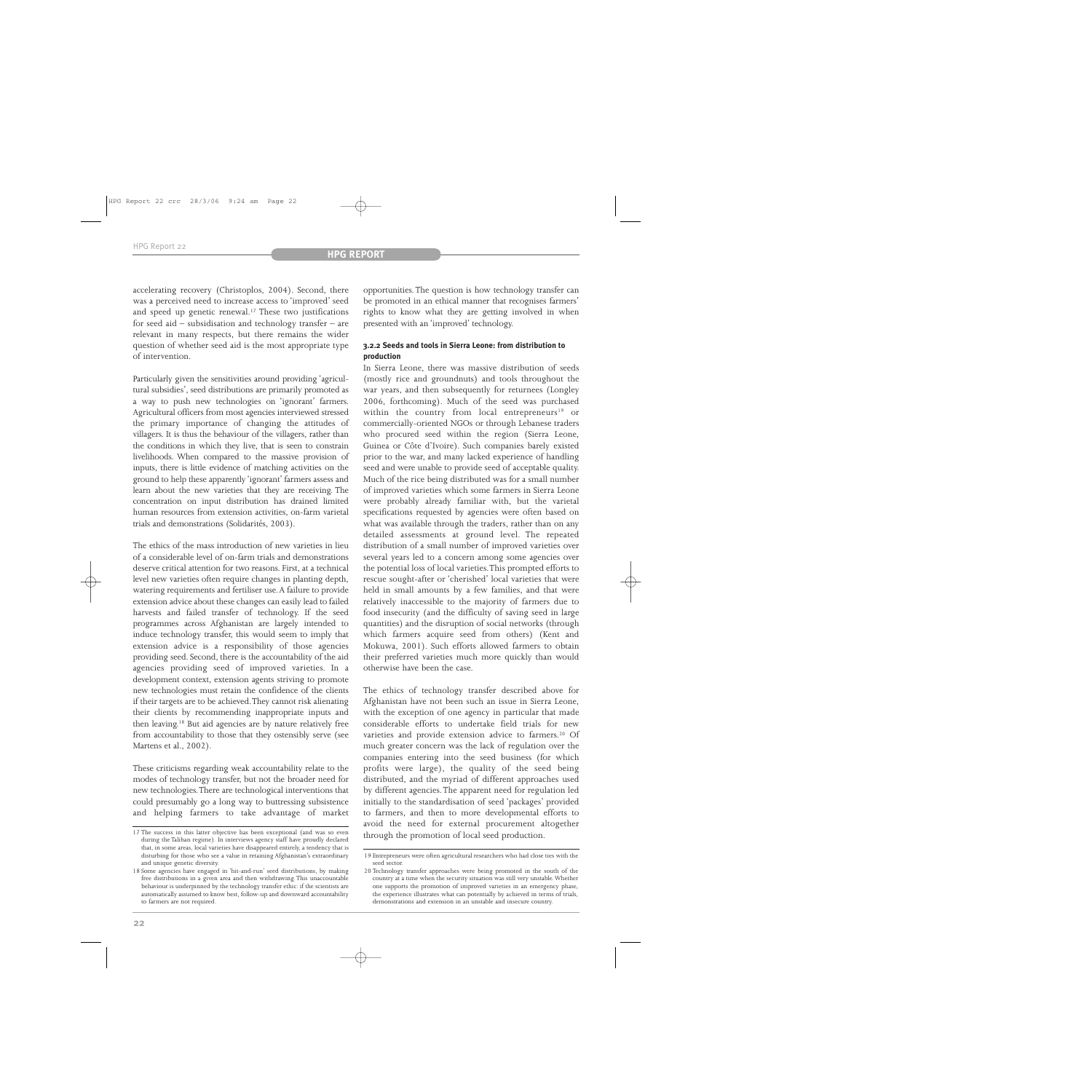accelerating recovery (Christoplos, 2004). Second, there was a perceived need to increase access to 'improved' seed and speed up genetic renewal.<sup>17</sup> These two justifications for seed aid – subsidisation and technology transfer – are relevant in many respects, but there remains the wider question of whether seed aid is the most appropriate type of intervention.

Particularly given the sensitivities around providing 'agricultural subsidies', seed distributions are primarily promoted as a way to push new technologies on 'ignorant' farmers. Agricultural officers from most agencies interviewed stressed the primary importance of changing the attitudes of villagers. It is thus the behaviour of the villagers, rather than the conditions in which they live, that is seen to constrain livelihoods. When compared to the massive provision of inputs, there is little evidence of matching activities on the ground to help these apparently 'ignorant' farmers assess and learn about the new varieties that they are receiving. The concentration on input distribution has drained limited human resources from extension activities, on-farm varietal trials and demonstrations (Solidarités, 2003).

The ethics of the mass introduction of new varieties in lieu of a considerable level of on-farm trials and demonstrations deserve critical attention for two reasons. First, at a technical level new varieties often require changes in planting depth, watering requirements and fertiliser use.A failure to provide extension advice about these changes can easily lead to failed harvests and failed transfer of technology. If the seed programmes across Afghanistan are largely intended to induce technology transfer, this would seem to imply that extension advice is a responsibility of those agencies providing seed. Second, there is the accountability of the aid agencies providing seed of improved varieties. In a development context, extension agents striving to promote new technologies must retain the confidence of the clients if their targets are to be achieved.They cannot risk alienating their clients by recommending inappropriate inputs and then leaving.18 But aid agencies are by nature relatively free from accountability to those that they ostensibly serve (see Martens et al., 2002).

These criticisms regarding weak accountability relate to the modes of technology transfer, but not the broader need for new technologies.There are technological interventions that could presumably go a long way to buttressing subsistence and helping farmers to take advantage of market opportunities. The question is how technology transfer can be promoted in an ethical manner that recognises farmers' rights to know what they are getting involved in when presented with an 'improved' technology.

#### **3.2.2 Seeds and tools in Sierra Leone: from distribution to production**

In Sierra Leone, there was massive distribution of seeds (mostly rice and groundnuts) and tools throughout the war years, and then subsequently for returnees (Longley 2006, forthcoming). Much of the seed was purchased within the country from local entrepreneurs<sup>19</sup> or commercially-oriented NGOs or through Lebanese traders who procured seed within the region (Sierra Leone, Guinea or Côte d'Ivoire). Such companies barely existed prior to the war, and many lacked experience of handling seed and were unable to provide seed of acceptable quality. Much of the rice being distributed was for a small number of improved varieties which some farmers in Sierra Leone were probably already familiar with, but the varietal specifications requested by agencies were often based on what was available through the traders, rather than on any detailed assessments at ground level. The repeated distribution of a small number of improved varieties over several years led to a concern among some agencies over the potential loss of local varieties.This prompted efforts to rescue sought-after or 'cherished' local varieties that were held in small amounts by a few families, and that were relatively inaccessible to the majority of farmers due to food insecurity (and the difficulty of saving seed in large quantities) and the disruption of social networks (through which farmers acquire seed from others) (Kent and Mokuwa, 2001). Such efforts allowed farmers to obtain their preferred varieties much more quickly than would otherwise have been the case.

The ethics of technology transfer described above for Afghanistan have not been such an issue in Sierra Leone, with the exception of one agency in particular that made considerable efforts to undertake field trials for new varieties and provide extension advice to farmers.<sup>20</sup> Of much greater concern was the lack of regulation over the companies entering into the seed business (for which profits were large), the quality of the seed being distributed, and the myriad of different approaches used by different agencies.The apparent need for regulation led initially to the standardisation of seed 'packages' provided to farmers, and then to more developmental efforts to avoid the need for external procurement altogether through the promotion of local seed production.

<sup>17</sup> The success in this latter objective has been exceptional (and was so even during the Taliban regime). In interviews agency staff have proudly declared that, in some areas, local varieties have disappeared entirely, a tendency that is disturbing for those who see a value in retaining Afghanistan's extraordinary and unique genetic diversity.

<sup>18</sup> Some agencies have engaged in 'hit-and-run' seed distributions, by making free distributions in a given area and then withdrawing. This unaccountable behaviour is underpinned by the technology transfer ethic: if the scientists are automatically assumed to know best, follow-up and downward accountability to farmers are not required.

<sup>19</sup> Entrepreneurs were often agricultural researchers who had close ties with the seed sector.

<sup>20</sup> Technology transfer approaches were being promoted in the south of the country at a time when the security situation was still very unstable.Whether one supports the promotion of improved varieties in an emergency phase, the experience illustrates what can potentially by achieved in terms of trials, demonstrations and extension in an unstable and insecure country.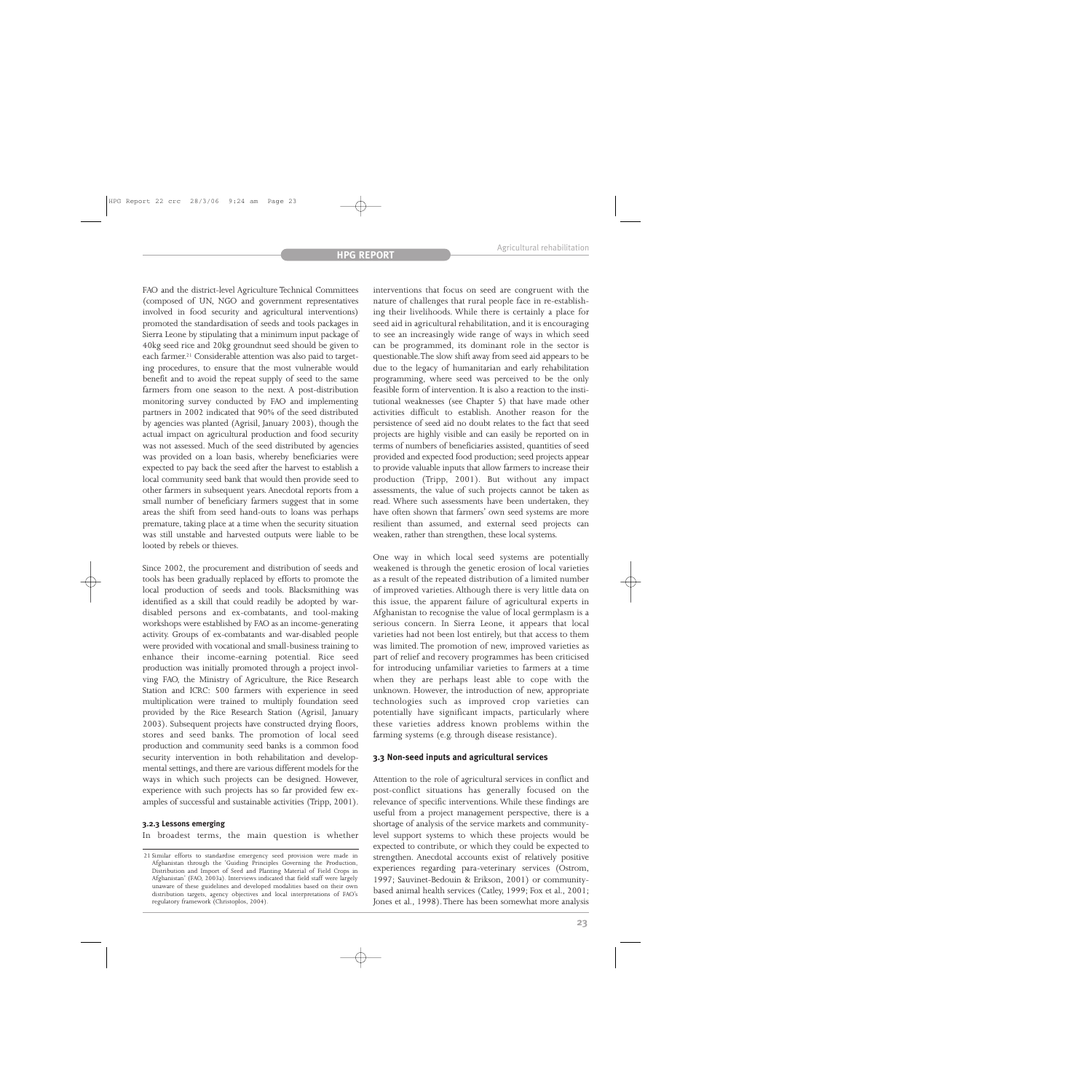FAO and the district-level Agriculture Technical Committees (composed of UN, NGO and government representatives involved in food security and agricultural interventions) promoted the standardisation of seeds and tools packages in Sierra Leone by stipulating that a minimum input package of 40kg seed rice and 20kg groundnut seed should be given to each farmer.<sup>21</sup> Considerable attention was also paid to targeting procedures, to ensure that the most vulnerable would benefit and to avoid the repeat supply of seed to the same farmers from one season to the next. A post-distribution monitoring survey conducted by FAO and implementing partners in 2002 indicated that 90% of the seed distributed by agencies was planted (Agrisil, January 2003), though the actual impact on agricultural production and food security was not assessed. Much of the seed distributed by agencies was provided on a loan basis, whereby beneficiaries were expected to pay back the seed after the harvest to establish a local community seed bank that would then provide seed to other farmers in subsequent years. Anecdotal reports from a small number of beneficiary farmers suggest that in some areas the shift from seed hand-outs to loans was perhaps premature, taking place at a time when the security situation was still unstable and harvested outputs were liable to be looted by rebels or thieves.

Since 2002, the procurement and distribution of seeds and tools has been gradually replaced by efforts to promote the local production of seeds and tools. Blacksmithing was identified as a skill that could readily be adopted by wardisabled persons and ex-combatants, and tool-making workshops were established by FAO as an income-generating activity. Groups of ex-combatants and war-disabled people were provided with vocational and small-business training to enhance their income-earning potential. Rice seed production was initially promoted through a project involving FAO, the Ministry of Agriculture, the Rice Research Station and ICRC: 500 farmers with experience in seed multiplication were trained to multiply foundation seed provided by the Rice Research Station (Agrisil, January 2003). Subsequent projects have constructed drying floors, stores and seed banks. The promotion of local seed production and community seed banks is a common food security intervention in both rehabilitation and developmental settings, and there are various different models for the ways in which such projects can be designed. However, experience with such projects has so far provided few examples of successful and sustainable activities (Tripp, 2001).

#### **3.2.3 Lessons emerging**

In broadest terms, the main question is whether

interventions that focus on seed are congruent with the nature of challenges that rural people face in re-establishing their livelihoods. While there is certainly a place for seed aid in agricultural rehabilitation, and it is encouraging to see an increasingly wide range of ways in which seed can be programmed, its dominant role in the sector is questionable.The slow shift away from seed aid appears to be due to the legacy of humanitarian and early rehabilitation programming, where seed was perceived to be the only feasible form of intervention. It is also a reaction to the institutional weaknesses (see Chapter 5) that have made other activities difficult to establish. Another reason for the persistence of seed aid no doubt relates to the fact that seed projects are highly visible and can easily be reported on in terms of numbers of beneficiaries assisted, quantities of seed provided and expected food production; seed projects appear to provide valuable inputs that allow farmers to increase their production (Tripp, 2001). But without any impact assessments, the value of such projects cannot be taken as read. Where such assessments have been undertaken, they have often shown that farmers' own seed systems are more resilient than assumed, and external seed projects can weaken, rather than strengthen, these local systems.

One way in which local seed systems are potentially weakened is through the genetic erosion of local varieties as a result of the repeated distribution of a limited number of improved varieties. Although there is very little data on this issue, the apparent failure of agricultural experts in Afghanistan to recognise the value of local germplasm is a serious concern. In Sierra Leone, it appears that local varieties had not been lost entirely, but that access to them was limited. The promotion of new, improved varieties as part of relief and recovery programmes has been criticised for introducing unfamiliar varieties to farmers at a time when they are perhaps least able to cope with the unknown. However, the introduction of new, appropriate technologies such as improved crop varieties can potentially have significant impacts, particularly where these varieties address known problems within the farming systems (e.g. through disease resistance).

#### **3.3 Non-seed inputs and agricultural services**

Attention to the role of agricultural services in conflict and post-conflict situations has generally focused on the relevance of specific interventions. While these findings are useful from a project management perspective, there is a shortage of analysis of the service markets and communitylevel support systems to which these projects would be expected to contribute, or which they could be expected to strengthen. Anecdotal accounts exist of relatively positive experiences regarding para-veterinary services (Ostrom, 1997; Sauvinet-Bedouin & Erikson, 2001) or communitybased animal health services (Catley, 1999; Fox et al., 2001; Jones et al., 1998).There has been somewhat more analysis

<sup>21</sup> Similar efforts to standardise emergency seed provision were made in Afghanistan through the 'Guiding Principles Governing the Production, Distribution and Import of Seed and Planting Material of Field Crops in Afghanistan' (FAO, 2003a). Interviews indicated that field staff were largely unaware of these guidelines and developed modalities based on their own distribution targets, agency objectives and local interpretations of FAO's regulatory framework (Christoplos, 2004).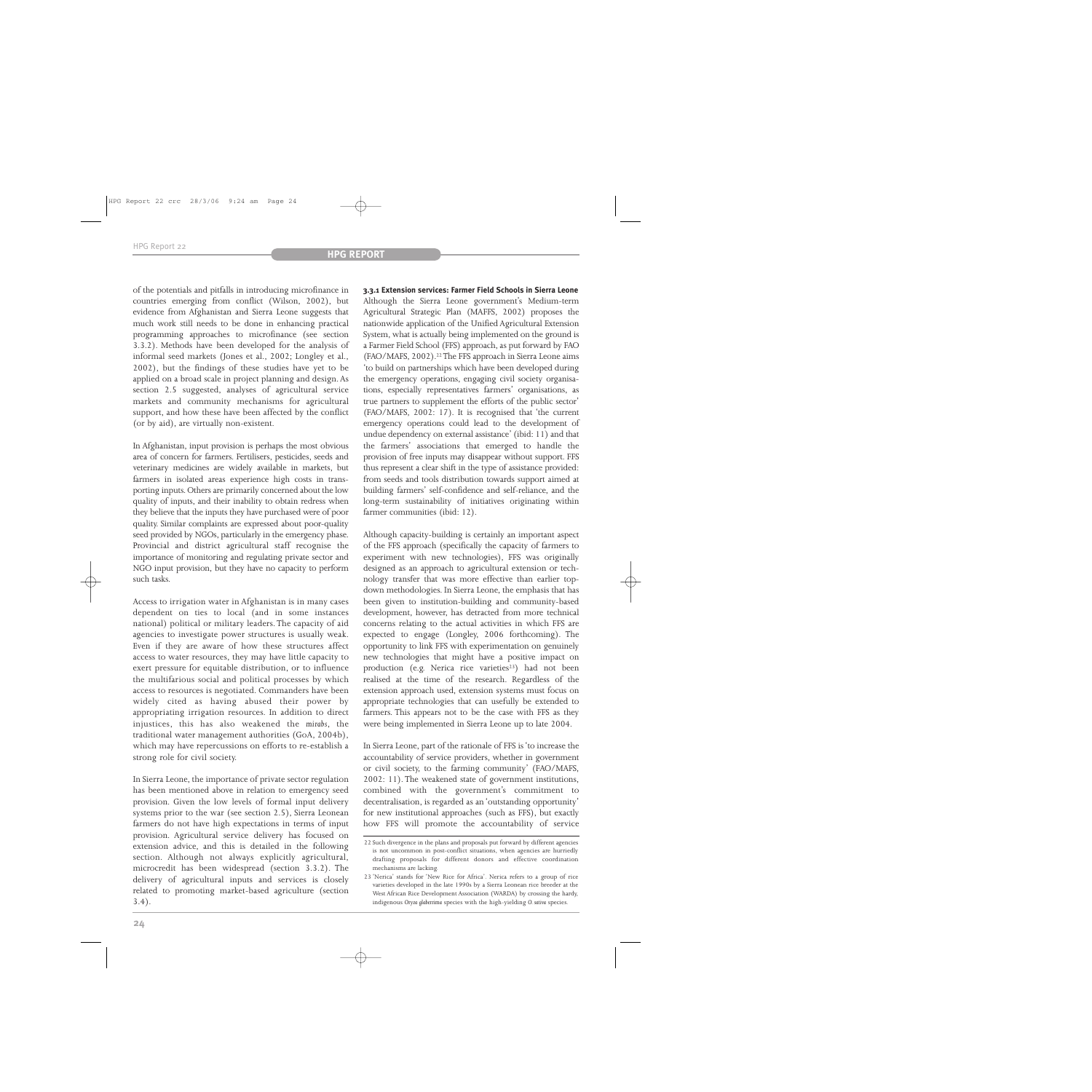of the potentials and pitfalls in introducing microfinance in countries emerging from conflict (Wilson, 2002), but evidence from Afghanistan and Sierra Leone suggests that much work still needs to be done in enhancing practical programming approaches to microfinance (see section 3.3.2). Methods have been developed for the analysis of informal seed markets (Jones et al., 2002; Longley et al., 2002), but the findings of these studies have yet to be applied on a broad scale in project planning and design. As section 2.5 suggested, analyses of agricultural service markets and community mechanisms for agricultural support, and how these have been affected by the conflict (or by aid), are virtually non-existent.

In Afghanistan, input provision is perhaps the most obvious area of concern for farmers. Fertilisers, pesticides, seeds and veterinary medicines are widely available in markets, but farmers in isolated areas experience high costs in transporting inputs. Others are primarily concerned about the low quality of inputs, and their inability to obtain redress when they believe that the inputs they have purchased were of poor quality. Similar complaints are expressed about poor-quality seed provided by NGOs, particularly in the emergency phase. Provincial and district agricultural staff recognise the importance of monitoring and regulating private sector and NGO input provision, but they have no capacity to perform such tasks.

Access to irrigation water in Afghanistan is in many cases dependent on ties to local (and in some instances national) political or military leaders. The capacity of aid agencies to investigate power structures is usually weak. Even if they are aware of how these structures affect access to water resources, they may have little capacity to exert pressure for equitable distribution, or to influence the multifarious social and political processes by which access to resources is negotiated. Commanders have been widely cited as having abused their power by appropriating irrigation resources. In addition to direct injustices, this has also weakened the *mirabs*, the traditional water management authorities (GoA, 2004b), which may have repercussions on efforts to re-establish a strong role for civil society.

In Sierra Leone, the importance of private sector regulation has been mentioned above in relation to emergency seed provision. Given the low levels of formal input delivery systems prior to the war (see section 2.5), Sierra Leonean farmers do not have high expectations in terms of input provision. Agricultural service delivery has focused on extension advice, and this is detailed in the following section. Although not always explicitly agricultural, microcredit has been widespread (section 3.3.2). The delivery of agricultural inputs and services is closely related to promoting market-based agriculture (section 3.4).

**3.3.1 Extension services: Farmer Field Schools in Sierra Leone** Although the Sierra Leone government's Medium-term Agricultural Strategic Plan (MAFFS, 2002) proposes the nationwide application of the Unified Agricultural Extension System, what is actually being implemented on the ground is a Farmer Field School (FFS) approach, as put forward by FAO (FAO/MAFS, 2002).22The FFS approach in Sierra Leone aims 'to build on partnerships which have been developed during the emergency operations, engaging civil society organisations, especially representatives farmers' organisations, as true partners to supplement the efforts of the public sector' (FAO/MAFS, 2002: 17). It is recognised that 'the current emergency operations could lead to the development of undue dependency on external assistance' (ibid: 11) and that the farmers' associations that emerged to handle the provision of free inputs may disappear without support. FFS thus represent a clear shift in the type of assistance provided: from seeds and tools distribution towards support aimed at building farmers' self-confidence and self-reliance, and the long-term sustainability of initiatives originating within farmer communities (ibid: 12).

Although capacity-building is certainly an important aspect of the FFS approach (specifically the capacity of farmers to experiment with new technologies), FFS was originally designed as an approach to agricultural extension or technology transfer that was more effective than earlier topdown methodologies. In Sierra Leone, the emphasis that has been given to institution-building and community-based development, however, has detracted from more technical concerns relating to the actual activities in which FFS are expected to engage (Longley, 2006 forthcoming). The opportunity to link FFS with experimentation on genuinely new technologies that might have a positive impact on production (e.g. Nerica rice varieties<sup>23</sup>) had not been realised at the time of the research. Regardless of the extension approach used, extension systems must focus on appropriate technologies that can usefully be extended to farmers. This appears not to be the case with FFS as they were being implemented in Sierra Leone up to late 2004.

In Sierra Leone, part of the rationale of FFS is 'to increase the accountability of service providers, whether in government or civil society, to the farming community' (FAO/MAFS, 2002: 11). The weakened state of government institutions, combined with the government's commitment to decentralisation, is regarded as an 'outstanding opportunity' for new institutional approaches (such as FFS), but exactly how FFS will promote the accountability of service

<sup>22</sup> Such divergence in the plans and proposals put forward by different agencies is not uncommon in post-conflict situations, when agencies are hurriedly drafting proposals for different donors and effective coordination mechanisms are lacking.

<sup>23 &#</sup>x27;Nerica' stands for 'New Rice for Africa'. Nerica refers to a group of rice varieties developed in the late 1990s by a Sierra Leonean rice breeder at the West African Rice Development Association (WARDA) by crossing the hardy, indigenous *Oryza glaberrima* species with the high-yielding *O. sativa* species.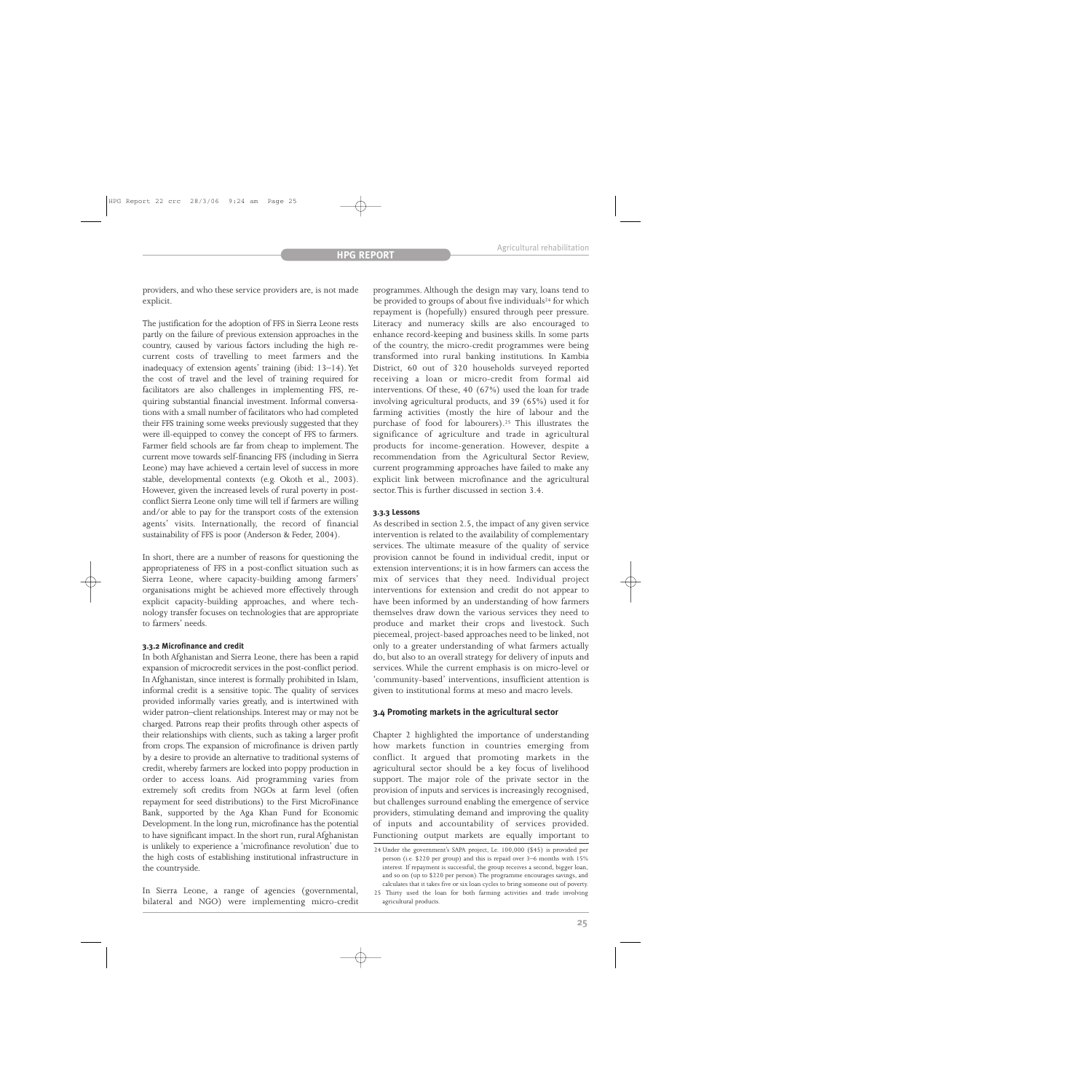providers, and who these service providers are, is not made explicit.

The justification for the adoption of FFS in Sierra Leone rests partly on the failure of previous extension approaches in the country, caused by various factors including the high recurrent costs of travelling to meet farmers and the inadequacy of extension agents' training (ibid: 13–14). Yet the cost of travel and the level of training required for facilitators are also challenges in implementing FFS, requiring substantial financial investment. Informal conversations with a small number of facilitators who had completed their FFS training some weeks previously suggested that they were ill-equipped to convey the concept of FFS to farmers. Farmer field schools are far from cheap to implement. The current move towards self-financing FFS (including in Sierra Leone) may have achieved a certain level of success in more stable, developmental contexts (e.g. Okoth et al., 2003). However, given the increased levels of rural poverty in postconflict Sierra Leone only time will tell if farmers are willing and/or able to pay for the transport costs of the extension agents' visits. Internationally, the record of financial sustainability of FFS is poor (Anderson & Feder, 2004).

In short, there are a number of reasons for questioning the appropriateness of FFS in a post-conflict situation such as Sierra Leone, where capacity-building among farmers' organisations might be achieved more effectively through explicit capacity-building approaches, and where technology transfer focuses on technologies that are appropriate to farmers' needs.

#### **3.3.2 Microfinance and credit**

In both Afghanistan and Sierra Leone, there has been a rapid expansion of microcredit services in the post-conflict period. In Afghanistan, since interest is formally prohibited in Islam, informal credit is a sensitive topic. The quality of services provided informally varies greatly, and is intertwined with wider patron–client relationships. Interest may or may not be charged. Patrons reap their profits through other aspects of their relationships with clients, such as taking a larger profit from crops. The expansion of microfinance is driven partly by a desire to provide an alternative to traditional systems of credit, whereby farmers are locked into poppy production in order to access loans. Aid programming varies from extremely soft credits from NGOs at farm level (often repayment for seed distributions) to the First MicroFinance Bank, supported by the Aga Khan Fund for Economic Development. In the long run, microfinance has the potential to have significant impact. In the short run, rural Afghanistan is unlikely to experience a 'microfinance revolution' due to the high costs of establishing institutional infrastructure in the countryside.

In Sierra Leone, a range of agencies (governmental, bilateral and NGO) were implementing micro-credit programmes. Although the design may vary, loans tend to be provided to groups of about five individuals<sup>24</sup> for which repayment is (hopefully) ensured through peer pressure. Literacy and numeracy skills are also encouraged to enhance record-keeping and business skills. In some parts of the country, the micro-credit programmes were being transformed into rural banking institutions. In Kambia District, 60 out of 320 households surveyed reported receiving a loan or micro-credit from formal aid interventions. Of these, 40 (67%) used the loan for trade involving agricultural products, and 39 (65%) used it for farming activities (mostly the hire of labour and the purchase of food for labourers).<sup>25</sup> This illustrates the significance of agriculture and trade in agricultural products for income-generation. However, despite a recommendation from the Agricultural Sector Review, current programming approaches have failed to make any explicit link between microfinance and the agricultural sector.This is further discussed in section 3.4.

#### **3.3.3 Lessons**

As described in section 2.5, the impact of any given service intervention is related to the availability of complementary services. The ultimate measure of the quality of service provision cannot be found in individual credit, input or extension interventions; it is in how farmers can access the mix of services that they need. Individual project interventions for extension and credit do not appear to have been informed by an understanding of how farmers themselves draw down the various services they need to produce and market their crops and livestock. Such piecemeal, project-based approaches need to be linked, not only to a greater understanding of what farmers actually do, but also to an overall strategy for delivery of inputs and services. While the current emphasis is on micro-level or 'community-based' interventions, insufficient attention is given to institutional forms at meso and macro levels.

#### **3.4 Promoting markets in the agricultural sector**

Chapter 2 highlighted the importance of understanding how markets function in countries emerging from conflict. It argued that promoting markets in the agricultural sector should be a key focus of livelihood support. The major role of the private sector in the provision of inputs and services is increasingly recognised, but challenges surround enabling the emergence of service providers, stimulating demand and improving the quality of inputs and accountability of services provided. Functioning output markets are equally important to

<sup>24</sup> Under the government's SAPA project, Le. 100,000 (\$45) is provided per person (i.e. \$220 per group) and this is repaid over 3–6 months with 15% interest. If repayment is successful, the group receives a second, bigger loan, and so on (up to \$220 per person).The programme encourages savings, and calculates that it takes five or six loan cycles to bring someone out of poverty.

<sup>25</sup> Thirty used the loan for both farming activities and trade involving agricultural products.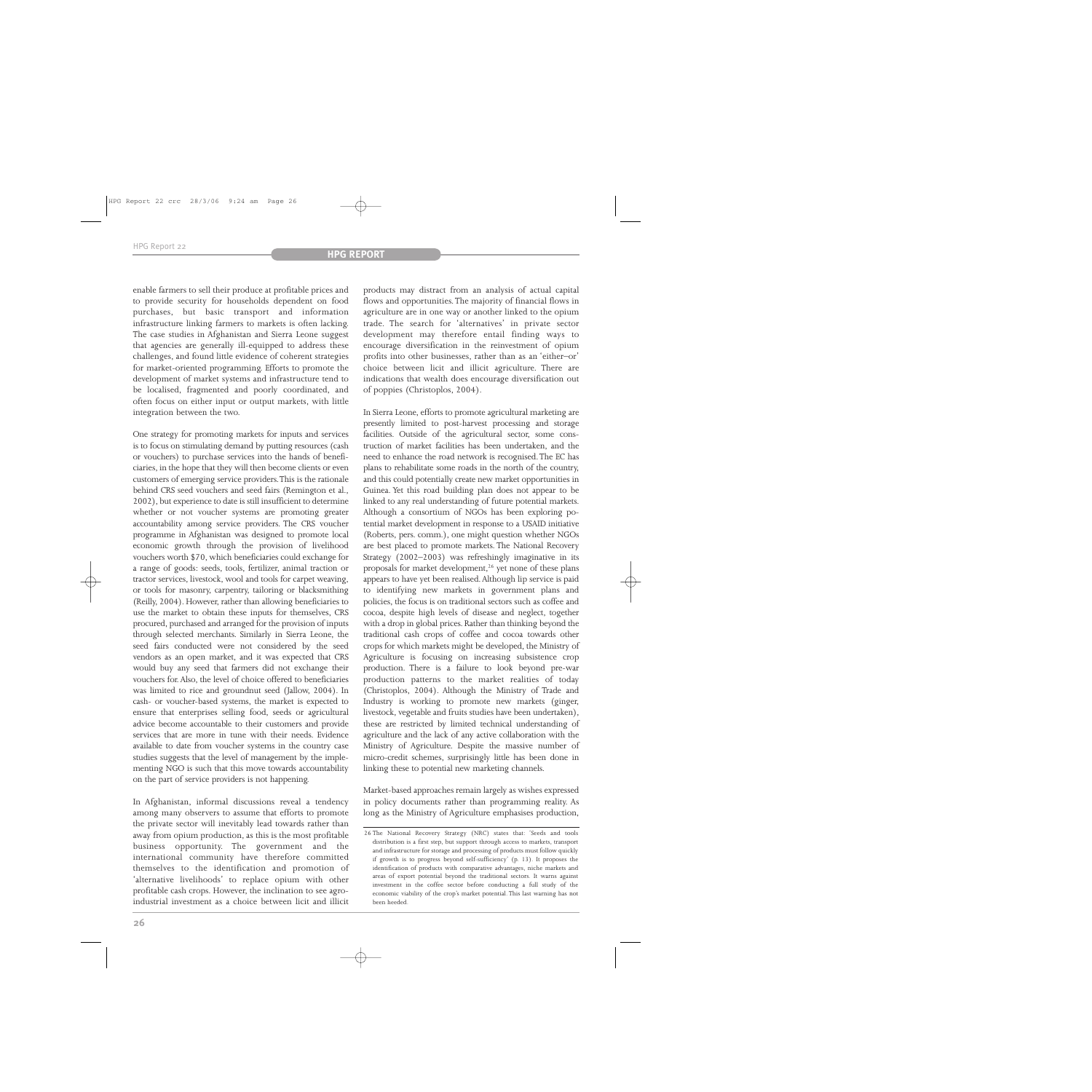enable farmers to sell their produce at profitable prices and to provide security for households dependent on food purchases, but basic transport and information infrastructure linking farmers to markets is often lacking. The case studies in Afghanistan and Sierra Leone suggest that agencies are generally ill-equipped to address these challenges, and found little evidence of coherent strategies for market-oriented programming. Efforts to promote the development of market systems and infrastructure tend to be localised, fragmented and poorly coordinated, and often focus on either input or output markets, with little integration between the two.

One strategy for promoting markets for inputs and services is to focus on stimulating demand by putting resources (cash or vouchers) to purchase services into the hands of beneficiaries, in the hope that they will then become clients or even customers of emerging service providers.This is the rationale behind CRS seed vouchers and seed fairs (Remington et al., 2002), but experience to date is still insufficient to determine whether or not voucher systems are promoting greater accountability among service providers. The CRS voucher programme in Afghanistan was designed to promote local economic growth through the provision of livelihood vouchers worth \$70, which beneficiaries could exchange for a range of goods: seeds, tools, fertilizer, animal traction or tractor services, livestock, wool and tools for carpet weaving, or tools for masonry, carpentry, tailoring or blacksmithing (Reilly, 2004). However, rather than allowing beneficiaries to use the market to obtain these inputs for themselves, CRS procured, purchased and arranged for the provision of inputs through selected merchants. Similarly in Sierra Leone, the seed fairs conducted were not considered by the seed vendors as an open market, and it was expected that CRS would buy any seed that farmers did not exchange their vouchers for.Also, the level of choice offered to beneficiaries was limited to rice and groundnut seed (Jallow, 2004). In cash- or voucher-based systems, the market is expected to ensure that enterprises selling food, seeds or agricultural advice become accountable to their customers and provide services that are more in tune with their needs. Evidence available to date from voucher systems in the country case studies suggests that the level of management by the implementing NGO is such that this move towards accountability on the part of service providers is not happening.

In Afghanistan, informal discussions reveal a tendency among many observers to assume that efforts to promote the private sector will inevitably lead towards rather than away from opium production, as this is the most profitable business opportunity. The government and the international community have therefore committed themselves to the identification and promotion of 'alternative livelihoods' to replace opium with other profitable cash crops. However, the inclination to see agroindustrial investment as a choice between licit and illicit

**26**

products may distract from an analysis of actual capital flows and opportunities.The majority of financial flows in agriculture are in one way or another linked to the opium trade. The search for 'alternatives' in private sector development may therefore entail finding ways to encourage diversification in the reinvestment of opium profits into other businesses, rather than as an 'either–or' choice between licit and illicit agriculture. There are indications that wealth does encourage diversification out of poppies (Christoplos, 2004).

In Sierra Leone, efforts to promote agricultural marketing are presently limited to post-harvest processing and storage facilities. Outside of the agricultural sector, some construction of market facilities has been undertaken, and the need to enhance the road network is recognised.The EC has plans to rehabilitate some roads in the north of the country, and this could potentially create new market opportunities in Guinea. Yet this road building plan does not appear to be linked to any real understanding of future potential markets. Although a consortium of NGOs has been exploring potential market development in response to a USAID initiative (Roberts, pers. comm.), one might question whether NGOs are best placed to promote markets. The National Recovery Strategy (2002–2003) was refreshingly imaginative in its proposals for market development,<sup>26</sup> yet none of these plans appears to have yet been realised.Although lip service is paid to identifying new markets in government plans and policies, the focus is on traditional sectors such as coffee and cocoa, despite high levels of disease and neglect, together with a drop in global prices. Rather than thinking beyond the traditional cash crops of coffee and cocoa towards other crops for which markets might be developed, the Ministry of Agriculture is focusing on increasing subsistence crop production. There is a failure to look beyond pre-war production patterns to the market realities of today (Christoplos, 2004). Although the Ministry of Trade and Industry is working to promote new markets (ginger, livestock, vegetable and fruits studies have been undertaken), these are restricted by limited technical understanding of agriculture and the lack of any active collaboration with the Ministry of Agriculture. Despite the massive number of micro-credit schemes, surprisingly little has been done in linking these to potential new marketing channels.

Market-based approaches remain largely as wishes expressed in policy documents rather than programming reality. As long as the Ministry of Agriculture emphasises production,

<sup>26</sup> The National Recovery Strategy (NRC) states that: 'Seeds and tools distribution is a first step, but support through access to markets, transport and infrastructure for storage and processing of products must follow quickly if growth is to progress beyond self-sufficiency' (p. 13). It proposes the identification of products with comparative advantages, niche markets and areas of export potential beyond the traditional sectors. It warns against investment in the coffee sector before conducting a full study of the economic viability of the crop's market potential. This last warning has not been heeded.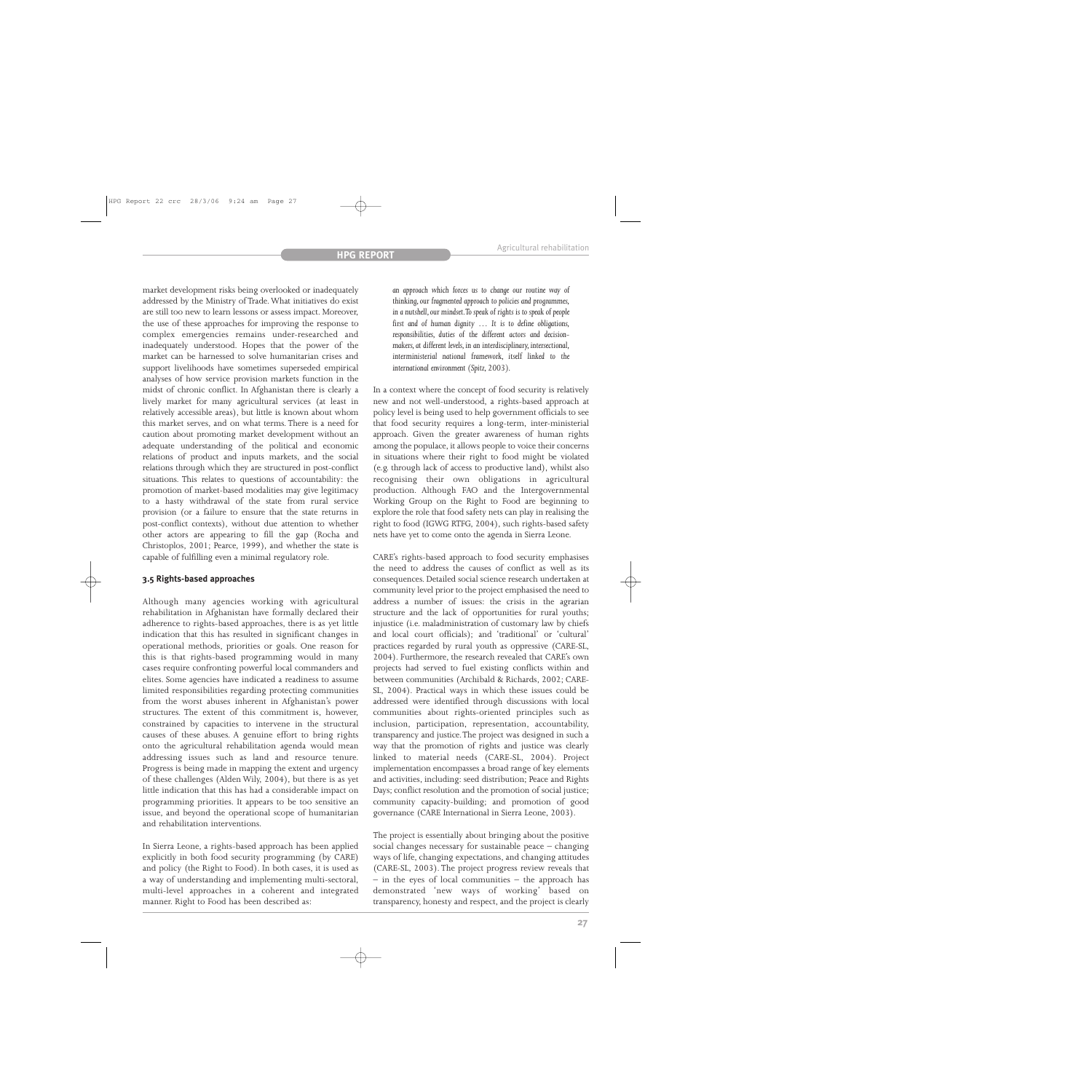market development risks being overlooked or inadequately addressed by the Ministry of Trade. What initiatives do exist are still too new to learn lessons or assess impact. Moreover, the use of these approaches for improving the response to complex emergencies remains under-researched and inadequately understood. Hopes that the power of the market can be harnessed to solve humanitarian crises and support livelihoods have sometimes superseded empirical analyses of how service provision markets function in the midst of chronic conflict. In Afghanistan there is clearly a lively market for many agricultural services (at least in relatively accessible areas), but little is known about whom this market serves, and on what terms. There is a need for caution about promoting market development without an adequate understanding of the political and economic relations of product and inputs markets, and the social relations through which they are structured in post-conflict situations. This relates to questions of accountability: the promotion of market-based modalities may give legitimacy to a hasty withdrawal of the state from rural service provision (or a failure to ensure that the state returns in post-conflict contexts), without due attention to whether other actors are appearing to fill the gap (Rocha and Christoplos, 2001; Pearce, 1999), and whether the state is capable of fulfilling even a minimal regulatory role.

#### **3.5 Rights-based approaches**

Although many agencies working with agricultural rehabilitation in Afghanistan have formally declared their adherence to rights-based approaches, there is as yet little indication that this has resulted in significant changes in operational methods, priorities or goals. One reason for this is that rights-based programming would in many cases require confronting powerful local commanders and elites. Some agencies have indicated a readiness to assume limited responsibilities regarding protecting communities from the worst abuses inherent in Afghanistan's power structures. The extent of this commitment is, however, constrained by capacities to intervene in the structural causes of these abuses. A genuine effort to bring rights onto the agricultural rehabilitation agenda would mean addressing issues such as land and resource tenure. Progress is being made in mapping the extent and urgency of these challenges (Alden Wily, 2004), but there is as yet little indication that this has had a considerable impact on programming priorities. It appears to be too sensitive an issue, and beyond the operational scope of humanitarian and rehabilitation interventions.

In Sierra Leone, a rights-based approach has been applied explicitly in both food security programming (by CARE) and policy (the Right to Food). In both cases, it is used as a way of understanding and implementing multi-sectoral, multi-level approaches in a coherent and integrated manner. Right to Food has been described as:

*an approach which forces us to change our routine way of thinking,our fragmented approach to policies and programmes, in a nutshell,our mindset.To speak of rights is to speak of people first and of human dignity … It is to define obligations, responsibilities, duties of the different actors and decision*makers, at different levels, in an interdisciplinary, intersectional, *interministerial national framework, itself linked to the international environment (Spitz, 2003).*

In a context where the concept of food security is relatively new and not well-understood, a rights-based approach at policy level is being used to help government officials to see that food security requires a long-term, inter-ministerial approach. Given the greater awareness of human rights among the populace, it allows people to voice their concerns in situations where their right to food might be violated (e.g. through lack of access to productive land), whilst also recognising their own obligations in agricultural production. Although FAO and the Intergovernmental Working Group on the Right to Food are beginning to explore the role that food safety nets can play in realising the right to food (IGWG RTFG, 2004), such rights-based safety nets have yet to come onto the agenda in Sierra Leone.

CARE's rights-based approach to food security emphasises the need to address the causes of conflict as well as its consequences. Detailed social science research undertaken at community level prior to the project emphasised the need to address a number of issues: the crisis in the agrarian structure and the lack of opportunities for rural youths; injustice (i.e. maladministration of customary law by chiefs and local court officials); and 'traditional' or 'cultural' practices regarded by rural youth as oppressive (CARE-SL, 2004). Furthermore, the research revealed that CARE's own projects had served to fuel existing conflicts within and between communities (Archibald & Richards, 2002; CARE-SL, 2004). Practical ways in which these issues could be addressed were identified through discussions with local communities about rights-oriented principles such as inclusion, participation, representation, accountability, transparency and justice.The project was designed in such a way that the promotion of rights and justice was clearly linked to material needs (CARE-SL, 2004). Project implementation encompasses a broad range of key elements and activities, including: seed distribution; Peace and Rights Days; conflict resolution and the promotion of social justice; community capacity-building; and promotion of good governance (CARE International in Sierra Leone, 2003).

The project is essentially about bringing about the positive social changes necessary for sustainable peace – changing ways of life, changing expectations, and changing attitudes (CARE-SL, 2003). The project progress review reveals that – in the eyes of local communities – the approach has demonstrated 'new ways of working' based on transparency, honesty and respect, and the project is clearly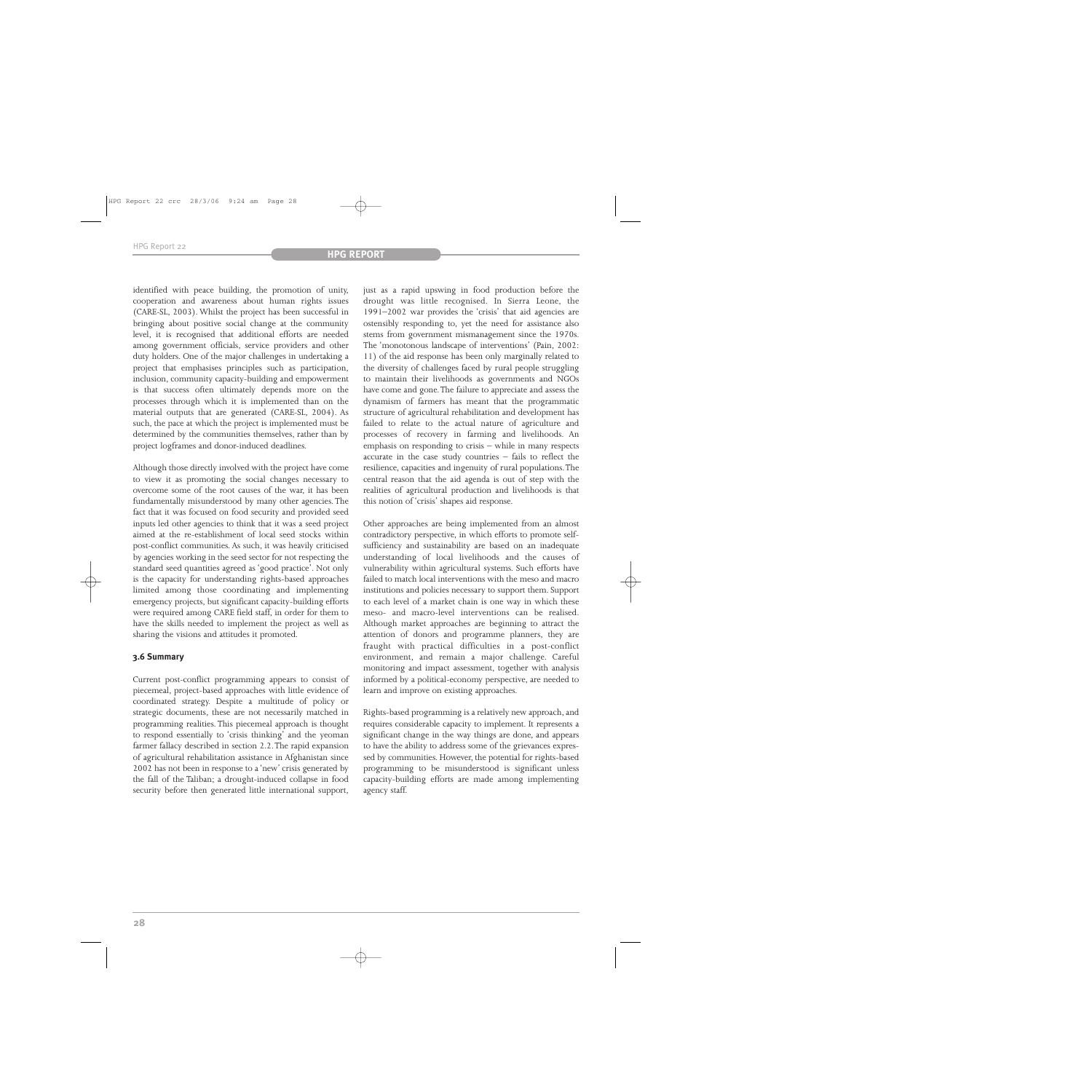identified with peace building, the promotion of unity, cooperation and awareness about human rights issues (CARE-SL, 2003). Whilst the project has been successful in bringing about positive social change at the community level, it is recognised that additional efforts are needed among government officials, service providers and other duty holders. One of the major challenges in undertaking a project that emphasises principles such as participation, inclusion, community capacity-building and empowerment is that success often ultimately depends more on the processes through which it is implemented than on the material outputs that are generated (CARE-SL, 2004). As such, the pace at which the project is implemented must be determined by the communities themselves, rather than by project logframes and donor-induced deadlines.

Although those directly involved with the project have come to view it as promoting the social changes necessary to overcome some of the root causes of the war, it has been fundamentally misunderstood by many other agencies. The fact that it was focused on food security and provided seed inputs led other agencies to think that it was a seed project aimed at the re-establishment of local seed stocks within post-conflict communities. As such, it was heavily criticised by agencies working in the seed sector for not respecting the standard seed quantities agreed as 'good practice'. Not only is the capacity for understanding rights-based approaches limited among those coordinating and implementing emergency projects, but significant capacity-building efforts were required among CARE field staff, in order for them to have the skills needed to implement the project as well as sharing the visions and attitudes it promoted.

#### **3.6 Summary**

Current post-conflict programming appears to consist of piecemeal, project-based approaches with little evidence of coordinated strategy. Despite a multitude of policy or strategic documents, these are not necessarily matched in programming realities. This piecemeal approach is thought to respond essentially to 'crisis thinking' and the yeoman farmer fallacy described in section 2.2.The rapid expansion of agricultural rehabilitation assistance in Afghanistan since 2002 has not been in response to a 'new' crisis generated by the fall of the Taliban; a drought-induced collapse in food security before then generated little international support,

just as a rapid upswing in food production before the drought was little recognised. In Sierra Leone, the 1991–2002 war provides the 'crisis' that aid agencies are ostensibly responding to, yet the need for assistance also stems from government mismanagement since the 1970s. The 'monotonous landscape of interventions' (Pain, 2002: 11) of the aid response has been only marginally related to the diversity of challenges faced by rural people struggling to maintain their livelihoods as governments and NGOs have come and gone.The failure to appreciate and assess the dynamism of farmers has meant that the programmatic structure of agricultural rehabilitation and development has failed to relate to the actual nature of agriculture and processes of recovery in farming and livelihoods. An emphasis on responding to crisis – while in many respects accurate in the case study countries – fails to reflect the resilience, capacities and ingenuity of rural populations.The central reason that the aid agenda is out of step with the realities of agricultural production and livelihoods is that this notion of 'crisis' shapes aid response.

Other approaches are being implemented from an almost contradictory perspective, in which efforts to promote selfsufficiency and sustainability are based on an inadequate understanding of local livelihoods and the causes of vulnerability within agricultural systems. Such efforts have failed to match local interventions with the meso and macro institutions and policies necessary to support them. Support to each level of a market chain is one way in which these meso- and macro-level interventions can be realised. Although market approaches are beginning to attract the attention of donors and programme planners, they are fraught with practical difficulties in a post-conflict environment, and remain a major challenge. Careful monitoring and impact assessment, together with analysis informed by a political-economy perspective, are needed to learn and improve on existing approaches.

Rights-based programming is a relatively new approach, and requires considerable capacity to implement. It represents a significant change in the way things are done, and appears to have the ability to address some of the grievances expressed by communities. However, the potential for rights-based programming to be misunderstood is significant unless capacity-building efforts are made among implementing agency staff.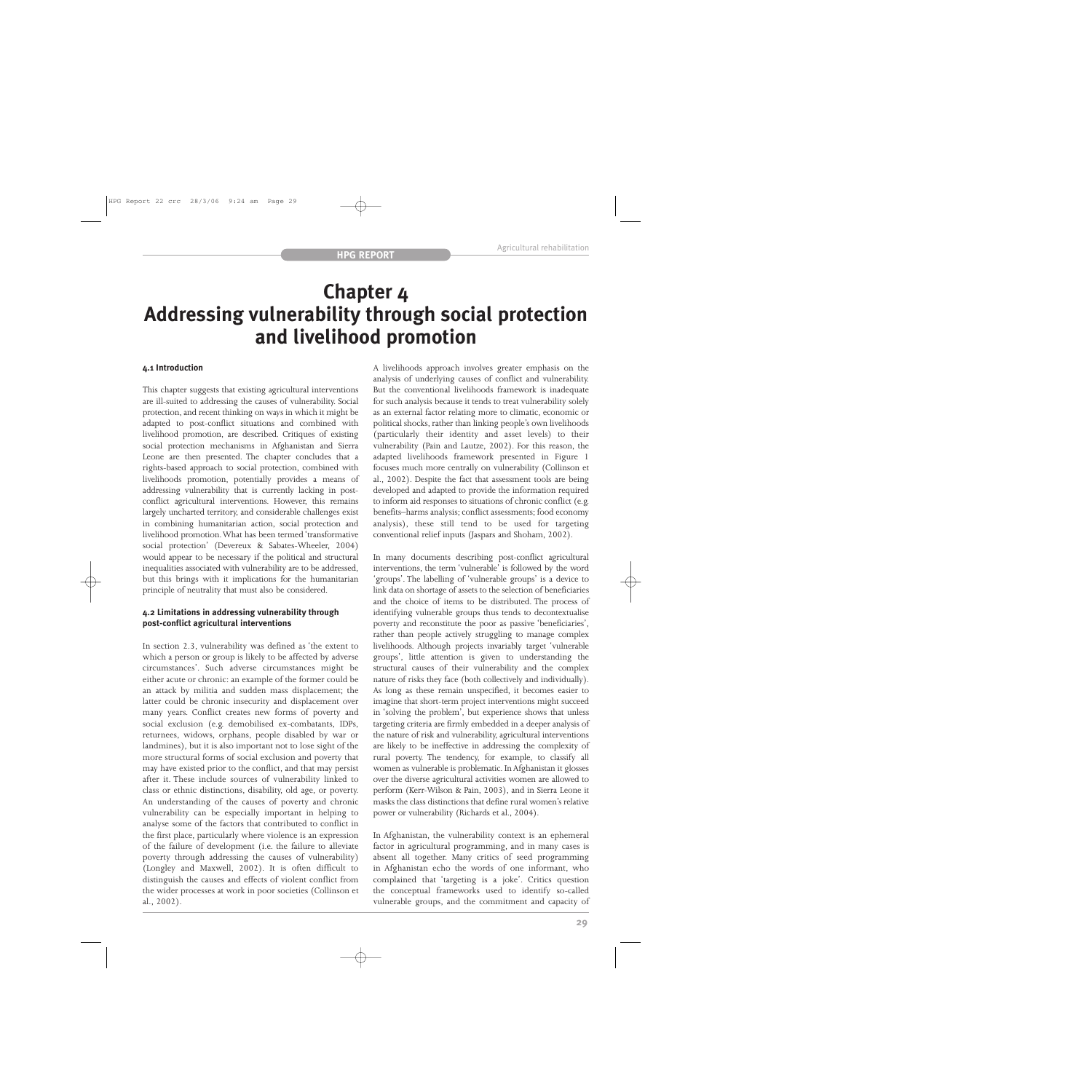# **Chapter 4 Addressing vulnerability through social protection and livelihood promotion**

#### **4.1 Introduction**

This chapter suggests that existing agricultural interventions are ill-suited to addressing the causes of vulnerability. Social protection, and recent thinking on ways in which it might be adapted to post-conflict situations and combined with livelihood promotion, are described. Critiques of existing social protection mechanisms in Afghanistan and Sierra Leone are then presented. The chapter concludes that a rights-based approach to social protection, combined with livelihoods promotion, potentially provides a means of addressing vulnerability that is currently lacking in postconflict agricultural interventions. However, this remains largely uncharted territory, and considerable challenges exist in combining humanitarian action, social protection and livelihood promotion.What has been termed 'transformative social protection' (Devereux & Sabates-Wheeler, 2004) would appear to be necessary if the political and structural inequalities associated with vulnerability are to be addressed, but this brings with it implications for the humanitarian principle of neutrality that must also be considered.

#### **4.2 Limitations in addressing vulnerability through post-conflict agricultural interventions**

In section 2.3, vulnerability was defined as 'the extent to which a person or group is likely to be affected by adverse circumstances'. Such adverse circumstances might be either acute or chronic: an example of the former could be an attack by militia and sudden mass displacement; the latter could be chronic insecurity and displacement over many years. Conflict creates new forms of poverty and social exclusion (e.g. demobilised ex-combatants, IDPs, returnees, widows, orphans, people disabled by war or landmines), but it is also important not to lose sight of the more structural forms of social exclusion and poverty that may have existed prior to the conflict, and that may persist after it. These include sources of vulnerability linked to class or ethnic distinctions, disability, old age, or poverty. An understanding of the causes of poverty and chronic vulnerability can be especially important in helping to analyse some of the factors that contributed to conflict in the first place, particularly where violence is an expression of the failure of development (i.e. the failure to alleviate poverty through addressing the causes of vulnerability) (Longley and Maxwell, 2002). It is often difficult to distinguish the causes and effects of violent conflict from the wider processes at work in poor societies (Collinson et al., 2002).

A livelihoods approach involves greater emphasis on the analysis of underlying causes of conflict and vulnerability. But the conventional livelihoods framework is inadequate for such analysis because it tends to treat vulnerability solely as an external factor relating more to climatic, economic or political shocks, rather than linking people's own livelihoods (particularly their identity and asset levels) to their vulnerability (Pain and Lautze, 2002). For this reason, the adapted livelihoods framework presented in Figure 1 focuses much more centrally on vulnerability (Collinson et al., 2002). Despite the fact that assessment tools are being developed and adapted to provide the information required to inform aid responses to situations of chronic conflict (e.g. benefits–harms analysis; conflict assessments; food economy analysis), these still tend to be used for targeting conventional relief inputs (Jaspars and Shoham, 2002).

In many documents describing post-conflict agricultural interventions, the term 'vulnerable' is followed by the word 'groups'. The labelling of 'vulnerable groups' is a device to link data on shortage of assets to the selection of beneficiaries and the choice of items to be distributed. The process of identifying vulnerable groups thus tends to decontextualise poverty and reconstitute the poor as passive 'beneficiaries', rather than people actively struggling to manage complex livelihoods. Although projects invariably target 'vulnerable groups', little attention is given to understanding the structural causes of their vulnerability and the complex nature of risks they face (both collectively and individually). As long as these remain unspecified, it becomes easier to imagine that short-term project interventions might succeed in 'solving the problem', but experience shows that unless targeting criteria are firmly embedded in a deeper analysis of the nature of risk and vulnerability, agricultural interventions are likely to be ineffective in addressing the complexity of rural poverty. The tendency, for example, to classify all women as vulnerable is problematic. In Afghanistan it glosses over the diverse agricultural activities women are allowed to perform (Kerr-Wilson & Pain, 2003), and in Sierra Leone it masks the class distinctions that define rural women's relative power or vulnerability (Richards et al., 2004).

In Afghanistan, the vulnerability context is an ephemeral factor in agricultural programming, and in many cases is absent all together. Many critics of seed programming in Afghanistan echo the words of one informant, who complained that 'targeting is a joke'. Critics question the conceptual frameworks used to identify so-called vulnerable groups, and the commitment and capacity of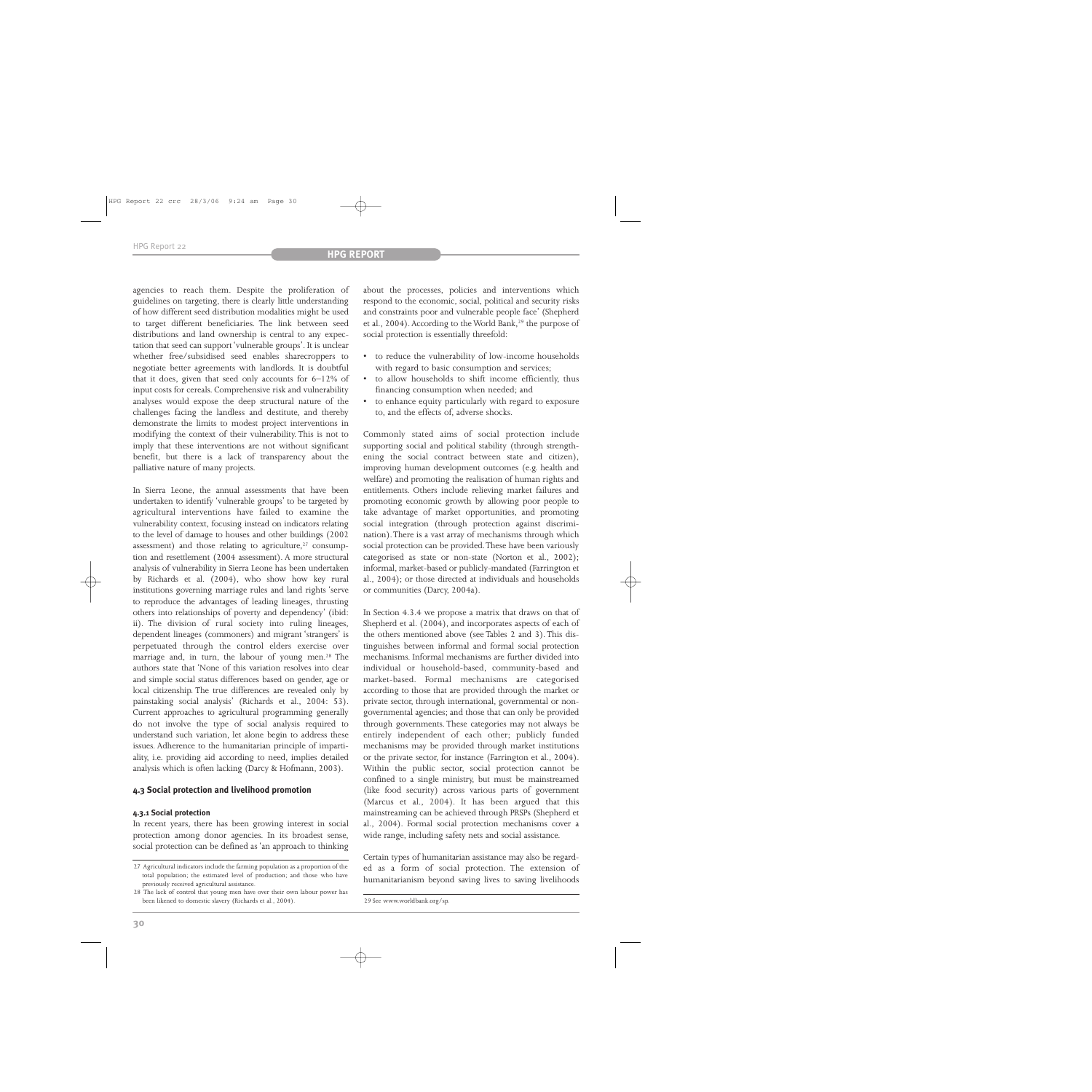agencies to reach them. Despite the proliferation of guidelines on targeting, there is clearly little understanding of how different seed distribution modalities might be used to target different beneficiaries. The link between seed distributions and land ownership is central to any expectation that seed can support 'vulnerable groups'. It is unclear whether free/subsidised seed enables sharecroppers to negotiate better agreements with landlords. It is doubtful that it does, given that seed only accounts for 6–12% of input costs for cereals. Comprehensive risk and vulnerability analyses would expose the deep structural nature of the challenges facing the landless and destitute, and thereby demonstrate the limits to modest project interventions in modifying the context of their vulnerability. This is not to imply that these interventions are not without significant benefit, but there is a lack of transparency about the palliative nature of many projects.

In Sierra Leone, the annual assessments that have been undertaken to identify 'vulnerable groups' to be targeted by agricultural interventions have failed to examine the vulnerability context, focusing instead on indicators relating to the level of damage to houses and other buildings (2002 assessment) and those relating to agriculture, $27$  consumption and resettlement (2004 assessment). A more structural analysis of vulnerability in Sierra Leone has been undertaken by Richards et al. (2004), who show how key rural institutions governing marriage rules and land rights 'serve to reproduce the advantages of leading lineages, thrusting others into relationships of poverty and dependency' (ibid: ii). The division of rural society into ruling lineages, dependent lineages (commoners) and migrant 'strangers' is perpetuated through the control elders exercise over marriage and, in turn, the labour of young men.<sup>28</sup> The authors state that 'None of this variation resolves into clear and simple social status differences based on gender, age or local citizenship. The true differences are revealed only by painstaking social analysis' (Richards et al., 2004: 53). Current approaches to agricultural programming generally do not involve the type of social analysis required to understand such variation, let alone begin to address these issues. Adherence to the humanitarian principle of impartiality, i.e. providing aid according to need, implies detailed analysis which is often lacking (Darcy & Hofmann, 2003).

#### **4.3 Social protection and livelihood promotion**

#### **4.3.1 Social protection**

In recent years, there has been growing interest in social protection among donor agencies. In its broadest sense, social protection can be defined as 'an approach to thinking about the processes, policies and interventions which respond to the economic, social, political and security risks and constraints poor and vulnerable people face' (Shepherd et al., 2004). According to the World Bank,<sup>29</sup> the purpose of social protection is essentially threefold:

- to reduce the vulnerability of low-income households with regard to basic consumption and services;
- to allow households to shift income efficiently, thus financing consumption when needed; and
- to enhance equity particularly with regard to exposure to, and the effects of, adverse shocks.

Commonly stated aims of social protection include supporting social and political stability (through strengthening the social contract between state and citizen), improving human development outcomes (e.g. health and welfare) and promoting the realisation of human rights and entitlements. Others include relieving market failures and promoting economic growth by allowing poor people to take advantage of market opportunities, and promoting social integration (through protection against discrimination).There is a vast array of mechanisms through which social protection can be provided.These have been variously categorised as state or non-state (Norton et al., 2002); informal, market-based or publicly-mandated (Farrington et al., 2004); or those directed at individuals and households or communities (Darcy, 2004a).

In Section 4.3.4 we propose a matrix that draws on that of Shepherd et al. (2004), and incorporates aspects of each of the others mentioned above (see Tables 2 and 3). This distinguishes between informal and formal social protection mechanisms. Informal mechanisms are further divided into individual or household-based, community-based and market-based. Formal mechanisms are categorised according to those that are provided through the market or private sector, through international, governmental or nongovernmental agencies; and those that can only be provided through governments. These categories may not always be entirely independent of each other; publicly funded mechanisms may be provided through market institutions or the private sector, for instance (Farrington et al., 2004). Within the public sector, social protection cannot be confined to a single ministry, but must be mainstreamed (like food security) across various parts of government (Marcus et al., 2004). It has been argued that this mainstreaming can be achieved through PRSPs (Shepherd et al., 2004). Formal social protection mechanisms cover a wide range, including safety nets and social assistance.

Certain types of humanitarian assistance may also be regarded as a form of social protection. The extension of humanitarianism beyond saving lives to saving livelihoods

<sup>27</sup> Agricultural indicators include the farming population as a proportion of the total population; the estimated level of production; and those who have previously received agricultural assistance.

<sup>28</sup> The lack of control that young men have over their own labour power has been likened to domestic slavery (Richards et al., 2004). 29 See www.worldbank.org/sp.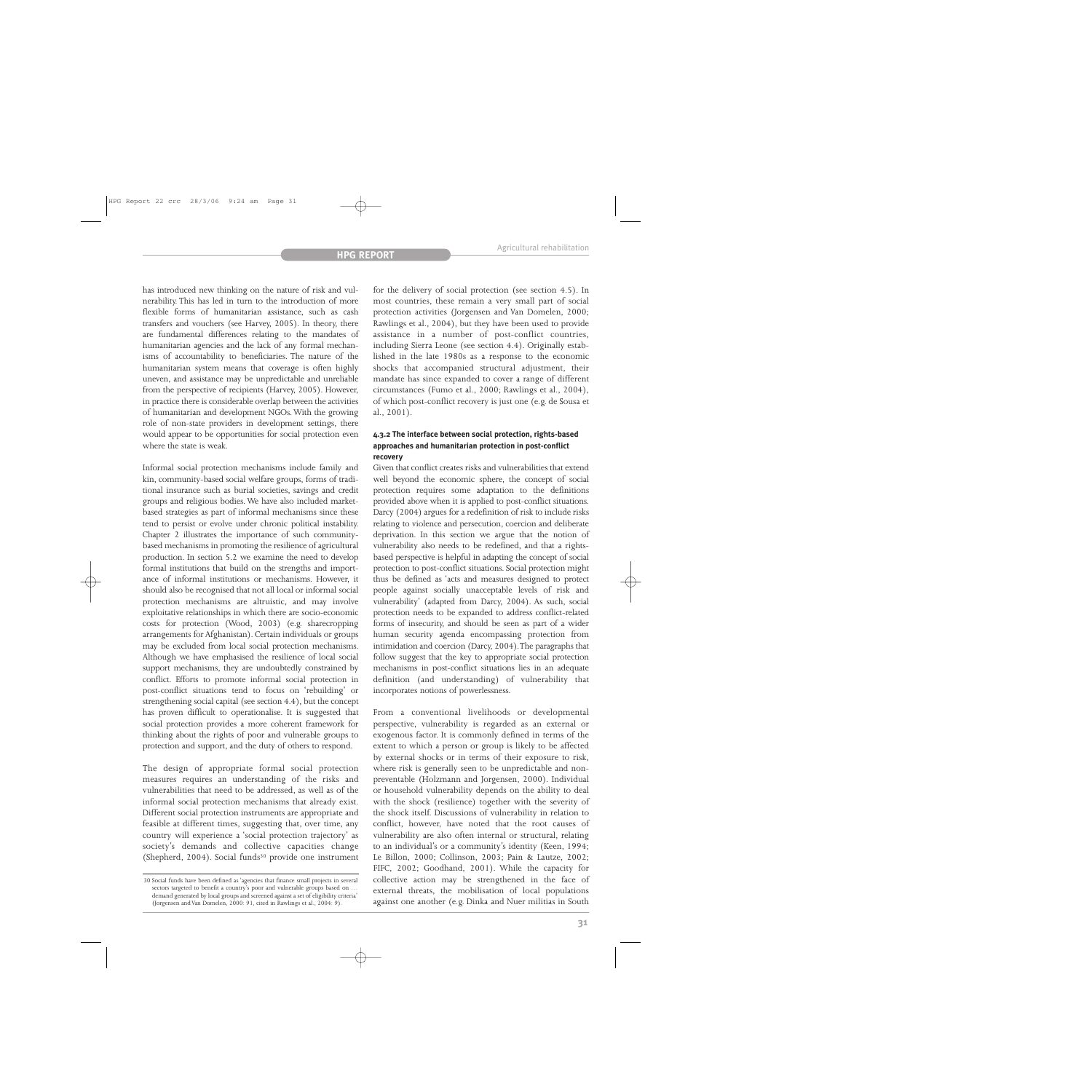has introduced new thinking on the nature of risk and vulnerability. This has led in turn to the introduction of more flexible forms of humanitarian assistance, such as cash transfers and vouchers (see Harvey, 2005). In theory, there are fundamental differences relating to the mandates of humanitarian agencies and the lack of any formal mechanisms of accountability to beneficiaries. The nature of the humanitarian system means that coverage is often highly uneven, and assistance may be unpredictable and unreliable from the perspective of recipients (Harvey, 2005). However, in practice there is considerable overlap between the activities of humanitarian and development NGOs. With the growing role of non-state providers in development settings, there would appear to be opportunities for social protection even where the state is weak.

Informal social protection mechanisms include family and kin, community-based social welfare groups, forms of traditional insurance such as burial societies, savings and credit groups and religious bodies. We have also included marketbased strategies as part of informal mechanisms since these tend to persist or evolve under chronic political instability. Chapter 2 illustrates the importance of such communitybased mechanisms in promoting the resilience of agricultural production. In section 5.2 we examine the need to develop formal institutions that build on the strengths and importance of informal institutions or mechanisms. However, it should also be recognised that not all local or informal social protection mechanisms are altruistic, and may involve exploitative relationships in which there are socio-economic costs for protection (Wood, 2003) (e.g. sharecropping arrangements for Afghanistan). Certain individuals or groups may be excluded from local social protection mechanisms. Although we have emphasised the resilience of local social support mechanisms, they are undoubtedly constrained by conflict. Efforts to promote informal social protection in post-conflict situations tend to focus on 'rebuilding' or strengthening social capital (see section 4.4), but the concept has proven difficult to operationalise. It is suggested that social protection provides a more coherent framework for thinking about the rights of poor and vulnerable groups to protection and support, and the duty of others to respond.

The design of appropriate formal social protection measures requires an understanding of the risks and vulnerabilities that need to be addressed, as well as of the informal social protection mechanisms that already exist. Different social protection instruments are appropriate and feasible at different times, suggesting that, over time, any country will experience a 'social protection trajectory' as society's demands and collective capacities change (Shepherd, 2004). Social funds30 provide one instrument for the delivery of social protection (see section 4.5). In most countries, these remain a very small part of social protection activities (Jorgensen and Van Domelen, 2000; Rawlings et al., 2004), but they have been used to provide assistance in a number of post-conflict countries, including Sierra Leone (see section 4.4). Originally established in the late 1980s as a response to the economic shocks that accompanied structural adjustment, their mandate has since expanded to cover a range of different circumstances (Fumo et al., 2000; Rawlings et al., 2004), of which post-conflict recovery is just one (e.g. de Sousa et al., 2001).

### **4.3.2 The interface between social protection, rights-based approaches and humanitarian protection in post-conflict recovery**

Given that conflict creates risks and vulnerabilities that extend well beyond the economic sphere, the concept of social protection requires some adaptation to the definitions provided above when it is applied to post-conflict situations. Darcy (2004) argues for a redefinition of risk to include risks relating to violence and persecution, coercion and deliberate deprivation. In this section we argue that the notion of vulnerability also needs to be redefined, and that a rightsbased perspective is helpful in adapting the concept of social protection to post-conflict situations. Social protection might thus be defined as 'acts and measures designed to protect people against socially unacceptable levels of risk and vulnerability' (adapted from Darcy, 2004). As such, social protection needs to be expanded to address conflict-related forms of insecurity, and should be seen as part of a wider human security agenda encompassing protection from intimidation and coercion (Darcy, 2004).The paragraphs that follow suggest that the key to appropriate social protection mechanisms in post-conflict situations lies in an adequate definition (and understanding) of vulnerability that incorporates notions of powerlessness.

From a conventional livelihoods or developmental perspective, vulnerability is regarded as an external or exogenous factor. It is commonly defined in terms of the extent to which a person or group is likely to be affected by external shocks or in terms of their exposure to risk, where risk is generally seen to be unpredictable and nonpreventable (Holzmann and Jorgensen, 2000). Individual or household vulnerability depends on the ability to deal with the shock (resilience) together with the severity of the shock itself. Discussions of vulnerability in relation to conflict, however, have noted that the root causes of vulnerability are also often internal or structural, relating to an individual's or a community's identity (Keen, 1994; Le Billon, 2000; Collinson, 2003; Pain & Lautze, 2002; FIFC, 2002; Goodhand, 2001). While the capacity for collective action may be strengthened in the face of external threats, the mobilisation of local populations against one another (e.g. Dinka and Nuer militias in South

<sup>30</sup> Social funds have been defined as 'agencies that finance small projects in several sectors targeted to benefit a country's poor and vulnerable groups based on … demand generated by local groups and screened against a set of eligibility criteria' (Jorgensen and Van Domelen, 2000: 91, cited in Rawlings et al., 2004: 9).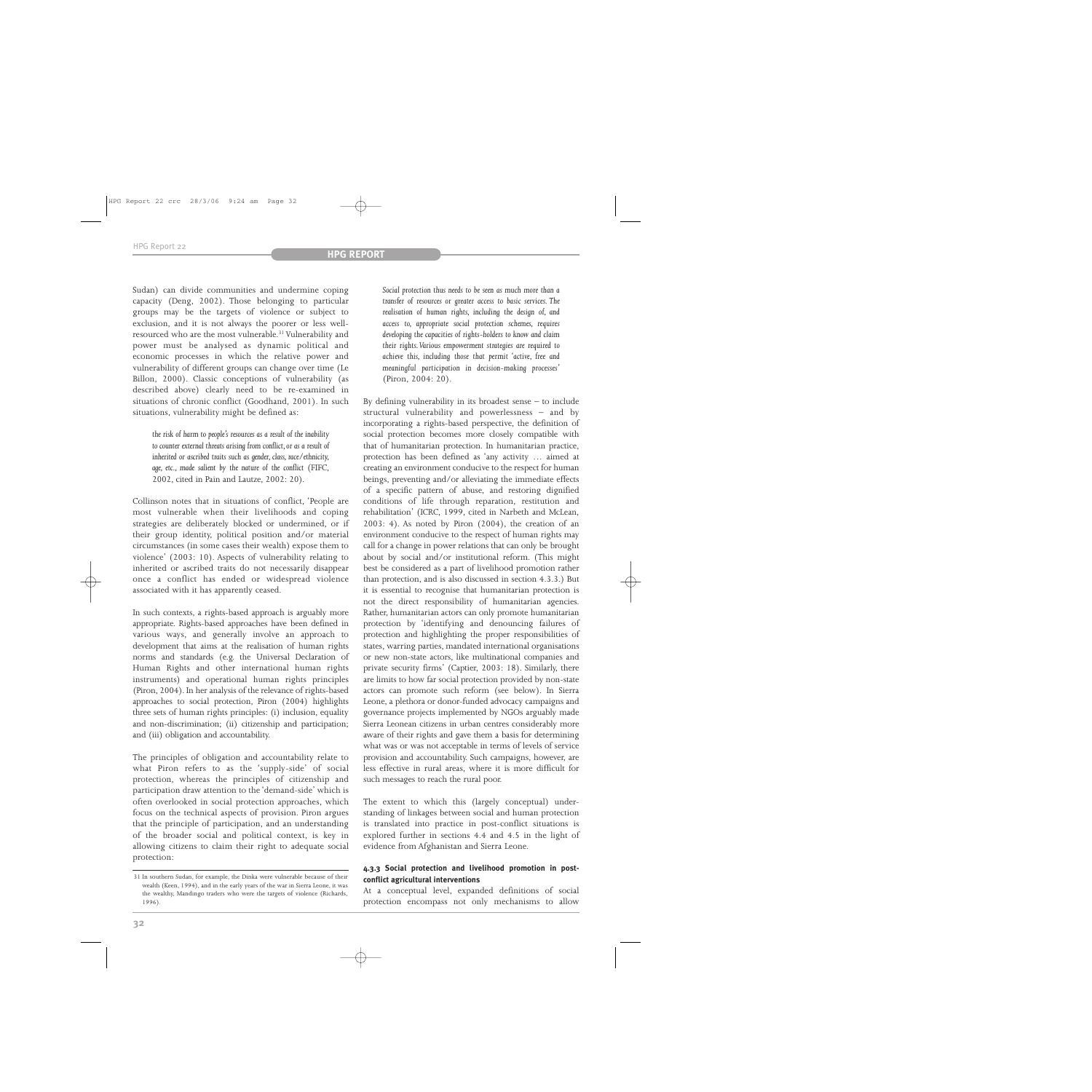Sudan) can divide communities and undermine coping capacity (Deng, 2002). Those belonging to particular groups may be the targets of violence or subject to exclusion, and it is not always the poorer or less wellresourced who are the most vulnerable.<sup>31</sup> Vulnerability and power must be analysed as dynamic political and economic processes in which the relative power and vulnerability of different groups can change over time (Le Billon, 2000). Classic conceptions of vulnerability (as described above) clearly need to be re-examined in situations of chronic conflict (Goodhand, 2001). In such situations, vulnerability might be defined as:

*the risk of harm to people's resources as a result of the inability* to counter external threats arising from conflict, or as a result of *inherited or ascribed traits such as gender, class, race/ethnicity, age, etc., made salient by the nature of the conflict* (FIFC, 2002, cited in Pain and Lautze, 2002: 20).

Collinson notes that in situations of conflict, 'People are most vulnerable when their livelihoods and coping strategies are deliberately blocked or undermined, or if their group identity, political position and/or material circumstances (in some cases their wealth) expose them to violence' (2003: 10). Aspects of vulnerability relating to inherited or ascribed traits do not necessarily disappear once a conflict has ended or widespread violence associated with it has apparently ceased.

In such contexts, a rights-based approach is arguably more appropriate. Rights-based approaches have been defined in various ways, and generally involve an approach to development that aims at the realisation of human rights norms and standards (e.g. the Universal Declaration of Human Rights and other international human rights instruments) and operational human rights principles (Piron, 2004). In her analysis of the relevance of rights-based approaches to social protection, Piron (2004) highlights three sets of human rights principles: (i) inclusion, equality and non-discrimination; (ii) citizenship and participation; and (iii) obligation and accountability.

The principles of obligation and accountability relate to what Piron refers to as the 'supply-side' of social protection, whereas the principles of citizenship and participation draw attention to the 'demand-side' which is often overlooked in social protection approaches, which focus on the technical aspects of provision. Piron argues that the principle of participation, and an understanding of the broader social and political context, is key in allowing citizens to claim their right to adequate social protection:

*Social protection thus needs to be seen as much more than a transfer of resources or greater access to basic services. The realisation of human rights, including the design of, and access to, appropriate social protection schemes, requires developing the capacities of rights-holders to know and claim their rights.Various empowerment strategies are required to achieve this, including those that permit 'active, free and meaningful participation in decision-making processes'* (Piron, 2004: 20).

By defining vulnerability in its broadest sense – to include structural vulnerability and powerlessness – and by incorporating a rights-based perspective, the definition of social protection becomes more closely compatible with that of humanitarian protection. In humanitarian practice, protection has been defined as 'any activity … aimed at creating an environment conducive to the respect for human beings, preventing and/or alleviating the immediate effects of a specific pattern of abuse, and restoring dignified conditions of life through reparation, restitution and rehabilitation' (ICRC, 1999, cited in Narbeth and McLean, 2003: 4). As noted by Piron (2004), the creation of an environment conducive to the respect of human rights may call for a change in power relations that can only be brought about by social and/or institutional reform. (This might best be considered as a part of livelihood promotion rather than protection, and is also discussed in section 4.3.3.) But it is essential to recognise that humanitarian protection is not the direct responsibility of humanitarian agencies. Rather, humanitarian actors can only promote humanitarian protection by 'identifying and denouncing failures of protection and highlighting the proper responsibilities of states, warring parties, mandated international organisations or new non-state actors, like multinational companies and private security firms' (Captier, 2003: 18). Similarly, there are limits to how far social protection provided by non-state actors can promote such reform (see below). In Sierra Leone, a plethora or donor-funded advocacy campaigns and governance projects implemented by NGOs arguably made Sierra Leonean citizens in urban centres considerably more aware of their rights and gave them a basis for determining what was or was not acceptable in terms of levels of service provision and accountability. Such campaigns, however, are less effective in rural areas, where it is more difficult for such messages to reach the rural poor.

The extent to which this (largely conceptual) understanding of linkages between social and human protection is translated into practice in post-conflict situations is explored further in sections 4.4 and 4.5 in the light of evidence from Afghanistan and Sierra Leone.

#### **4.3.3 Social protection and livelihood promotion in postconflict agricultural interventions**

At a conceptual level, expanded definitions of social protection encompass not only mechanisms to allow

<sup>31</sup> In southern Sudan, for example, the Dinka were vulnerable because of their wealth (Keen, 1994), and in the early years of the war in Sierra Leone, it was the wealthy, Mandingo traders who were the targets of violence (Richards, 1996).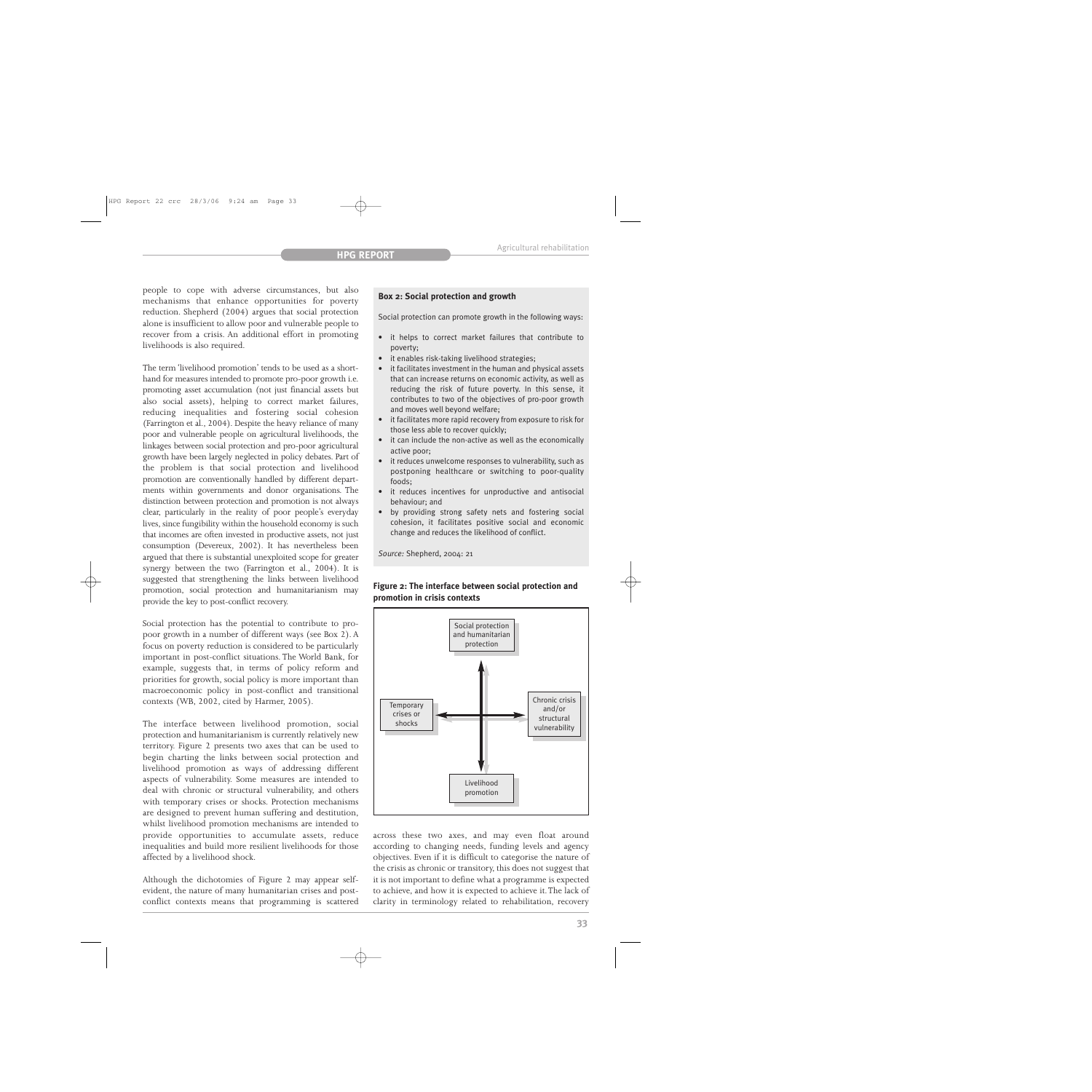people to cope with adverse circumstances, but also mechanisms that enhance opportunities for poverty reduction. Shepherd (2004) argues that social protection alone is insufficient to allow poor and vulnerable people to recover from a crisis. An additional effort in promoting livelihoods is also required.

The term 'livelihood promotion' tends to be used as a shorthand for measures intended to promote pro-poor growth i.e. promoting asset accumulation (not just financial assets but also social assets), helping to correct market failures, reducing inequalities and fostering social cohesion (Farrington et al., 2004). Despite the heavy reliance of many poor and vulnerable people on agricultural livelihoods, the linkages between social protection and pro-poor agricultural growth have been largely neglected in policy debates. Part of the problem is that social protection and livelihood promotion are conventionally handled by different departments within governments and donor organisations. The distinction between protection and promotion is not always clear, particularly in the reality of poor people's everyday lives, since fungibility within the household economy is such that incomes are often invested in productive assets, not just consumption (Devereux, 2002). It has nevertheless been argued that there is substantial unexploited scope for greater synergy between the two (Farrington et al., 2004). It is suggested that strengthening the links between livelihood promotion, social protection and humanitarianism may provide the key to post-conflict recovery.

Social protection has the potential to contribute to propoor growth in a number of different ways (see Box 2). A focus on poverty reduction is considered to be particularly important in post-conflict situations. The World Bank, for example, suggests that, in terms of policy reform and priorities for growth, social policy is more important than macroeconomic policy in post-conflict and transitional contexts (WB, 2002, cited by Harmer, 2005).

The interface between livelihood promotion, social protection and humanitarianism is currently relatively new territory. Figure 2 presents two axes that can be used to begin charting the links between social protection and livelihood promotion as ways of addressing different aspects of vulnerability. Some measures are intended to deal with chronic or structural vulnerability, and others with temporary crises or shocks. Protection mechanisms are designed to prevent human suffering and destitution, whilst livelihood promotion mechanisms are intended to provide opportunities to accumulate assets, reduce inequalities and build more resilient livelihoods for those affected by a livelihood shock.

Although the dichotomies of Figure 2 may appear selfevident, the nature of many humanitarian crises and postconflict contexts means that programming is scattered

### **Box 2: Social protection and growth**

Social protection can promote growth in the following ways:

- it helps to correct market failures that contribute to poverty;
- it enables risk-taking livelihood strategies;
- it facilitates investment in the human and physical assets that can increase returns on economic activity, as well as reducing the risk of future poverty. In this sense, it contributes to two of the objectives of pro-poor growth and moves well beyond welfare;
- it facilitates more rapid recovery from exposure to risk for those less able to recover quickly;
- it can include the non-active as well as the economically active poor;
- it reduces unwelcome responses to vulnerability, such as postponing healthcare or switching to poor-quality foods;
- it reduces incentives for unproductive and antisocial behaviour; and
- by providing strong safety nets and fostering social cohesion, it facilitates positive social and economic change and reduces the likelihood of conflict.

*Source:* Shepherd, 2004: 21



across these two axes, and may even float around according to changing needs, funding levels and agency objectives. Even if it is difficult to categorise the nature of the crisis as chronic or transitory, this does not suggest that it is not important to define what a programme is expected to achieve, and how it is expected to achieve it.The lack of clarity in terminology related to rehabilitation, recovery

# **Figure 2: The interface between social protection and promotion in crisis contexts**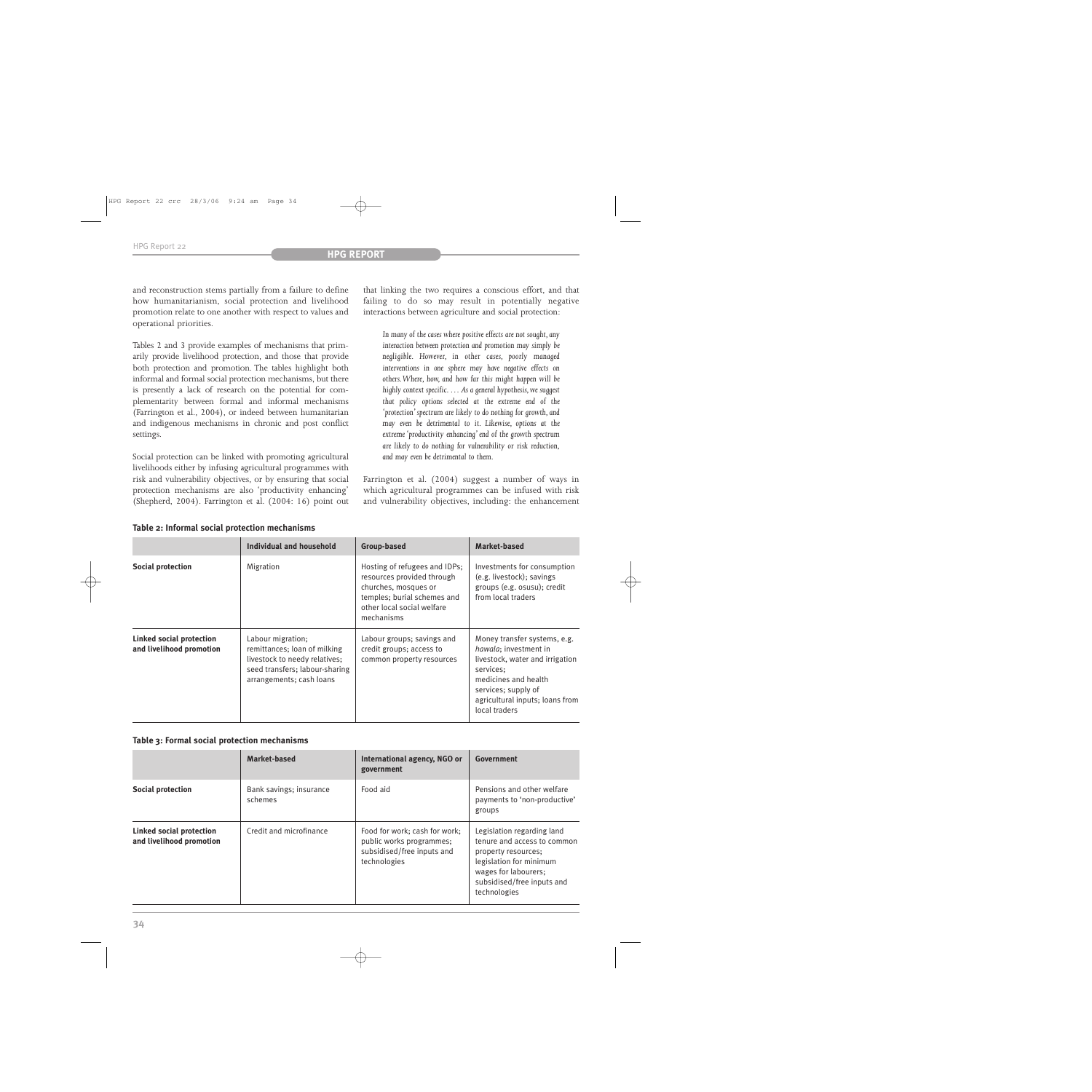and reconstruction stems partially from a failure to define how humanitarianism, social protection and livelihood promotion relate to one another with respect to values and operational priorities.

Tables 2 and 3 provide examples of mechanisms that primarily provide livelihood protection, and those that provide both protection and promotion. The tables highlight both informal and formal social protection mechanisms, but there is presently a lack of research on the potential for complementarity between formal and informal mechanisms (Farrington et al., 2004), or indeed between humanitarian and indigenous mechanisms in chronic and post conflict settings.

Social protection can be linked with promoting agricultural livelihoods either by infusing agricultural programmes with risk and vulnerability objectives, or by ensuring that social protection mechanisms are also 'productivity enhancing' (Shepherd, 2004). Farrington et al. (2004: 16) point out that linking the two requires a conscious effort, and that failing to do so may result in potentially negative interactions between agriculture and social protection:

*In many of the cases where positive effects are not sought, any interaction between protection and promotion may simply be negligible. However, in other cases, poorly managed interventions in one sphere may have negative effects on others.Where, how, and how far this might happen will be highly context specific.… As a general hypothesis,we suggest that policy options selected at the extreme end of the 'protection' spectrum are likely to do nothing for growth, and may even be detrimental to it. Likewise, options at the extreme 'productivity enhancing' end of the growth spectrum are likely to do nothing for vulnerability or risk reduction, and may even be detrimental to them.*

Farrington et al. (2004) suggest a number of ways in which agricultural programmes can be infused with risk and vulnerability objectives, including: the enhancement

|                                                      | Individual and household                                                                                                                         | <b>Group-based</b>                                                                                                                                             | <b>Market-based</b>                                                                                                                                                                                      |
|------------------------------------------------------|--------------------------------------------------------------------------------------------------------------------------------------------------|----------------------------------------------------------------------------------------------------------------------------------------------------------------|----------------------------------------------------------------------------------------------------------------------------------------------------------------------------------------------------------|
| <b>Social protection</b>                             | Migration                                                                                                                                        | Hosting of refugees and IDPs;<br>resources provided through<br>churches, mosques or<br>temples; burial schemes and<br>other local social welfare<br>mechanisms | Investments for consumption<br>(e.g. livestock); savings<br>groups (e.g. osusu); credit<br>from local traders                                                                                            |
| Linked social protection<br>and livelihood promotion | Labour migration;<br>remittances; loan of milking<br>livestock to needy relatives;<br>seed transfers; labour-sharing<br>arrangements; cash loans | Labour groups; savings and<br>credit groups; access to<br>common property resources                                                                            | Money transfer systems, e.g.<br>hawala; investment in<br>livestock, water and irrigation<br>services:<br>medicines and health<br>services; supply of<br>agricultural inputs; loans from<br>local traders |

## **Table 2: Informal social protection mechanisms**

#### **Table 3: Formal social protection mechanisms**

|                                                             | <b>Market-based</b>                | International agency, NGO or<br>government                                                              | Government                                                                                                                                                                        |
|-------------------------------------------------------------|------------------------------------|---------------------------------------------------------------------------------------------------------|-----------------------------------------------------------------------------------------------------------------------------------------------------------------------------------|
| <b>Social protection</b>                                    | Bank savings; insurance<br>schemes | Food aid                                                                                                | Pensions and other welfare<br>payments to 'non-productive'<br>groups                                                                                                              |
| <b>Linked social protection</b><br>and livelihood promotion | Credit and microfinance            | Food for work; cash for work;<br>public works programmes;<br>subsidised/free inputs and<br>technologies | Legislation regarding land<br>tenure and access to common<br>property resources;<br>legislation for minimum<br>wages for labourers;<br>subsidised/free inputs and<br>technologies |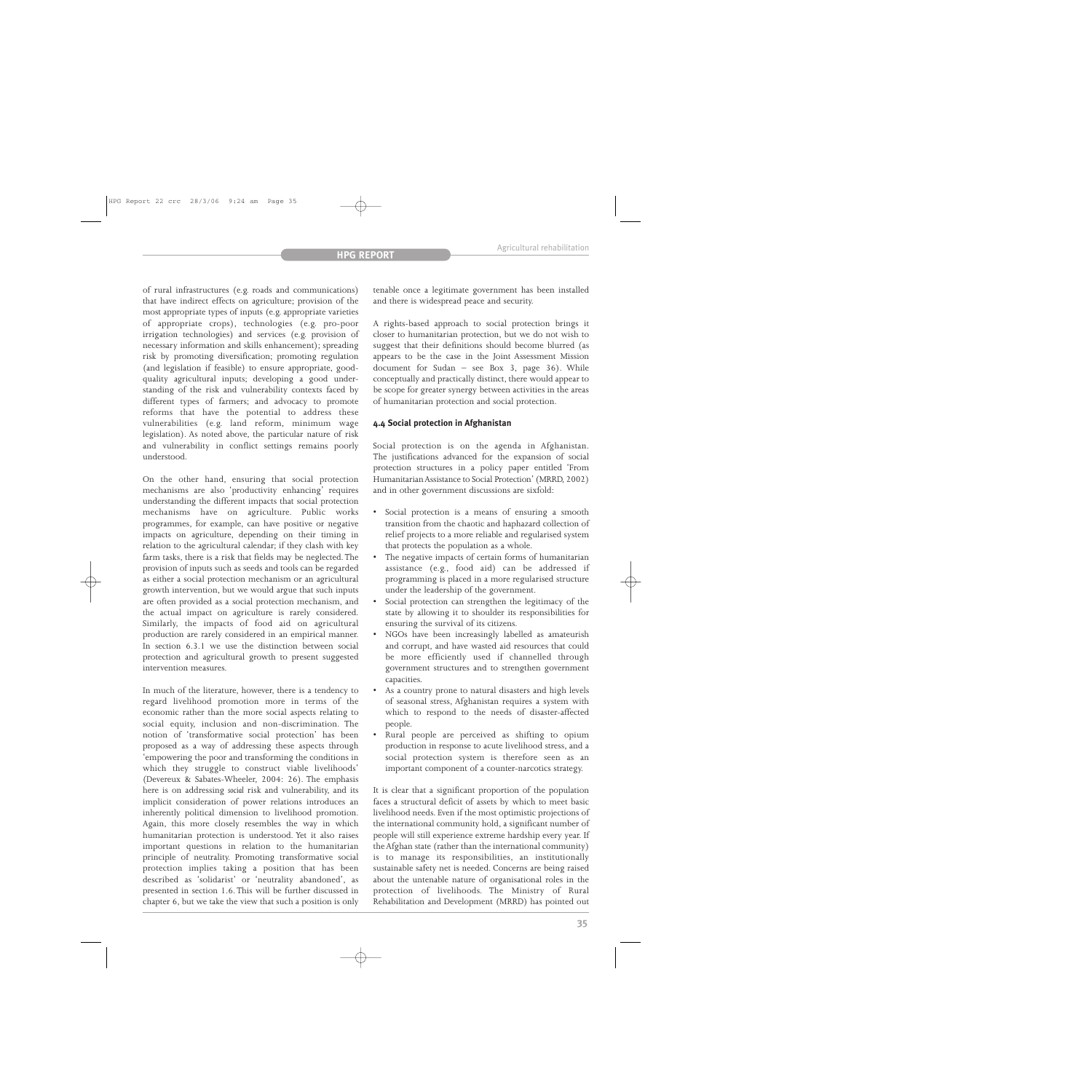of rural infrastructures (e.g. roads and communications) that have indirect effects on agriculture; provision of the most appropriate types of inputs (e.g. appropriate varieties of appropriate crops), technologies (e.g. pro-poor irrigation technologies) and services (e.g. provision of necessary information and skills enhancement); spreading risk by promoting diversification; promoting regulation (and legislation if feasible) to ensure appropriate, goodquality agricultural inputs; developing a good understanding of the risk and vulnerability contexts faced by different types of farmers; and advocacy to promote reforms that have the potential to address these vulnerabilities (e.g. land reform, minimum wage legislation). As noted above, the particular nature of risk and vulnerability in conflict settings remains poorly understood.

On the other hand, ensuring that social protection mechanisms are also 'productivity enhancing' requires understanding the different impacts that social protection mechanisms have on agriculture. Public works programmes, for example, can have positive or negative impacts on agriculture, depending on their timing in relation to the agricultural calendar; if they clash with key farm tasks, there is a risk that fields may be neglected.The provision of inputs such as seeds and tools can be regarded as either a social protection mechanism or an agricultural growth intervention, but we would argue that such inputs are often provided as a social protection mechanism, and the actual impact on agriculture is rarely considered. Similarly, the impacts of food aid on agricultural production are rarely considered in an empirical manner. In section 6.3.1 we use the distinction between social protection and agricultural growth to present suggested intervention measures.

In much of the literature, however, there is a tendency to regard livelihood promotion more in terms of the economic rather than the more social aspects relating to social equity, inclusion and non-discrimination. The notion of 'transformative social protection' has been proposed as a way of addressing these aspects through 'empowering the poor and transforming the conditions in which they struggle to construct viable livelihoods' (Devereux & Sabates-Wheeler, 2004: 26). The emphasis here is on addressing *social* risk and vulnerability, and its implicit consideration of power relations introduces an inherently political dimension to livelihood promotion. Again, this more closely resembles the way in which humanitarian protection is understood. Yet it also raises important questions in relation to the humanitarian principle of neutrality. Promoting transformative social protection implies taking a position that has been described as 'solidarist' or 'neutrality abandoned', as presented in section 1.6. This will be further discussed in chapter 6, but we take the view that such a position is only

tenable once a legitimate government has been installed and there is widespread peace and security.

A rights-based approach to social protection brings it closer to humanitarian protection, but we do not wish to suggest that their definitions should become blurred (as appears to be the case in the Joint Assessment Mission document for Sudan – see Box 3, page 36). While conceptually and practically distinct, there would appear to be scope for greater synergy between activities in the areas of humanitarian protection and social protection.

#### **4.4 Social protection in Afghanistan**

Social protection is on the agenda in Afghanistan. The justifications advanced for the expansion of social protection structures in a policy paper entitled 'From Humanitarian Assistance to Social Protection' (MRRD, 2002) and in other government discussions are sixfold:

- Social protection is a means of ensuring a smooth transition from the chaotic and haphazard collection of relief projects to a more reliable and regularised system that protects the population as a whole.
- The negative impacts of certain forms of humanitarian assistance (e.g., food aid) can be addressed if programming is placed in a more regularised structure under the leadership of the government.
- Social protection can strengthen the legitimacy of the state by allowing it to shoulder its responsibilities for ensuring the survival of its citizens.
- NGOs have been increasingly labelled as amateurish and corrupt, and have wasted aid resources that could be more efficiently used if channelled through government structures and to strengthen government capacities.
- As a country prone to natural disasters and high levels of seasonal stress, Afghanistan requires a system with which to respond to the needs of disaster-affected people.
- Rural people are perceived as shifting to opium production in response to acute livelihood stress, and a social protection system is therefore seen as an important component of a counter-narcotics strategy.

It is clear that a significant proportion of the population faces a structural deficit of assets by which to meet basic livelihood needs. Even if the most optimistic projections of the international community hold, a significant number of people will still experience extreme hardship every year. If the Afghan state (rather than the international community) is to manage its responsibilities, an institutionally sustainable safety net is needed. Concerns are being raised about the untenable nature of organisational roles in the protection of livelihoods. The Ministry of Rural Rehabilitation and Development (MRRD) has pointed out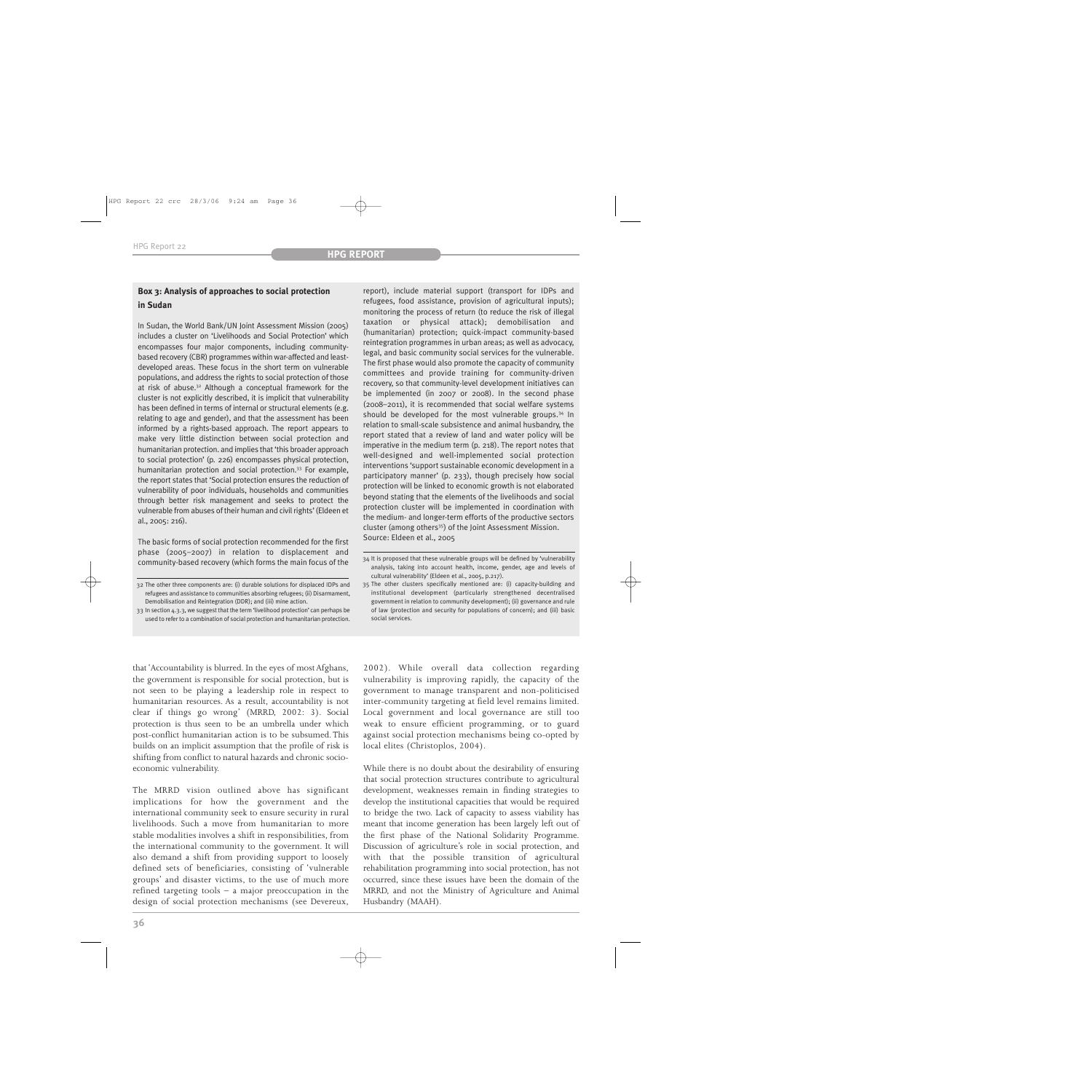# **Box 3: Analysis of approaches to social protection in Sudan**

In Sudan, the World Bank/UN Joint Assessment Mission (2005) includes a cluster on 'Livelihoods and Social Protection' which encompasses four major components, including communitybased recovery (CBR) programmes within war-affected and leastdeveloped areas. These focus in the short term on vulnerable populations, and address the rights to social protection of those at risk of abuse.<sup>32</sup> Although a conceptual framework for the cluster is not explicitly described, it is implicit that vulnerability has been defined in terms of internal or structural elements (e.g. relating to age and gender), and that the assessment has been informed by a rights-based approach. The report appears to make very little distinction between social protection and humanitarian protection. and implies that 'this broader approach to social protection' (p. 226) encompasses physical protection, humanitarian protection and social protection.<sup>33</sup> For example, the report states that 'Social protection ensures the reduction of vulnerability of poor individuals, households and communities through better risk management and seeks to protect the vulnerable from abuses of their human and civil rights' (Eldeen et al., 2005: 216).

The basic forms of social protection recommended for the first phase (2005–2007) in relation to displacement and community-based recovery (which forms the main focus of the

33 In section 4.3.3, we suggest that the term 'livelihood protection' can perhaps be used to refer to a combination of social protection and humanitarian protection. report), include material support (transport for IDPs and refugees, food assistance, provision of agricultural inputs); monitoring the process of return (to reduce the risk of illegal taxation or physical attack); demobilisation and (humanitarian) protection; quick-impact community-based reintegration programmes in urban areas; as well as advocacy, legal, and basic community social services for the vulnerable. The first phase would also promote the capacity of community committees and provide training for community-driven recovery, so that community-level development initiatives can be implemented (in 2007 or 2008). In the second phase (2008–2011), it is recommended that social welfare systems should be developed for the most vulnerable groups.34 In relation to small-scale subsistence and animal husbandry, the report stated that a review of land and water policy will be imperative in the medium term (p. 218). The report notes that well-designed and well-implemented social protection interventions 'support sustainable economic development in a participatory manner' (p. 233), though precisely how social protection will be linked to economic growth is not elaborated beyond stating that the elements of the livelihoods and social protection cluster will be implemented in coordination with the medium- and longer-term efforts of the productive sectors cluster (among others<sup>35</sup>) of the Joint Assessment Mission. Source: Eldeen et al., 2005

that 'Accountability is blurred. In the eyes of most Afghans, the government is responsible for social protection, but is not seen to be playing a leadership role in respect to humanitarian resources. As a result, accountability is not clear if things go wrong' (MRRD, 2002: 3). Social protection is thus seen to be an umbrella under which post-conflict humanitarian action is to be subsumed. This builds on an implicit assumption that the profile of risk is shifting from conflict to natural hazards and chronic socioeconomic vulnerability.

The MRRD vision outlined above has significant implications for how the government and the international community seek to ensure security in rural livelihoods. Such a move from humanitarian to more stable modalities involves a shift in responsibilities, from the international community to the government. It will also demand a shift from providing support to loosely defined sets of beneficiaries, consisting of 'vulnerable groups' and disaster victims, to the use of much more refined targeting tools – a major preoccupation in the design of social protection mechanisms (see Devereux,

2002). While overall data collection regarding vulnerability is improving rapidly, the capacity of the government to manage transparent and non-politicised inter-community targeting at field level remains limited. Local government and local governance are still too weak to ensure efficient programming, or to guard against social protection mechanisms being co-opted by local elites (Christoplos, 2004).

While there is no doubt about the desirability of ensuring that social protection structures contribute to agricultural development, weaknesses remain in finding strategies to develop the institutional capacities that would be required to bridge the two. Lack of capacity to assess viability has meant that income generation has been largely left out of the first phase of the National Solidarity Programme. Discussion of agriculture's role in social protection, and with that the possible transition of agricultural rehabilitation programming into social protection, has not occurred, since these issues have been the domain of the MRRD, and not the Ministry of Agriculture and Animal Husbandry (MAAH).

<sup>32</sup> The other three components are: (i) durable solutions for displaced IDPs and refugees and assistance to communities absorbing refugees; (ii) Disarmament, Demobilisation and Reintegration (DDR); and (iii) mine action.

<sup>34</sup> It is proposed that these vulnerable groups will be defined by 'vulnerability analysis, taking into account health, income, gender, age and levels of cultural vulnerability' (Eldeen et al., 2005, p.217).

<sup>35</sup> The other clusters specifically mentioned are: (i) capacity-building and institutional development (particularly strengthened decentralised government in relation to community development); (ii) governance and rule of law (protection and security for populations of concern); and (iii) basic social services.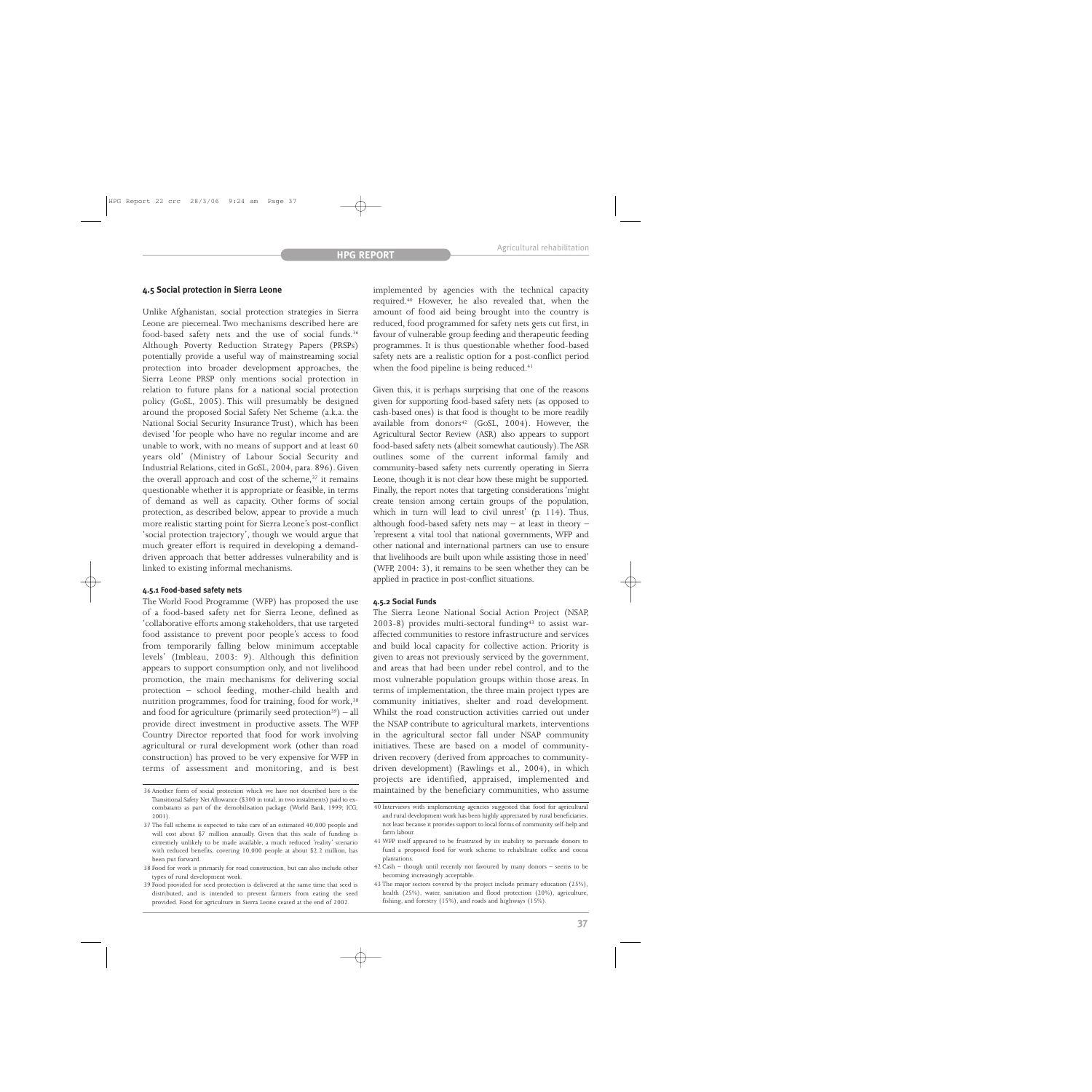#### **4.5 Social protection in Sierra Leone**

Unlike Afghanistan, social protection strategies in Sierra Leone are piecemeal. Two mechanisms described here are food-based safety nets and the use of social funds.36 Although Poverty Reduction Strategy Papers (PRSPs) potentially provide a useful way of mainstreaming social protection into broader development approaches, the Sierra Leone PRSP only mentions social protection in relation to future plans for a national social protection policy (GoSL, 2005). This will presumably be designed around the proposed Social Safety Net Scheme (a.k.a. the National Social Security Insurance Trust), which has been devised 'for people who have no regular income and are unable to work, with no means of support and at least 60 years old' (Ministry of Labour Social Security and Industrial Relations, cited in GoSL, 2004, para. 896). Given the overall approach and cost of the scheme,<sup>37</sup> it remains questionable whether it is appropriate or feasible, in terms of demand as well as capacity. Other forms of social protection, as described below, appear to provide a much more realistic starting point for Sierra Leone's post-conflict 'social protection trajectory', though we would argue that much greater effort is required in developing a demanddriven approach that better addresses vulnerability and is linked to existing informal mechanisms.

#### **4.5.1 Food-based safety nets**

The World Food Programme (WFP) has proposed the use of a food-based safety net for Sierra Leone, defined as 'collaborative efforts among stakeholders, that use targeted food assistance to prevent poor people's access to food from temporarily falling below minimum acceptable levels' (Imbleau, 2003: 9). Although this definition appears to support consumption only, and not livelihood promotion, the main mechanisms for delivering social protection – school feeding, mother-child health and nutrition programmes, food for training, food for work,<sup>38</sup> and food for agriculture (primarily seed protection $39$ ) – all provide direct investment in productive assets. The WFP Country Director reported that food for work involving agricultural or rural development work (other than road construction) has proved to be very expensive for WFP in terms of assessment and monitoring, and is best implemented by agencies with the technical capacity required.40 However, he also revealed that, when the amount of food aid being brought into the country is reduced, food programmed for safety nets gets cut first, in favour of vulnerable group feeding and therapeutic feeding programmes. It is thus questionable whether food-based safety nets are a realistic option for a post-conflict period when the food pipeline is being reduced.<sup>41</sup>

Given this, it is perhaps surprising that one of the reasons given for supporting food-based safety nets (as opposed to cash-based ones) is that food is thought to be more readily available from donors<sup> $42$ </sup> (GoSL, 2004). However, the Agricultural Sector Review (ASR) also appears to support food-based safety nets (albeit somewhat cautiously).The ASR outlines some of the current informal family and community-based safety nets currently operating in Sierra Leone, though it is not clear how these might be supported. Finally, the report notes that targeting considerations 'might create tension among certain groups of the population, which in turn will lead to civil unrest' (p. 114). Thus, although food-based safety nets may – at least in theory – 'represent a vital tool that national governments, WFP and other national and international partners can use to ensure that livelihoods are built upon while assisting those in need' (WFP, 2004: 3), it remains to be seen whether they can be applied in practice in post-conflict situations.

#### **4.5.2 Social Funds**

The Sierra Leone National Social Action Project (NSAP, 2003-8) provides multi-sectoral funding $43$  to assist waraffected communities to restore infrastructure and services and build local capacity for collective action. Priority is given to areas not previously serviced by the government, and areas that had been under rebel control, and to the most vulnerable population groups within those areas. In terms of implementation, the three main project types are community initiatives, shelter and road development. Whilst the road construction activities carried out under the NSAP contribute to agricultural markets, interventions in the agricultural sector fall under NSAP community initiatives. These are based on a model of communitydriven recovery (derived from approaches to communitydriven development) (Rawlings et al., 2004), in which projects are identified, appraised, implemented and 36 Another form of social protection which we have not described here is the maintained by the beneficiary communities, who assume

Transitional Safety Net Allowance (\$300 in total, in two instalments) paid to excombatants as part of the demobilisation package (World Bank, 1999; ICG, 2001).

<sup>37</sup> The full scheme is expected to take care of an estimated 40,000 people and will cost about \$7 million annually. Given that this scale of funding is extremely unlikely to be made available, a much reduced 'reality' scenario with reduced benefits, covering 10,000 people at about \$2.2 million, has been put forward.

<sup>38</sup> Food for work is primarily for road construction, but can also include other types of rural development work.

<sup>39</sup> Food provided for seed protection is delivered at the same time that seed is distributed, and is intended to prevent farmers from eating the seed provided. Food for agriculture in Sierra Leone ceased at the end of 2002.

<sup>40</sup> Interviews with implementing agencies suggested that food for agricultural and rural development work has been highly appreciated by rural beneficiaries, not least because it provides support to local forms of community self-help and farm labour.

<sup>41</sup> WFP itself appeared to be frustrated by its inability to persuade donors to fund a proposed food for work scheme to rehabilitate coffee and cocoa plantations.

<sup>42</sup> Cash – though until recently not favoured by many donors – seems to be becoming increasingly acceptable.

<sup>43</sup> The major sectors covered by the project include primary education (25%), health (25%), water, sanitation and flood protection (20%), agriculture, fishing, and forestry (15%), and roads and highways (15%).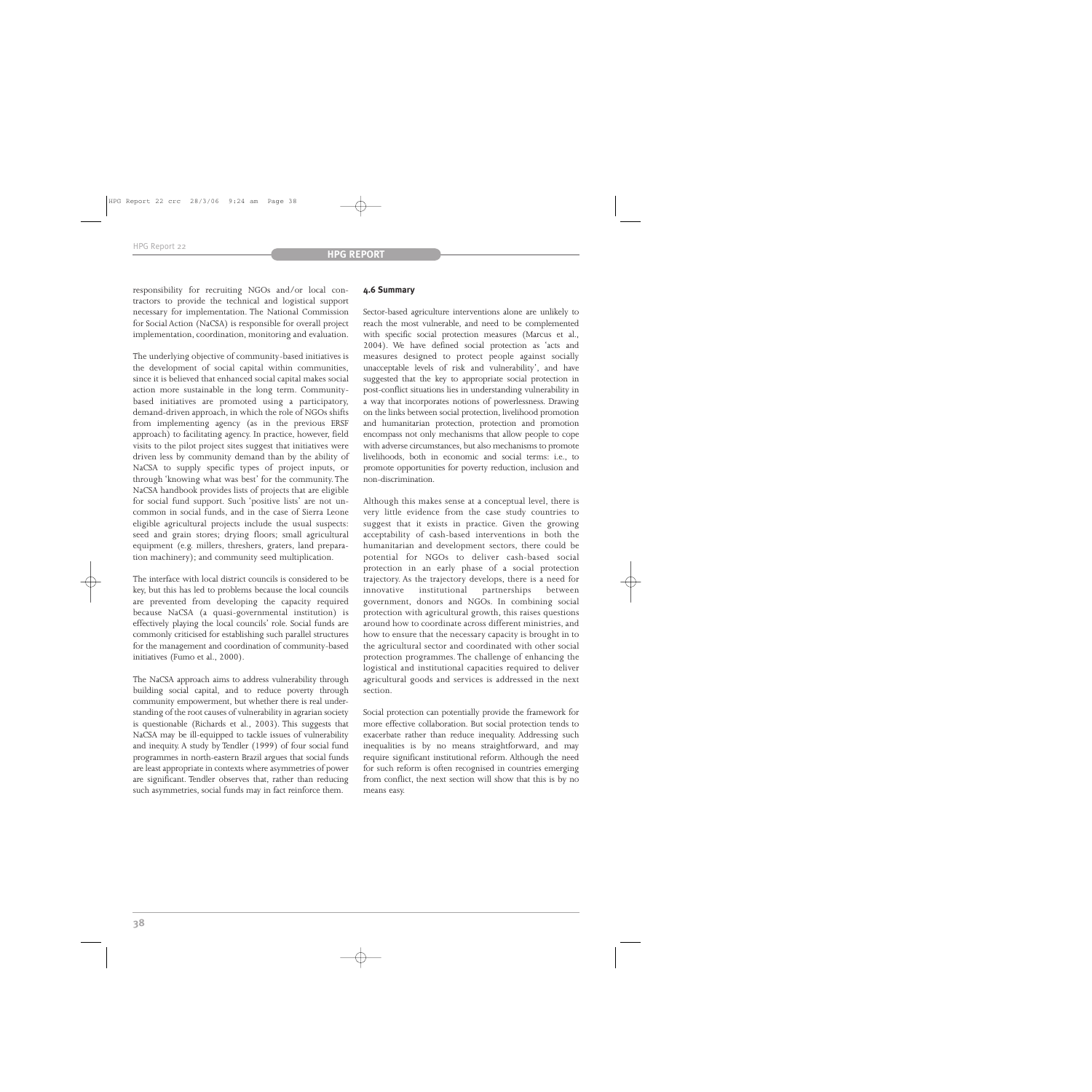responsibility for recruiting NGOs and/or local contractors to provide the technical and logistical support necessary for implementation. The National Commission for Social Action (NaCSA) is responsible for overall project implementation, coordination, monitoring and evaluation.

The underlying objective of community-based initiatives is the development of social capital within communities, since it is believed that enhanced social capital makes social action more sustainable in the long term. Communitybased initiatives are promoted using a participatory, demand-driven approach, in which the role of NGOs shifts from implementing agency (as in the previous ERSF approach) to facilitating agency. In practice, however, field visits to the pilot project sites suggest that initiatives were driven less by community demand than by the ability of NaCSA to supply specific types of project inputs, or through 'knowing what was best' for the community. The NaCSA handbook provides lists of projects that are eligible for social fund support. Such 'positive lists' are not uncommon in social funds, and in the case of Sierra Leone eligible agricultural projects include the usual suspects: seed and grain stores; drying floors; small agricultural equipment (e.g. millers, threshers, graters, land preparation machinery); and community seed multiplication.

The interface with local district councils is considered to be key, but this has led to problems because the local councils are prevented from developing the capacity required because NaCSA (a quasi-governmental institution) is effectively playing the local councils' role. Social funds are commonly criticised for establishing such parallel structures for the management and coordination of community-based initiatives (Fumo et al., 2000).

The NaCSA approach aims to address vulnerability through building social capital, and to reduce poverty through community empowerment, but whether there is real understanding of the root causes of vulnerability in agrarian society is questionable (Richards et al., 2003). This suggests that NaCSA may be ill-equipped to tackle issues of vulnerability and inequity. A study by Tendler (1999) of four social fund programmes in north-eastern Brazil argues that social funds are least appropriate in contexts where asymmetries of power are significant. Tendler observes that, rather than reducing such asymmetries, social funds may in fact reinforce them.

# **4.6 Summary**

Sector-based agriculture interventions alone are unlikely to reach the most vulnerable, and need to be complemented with specific social protection measures (Marcus et al., 2004). We have defined social protection as 'acts and measures designed to protect people against socially unacceptable levels of risk and vulnerability', and have suggested that the key to appropriate social protection in post-conflict situations lies in understanding vulnerability in a way that incorporates notions of powerlessness. Drawing on the links between social protection, livelihood promotion and humanitarian protection, protection and promotion encompass not only mechanisms that allow people to cope with adverse circumstances, but also mechanisms to promote livelihoods, both in economic and social terms: i.e., to promote opportunities for poverty reduction, inclusion and non-discrimination.

Although this makes sense at a conceptual level, there is very little evidence from the case study countries to suggest that it exists in practice. Given the growing acceptability of cash-based interventions in both the humanitarian and development sectors, there could be potential for NGOs to deliver cash-based social protection in an early phase of a social protection trajectory. As the trajectory develops, there is a need for innovative institutional partnerships between government, donors and NGOs. In combining social protection with agricultural growth, this raises questions around how to coordinate across different ministries, and how to ensure that the necessary capacity is brought in to the agricultural sector and coordinated with other social protection programmes. The challenge of enhancing the logistical and institutional capacities required to deliver agricultural goods and services is addressed in the next section.

Social protection can potentially provide the framework for more effective collaboration. But social protection tends to exacerbate rather than reduce inequality. Addressing such inequalities is by no means straightforward, and may require significant institutional reform. Although the need for such reform is often recognised in countries emerging from conflict, the next section will show that this is by no means easy.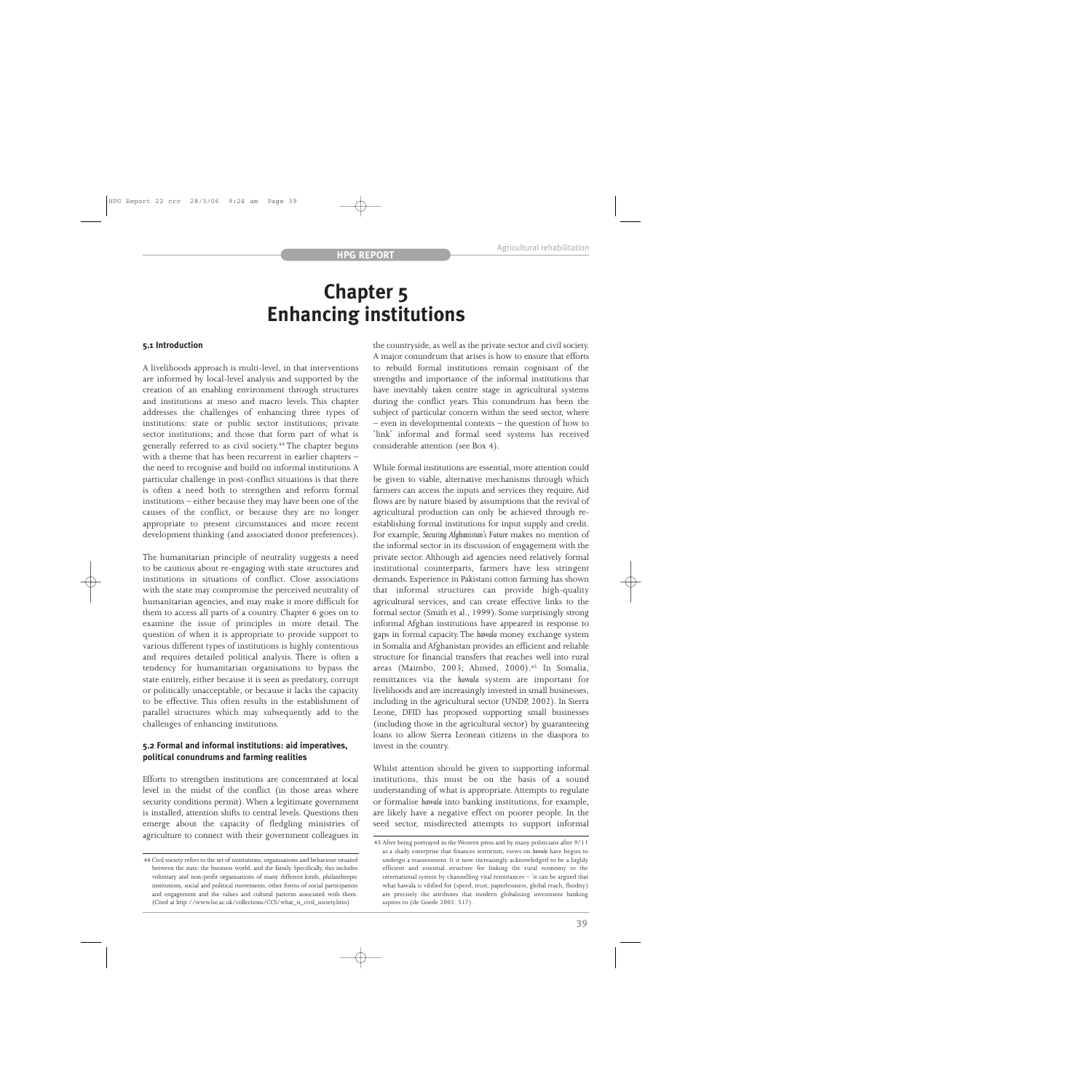# **Chapter 5 Enhancing institutions**

#### **5.1 Introduction**

A livelihoods approach is multi-level, in that interventions are informed by local-level analysis and supported by the creation of an enabling environment through structures and institutions at meso and macro levels. This chapter addresses the challenges of enhancing three types of institutions: state or public sector institutions; private sector institutions; and those that form part of what is generally referred to as civil society.44 The chapter begins with a theme that has been recurrent in earlier chapters – the need to recognise and build on informal institutions. A particular challenge in post-conflict situations is that there is often a need both to strengthen and reform formal institutions – either because they may have been one of the causes of the conflict, or because they are no longer appropriate to present circumstances and more recent development thinking (and associated donor preferences).

The humanitarian principle of neutrality suggests a need to be cautious about re-engaging with state structures and institutions in situations of conflict. Close associations with the state may compromise the perceived neutrality of humanitarian agencies, and may make it more difficult for them to access all parts of a country. Chapter 6 goes on to examine the issue of principles in more detail. The question of when it is appropriate to provide support to various different types of institutions is highly contentious and requires detailed political analysis. There is often a tendency for humanitarian organisations to bypass the state entirely, either because it is seen as predatory, corrupt or politically unacceptable, or because it lacks the capacity to be effective. This often results in the establishment of parallel structures which may subsequently add to the challenges of enhancing institutions.

#### **5.2 Formal and informal institutions: aid imperatives, political conundrums and farming realities**

Efforts to strengthen institutions are concentrated at local level in the midst of the conflict (in those areas where security conditions permit).When a legitimate government is installed, attention shifts to central levels. Questions then emerge about the capacity of fledgling ministries of agriculture to connect with their government colleagues in

the countryside, as well as the private sector and civil society. A major conundrum that arises is how to ensure that efforts to rebuild formal institutions remain cognisant of the strengths and importance of the informal institutions that have inevitably taken centre stage in agricultural systems during the conflict years. This conundrum has been the subject of particular concern within the seed sector, where – even in developmental contexts – the question of how to 'link' informal and formal seed systems has received considerable attention (see Box 4).

While formal institutions are essential, more attention could be given to viable, alternative mechanisms through which farmers can access the inputs and services they require. Aid flows are by nature biased by assumptions that the revival of agricultural production can only be achieved through reestablishing formal institutions for input supply and credit. For example, *Securing Afghanistan's Future* makes no mention of the informal sector in its discussion of engagement with the private sector. Although aid agencies need relatively formal institutional counterparts, farmers have less stringent demands. Experience in Pakistani cotton farming has shown that informal structures can provide high-quality agricultural services, and can create effective links to the formal sector (Smith et al., 1999). Some surprisingly strong informal Afghan institutions have appeared in response to gaps in formal capacity. The *hawala* money exchange system in Somalia and Afghanistan provides an efficient and reliable structure for financial transfers that reaches well into rural areas (Maimbo, 2003; Ahmed, 2000).<sup>45</sup> In Somalia, remittances via the *hawala* system are important for livelihoods and are increasingly invested in small businesses, including in the agricultural sector (UNDP, 2002). In Sierra Leone, DFID has proposed supporting small businesses (including those in the agricultural sector) by guaranteeing loans to allow Sierra Leonean citizens in the diaspora to invest in the country.

Whilst attention should be given to supporting informal institutions, this must be on the basis of a sound understanding of what is appropriate. Attempts to regulate or formalise *hawala* into banking institutions, for example, are likely have a negative effect on poorer people. In the seed sector, misdirected attempts to support informal

<sup>44</sup> Civil society refers to the set of institutions, organisations and behaviour situated between the state, the business world, and the family. Specifically, this includes voluntary and non-profit organisations of many different kinds, philanthropic institutions, social and political movements, other forms of social participation and engagement and the values and cultural patterns associated with them. (Cited at http://www.lse.ac.uk/collections/CCS/what\_is\_civil\_society.htm).

<sup>45</sup> After being portrayed in the Western press and by many politicians after 9/11 as a shady enterprise that finances terrorism, views on *hawala* have begun to undergo a reassessment. It is now increasingly acknowledged to be a highly efficient and essential structure for linking the rural economy to the international system by channelling vital remittances – 'it can be argued that what hawala is vilified for (speed, trust, paperlessness, global reach, fluidity) are precisely the attributes that modern globalising investment banking aspires to (de Goede 2003: 517).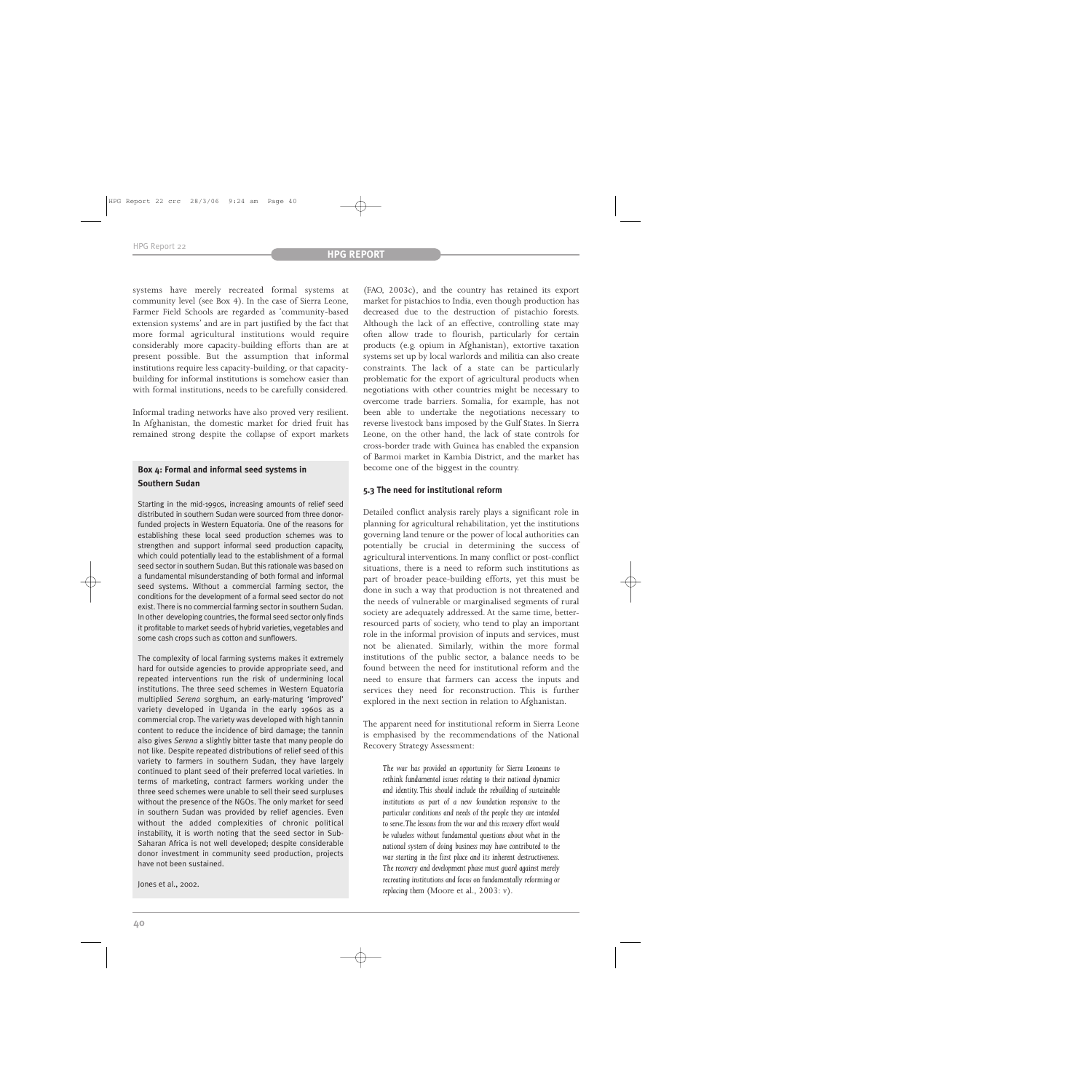systems have merely recreated formal systems at community level (see Box 4). In the case of Sierra Leone, Farmer Field Schools are regarded as 'community-based extension systems' and are in part justified by the fact that more formal agricultural institutions would require considerably more capacity-building efforts than are at present possible. But the assumption that informal institutions require less capacity-building, or that capacitybuilding for informal institutions is somehow easier than with formal institutions, needs to be carefully considered.

Informal trading networks have also proved very resilient. In Afghanistan, the domestic market for dried fruit has remained strong despite the collapse of export markets

# **Box 4: Formal and informal seed systems in Southern Sudan**

Starting in the mid-1990s, increasing amounts of relief seed distributed in southern Sudan were sourced from three donorfunded projects in Western Equatoria. One of the reasons for establishing these local seed production schemes was to strengthen and support informal seed production capacity, which could potentially lead to the establishment of a formal seed sector in southern Sudan. But this rationale was based on a fundamental misunderstanding of both formal and informal seed systems. Without a commercial farming sector, the conditions for the development of a formal seed sector do not exist. There is no commercial farming sector in southern Sudan. In other developing countries, the formal seed sector only finds it profitable to market seeds of hybrid varieties, vegetables and some cash crops such as cotton and sunflowers.

The complexity of local farming systems makes it extremely hard for outside agencies to provide appropriate seed, and repeated interventions run the risk of undermining local institutions. The three seed schemes in Western Equatoria multiplied *Serena* sorghum, an early-maturing 'improved' variety developed in Uganda in the early 1960s as a commercial crop. The variety was developed with high tannin content to reduce the incidence of bird damage; the tannin also gives *Serena* a slightly bitter taste that many people do not like. Despite repeated distributions of relief seed of this variety to farmers in southern Sudan, they have largely continued to plant seed of their preferred local varieties. In terms of marketing, contract farmers working under the three seed schemes were unable to sell their seed surpluses without the presence of the NGOs. The only market for seed in southern Sudan was provided by relief agencies. Even without the added complexities of chronic political instability, it is worth noting that the seed sector in Sub-Saharan Africa is not well developed; despite considerable donor investment in community seed production, projects have not been sustained.

Jones et al., 2002.

(FAO, 2003c), and the country has retained its export market for pistachios to India, even though production has decreased due to the destruction of pistachio forests. Although the lack of an effective, controlling state may often allow trade to flourish, particularly for certain products (e.g. opium in Afghanistan), extortive taxation systems set up by local warlords and militia can also create constraints. The lack of a state can be particularly problematic for the export of agricultural products when negotiations with other countries might be necessary to overcome trade barriers. Somalia, for example, has not been able to undertake the negotiations necessary to reverse livestock bans imposed by the Gulf States. In Sierra Leone, on the other hand, the lack of state controls for cross-border trade with Guinea has enabled the expansion of Barmoi market in Kambia District, and the market has become one of the biggest in the country.

#### **5.3 The need for institutional reform**

Detailed conflict analysis rarely plays a significant role in planning for agricultural rehabilitation, yet the institutions governing land tenure or the power of local authorities can potentially be crucial in determining the success of agricultural interventions. In many conflict or post-conflict situations, there is a need to reform such institutions as part of broader peace-building efforts, yet this must be done in such a way that production is not threatened and the needs of vulnerable or marginalised segments of rural society are adequately addressed. At the same time, betterresourced parts of society, who tend to play an important role in the informal provision of inputs and services, must not be alienated. Similarly, within the more formal institutions of the public sector, a balance needs to be found between the need for institutional reform and the need to ensure that farmers can access the inputs and services they need for reconstruction. This is further explored in the next section in relation to Afghanistan.

The apparent need for institutional reform in Sierra Leone is emphasised by the recommendations of the National Recovery Strategy Assessment:

*The war has provided an opportunity for Sierra Leoneans to rethink fundamental issues relating to their national dynamics and identity.This should include the rebuilding of sustainable institutions as part of a new foundation responsive to the particular conditions and needs of the people they are intended to serve.The lessons from the war and this recovery effort would be valueless without fundamental questions about what in the national system of doing business may have contributed to the war starting in the first place and its inherent destructiveness. The recovery and development phase must guard against merely recreating institutions and focus on fundamentally reforming or replacing them* (Moore et al., 2003: v).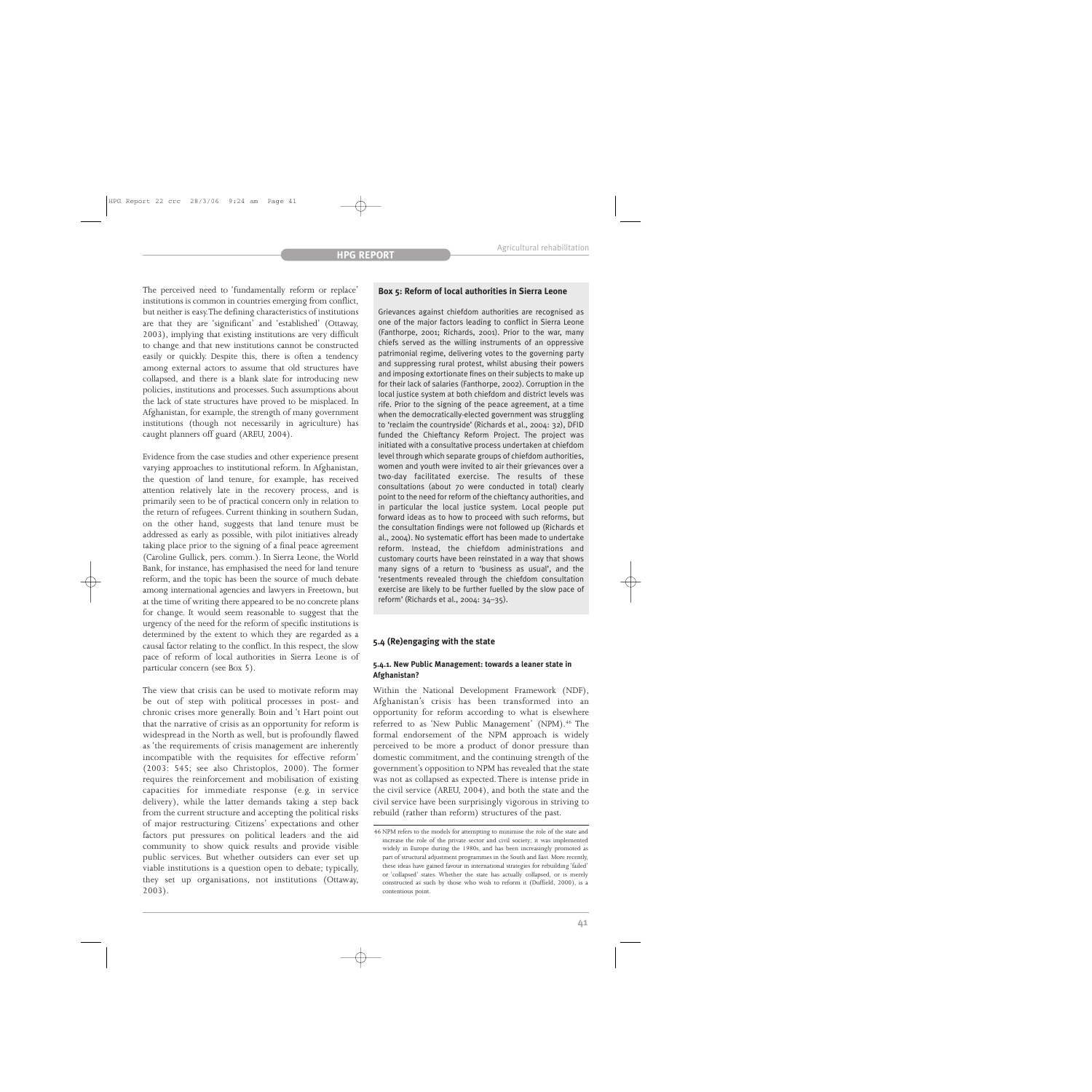The perceived need to 'fundamentally reform or replace' institutions is common in countries emerging from conflict, but neither is easy.The defining characteristics of institutions are that they are 'significant' and 'established' (Ottaway, 2003), implying that existing institutions are very difficult to change and that new institutions cannot be constructed easily or quickly. Despite this, there is often a tendency among external actors to assume that old structures have collapsed, and there is a blank slate for introducing new policies, institutions and processes. Such assumptions about the lack of state structures have proved to be misplaced. In Afghanistan, for example, the strength of many government institutions (though not necessarily in agriculture) has caught planners off guard (AREU, 2004).

Evidence from the case studies and other experience present varying approaches to institutional reform. In Afghanistan, the question of land tenure, for example, has received attention relatively late in the recovery process, and is primarily seen to be of practical concern only in relation to the return of refugees. Current thinking in southern Sudan, on the other hand, suggests that land tenure must be addressed as early as possible, with pilot initiatives already taking place prior to the signing of a final peace agreement (Caroline Gullick, pers. comm.). In Sierra Leone, the World Bank, for instance, has emphasised the need for land tenure reform, and the topic has been the source of much debate among international agencies and lawyers in Freetown, but at the time of writing there appeared to be no concrete plans for change. It would seem reasonable to suggest that the urgency of the need for the reform of specific institutions is determined by the extent to which they are regarded as a causal factor relating to the conflict. In this respect, the slow pace of reform of local authorities in Sierra Leone is of particular concern (see Box 5).

The view that crisis can be used to motivate reform may be out of step with political processes in post- and chronic crises more generally. Boin and 't Hart point out that the narrative of crisis as an opportunity for reform is widespread in the North as well, but is profoundly flawed as 'the requirements of crisis management are inherently incompatible with the requisites for effective reform' (2003: 545; see also Christoplos, 2000). The former requires the reinforcement and mobilisation of existing capacities for immediate response (e.g. in service delivery), while the latter demands taking a step back from the current structure and accepting the political risks of major restructuring. Citizens' expectations and other factors put pressures on political leaders and the aid community to show quick results and provide visible public services. But whether outsiders can ever set up viable institutions is a question open to debate; typically, they set up organisations, not institutions (Ottaway, 2003).

#### **Box 5: Reform of local authorities in Sierra Leone**

Grievances against chiefdom authorities are recognised as one of the major factors leading to conflict in Sierra Leone (Fanthorpe, 2001; Richards, 2001). Prior to the war, many chiefs served as the willing instruments of an oppressive patrimonial regime, delivering votes to the governing party and suppressing rural protest, whilst abusing their powers and imposing extortionate fines on their subjects to make up for their lack of salaries (Fanthorpe, 2002). Corruption in the local justice system at both chiefdom and district levels was rife. Prior to the signing of the peace agreement, at a time when the democratically-elected government was struggling to 'reclaim the countryside' (Richards et al., 2004: 32), DFID funded the Chieftancy Reform Project. The project was initiated with a consultative process undertaken at chiefdom level through which separate groups of chiefdom authorities, women and youth were invited to air their grievances over a two-day facilitated exercise. The results of these consultations (about 70 were conducted in total) clearly point to the need for reform of the chieftancy authorities, and in particular the local justice system. Local people put forward ideas as to how to proceed with such reforms, but the consultation findings were not followed up (Richards et al., 2004). No systematic effort has been made to undertake reform. Instead, the chiefdom administrations and customary courts have been reinstated in a way that shows many signs of a return to 'business as usual', and the 'resentments revealed through the chiefdom consultation exercise are likely to be further fuelled by the slow pace of reform' (Richards et al., 2004: 34–35).

#### **5.4 (Re)engaging with the state**

#### **5.4.1. New Public Management: towards a leaner state in Afghanistan?**

Within the National Development Framework (NDF), Afghanistan's crisis has been transformed into an opportunity for reform according to what is elsewhere referred to as 'New Public Management' (NPM).<sup>46</sup> The formal endorsement of the NPM approach is widely perceived to be more a product of donor pressure than domestic commitment, and the continuing strength of the government's opposition to NPM has revealed that the state was not as collapsed as expected. There is intense pride in the civil service (AREU, 2004), and both the state and the civil service have been surprisingly vigorous in striving to rebuild (rather than reform) structures of the past.

<sup>46</sup> NPM refers to the models for attempting to minimise the role of the state and increase the role of the private sector and civil society; it was implemented widely in Europe during the 1980s, and has been increasingly promoted as part of structural adjustment programmes in the South and East. More recently, these ideas have gained favour in international strategies for rebuilding 'failed' or 'collapsed' states. Whether the state has actually collapsed, or is merely constructed as such by those who wish to reform it (Duffield, 2000), is a contentious point.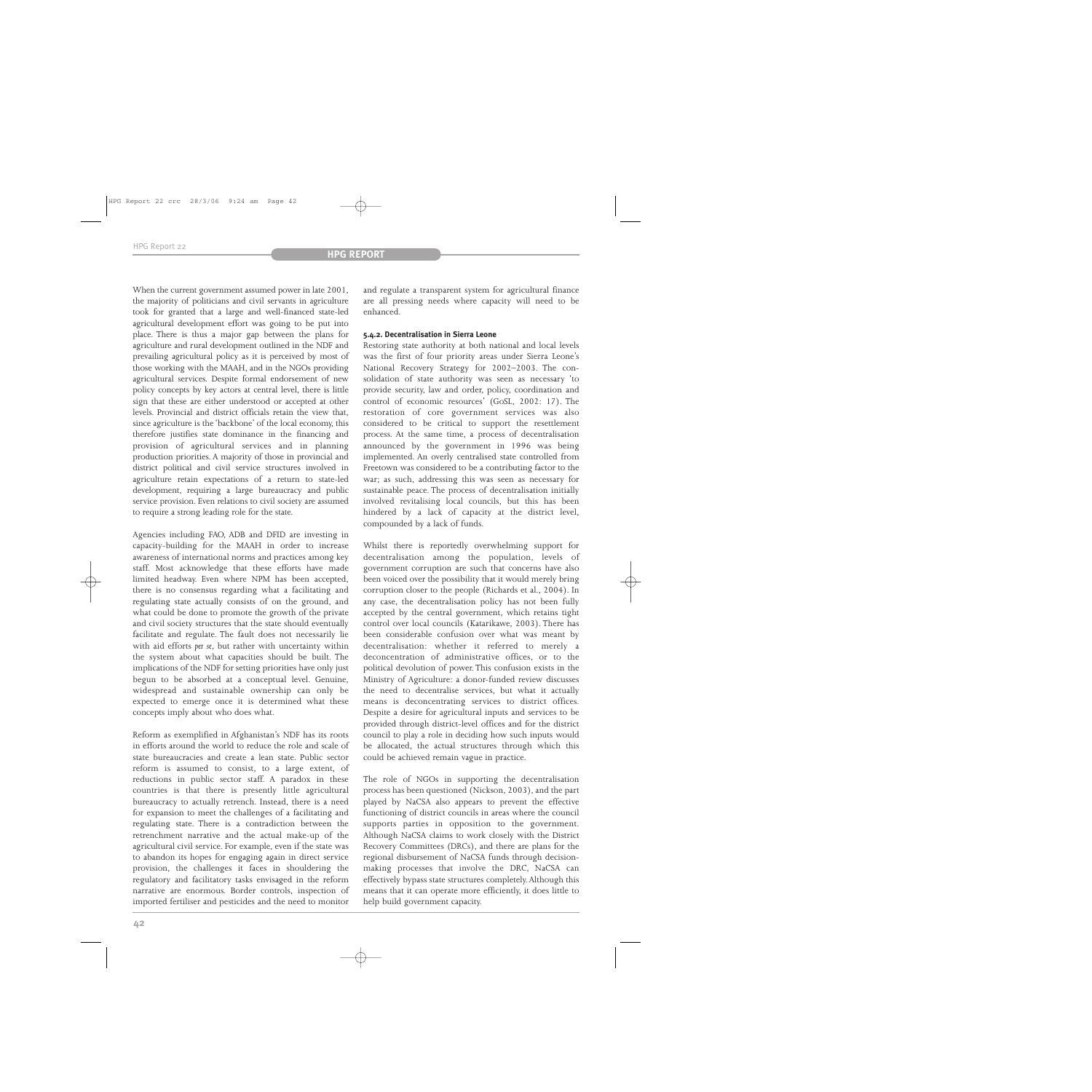When the current government assumed power in late 2001, the majority of politicians and civil servants in agriculture took for granted that a large and well-financed state-led agricultural development effort was going to be put into place. There is thus a major gap between the plans for agriculture and rural development outlined in the NDF and prevailing agricultural policy as it is perceived by most of those working with the MAAH, and in the NGOs providing agricultural services. Despite formal endorsement of new policy concepts by key actors at central level, there is little sign that these are either understood or accepted at other levels. Provincial and district officials retain the view that, since agriculture is the 'backbone' of the local economy, this therefore justifies state dominance in the financing and provision of agricultural services and in planning production priorities. A majority of those in provincial and district political and civil service structures involved in agriculture retain expectations of a return to state-led development, requiring a large bureaucracy and public service provision. Even relations to civil society are assumed to require a strong leading role for the state.

Agencies including FAO, ADB and DFID are investing in capacity-building for the MAAH in order to increase awareness of international norms and practices among key staff. Most acknowledge that these efforts have made limited headway. Even where NPM has been accepted, there is no consensus regarding what a facilitating and regulating state actually consists of on the ground, and what could be done to promote the growth of the private and civil society structures that the state should eventually facilitate and regulate. The fault does not necessarily lie with aid efforts *per se*, but rather with uncertainty within the system about what capacities should be built. The implications of the NDF for setting priorities have only just begun to be absorbed at a conceptual level. Genuine, widespread and sustainable ownership can only be expected to emerge once it is determined what these concepts imply about who does what.

Reform as exemplified in Afghanistan's NDF has its roots in efforts around the world to reduce the role and scale of state bureaucracies and create a lean state. Public sector reform is assumed to consist, to a large extent, of reductions in public sector staff. A paradox in these countries is that there is presently little agricultural bureaucracy to actually retrench. Instead, there is a need for expansion to meet the challenges of a facilitating and regulating state. There is a contradiction between the retrenchment narrative and the actual make-up of the agricultural civil service. For example, even if the state was to abandon its hopes for engaging again in direct service provision, the challenges it faces in shouldering the regulatory and facilitatory tasks envisaged in the reform narrative are enormous. Border controls, inspection of imported fertiliser and pesticides and the need to monitor and regulate a transparent system for agricultural finance are all pressing needs where capacity will need to be enhanced.

#### **5.4.2. Decentralisation in Sierra Leone**

Restoring state authority at both national and local levels was the first of four priority areas under Sierra Leone's National Recovery Strategy for 2002–2003. The consolidation of state authority was seen as necessary 'to provide security, law and order, policy, coordination and control of economic resources' (GoSL, 2002: 17). The restoration of core government services was also considered to be critical to support the resettlement process. At the same time, a process of decentralisation announced by the government in 1996 was being implemented. An overly centralised state controlled from Freetown was considered to be a contributing factor to the war; as such, addressing this was seen as necessary for sustainable peace. The process of decentralisation initially involved revitalising local councils, but this has been hindered by a lack of capacity at the district level, compounded by a lack of funds.

Whilst there is reportedly overwhelming support for decentralisation among the population, levels of government corruption are such that concerns have also been voiced over the possibility that it would merely bring corruption closer to the people (Richards et al., 2004). In any case, the decentralisation policy has not been fully accepted by the central government, which retains tight control over local councils (Katarikawe, 2003). There has been considerable confusion over what was meant by decentralisation: whether it referred to merely a deconcentration of administrative offices, or to the political devolution of power. This confusion exists in the Ministry of Agriculture: a donor-funded review discusses the need to decentralise services, but what it actually means is deconcentrating services to district offices. Despite a desire for agricultural inputs and services to be provided through district-level offices and for the district council to play a role in deciding how such inputs would be allocated, the actual structures through which this could be achieved remain vague in practice.

The role of NGOs in supporting the decentralisation process has been questioned (Nickson, 2003), and the part played by NaCSA also appears to prevent the effective functioning of district councils in areas where the council supports parties in opposition to the government. Although NaCSA claims to work closely with the District Recovery Committees (DRCs), and there are plans for the regional disbursement of NaCSA funds through decisionmaking processes that involve the DRC, NaCSA can effectively bypass state structures completely. Although this means that it can operate more efficiently, it does little to help build government capacity.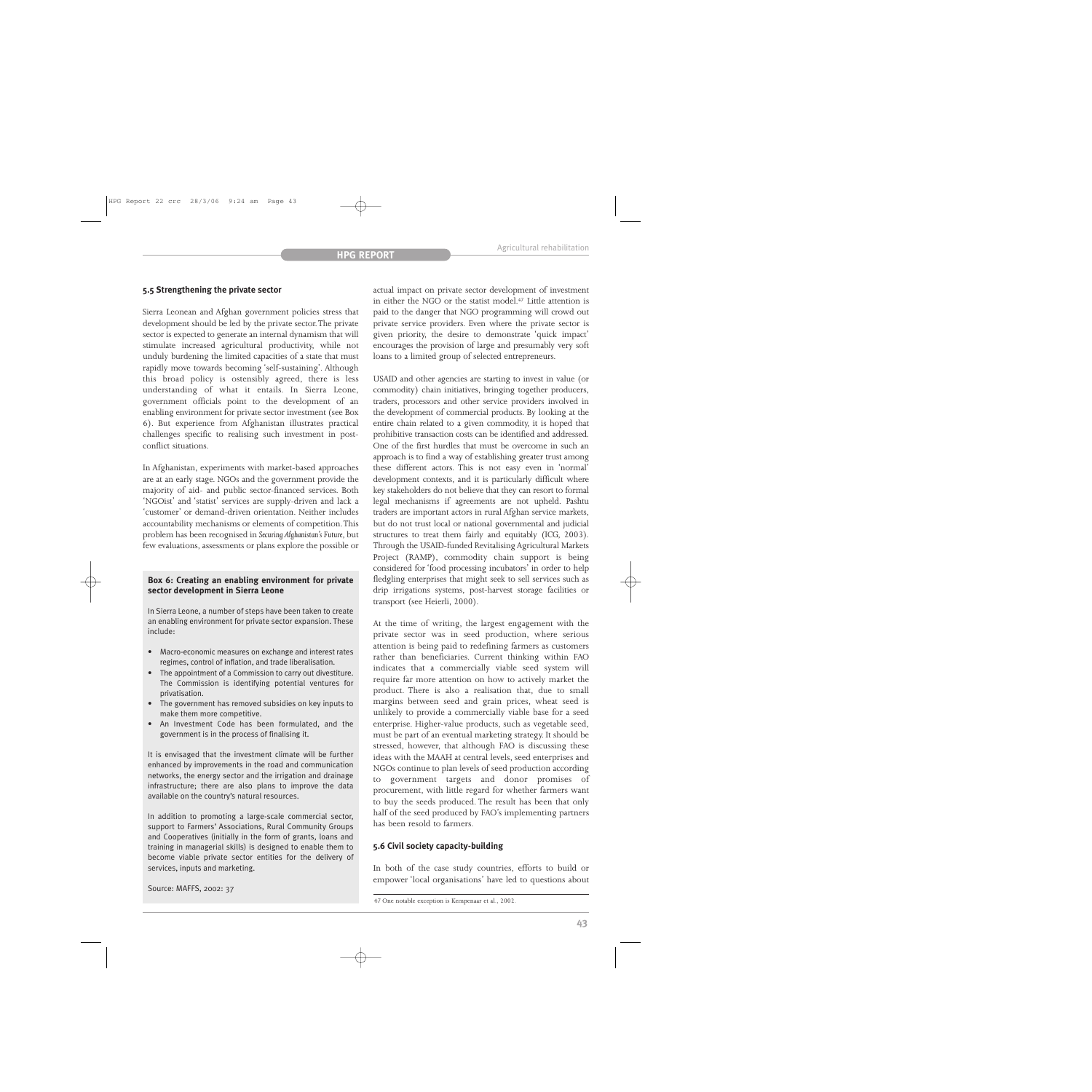#### **5.5 Strengthening the private sector**

Sierra Leonean and Afghan government policies stress that development should be led by the private sector.The private sector is expected to generate an internal dynamism that will stimulate increased agricultural productivity, while not unduly burdening the limited capacities of a state that must rapidly move towards becoming 'self-sustaining'. Although this broad policy is ostensibly agreed, there is less understanding of what it entails. In Sierra Leone, government officials point to the development of an enabling environment for private sector investment (see Box 6). But experience from Afghanistan illustrates practical challenges specific to realising such investment in postconflict situations.

In Afghanistan, experiments with market-based approaches are at an early stage. NGOs and the government provide the majority of aid- and public sector-financed services. Both 'NGOist' and 'statist' services are supply-driven and lack a 'customer' or demand-driven orientation. Neither includes accountability mechanisms or elements of competition.This problem has been recognised in *Securing Afghanistan's Future*, but few evaluations, assessments or plans explore the possible or

#### **Box 6: Creating an enabling environment for private sector development in Sierra Leone**

In Sierra Leone, a number of steps have been taken to create an enabling environment for private sector expansion. These include:

- Macro-economic measures on exchange and interest rates regimes, control of inflation, and trade liberalisation.
- The appointment of a Commission to carry out divestiture. The Commission is identifying potential ventures for privatisation.
- The government has removed subsidies on key inputs to make them more competitive.
- An Investment Code has been formulated, and the government is in the process of finalising it.

It is envisaged that the investment climate will be further enhanced by improvements in the road and communication networks, the energy sector and the irrigation and drainage infrastructure; there are also plans to improve the data available on the country's natural resources.

In addition to promoting a large-scale commercial sector, support to Farmers' Associations, Rural Community Groups and Cooperatives (initially in the form of grants, loans and training in managerial skills) is designed to enable them to become viable private sector entities for the delivery of services, inputs and marketing.

actual impact on private sector development of investment in either the NGO or the statist model.47 Little attention is paid to the danger that NGO programming will crowd out private service providers. Even where the private sector is given priority, the desire to demonstrate 'quick impact' encourages the provision of large and presumably very soft loans to a limited group of selected entrepreneurs.

USAID and other agencies are starting to invest in value (or commodity) chain initiatives, bringing together producers, traders, processors and other service providers involved in the development of commercial products. By looking at the entire chain related to a given commodity, it is hoped that prohibitive transaction costs can be identified and addressed. One of the first hurdles that must be overcome in such an approach is to find a way of establishing greater trust among these different actors. This is not easy even in 'normal' development contexts, and it is particularly difficult where key stakeholders do not believe that they can resort to formal legal mechanisms if agreements are not upheld. Pashtu traders are important actors in rural Afghan service markets, but do not trust local or national governmental and judicial structures to treat them fairly and equitably (ICG, 2003). Through the USAID-funded Revitalising Agricultural Markets Project (RAMP), commodity chain support is being considered for 'food processing incubators' in order to help fledgling enterprises that might seek to sell services such as drip irrigations systems, post-harvest storage facilities or transport (see Heierli, 2000).

At the time of writing, the largest engagement with the private sector was in seed production, where serious attention is being paid to redefining farmers as customers rather than beneficiaries. Current thinking within FAO indicates that a commercially viable seed system will require far more attention on how to actively market the product. There is also a realisation that, due to small margins between seed and grain prices, wheat seed is unlikely to provide a commercially viable base for a seed enterprise. Higher-value products, such as vegetable seed, must be part of an eventual marketing strategy. It should be stressed, however, that although FAO is discussing these ideas with the MAAH at central levels, seed enterprises and NGOs continue to plan levels of seed production according government targets and donor promises of procurement, with little regard for whether farmers want to buy the seeds produced. The result has been that only half of the seed produced by FAO's implementing partners has been resold to farmers.

#### **5.6 Civil society capacity-building**

In both of the case study countries, efforts to build or empower 'local organisations' have led to questions about

Source: MAFFS, 2002: 37

<sup>47</sup> One notable exception is Kempenaar et al., 2002.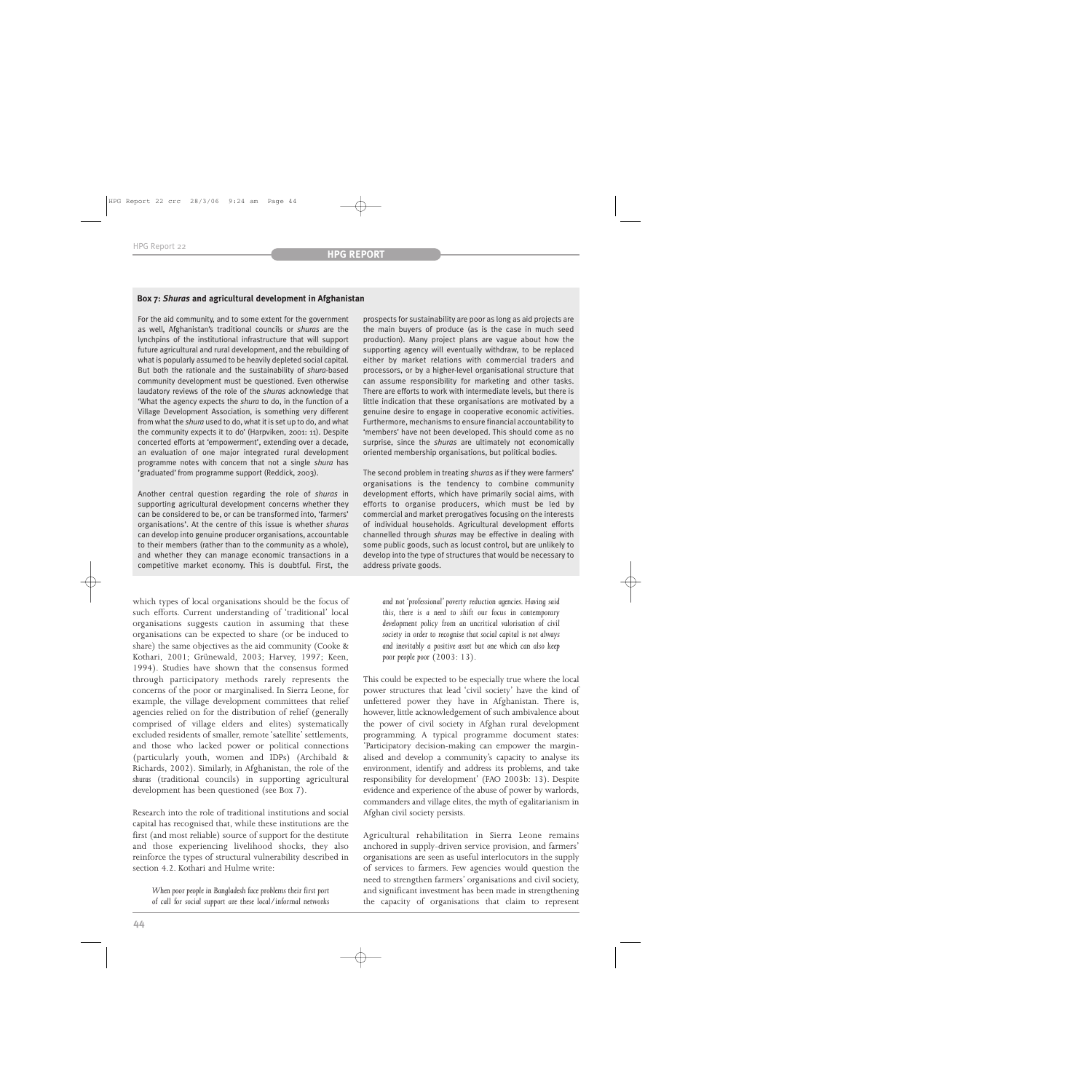#### **Box 7:** *Shuras* **and agricultural development in Afghanistan**

For the aid community, and to some extent for the government as well, Afghanistan's traditional councils or *shuras* are the lynchpins of the institutional infrastructure that will support future agricultural and rural development, and the rebuilding of what is popularly assumed to be heavily depleted social capital. But both the rationale and the sustainability of *shura*-based community development must be questioned. Even otherwise laudatory reviews of the role of the *shuras* acknowledge that 'What the agency expects the *shura* to do, in the function of a Village Development Association, is something very different from what the *shura* used to do, what it is set up to do, and what the community expects it to do' (Harpviken, 2001: 11). Despite concerted efforts at 'empowerment', extending over a decade, an evaluation of one major integrated rural development programme notes with concern that not a single *shura* has 'graduated' from programme support (Reddick, 2003).

Another central question regarding the role of *shuras* in supporting agricultural development concerns whether they can be considered to be, or can be transformed into, 'farmers' organisations'. At the centre of this issue is whether *shuras* can develop into genuine producer organisations, accountable to their members (rather than to the community as a whole), and whether they can manage economic transactions in a competitive market economy. This is doubtful. First, the

which types of local organisations should be the focus of such efforts. Current understanding of 'traditional' local organisations suggests caution in assuming that these organisations can be expected to share (or be induced to share) the same objectives as the aid community (Cooke & Kothari, 2001; Grünewald, 2003; Harvey, 1997; Keen, 1994). Studies have shown that the consensus formed through participatory methods rarely represents the concerns of the poor or marginalised. In Sierra Leone, for example, the village development committees that relief agencies relied on for the distribution of relief (generally comprised of village elders and elites) systematically excluded residents of smaller, remote 'satellite' settlements, and those who lacked power or political connections (particularly youth, women and IDPs) (Archibald & Richards, 2002). Similarly, in Afghanistan, the role of the *shuras* (traditional councils) in supporting agricultural development has been questioned (see Box 7).

Research into the role of traditional institutions and social capital has recognised that, while these institutions are the first (and most reliable) source of support for the destitute and those experiencing livelihood shocks, they also reinforce the types of structural vulnerability described in section 4.2. Kothari and Hulme write:

*When poor people in Bangladesh face problems their first port of call for social support are these local/informal networks* prospects for sustainability are poor as long as aid projects are the main buyers of produce (as is the case in much seed production). Many project plans are vague about how the supporting agency will eventually withdraw, to be replaced either by market relations with commercial traders and processors, or by a higher-level organisational structure that can assume responsibility for marketing and other tasks. There are efforts to work with intermediate levels, but there is little indication that these organisations are motivated by a genuine desire to engage in cooperative economic activities. Furthermore, mechanisms to ensure financial accountability to 'members' have not been developed. This should come as no surprise, since the *shuras* are ultimately not economically oriented membership organisations, but political bodies.

The second problem in treating *shuras* as if they were farmers' organisations is the tendency to combine community development efforts, which have primarily social aims, with efforts to organise producers, which must be led by commercial and market prerogatives focusing on the interests of individual households. Agricultural development efforts channelled through *shuras* may be effective in dealing with some public goods, such as locust control, but are unlikely to develop into the type of structures that would be necessary to address private goods.

*and not 'professional' poverty reduction agencies. Having said this, there is a need to shift our focus in contemporary development policy from an uncritical valorisation of civil society in order to recognise that social capital is not always and inevitably a positive asset but one which can also keep poor people poor* (2003: 13).

This could be expected to be especially true where the local power structures that lead 'civil society' have the kind of unfettered power they have in Afghanistan. There is, however, little acknowledgement of such ambivalence about the power of civil society in Afghan rural development programming. A typical programme document states: 'Participatory decision-making can empower the marginalised and develop a community's capacity to analyse its environment, identify and address its problems, and take responsibility for development' (FAO 2003b: 13). Despite evidence and experience of the abuse of power by warlords, commanders and village elites, the myth of egalitarianism in Afghan civil society persists.

Agricultural rehabilitation in Sierra Leone remains anchored in supply-driven service provision, and farmers' organisations are seen as useful interlocutors in the supply of services to farmers. Few agencies would question the need to strengthen farmers' organisations and civil society, and significant investment has been made in strengthening the capacity of organisations that claim to represent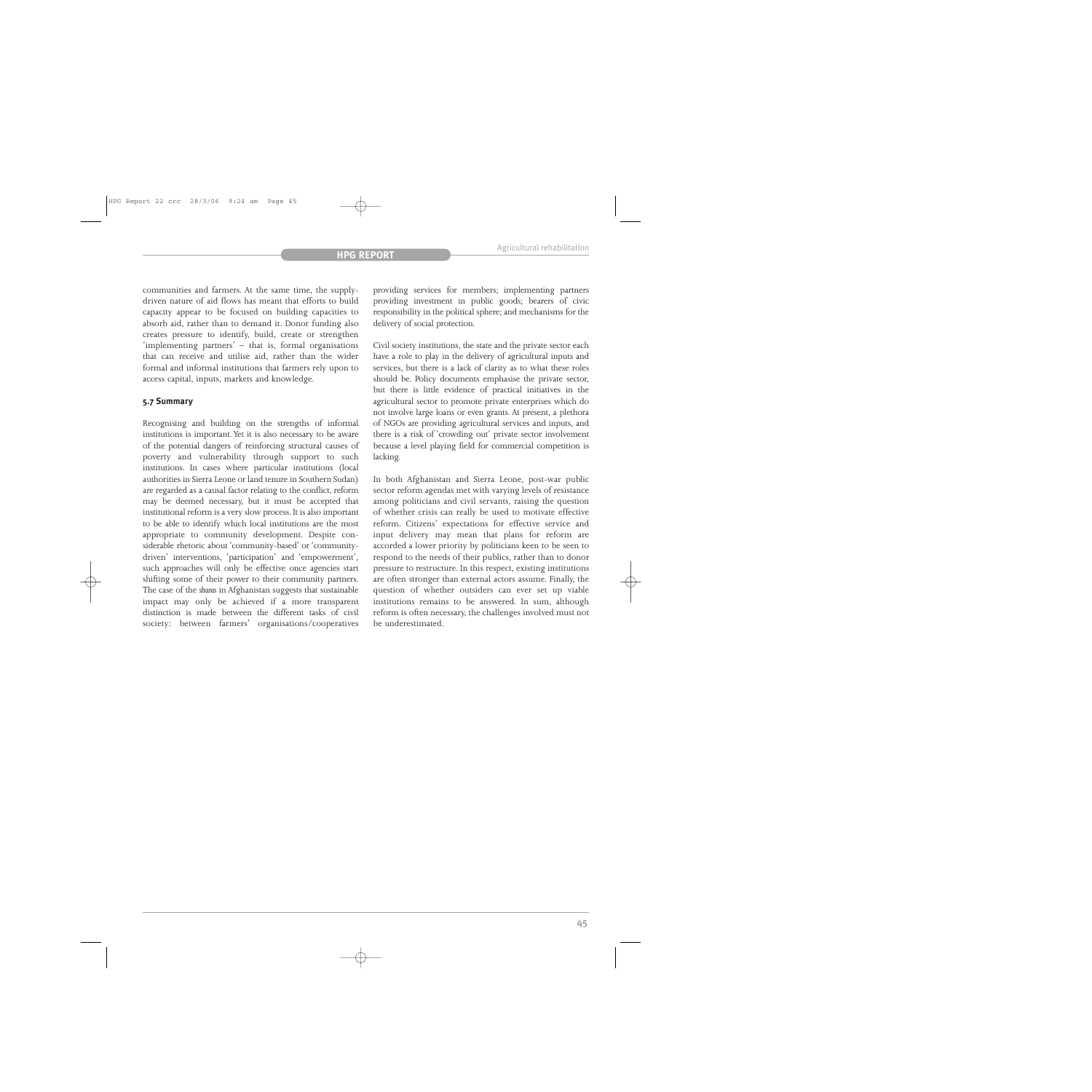communities and farmers. At the same time, the supplydriven nature of aid flows has meant that efforts to build capacity appear to be focused on building capacities to absorb aid, rather than to demand it. Donor funding also creates pressure to identify, build, create or strengthen 'implementing partners' – that is, formal organisations that can receive and utilise aid, rather than the wider formal and informal institutions that farmers rely upon to access capital, inputs, markets and knowledge.

#### **5.7 Summary**

Recognising and building on the strengths of informal institutions is important. Yet it is also necessary to be aware of the potential dangers of reinforcing structural causes of poverty and vulnerability through support to such institutions. In cases where particular institutions (local authorities in Sierra Leone or land tenure in Southern Sudan) are regarded as a causal factor relating to the conflict, reform may be deemed necessary, but it must be accepted that institutional reform is a very slow process. It is also important to be able to identify which local institutions are the most appropriate to community development. Despite considerable rhetoric about 'community-based' or 'communitydriven' interventions, 'participation' and 'empowerment', such approaches will only be effective once agencies start shifting some of their power to their community partners. The case of the *shuras* in Afghanistan suggests that sustainable impact may only be achieved if a more transparent distinction is made between the different tasks of civil society: between farmers' organisations/cooperatives

providing services for members; implementing partners providing investment in public goods; bearers of civic responsibility in the political sphere; and mechanisms for the delivery of social protection.

Civil society institutions, the state and the private sector each have a role to play in the delivery of agricultural inputs and services, but there is a lack of clarity as to what these roles should be. Policy documents emphasise the private sector, but there is little evidence of practical initiatives in the agricultural sector to promote private enterprises which do not involve large loans or even grants. At present, a plethora of NGOs are providing agricultural services and inputs, and there is a risk of 'crowding out' private sector involvement because a level playing field for commercial competition is lacking.

In both Afghanistan and Sierra Leone, post-war public sector reform agendas met with varying levels of resistance among politicians and civil servants, raising the question of whether crisis can really be used to motivate effective reform. Citizens' expectations for effective service and input delivery may mean that plans for reform are accorded a lower priority by politicians keen to be seen to respond to the needs of their publics, rather than to donor pressure to restructure. In this respect, existing institutions are often stronger than external actors assume. Finally, the question of whether outsiders can ever set up viable institutions remains to be answered. In sum, although reform is often necessary, the challenges involved must not be underestimated.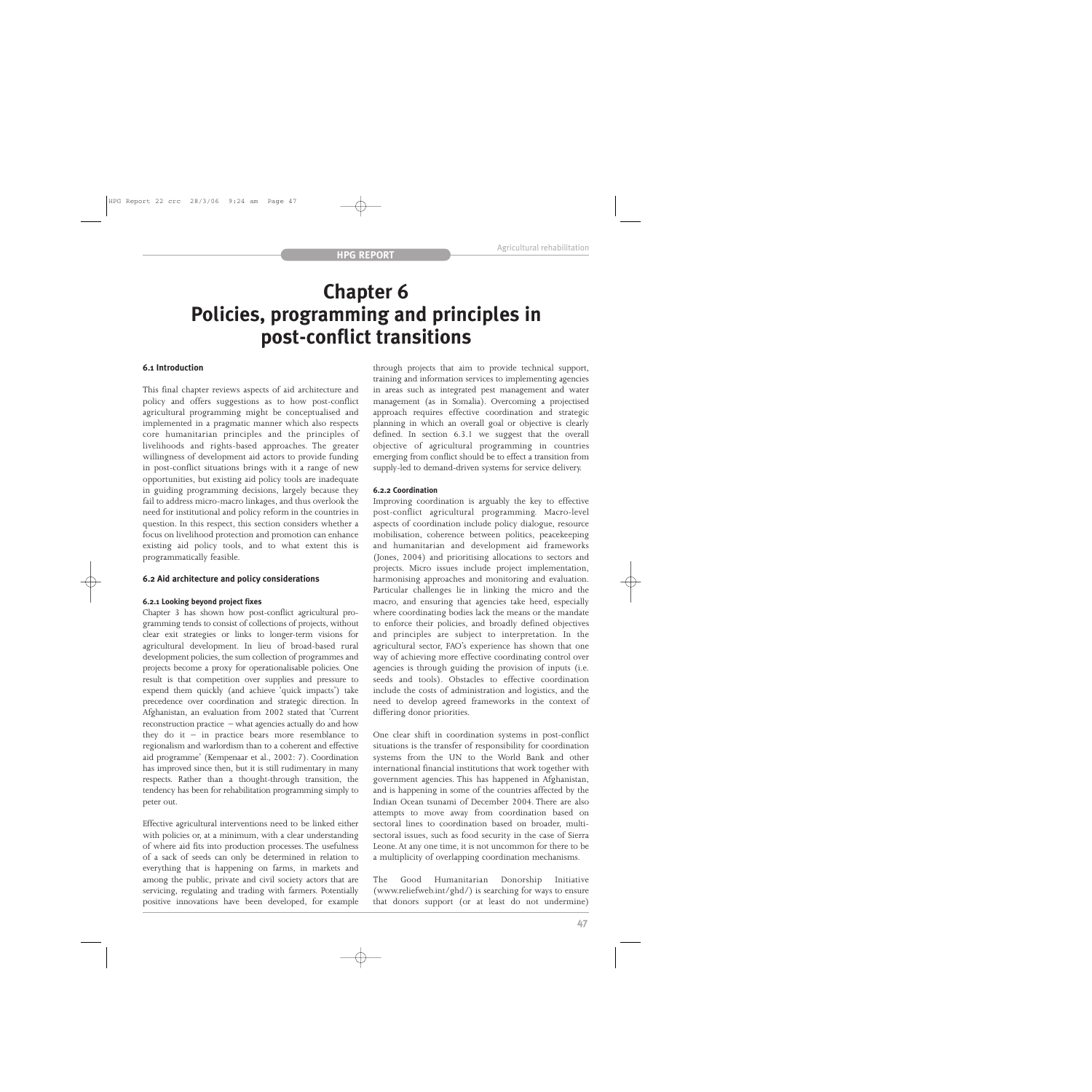# **Chapter 6 Policies, programming and principles in post-conflict transitions**

### **6.1 Introduction**

This final chapter reviews aspects of aid architecture and policy and offers suggestions as to how post-conflict agricultural programming might be conceptualised and implemented in a pragmatic manner which also respects core humanitarian principles and the principles of livelihoods and rights-based approaches. The greater willingness of development aid actors to provide funding in post-conflict situations brings with it a range of new opportunities, but existing aid policy tools are inadequate in guiding programming decisions, largely because they fail to address micro-macro linkages, and thus overlook the need for institutional and policy reform in the countries in question. In this respect, this section considers whether a focus on livelihood protection and promotion can enhance existing aid policy tools, and to what extent this is programmatically feasible.

#### **6.2 Aid architecture and policy considerations**

#### **6.2.1 Looking beyond project fixes**

Chapter 3 has shown how post-conflict agricultural programming tends to consist of collections of projects, without clear exit strategies or links to longer-term visions for agricultural development. In lieu of broad-based rural development policies, the sum collection of programmes and projects become a proxy for operationalisable policies. One result is that competition over supplies and pressure to expend them quickly (and achieve 'quick impacts') take precedence over coordination and strategic direction. In Afghanistan, an evaluation from 2002 stated that 'Current reconstruction practice – what agencies actually do and how they do it – in practice bears more resemblance to regionalism and warlordism than to a coherent and effective aid programme' (Kempenaar et al., 2002: 7). Coordination has improved since then, but it is still rudimentary in many respects. Rather than a thought-through transition, the tendency has been for rehabilitation programming simply to peter out.

Effective agricultural interventions need to be linked either with policies or, at a minimum, with a clear understanding of where aid fits into production processes. The usefulness of a sack of seeds can only be determined in relation to everything that is happening on farms, in markets and among the public, private and civil society actors that are servicing, regulating and trading with farmers. Potentially positive innovations have been developed, for example

through projects that aim to provide technical support, training and information services to implementing agencies in areas such as integrated pest management and water management (as in Somalia). Overcoming a projectised approach requires effective coordination and strategic planning in which an overall goal or objective is clearly defined. In section 6.3.1 we suggest that the overall objective of agricultural programming in countries emerging from conflict should be to effect a transition from supply-led to demand-driven systems for service delivery.

#### **6.2.2 Coordination**

Improving coordination is arguably the key to effective post-conflict agricultural programming. Macro-level aspects of coordination include policy dialogue, resource mobilisation, coherence between politics, peacekeeping and humanitarian and development aid frameworks (Jones, 2004) and prioritising allocations to sectors and projects. Micro issues include project implementation, harmonising approaches and monitoring and evaluation. Particular challenges lie in linking the micro and the macro, and ensuring that agencies take heed, especially where coordinating bodies lack the means or the mandate to enforce their policies, and broadly defined objectives and principles are subject to interpretation. In the agricultural sector, FAO's experience has shown that one way of achieving more effective coordinating control over agencies is through guiding the provision of inputs (i.e. seeds and tools). Obstacles to effective coordination include the costs of administration and logistics, and the need to develop agreed frameworks in the context of differing donor priorities.

One clear shift in coordination systems in post-conflict situations is the transfer of responsibility for coordination systems from the UN to the World Bank and other international financial institutions that work together with government agencies. This has happened in Afghanistan, and is happening in some of the countries affected by the Indian Ocean tsunami of December 2004. There are also attempts to move away from coordination based on sectoral lines to coordination based on broader, multisectoral issues, such as food security in the case of Sierra Leone.At any one time, it is not uncommon for there to be a multiplicity of overlapping coordination mechanisms.

The Good Humanitarian Donorship Initiative (www.reliefweb.int/ghd/) is searching for ways to ensure that donors support (or at least do not undermine)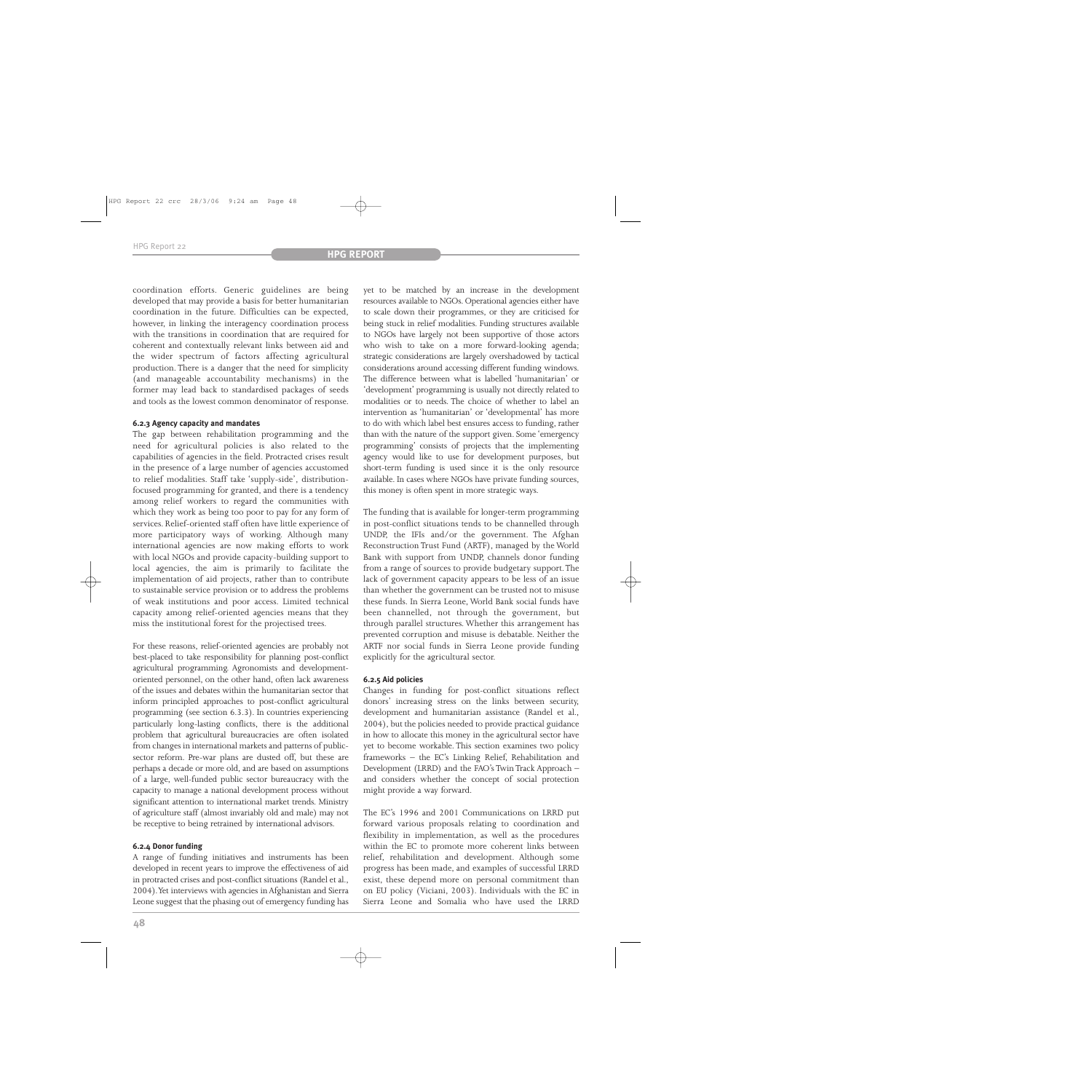coordination efforts. Generic guidelines are being developed that may provide a basis for better humanitarian coordination in the future. Difficulties can be expected, however, in linking the interagency coordination process with the transitions in coordination that are required for coherent and contextually relevant links between aid and the wider spectrum of factors affecting agricultural production. There is a danger that the need for simplicity (and manageable accountability mechanisms) in the former may lead back to standardised packages of seeds and tools as the lowest common denominator of response.

#### **6.2.3 Agency capacity and mandates**

The gap between rehabilitation programming and the need for agricultural policies is also related to the capabilities of agencies in the field. Protracted crises result in the presence of a large number of agencies accustomed to relief modalities. Staff take 'supply-side', distributionfocused programming for granted, and there is a tendency among relief workers to regard the communities with which they work as being too poor to pay for any form of services. Relief-oriented staff often have little experience of more participatory ways of working. Although many international agencies are now making efforts to work with local NGOs and provide capacity-building support to local agencies, the aim is primarily to facilitate the implementation of aid projects, rather than to contribute to sustainable service provision or to address the problems of weak institutions and poor access. Limited technical capacity among relief-oriented agencies means that they miss the institutional forest for the projectised trees.

For these reasons, relief-oriented agencies are probably not best-placed to take responsibility for planning post-conflict agricultural programming. Agronomists and developmentoriented personnel, on the other hand, often lack awareness of the issues and debates within the humanitarian sector that inform principled approaches to post-conflict agricultural programming (see section 6.3.3). In countries experiencing particularly long-lasting conflicts, there is the additional problem that agricultural bureaucracies are often isolated from changes in international markets and patterns of publicsector reform. Pre-war plans are dusted off, but these are perhaps a decade or more old, and are based on assumptions of a large, well-funded public sector bureaucracy with the capacity to manage a national development process without significant attention to international market trends. Ministry of agriculture staff (almost invariably old and male) may not be receptive to being retrained by international advisors.

#### **6.2.4 Donor funding**

A range of funding initiatives and instruments has been developed in recent years to improve the effectiveness of aid in protracted crises and post-conflict situations (Randel et al., 2004).Yet interviews with agencies in Afghanistan and Sierra Leone suggest that the phasing out of emergency funding has

yet to be matched by an increase in the development resources available to NGOs. Operational agencies either have to scale down their programmes, or they are criticised for being stuck in relief modalities. Funding structures available to NGOs have largely not been supportive of those actors who wish to take on a more forward-looking agenda; strategic considerations are largely overshadowed by tactical considerations around accessing different funding windows. The difference between what is labelled 'humanitarian' or 'development' programming is usually not directly related to modalities or to needs. The choice of whether to label an intervention as 'humanitarian' or 'developmental' has more to do with which label best ensures access to funding, rather than with the nature of the support given. Some 'emergency programming' consists of projects that the implementing agency would like to use for development purposes, but short-term funding is used since it is the only resource available. In cases where NGOs have private funding sources, this money is often spent in more strategic ways.

The funding that is available for longer-term programming in post-conflict situations tends to be channelled through UNDP, the IFIs and/or the government. The Afghan Reconstruction Trust Fund (ARTF), managed by the World Bank with support from UNDP, channels donor funding from a range of sources to provide budgetary support.The lack of government capacity appears to be less of an issue than whether the government can be trusted not to misuse these funds. In Sierra Leone, World Bank social funds have been channelled, not through the government, but through parallel structures. Whether this arrangement has prevented corruption and misuse is debatable. Neither the ARTF nor social funds in Sierra Leone provide funding explicitly for the agricultural sector.

#### **6.2.5 Aid policies**

Changes in funding for post-conflict situations reflect donors' increasing stress on the links between security, development and humanitarian assistance (Randel et al., 2004), but the policies needed to provide practical guidance in how to allocate this money in the agricultural sector have yet to become workable. This section examines two policy frameworks – the EC's Linking Relief, Rehabilitation and Development (LRRD) and the FAO's Twin Track Approach – and considers whether the concept of social protection might provide a way forward.

The EC's 1996 and 2001 Communications on LRRD put forward various proposals relating to coordination and flexibility in implementation, as well as the procedures within the EC to promote more coherent links between relief, rehabilitation and development. Although some progress has been made, and examples of successful LRRD exist, these depend more on personal commitment than on EU policy (Viciani, 2003). Individuals with the EC in Sierra Leone and Somalia who have used the LRRD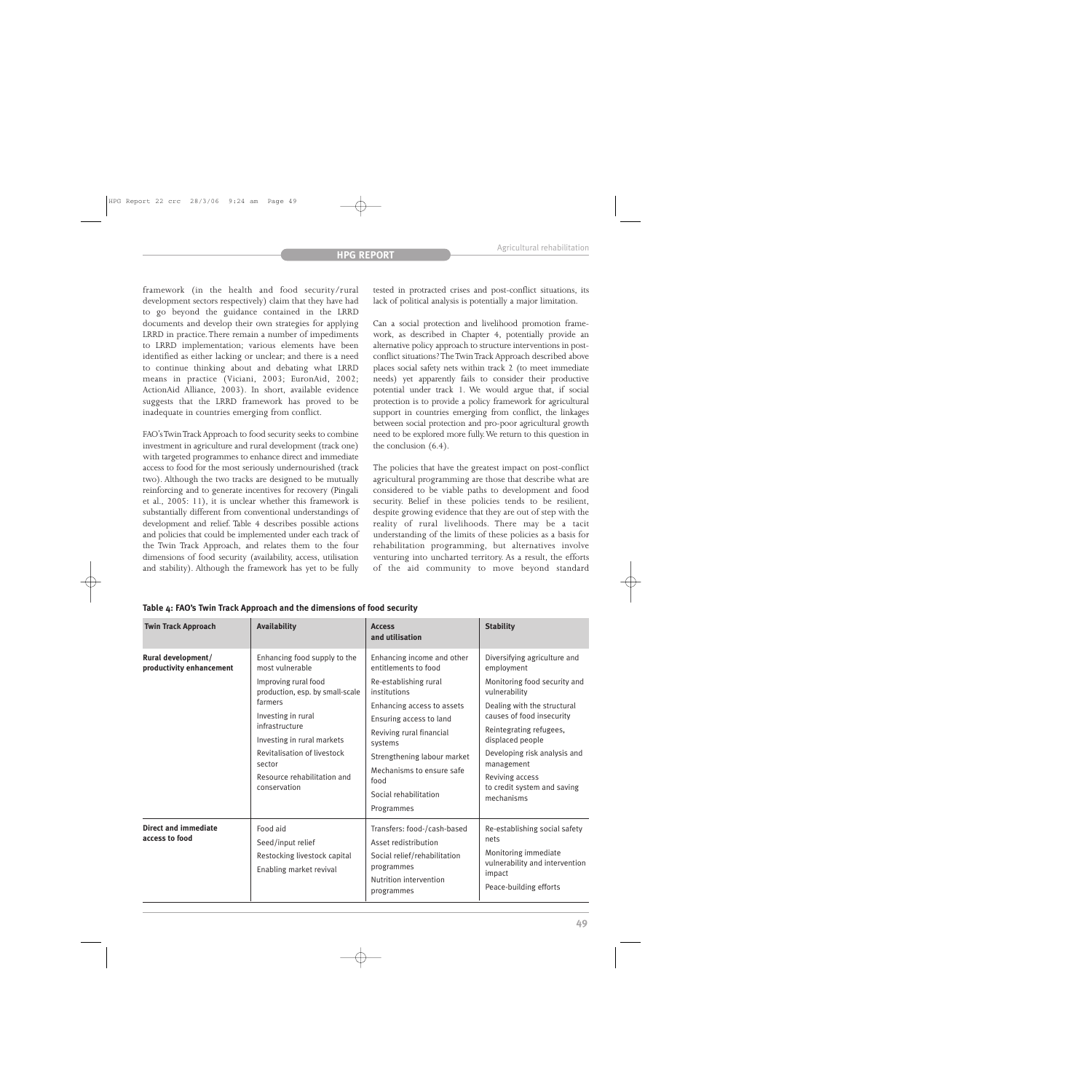framework (in the health and food security/rural development sectors respectively) claim that they have had to go beyond the guidance contained in the LRRD documents and develop their own strategies for applying LRRD in practice. There remain a number of impediments to LRRD implementation; various elements have been identified as either lacking or unclear; and there is a need to continue thinking about and debating what LRRD means in practice (Viciani, 2003; EuronAid, 2002; ActionAid Alliance, 2003). In short, available evidence suggests that the LRRD framework has proved to be inadequate in countries emerging from conflict.

FAO's Twin Track Approach to food security seeks to combine investment in agriculture and rural development (track one) with targeted programmes to enhance direct and immediate access to food for the most seriously undernourished (track two). Although the two tracks are designed to be mutually reinforcing and to generate incentives for recovery (Pingali et al., 2005: 11), it is unclear whether this framework is substantially different from conventional understandings of development and relief. Table 4 describes possible actions and policies that could be implemented under each track of the Twin Track Approach, and relates them to the four dimensions of food security (availability, access, utilisation and stability). Although the framework has yet to be fully

tested in protracted crises and post-conflict situations, its lack of political analysis is potentially a major limitation.

Can a social protection and livelihood promotion framework, as described in Chapter 4, potentially provide an alternative policy approach to structure interventions in postconflict situations? The Twin Track Approach described above places social safety nets within track 2 (to meet immediate needs) yet apparently fails to consider their productive potential under track 1. We would argue that, if social protection is to provide a policy framework for agricultural support in countries emerging from conflict, the linkages between social protection and pro-poor agricultural growth need to be explored more fully.We return to this question in the conclusion (6.4).

The policies that have the greatest impact on post-conflict agricultural programming are those that describe what are considered to be viable paths to development and food security. Belief in these policies tends to be resilient, despite growing evidence that they are out of step with the reality of rural livelihoods. There may be a tacit understanding of the limits of these policies as a basis for rehabilitation programming, but alternatives involve venturing into uncharted territory. As a result, the efforts of the aid community to move beyond standard

| <b>Twin Track Approach</b>                     | <b>Availability</b>                                                                                                                                                                                                                                                                 | <b>Access</b><br>and utilisation                                                                                                                                                                                                                                                                       | <b>Stability</b>                                                                                                                                                                                                                                                                                                     |
|------------------------------------------------|-------------------------------------------------------------------------------------------------------------------------------------------------------------------------------------------------------------------------------------------------------------------------------------|--------------------------------------------------------------------------------------------------------------------------------------------------------------------------------------------------------------------------------------------------------------------------------------------------------|----------------------------------------------------------------------------------------------------------------------------------------------------------------------------------------------------------------------------------------------------------------------------------------------------------------------|
| Rural development/<br>productivity enhancement | Enhancing food supply to the<br>most vulnerable<br>Improving rural food<br>production, esp. by small-scale<br>farmers<br>Investing in rural<br>infrastructure<br>Investing in rural markets<br>Revitalisation of livestock<br>sector<br>Resource rehabilitation and<br>conservation | Enhancing income and other<br>entitlements to food<br>Re-establishing rural<br>institutions<br>Enhancing access to assets<br>Ensuring access to land<br>Reviving rural financial<br>systems<br>Strengthening labour market<br>Mechanisms to ensure safe<br>food<br>Social rehabilitation<br>Programmes | Diversifying agriculture and<br>employment<br>Monitoring food security and<br>vulnerability<br>Dealing with the structural<br>causes of food insecurity<br>Reintegrating refugees,<br>displaced people<br>Developing risk analysis and<br>management<br>Reviving access<br>to credit system and saving<br>mechanisms |
| <b>Direct and immediate</b><br>access to food  | Food aid<br>Seed/input relief<br>Restocking livestock capital<br>Enabling market revival                                                                                                                                                                                            | Transfers: food-/cash-based<br>Asset redistribution<br>Social relief/rehabilitation<br>programmes<br>Nutrition intervention<br>programmes                                                                                                                                                              | Re-establishing social safety<br>nets<br>Monitoring immediate<br>vulnerability and intervention<br>impact<br>Peace-building efforts                                                                                                                                                                                  |

**Table 4: FAO's Twin Track Approach and the dimensions of food security**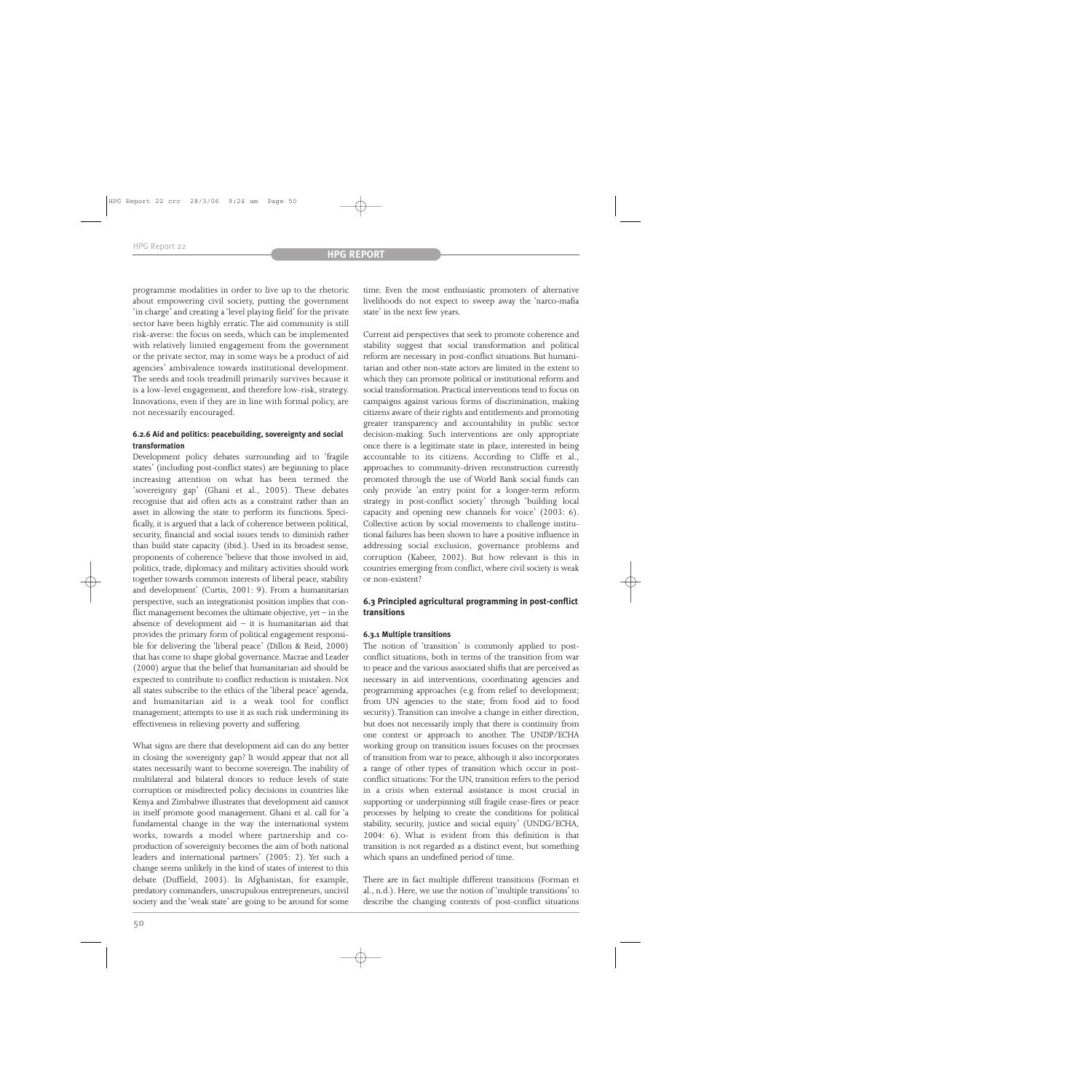programme modalities in order to live up to the rhetoric about empowering civil society, putting the government 'in charge' and creating a 'level playing field' for the private sector have been highly erratic. The aid community is still risk-averse: the focus on seeds, which can be implemented with relatively limited engagement from the government or the private sector, may in some ways be a product of aid agencies' ambivalence towards institutional development. The seeds and tools treadmill primarily survives because it is a low-level engagement, and therefore low-risk, strategy. Innovations, even if they are in line with formal policy, are not necessarily encouraged.

#### **6.2.6 Aid and politics: peacebuilding, sovereignty and social transformation**

Development policy debates surrounding aid to 'fragile states' (including post-conflict states) are beginning to place increasing attention on what has been termed the 'sovereignty gap' (Ghani et al., 2005). These debates recognise that aid often acts as a constraint rather than an asset in allowing the state to perform its functions. Specifically, it is argued that a lack of coherence between political, security, financial and social issues tends to diminish rather than build state capacity (ibid.). Used in its broadest sense, proponents of coherence 'believe that those involved in aid, politics, trade, diplomacy and military activities should work together towards common interests of liberal peace, stability and development' (Curtis, 2001: 9). From a humanitarian perspective, such an integrationist position implies that conflict management becomes the ultimate objective, yet – in the absence of development aid  $-$  it is humanitarian aid that provides the primary form of political engagement responsible for delivering the 'liberal peace' (Dillon & Reid, 2000) that has come to shape global governance. Macrae and Leader (2000) argue that the belief that humanitarian aid should be expected to contribute to conflict reduction is mistaken. Not all states subscribe to the ethics of the 'liberal peace' agenda, and humanitarian aid is a weak tool for conflict management; attempts to use it as such risk undermining its effectiveness in relieving poverty and suffering.

What signs are there that development aid can do any better in closing the sovereignty gap? It would appear that not all states necessarily want to become sovereign.The inability of multilateral and bilateral donors to reduce levels of state corruption or misdirected policy decisions in countries like Kenya and Zimbabwe illustrates that development aid cannot in itself promote good management. Ghani et al. call for 'a fundamental change in the way the international system works, towards a model where partnership and coproduction of sovereignty becomes the aim of both national leaders and international partners' (2005: 2). Yet such a change seems unlikely in the kind of states of interest to this debate (Duffield, 2003). In Afghanistan, for example, predatory commanders, unscrupulous entrepreneurs, uncivil society and the 'weak state' are going to be around for some

time. Even the most enthusiastic promoters of alternative livelihoods do not expect to sweep away the 'narco-mafia state' in the next few years.

Current aid perspectives that seek to promote coherence and stability suggest that social transformation and political reform are necessary in post-conflict situations. But humanitarian and other non-state actors are limited in the extent to which they can promote political or institutional reform and social transformation. Practical interventions tend to focus on campaigns against various forms of discrimination, making citizens aware of their rights and entitlements and promoting greater transparency and accountability in public sector decision-making. Such interventions are only appropriate once there is a legitimate state in place, interested in being accountable to its citizens. According to Cliffe et al., approaches to community-driven reconstruction currently promoted through the use of World Bank social funds can only provide 'an entry point for a longer-term reform strategy in post-conflict society' through 'building local capacity and opening new channels for voice' (2003: 6). Collective action by social movements to challenge institutional failures has been shown to have a positive influence in addressing social exclusion, governance problems and corruption (Kabeer, 2002). But how relevant is this in countries emerging from conflict, where civil society is weak or non-existent?

#### **6.3 Principled agricultural programming in post-conflict transitions**

#### **6.3.1 Multiple transitions**

The notion of 'transition' is commonly applied to postconflict situations, both in terms of the transition from war to peace and the various associated shifts that are perceived as necessary in aid interventions, coordinating agencies and programming approaches (e.g. from relief to development; from UN agencies to the state; from food aid to food security). Transition can involve a change in either direction, but does not necessarily imply that there is continuity from one context or approach to another. The UNDP/ECHA working group on transition issues focuses on the processes of transition from war to peace, although it also incorporates a range of other types of transition which occur in postconflict situations:'For the UN, transition refers to the period in a crisis when external assistance is most crucial in supporting or underpinning still fragile cease-fires or peace processes by helping to create the conditions for political stability, security, justice and social equity' (UNDG/ECHA, 2004: 6). What is evident from this definition is that transition is not regarded as a distinct event, but something which spans an undefined period of time.

There are in fact multiple different transitions (Forman et al., n.d.). Here, we use the notion of 'multiple transitions' to describe the changing contexts of post-conflict situations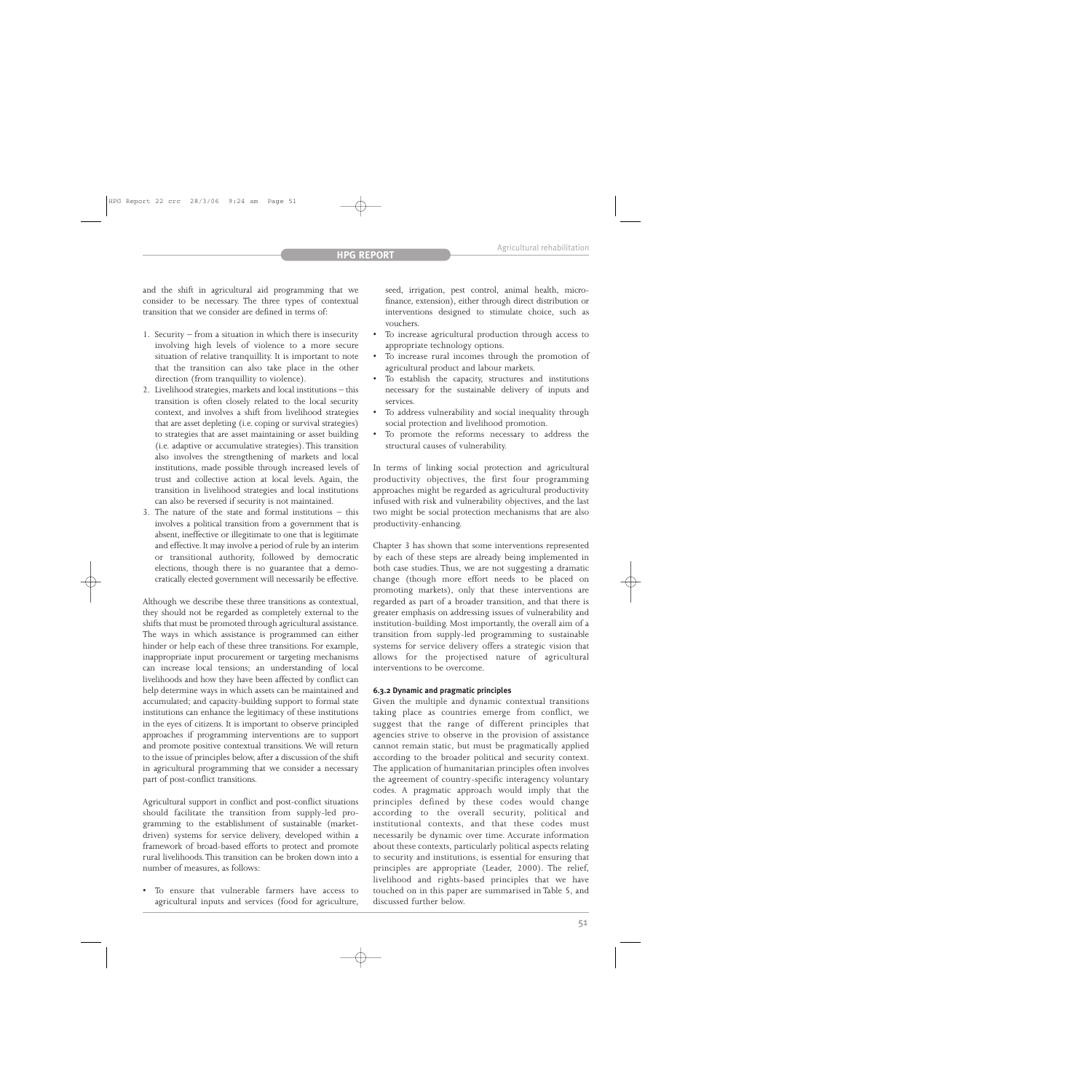and the shift in agricultural aid programming that we consider to be necessary. The three types of contextual transition that we consider are defined in terms of:

- 1. Security from a situation in which there is insecurity involving high levels of violence to a more secure situation of relative tranquillity. It is important to note that the transition can also take place in the other direction (from tranquillity to violence).
- 2. Livelihood strategies, markets and local institutions this transition is often closely related to the local security context, and involves a shift from livelihood strategies that are asset depleting (i.e. coping or survival strategies) to strategies that are asset maintaining or asset building (i.e. adaptive or accumulative strategies). This transition also involves the strengthening of markets and local institutions, made possible through increased levels of trust and collective action at local levels. Again, the transition in livelihood strategies and local institutions can also be reversed if security is not maintained.
- 3. The nature of the state and formal institutions this involves a political transition from a government that is absent, ineffective or illegitimate to one that is legitimate and effective. It may involve a period of rule by an interim or transitional authority, followed by democratic elections, though there is no guarantee that a democratically elected government will necessarily be effective.

Although we describe these three transitions as contextual, they should not be regarded as completely external to the shifts that must be promoted through agricultural assistance. The ways in which assistance is programmed can either hinder or help each of these three transitions. For example, inappropriate input procurement or targeting mechanisms can increase local tensions; an understanding of local livelihoods and how they have been affected by conflict can help determine ways in which assets can be maintained and accumulated; and capacity-building support to formal state institutions can enhance the legitimacy of these institutions in the eyes of citizens. It is important to observe principled approaches if programming interventions are to support and promote positive contextual transitions. We will return to the issue of principles below, after a discussion of the shift in agricultural programming that we consider a necessary part of post-conflict transitions.

Agricultural support in conflict and post-conflict situations should facilitate the transition from supply-led programming to the establishment of sustainable (marketdriven) systems for service delivery, developed within a framework of broad-based efforts to protect and promote rural livelihoods.This transition can be broken down into a number of measures, as follows:

To ensure that vulnerable farmers have access to agricultural inputs and services (food for agriculture,

seed, irrigation, pest control, animal health, microfinance, extension), either through direct distribution or interventions designed to stimulate choice, such as vouchers.

- To increase agricultural production through access to appropriate technology options.
- To increase rural incomes through the promotion of agricultural product and labour markets.
- To establish the capacity, structures and institutions necessary for the sustainable delivery of inputs and services.
- To address vulnerability and social inequality through social protection and livelihood promotion.
- To promote the reforms necessary to address the structural causes of vulnerability.

In terms of linking social protection and agricultural productivity objectives, the first four programming approaches might be regarded as agricultural productivity infused with risk and vulnerability objectives, and the last two might be social protection mechanisms that are also productivity-enhancing.

Chapter 3 has shown that some interventions represented by each of these steps are already being implemented in both case studies. Thus, we are not suggesting a dramatic change (though more effort needs to be placed on promoting markets), only that these interventions are regarded as part of a broader transition, and that there is greater emphasis on addressing issues of vulnerability and institution-building. Most importantly, the overall aim of a transition from supply-led programming to sustainable systems for service delivery offers a strategic vision that allows for the projectised nature of agricultural interventions to be overcome.

#### **6.3.2 Dynamic and pragmatic principles**

Given the multiple and dynamic contextual transitions taking place as countries emerge from conflict, we suggest that the range of different principles that agencies strive to observe in the provision of assistance cannot remain static, but must be pragmatically applied according to the broader political and security context. The application of humanitarian principles often involves the agreement of country-specific interagency voluntary codes. A pragmatic approach would imply that the principles defined by these codes would change according to the overall security, political and institutional contexts, and that these codes must necessarily be dynamic over time. Accurate information about these contexts, particularly political aspects relating to security and institutions, is essential for ensuring that principles are appropriate (Leader, 2000). The relief, livelihood and rights-based principles that we have touched on in this paper are summarised in Table 5, and discussed further below.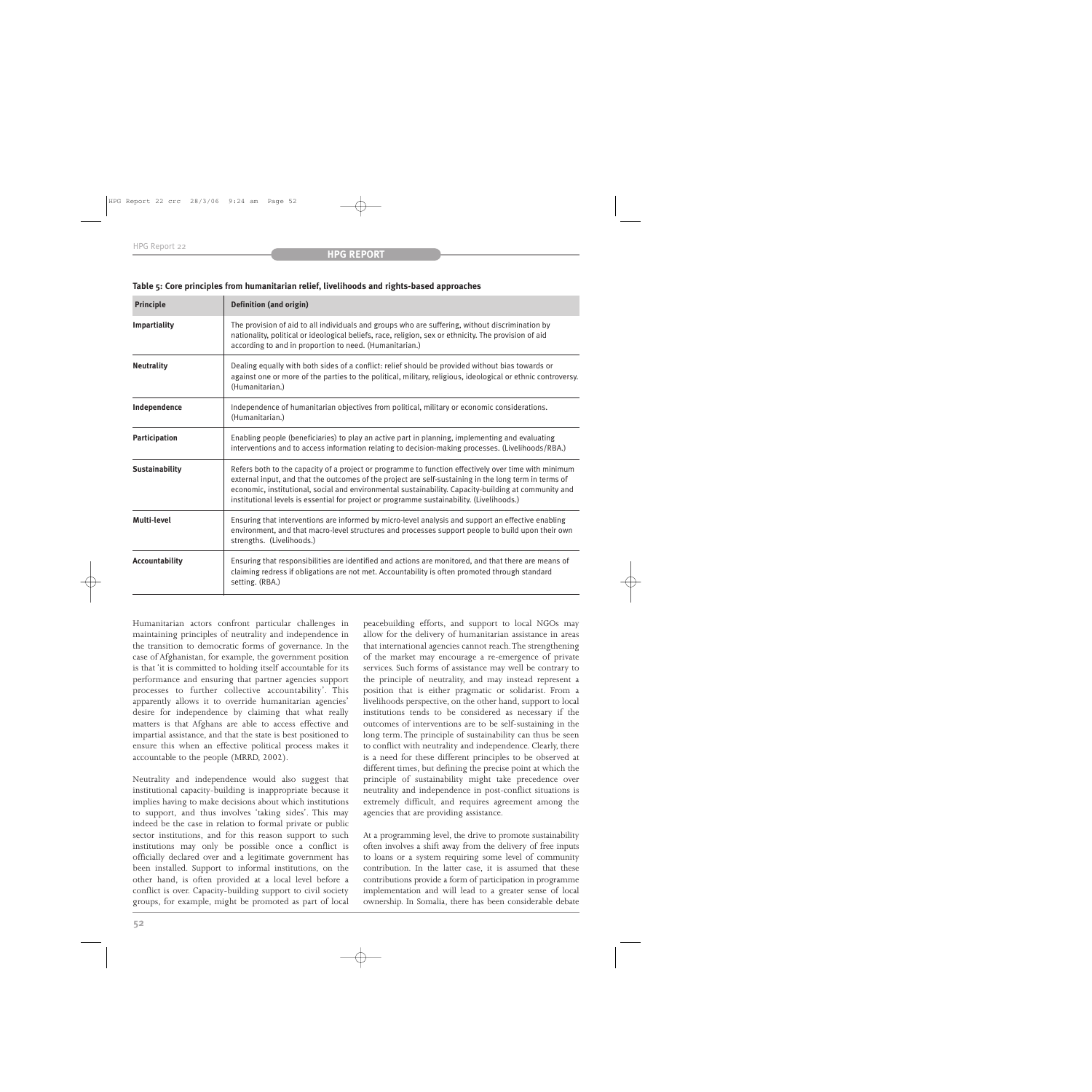| <b>Principle</b>      | <b>Definition (and origin)</b>                                                                                                                                                                                                                                                                                                                                                                                     |
|-----------------------|--------------------------------------------------------------------------------------------------------------------------------------------------------------------------------------------------------------------------------------------------------------------------------------------------------------------------------------------------------------------------------------------------------------------|
| Impartiality          | The provision of aid to all individuals and groups who are suffering, without discrimination by<br>nationality, political or ideological beliefs, race, religion, sex or ethnicity. The provision of aid<br>according to and in proportion to need. (Humanitarian.)                                                                                                                                                |
| <b>Neutrality</b>     | Dealing equally with both sides of a conflict: relief should be provided without bias towards or<br>against one or more of the parties to the political, military, religious, ideological or ethnic controversy.<br>(Humanitarian.)                                                                                                                                                                                |
| Independence          | Independence of humanitarian objectives from political, military or economic considerations.<br>(Humanitarian.)                                                                                                                                                                                                                                                                                                    |
| Participation         | Enabling people (beneficiaries) to play an active part in planning, implementing and evaluating<br>interventions and to access information relating to decision-making processes. (Livelihoods/RBA.)                                                                                                                                                                                                               |
| <b>Sustainability</b> | Refers both to the capacity of a project or programme to function effectively over time with minimum<br>external input, and that the outcomes of the project are self-sustaining in the long term in terms of<br>economic, institutional, social and environmental sustainability. Capacity-building at community and<br>institutional levels is essential for project or programme sustainability. (Livelihoods.) |
| <b>Multi-level</b>    | Ensuring that interventions are informed by micro-level analysis and support an effective enabling<br>environment, and that macro-level structures and processes support people to build upon their own<br>strengths. (Livelihoods.)                                                                                                                                                                               |
| Accountability        | Ensuring that responsibilities are identified and actions are monitored, and that there are means of<br>claiming redress if obligations are not met. Accountability is often promoted through standard<br>setting. (RBA.)                                                                                                                                                                                          |

#### **Table 5: Core principles from humanitarian relief, livelihoods and rights-based approaches**

Humanitarian actors confront particular challenges in maintaining principles of neutrality and independence in the transition to democratic forms of governance. In the case of Afghanistan, for example, the government position is that 'it is committed to holding itself accountable for its performance and ensuring that partner agencies support processes to further collective accountability'. This apparently allows it to override humanitarian agencies' desire for independence by claiming that what really matters is that Afghans are able to access effective and impartial assistance, and that the state is best positioned to ensure this when an effective political process makes it accountable to the people (MRRD, 2002).

Neutrality and independence would also suggest that institutional capacity-building is inappropriate because it implies having to make decisions about which institutions to support, and thus involves 'taking sides'. This may indeed be the case in relation to formal private or public sector institutions, and for this reason support to such institutions may only be possible once a conflict is officially declared over and a legitimate government has been installed. Support to informal institutions, on the other hand, is often provided at a local level before a conflict is over. Capacity-building support to civil society groups, for example, might be promoted as part of local

peacebuilding efforts, and support to local NGOs may allow for the delivery of humanitarian assistance in areas that international agencies cannot reach.The strengthening of the market may encourage a re-emergence of private services. Such forms of assistance may well be contrary to the principle of neutrality, and may instead represent a position that is either pragmatic or solidarist. From a livelihoods perspective, on the other hand, support to local institutions tends to be considered as necessary if the outcomes of interventions are to be self-sustaining in the long term. The principle of sustainability can thus be seen to conflict with neutrality and independence. Clearly, there is a need for these different principles to be observed at different times, but defining the precise point at which the principle of sustainability might take precedence over neutrality and independence in post-conflict situations is extremely difficult, and requires agreement among the agencies that are providing assistance.

At a programming level, the drive to promote sustainability often involves a shift away from the delivery of free inputs to loans or a system requiring some level of community contribution. In the latter case, it is assumed that these contributions provide a form of participation in programme implementation and will lead to a greater sense of local ownership. In Somalia, there has been considerable debate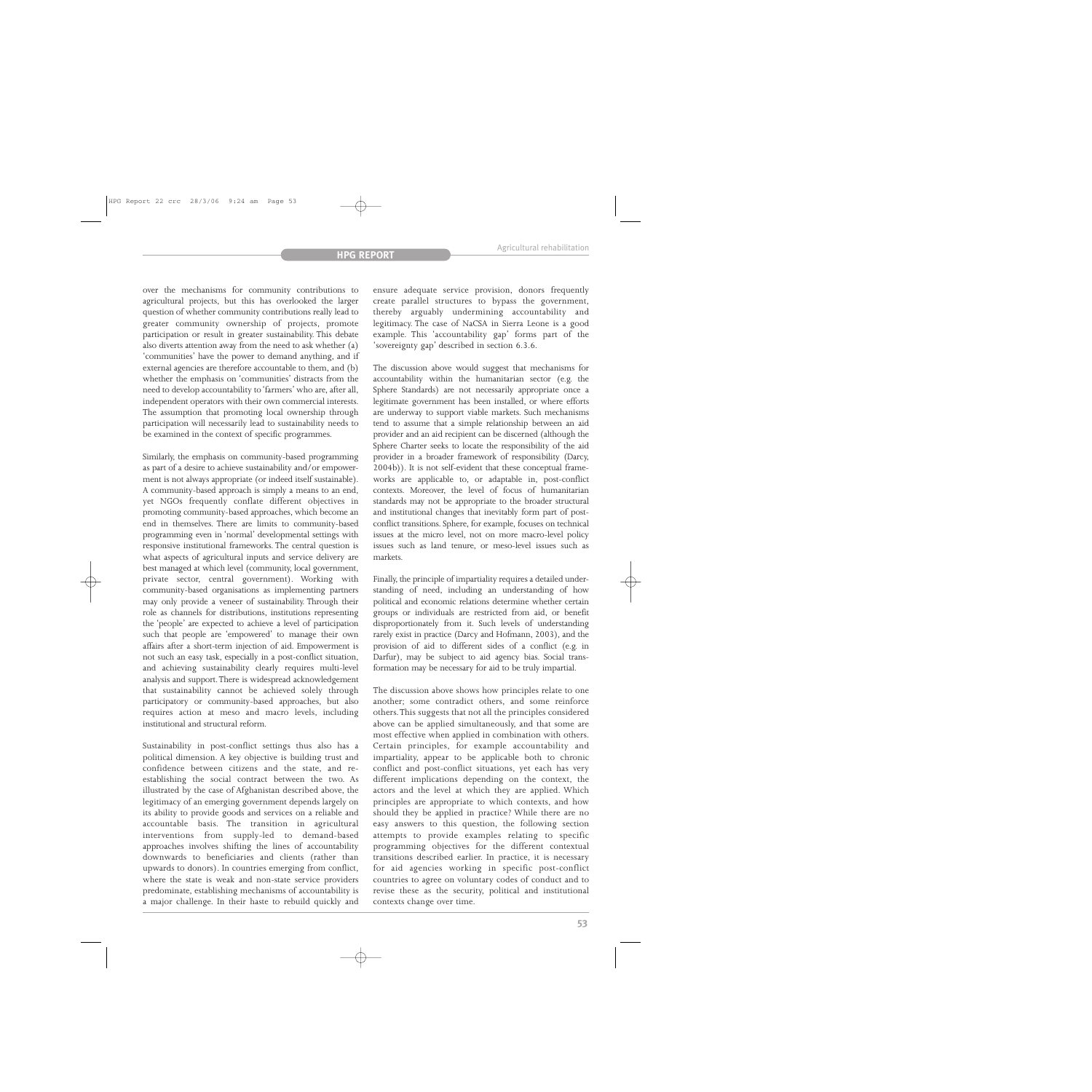over the mechanisms for community contributions to agricultural projects, but this has overlooked the larger question of whether community contributions really lead to greater community ownership of projects, promote participation or result in greater sustainability. This debate also diverts attention away from the need to ask whether (a) 'communities' have the power to demand anything, and if external agencies are therefore accountable to them, and (b) whether the emphasis on 'communities' distracts from the need to develop accountability to 'farmers' who are, after all, independent operators with their own commercial interests. The assumption that promoting local ownership through participation will necessarily lead to sustainability needs to be examined in the context of specific programmes.

Similarly, the emphasis on community-based programming as part of a desire to achieve sustainability and/or empowerment is not always appropriate (or indeed itself sustainable). A community-based approach is simply a means to an end, yet NGOs frequently conflate different objectives in promoting community-based approaches, which become an end in themselves. There are limits to community-based programming even in 'normal' developmental settings with responsive institutional frameworks. The central question is what aspects of agricultural inputs and service delivery are best managed at which level (community, local government, private sector, central government). Working with community-based organisations as implementing partners may only provide a veneer of sustainability. Through their role as channels for distributions, institutions representing the 'people' are expected to achieve a level of participation such that people are 'empowered' to manage their own affairs after a short-term injection of aid. Empowerment is not such an easy task, especially in a post-conflict situation, and achieving sustainability clearly requires multi-level analysis and support.There is widespread acknowledgement that sustainability cannot be achieved solely through participatory or community-based approaches, but also requires action at meso and macro levels, including institutional and structural reform.

Sustainability in post-conflict settings thus also has a political dimension. A key objective is building trust and confidence between citizens and the state, and reestablishing the social contract between the two. As illustrated by the case of Afghanistan described above, the legitimacy of an emerging government depends largely on its ability to provide goods and services on a reliable and accountable basis. The transition in agricultural interventions from supply-led to demand-based approaches involves shifting the lines of accountability downwards to beneficiaries and clients (rather than upwards to donors). In countries emerging from conflict, where the state is weak and non-state service providers predominate, establishing mechanisms of accountability is a major challenge. In their haste to rebuild quickly and ensure adequate service provision, donors frequently create parallel structures to bypass the government, thereby arguably undermining accountability and legitimacy. The case of NaCSA in Sierra Leone is a good example. This 'accountability gap' forms part of the 'sovereignty gap' described in section 6.3.6.

The discussion above would suggest that mechanisms for accountability within the humanitarian sector (e.g. the Sphere Standards) are not necessarily appropriate once a legitimate government has been installed, or where efforts are underway to support viable markets. Such mechanisms tend to assume that a simple relationship between an aid provider and an aid recipient can be discerned (although the Sphere Charter seeks to locate the responsibility of the aid provider in a broader framework of responsibility (Darcy, 2004b)). It is not self-evident that these conceptual frameworks are applicable to, or adaptable in, post-conflict contexts. Moreover, the level of focus of humanitarian standards may not be appropriate to the broader structural and institutional changes that inevitably form part of postconflict transitions. Sphere, for example, focuses on technical issues at the micro level, not on more macro-level policy issues such as land tenure, or meso-level issues such as markets.

Finally, the principle of impartiality requires a detailed understanding of need, including an understanding of how political and economic relations determine whether certain groups or individuals are restricted from aid, or benefit disproportionately from it. Such levels of understanding rarely exist in practice (Darcy and Hofmann, 2003), and the provision of aid to different sides of a conflict (e.g. in Darfur), may be subject to aid agency bias. Social transformation may be necessary for aid to be truly impartial.

The discussion above shows how principles relate to one another; some contradict others, and some reinforce others.This suggests that not all the principles considered above can be applied simultaneously, and that some are most effective when applied in combination with others. Certain principles, for example accountability and impartiality, appear to be applicable both to chronic conflict and post-conflict situations, yet each has very different implications depending on the context, the actors and the level at which they are applied. Which principles are appropriate to which contexts, and how should they be applied in practice? While there are no easy answers to this question, the following section attempts to provide examples relating to specific programming objectives for the different contextual transitions described earlier. In practice, it is necessary for aid agencies working in specific post-conflict countries to agree on voluntary codes of conduct and to revise these as the security, political and institutional contexts change over time.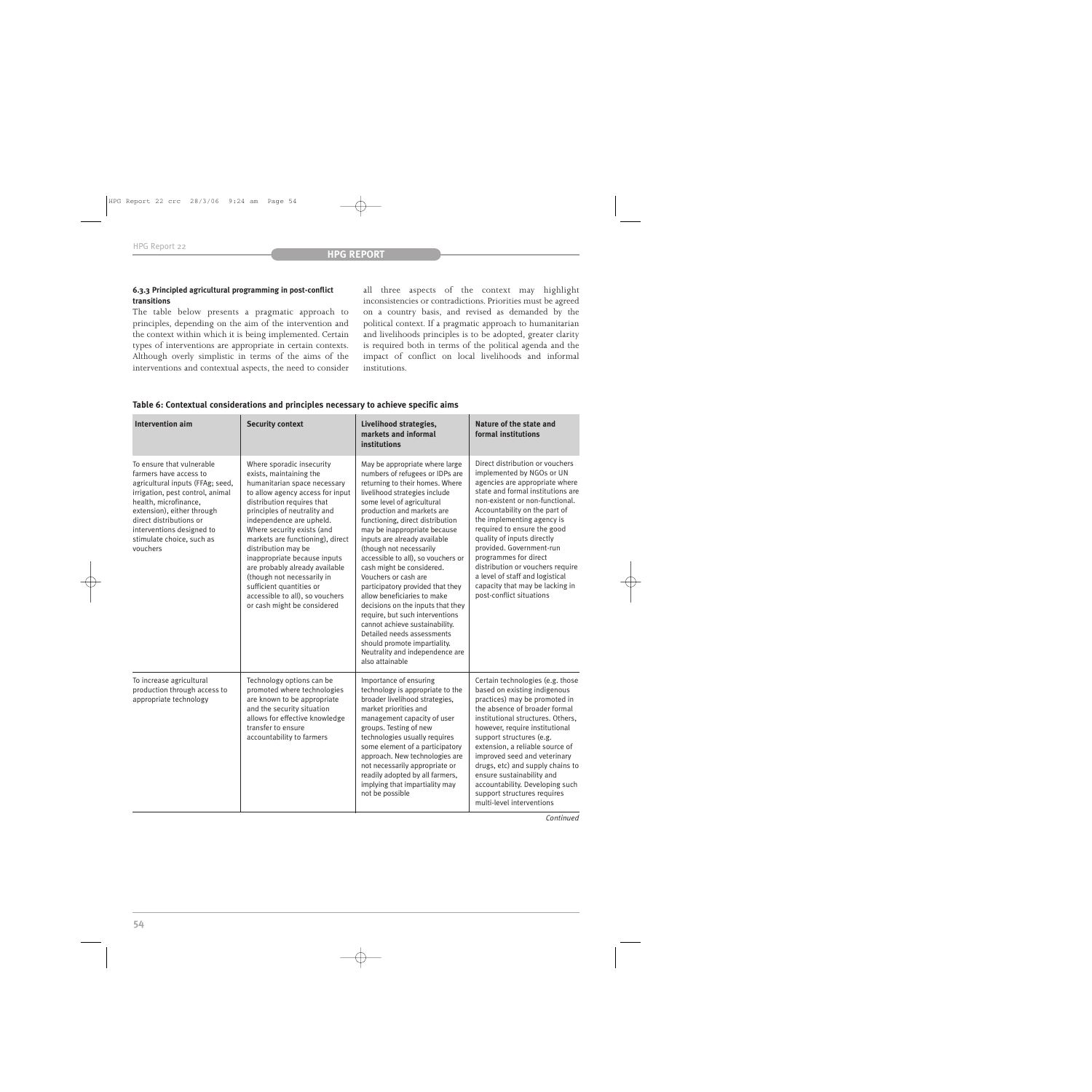#### **6.3.3 Principled agricultural programming in post-conflict transitions**

The table below presents a pragmatic approach to principles, depending on the aim of the intervention and the context within which it is being implemented. Certain types of interventions are appropriate in certain contexts. Although overly simplistic in terms of the aims of the interventions and contextual aspects, the need to consider all three aspects of the context may highlight inconsistencies or contradictions. Priorities must be agreed on a country basis, and revised as demanded by the political context. If a pragmatic approach to humanitarian and livelihoods principles is to be adopted, greater clarity is required both in terms of the political agenda and the impact of conflict on local livelihoods and informal institutions.

| Intervention aim                                                                                                                                                                                                                                                                    | <b>Security context</b>                                                                                                                                                                                                                                                                                                                                                                                                                                                                                   | Livelihood strategies,<br>markets and informal<br>institutions                                                                                                                                                                                                                                                                                                                                                                                                                                                                                                                                                                                                                                                               | Nature of the state and<br>formal institutions                                                                                                                                                                                                                                                                                                                                                                                                                                                |
|-------------------------------------------------------------------------------------------------------------------------------------------------------------------------------------------------------------------------------------------------------------------------------------|-----------------------------------------------------------------------------------------------------------------------------------------------------------------------------------------------------------------------------------------------------------------------------------------------------------------------------------------------------------------------------------------------------------------------------------------------------------------------------------------------------------|------------------------------------------------------------------------------------------------------------------------------------------------------------------------------------------------------------------------------------------------------------------------------------------------------------------------------------------------------------------------------------------------------------------------------------------------------------------------------------------------------------------------------------------------------------------------------------------------------------------------------------------------------------------------------------------------------------------------------|-----------------------------------------------------------------------------------------------------------------------------------------------------------------------------------------------------------------------------------------------------------------------------------------------------------------------------------------------------------------------------------------------------------------------------------------------------------------------------------------------|
| To ensure that vulnerable<br>farmers have access to<br>agricultural inputs (FFAg; seed,<br>irrigation, pest control, animal<br>health, microfinance,<br>extension), either through<br>direct distributions or<br>interventions designed to<br>stimulate choice, such as<br>vouchers | Where sporadic insecurity<br>exists, maintaining the<br>humanitarian space necessary<br>to allow agency access for input<br>distribution requires that<br>principles of neutrality and<br>independence are upheld.<br>Where security exists (and<br>markets are functioning), direct<br>distribution may be<br>inappropriate because inputs<br>are probably already available<br>(though not necessarily in<br>sufficient quantities or<br>accessible to all), so vouchers<br>or cash might be considered | May be appropriate where large<br>numbers of refugees or IDPs are<br>returning to their homes. Where<br>livelihood strategies include<br>some level of agricultural<br>production and markets are<br>functioning, direct distribution<br>may be inappropriate because<br>inputs are already available<br>(though not necessarily<br>accessible to all), so vouchers or<br>cash might be considered.<br>Vouchers or cash are<br>participatory provided that they<br>allow beneficiaries to make<br>decisions on the inputs that they<br>require, but such interventions<br>cannot achieve sustainability.<br>Detailed needs assessments<br>should promote impartiality.<br>Neutrality and independence are<br>also attainable | Direct distribution or vouchers<br>implemented by NGOs or UN<br>agencies are appropriate where<br>state and formal institutions are<br>non-existent or non-functional.<br>Accountability on the part of<br>the implementing agency is<br>required to ensure the good<br>quality of inputs directly<br>provided. Government-run<br>programmes for direct<br>distribution or vouchers require<br>a level of staff and logistical<br>capacity that may be lacking in<br>post-conflict situations |
| To increase agricultural<br>production through access to<br>appropriate technology                                                                                                                                                                                                  | Technology options can be<br>promoted where technologies<br>are known to be appropriate<br>and the security situation<br>allows for effective knowledge<br>transfer to ensure<br>accountability to farmers                                                                                                                                                                                                                                                                                                | Importance of ensuring<br>technology is appropriate to the<br>broader livelihood strategies,<br>market priorities and<br>management capacity of user<br>groups. Testing of new<br>technologies usually requires<br>some element of a participatory<br>approach. New technologies are<br>not necessarily appropriate or<br>readily adopted by all farmers,<br>implying that impartiality may<br>not be possible                                                                                                                                                                                                                                                                                                               | Certain technologies (e.g. those<br>based on existing indigenous<br>practices) may be promoted in<br>the absence of broader formal<br>institutional structures. Others,<br>however, require institutional<br>support structures (e.g.<br>extension, a reliable source of<br>improved seed and veterinary<br>drugs, etc) and supply chains to<br>ensure sustainability and<br>accountability. Developing such<br>support structures requires<br>multi-level interventions                      |

## **Table 6: Contextual considerations and principles necessary to achieve specific aims**

*Continued*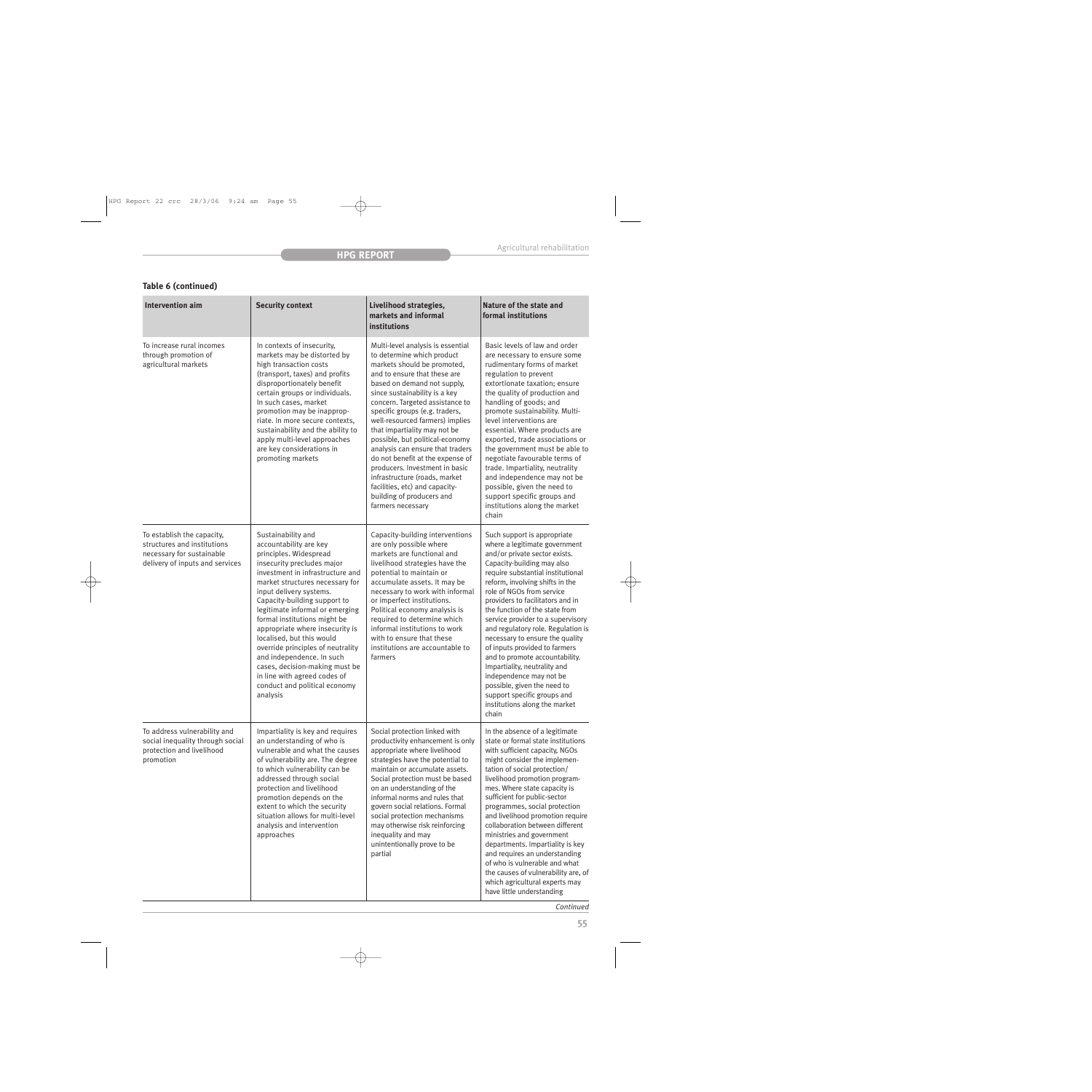# **Table 6 (continued)**

| <b>Intervention aim</b>                                                                                                   | <b>Security context</b>                                                                                                                                                                                                                                                                                                                                                                                                                                                                                                                                    | Livelihood strategies,<br>markets and informal<br>institutions                                                                                                                                                                                                                                                                                                                                                                                                                                                                                                                                           | <b>Nature of the state and</b><br>formal institutions                                                                                                                                                                                                                                                                                                                                                                                                                                                                                                                                                                                                      |
|---------------------------------------------------------------------------------------------------------------------------|------------------------------------------------------------------------------------------------------------------------------------------------------------------------------------------------------------------------------------------------------------------------------------------------------------------------------------------------------------------------------------------------------------------------------------------------------------------------------------------------------------------------------------------------------------|----------------------------------------------------------------------------------------------------------------------------------------------------------------------------------------------------------------------------------------------------------------------------------------------------------------------------------------------------------------------------------------------------------------------------------------------------------------------------------------------------------------------------------------------------------------------------------------------------------|------------------------------------------------------------------------------------------------------------------------------------------------------------------------------------------------------------------------------------------------------------------------------------------------------------------------------------------------------------------------------------------------------------------------------------------------------------------------------------------------------------------------------------------------------------------------------------------------------------------------------------------------------------|
| To increase rural incomes<br>through promotion of<br>agricultural markets                                                 | In contexts of insecurity,<br>markets may be distorted by<br>high transaction costs<br>(transport, taxes) and profits<br>disproportionately benefit<br>certain groups or individuals.<br>In such cases, market<br>promotion may be inapprop-<br>riate. In more secure contexts,<br>sustainability and the ability to<br>apply multi-level approaches<br>are key considerations in<br>promoting markets                                                                                                                                                     | Multi-level analysis is essential<br>to determine which product<br>markets should be promoted,<br>and to ensure that these are<br>based on demand not supply,<br>since sustainability is a key<br>concern. Targeted assistance to<br>specific groups (e.g. traders,<br>well-resourced farmers) implies<br>that impartiality may not be<br>possible, but political-economy<br>analysis can ensure that traders<br>do not benefit at the expense of<br>producers. Investment in basic<br>infrastructure (roads, market<br>facilities, etc) and capacity-<br>building of producers and<br>farmers necessary | Basic levels of law and order<br>are necessary to ensure some<br>rudimentary forms of market<br>regulation to prevent<br>extortionate taxation; ensure<br>the quality of production and<br>handling of goods; and<br>promote sustainability. Multi-<br>level interventions are<br>essential. Where products are<br>exported, trade associations or<br>the government must be able to<br>negotiate favourable terms of<br>trade. Impartiality, neutrality<br>and independence may not be<br>possible, given the need to<br>support specific groups and<br>institutions along the market<br>chain                                                            |
| To establish the capacity,<br>structures and institutions<br>necessary for sustainable<br>delivery of inputs and services | Sustainability and<br>accountability are key<br>principles. Widespread<br>insecurity precludes major<br>investment in infrastructure and<br>market structures necessary for<br>input delivery systems.<br>Capacity-building support to<br>legitimate informal or emerging<br>formal institutions might be<br>appropriate where insecurity is<br>localised, but this would<br>override principles of neutrality<br>and independence. In such<br>cases, decision-making must be<br>in line with agreed codes of<br>conduct and political economy<br>analysis | Capacity-building interventions<br>are only possible where<br>markets are functional and<br>livelihood strategies have the<br>potential to maintain or<br>accumulate assets. It may be<br>necessary to work with informal<br>or imperfect institutions.<br>Political economy analysis is<br>required to determine which<br>informal institutions to work<br>with to ensure that these<br>institutions are accountable to<br>farmers                                                                                                                                                                      | Such support is appropriate<br>where a legitimate government<br>and/or private sector exists.<br>Capacity-building may also<br>require substantial institutional<br>reform, involving shifts in the<br>role of NGOs from service<br>providers to facilitators and in<br>the function of the state from<br>service provider to a supervisory<br>and regulatory role. Regulation is<br>necessary to ensure the quality<br>of inputs provided to farmers<br>and to promote accountability.<br>Impartiality, neutrality and<br>independence may not be<br>possible, given the need to<br>support specific groups and<br>institutions along the market<br>chain |
| To address vulnerability and<br>social inequality through social<br>protection and livelihood<br>promotion                | Impartiality is key and requires<br>an understanding of who is<br>vulnerable and what the causes<br>of vulnerability are. The degree<br>to which vulnerability can be<br>addressed through social<br>protection and livelihood<br>promotion depends on the<br>extent to which the security<br>situation allows for multi-level<br>analysis and intervention<br>approaches                                                                                                                                                                                  | Social protection linked with<br>productivity enhancement is only<br>appropriate where livelihood<br>strategies have the potential to<br>maintain or accumulate assets.<br>Social protection must be based<br>on an understanding of the<br>informal norms and rules that<br>govern social relations. Formal<br>social protection mechanisms<br>may otherwise risk reinforcing<br>inequality and may<br>unintentionally prove to be<br>partial                                                                                                                                                           | In the absence of a legitimate<br>state or formal state institutions<br>with sufficient capacity, NGOs<br>might consider the implemen-<br>tation of social protection/<br>livelihood promotion program-<br>mes. Where state capacity is<br>sufficient for public-sector<br>programmes, social protection<br>and livelihood promotion require<br>collaboration between different<br>ministries and government<br>departments. Impartiality is key<br>and requires an understanding<br>of who is vulnerable and what<br>the causes of vulnerability are, of<br>which agricultural experts may<br>have little understanding                                   |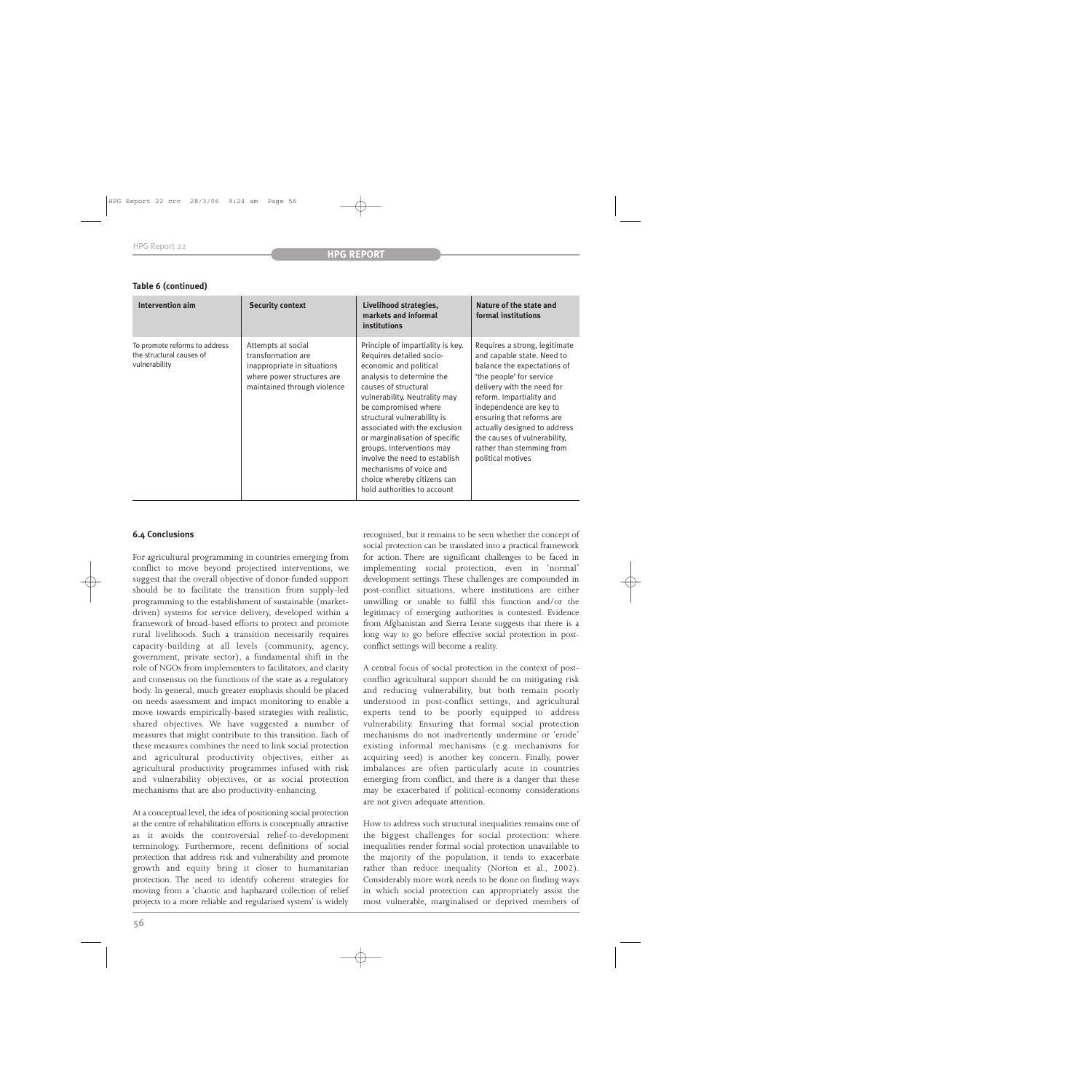# **Table 6 (continued)**

| Intervention aim                                                           | <b>Security context</b>                                                                                                              | Livelihood strategies,<br>markets and informal<br><b>institutions</b>                                                                                                                                                                                                                                                                                                                                                                                          | Nature of the state and<br>formal institutions                                                                                                                                                                                                                                                                                                             |
|----------------------------------------------------------------------------|--------------------------------------------------------------------------------------------------------------------------------------|----------------------------------------------------------------------------------------------------------------------------------------------------------------------------------------------------------------------------------------------------------------------------------------------------------------------------------------------------------------------------------------------------------------------------------------------------------------|------------------------------------------------------------------------------------------------------------------------------------------------------------------------------------------------------------------------------------------------------------------------------------------------------------------------------------------------------------|
| To promote reforms to address<br>the structural causes of<br>vulnerability | Attempts at social<br>transformation are<br>inappropriate in situations<br>where power structures are<br>maintained through violence | Principle of impartiality is key.<br>Requires detailed socio-<br>economic and political<br>analysis to determine the<br>causes of structural<br>vulnerability. Neutrality may<br>be compromised where<br>structural vulnerability is<br>associated with the exclusion<br>or marginalisation of specific<br>groups. Interventions may<br>involve the need to establish<br>mechanisms of voice and<br>choice whereby citizens can<br>hold authorities to account | Requires a strong, legitimate<br>and capable state. Need to<br>balance the expectations of<br>'the people' for service<br>delivery with the need for<br>reform. Impartiality and<br>independence are key to<br>ensuring that reforms are<br>actually designed to address<br>the causes of vulnerability,<br>rather than stemming from<br>political motives |

# **6.4 Conclusions**

For agricultural programming in countries emerging from conflict to move beyond projectised interventions, we suggest that the overall objective of donor-funded support should be to facilitate the transition from supply-led programming to the establishment of sustainable (marketdriven) systems for service delivery, developed within a framework of broad-based efforts to protect and promote rural livelihoods. Such a transition necessarily requires capacity-building at all levels (community, agency, government, private sector), a fundamental shift in the role of NGOs from implementers to facilitators, and clarity and consensus on the functions of the state as a regulatory body. In general, much greater emphasis should be placed on needs assessment and impact monitoring to enable a move towards empirically-based strategies with realistic, shared objectives. We have suggested a number of measures that might contribute to this transition. Each of these measures combines the need to link social protection and agricultural productivity objectives, either as agricultural productivity programmes infused with risk and vulnerability objectives, or as social protection mechanisms that are also productivity-enhancing.

At a conceptual level, the idea of positioning social protection at the centre of rehabilitation efforts is conceptually attractive as it avoids the controversial relief-to-development terminology. Furthermore, recent definitions of social protection that address risk and vulnerability and promote growth and equity bring it closer to humanitarian protection. The need to identify coherent strategies for moving from a 'chaotic and haphazard collection of relief projects to a more reliable and regularised system' is widely

recognised, but it remains to be seen whether the concept of social protection can be translated into a practical framework for action. There are significant challenges to be faced in implementing social protection, even in 'normal' development settings. These challenges are compounded in post-conflict situations, where institutions are either unwilling or unable to fulfil this function and/or the legitimacy of emerging authorities is contested. Evidence from Afghanistan and Sierra Leone suggests that there is a long way to go before effective social protection in postconflict settings will become a reality.

A central focus of social protection in the context of postconflict agricultural support should be on mitigating risk and reducing vulnerability, but both remain poorly understood in post-conflict settings, and agricultural experts tend to be poorly equipped to address vulnerability. Ensuring that formal social protection mechanisms do not inadvertently undermine or 'erode' existing informal mechanisms (e.g. mechanisms for acquiring seed) is another key concern. Finally, power imbalances are often particularly acute in countries emerging from conflict, and there is a danger that these may be exacerbated if political-economy considerations are not given adequate attention.

How to address such structural inequalities remains one of the biggest challenges for social protection: where inequalities render formal social protection unavailable to the majority of the population, it tends to exacerbate rather than reduce inequality (Norton et al., 2002). Considerably more work needs to be done on finding ways in which social protection can appropriately assist the most vulnerable, marginalised or deprived members of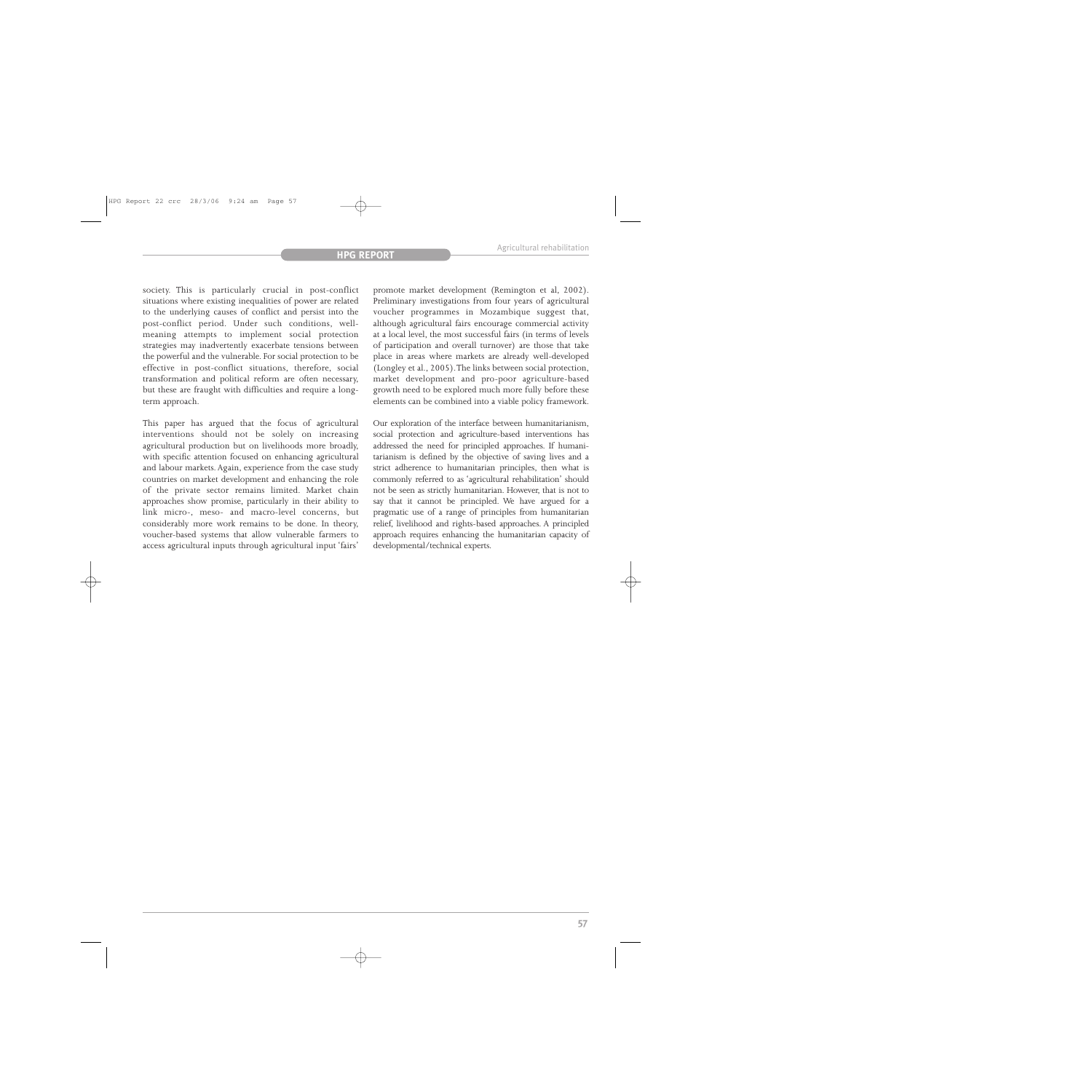society. This is particularly crucial in post-conflict situations where existing inequalities of power are related to the underlying causes of conflict and persist into the post-conflict period. Under such conditions, wellmeaning attempts to implement social protection strategies may inadvertently exacerbate tensions between the powerful and the vulnerable. For social protection to be effective in post-conflict situations, therefore, social transformation and political reform are often necessary, but these are fraught with difficulties and require a longterm approach.

This paper has argued that the focus of agricultural interventions should not be solely on increasing agricultural production but on livelihoods more broadly, with specific attention focused on enhancing agricultural and labour markets. Again, experience from the case study countries on market development and enhancing the role of the private sector remains limited. Market chain approaches show promise, particularly in their ability to link micro-, meso- and macro-level concerns, but considerably more work remains to be done. In theory, voucher-based systems that allow vulnerable farmers to access agricultural inputs through agricultural input 'fairs'

promote market development (Remington et al, 2002). Preliminary investigations from four years of agricultural voucher programmes in Mozambique suggest that, although agricultural fairs encourage commercial activity at a local level, the most successful fairs (in terms of levels of participation and overall turnover) are those that take place in areas where markets are already well-developed (Longley et al., 2005).The links between social protection, market development and pro-poor agriculture-based growth need to be explored much more fully before these elements can be combined into a viable policy framework.

Our exploration of the interface between humanitarianism, social protection and agriculture-based interventions has addressed the need for principled approaches. If humanitarianism is defined by the objective of saving lives and a strict adherence to humanitarian principles, then what is commonly referred to as 'agricultural rehabilitation' should not be seen as strictly humanitarian. However, that is not to say that it cannot be principled. We have argued for a pragmatic use of a range of principles from humanitarian relief, livelihood and rights-based approaches. A principled approach requires enhancing the humanitarian capacity of developmental/technical experts.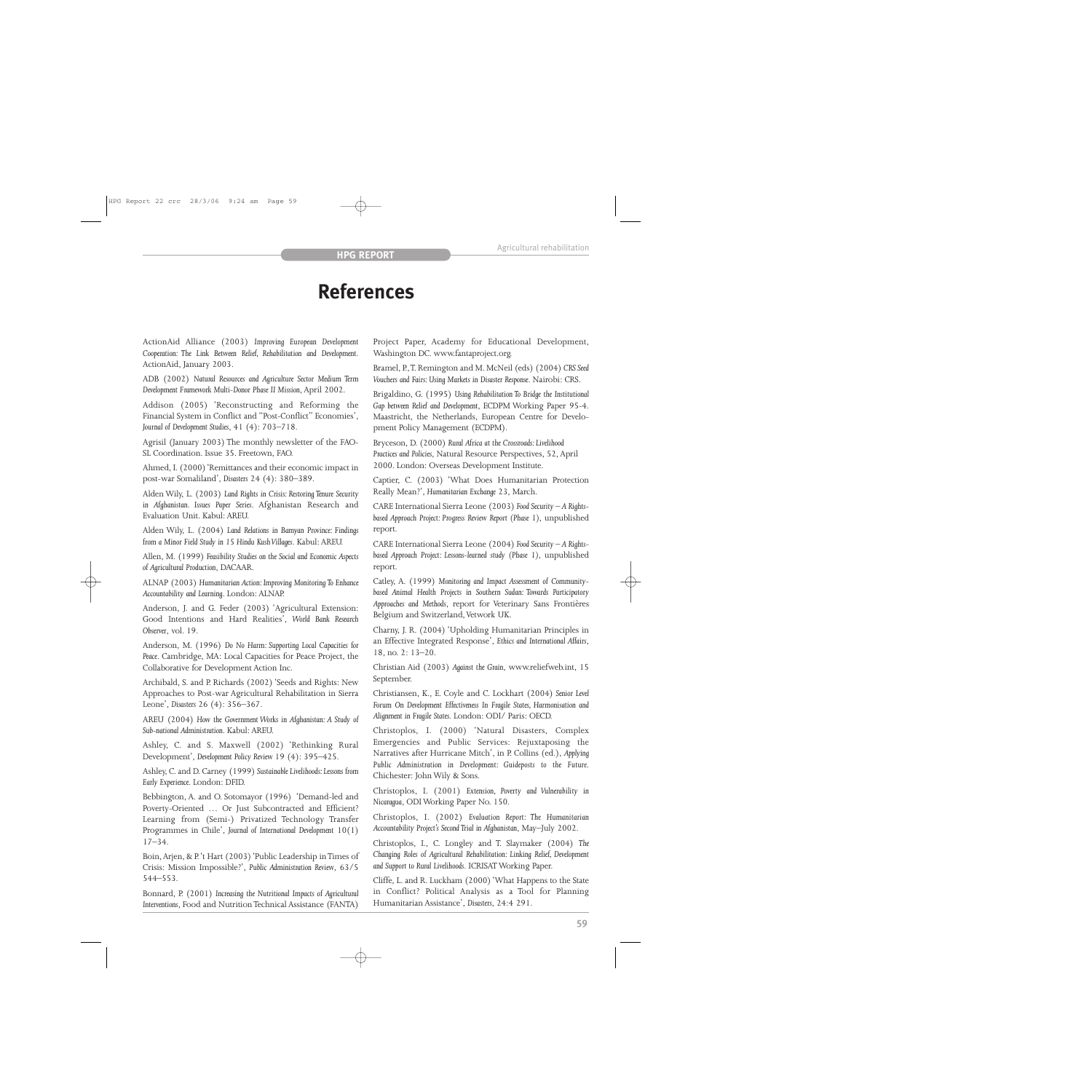# **References**

ActionAid Alliance (2003) *Improving European Development Cooperation: The Link Between Relief, Rehabilitation and Development*. ActionAid, January 2003.

ADB (2002) *Natural Resources and Agriculture Sector Medium Term Development Framework Multi-Donor Phase II Mission*, April 2002.

Addison (2005) 'Reconstructing and Reforming the Financial System in Conflict and "Post-Conflict" Economies', *Journal of Development Studies*, 41 (4): 703–718.

Agrisil (January 2003) The monthly newsletter of the FAO-SL Coordination. Issue 35. Freetown, FAO.

Ahmed, I. (2000) 'Remittances and their economic impact in post-war Somaliland', *Disasters* 24 (4): 380–389.

Alden Wily, L. (2003) *Land Rights in Crisis: Restoring Tenure Security in Afghanistan. Issues Paper Series*. Afghanistan Research and Evaluation Unit. Kabul: AREU.

Alden Wily, L. (2004) *Land Relations in Bamyan Province: Findings from a Minor Field Study in 15 Hindu Kush Villages*. Kabul: AREU.

Allen, M. (1999) *Feasibility Studies on the Social and Economic Aspects of Agricultural Production*, DACAAR.

ALNAP (2003) *Humanitarian Action: Improving Monitoring To Enhance Accountability and Learning*. London: ALNAP.

Anderson, J. and G. Feder (2003) 'Agricultural Extension: Good Intentions and Hard Realities', *World Bank Research Observer*, vol. 19.

Anderson, M. (1996) *Do No Harm: Supporting Local Capacities for Peace*. Cambridge, MA: Local Capacities for Peace Project, the Collaborative for Development Action Inc.

Archibald, S. and P. Richards (2002) 'Seeds and Rights: New Approaches to Post-war Agricultural Rehabilitation in Sierra Leone', *Disasters* 26 (4): 356–367.

AREU (2004) *How the Government Works in Afghanistan: A Study of Sub-national Administration*. Kabul: AREU.

Ashley, C. and S. Maxwell (2002) 'Rethinking Rural Development', *Development Policy Review* 19 (4): 395–425.

Ashley, C. and D. Carney (1999) *Sustainable Livelihoods:Lessons from Early Experience*. London: DFID.

Bebbington, A. and O. Sotomayor (1996) 'Demand-led and Poverty-Oriented ... Or Just Subcontracted and Efficient? Learning from (Semi-) Privatized Technology Transfer Programmes in Chile', *Journal of International Development* 10(1) 17–34.

Boin,Arjen, & P.'t Hart (2003) 'Public Leadership in Times of Crisis: Mission Impossible?', *Public Administration Review*, 63/5 544–553.

Bonnard, P. (2001) *Increasing the Nutritional Impacts of Agricultural Interventions*, Food and Nutrition Technical Assistance (FANTA)

Project Paper, Academy for Educational Development, Washington DC. www.fantaproject.org.

Bramel, P.,T. Remington and M. McNeil (eds) (2004) *CRS Seed Vouchers and Fairs: Using Markets in Disaster Response*. Nairobi: CRS.

Brigaldino, G. (1995) *Using Rehabilitation To Bridge the Institutional Gap between Relief and Development*, ECDPM Working Paper 95-4. Maastricht, the Netherlands, European Centre for Development Policy Management (ECDPM).

Bryceson, D. (2000) *Rural Africa at the Crossroads: Livelihood Practices and Policies*, Natural Resource Perspectives, 52, April 2000. London: Overseas Development Institute.

Captier, C. (2003) 'What Does Humanitarian Protection Really Mean?', *Humanitarian Exchange* 23, March.

CARE International Sierra Leone (2003) *Food Security – A Rightsbased Approach Project: Progress Review Report (Phase 1)*, unpublished report.

CARE International Sierra Leone (2004) *Food Security – A Rightsbased Approach Project: Lessons-learned study (Phase 1)*, unpublished report.

Catley, A. (1999) *Monitoring and Impact Assessment of Communitybased Animal Health Projects in Southern Sudan: Towards Participatory Approaches and Methods*, report for Veterinary Sans Frontières Belgium and Switzerland, Vetwork UK.

Charny, J. R. (2004) 'Upholding Humanitarian Principles in an Effective Integrated Response', *Ethics and International Affairs*, 18, no. 2: 13–20.

Christian Aid (2003) *Against the Grain*, www.reliefweb.int, 15 September.

Christiansen, K., E. Coyle and C. Lockhart (2004) *Senior Level Forum On Development Effectiveness In Fragile States, Harmonisation and Alignment in Fragile States*. London: ODI/ Paris: OECD.

Christoplos, I. (2000) 'Natural Disasters, Complex Emergencies and Public Services: Rejuxtaposing the Narratives after Hurricane Mitch', in P. Collins (ed.), *Applying Public Administration in Development: Guideposts to the Future*. Chichester: John Wily & Sons.

Christoplos, I. (2001) *Extension, Poverty and Vulnerability in Nicaragua*, ODI Working Paper No. 150.

Christoplos, I. (2002) *Evaluation Report: The Humanitarian Accountability Project's Second Trial in Afghanistan*, May–July 2002.

Christoplos, I., C. Longley and T. Slaymaker (2004) *The Changing Roles of Agricultural Rehabilitation: Linking Relief, Development and Support to Rural Livelihoods*. ICRISAT Working Paper.

Cliffe, L. and R. Luckham (2000) 'What Happens to the State in Conflict? Political Analysis as a Tool for Planning Humanitarian Assistance', *Disasters*, 24:4 291.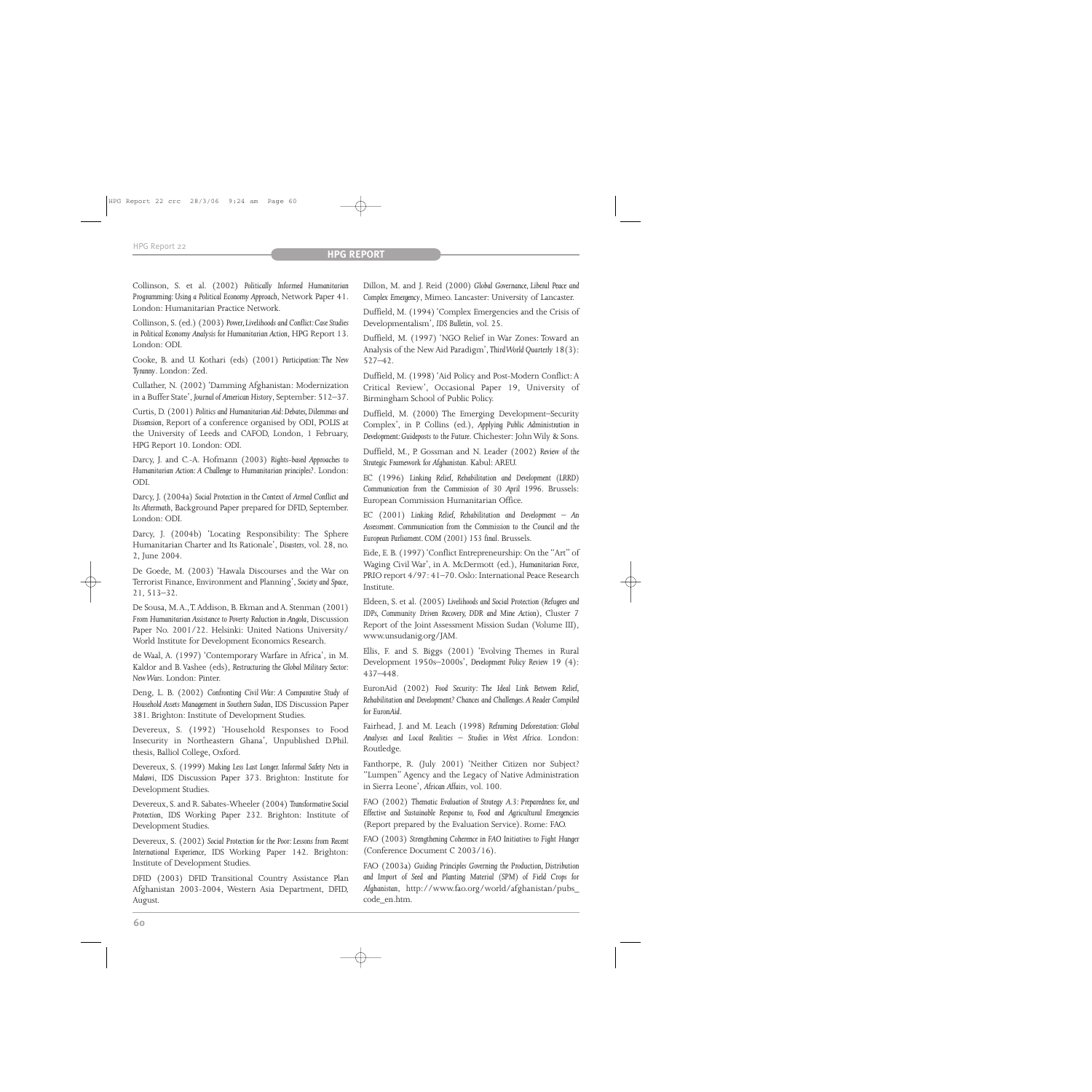Collinson, S. et al. (2002) *Politically Informed Humanitarian Programming: Using a Political Economy Approach*, Network Paper 41. London: Humanitarian Practice Network.

Collinson, S. (ed.) (2003) *Power,Livelihoods and Conflict:Case Studies in Political Economy Analysis for Humanitarian Action*, HPG Report 13. London: ODI.

Cooke, B. and U. Kothari (eds) (2001) *Participation: The New Tyranny*. London: Zed.

Cullather, N. (2002) 'Damming Afghanistan: Modernization in a Buffer State', *Journal of American History*, September: 512–37.

Curtis, D. (2001) *Politics and Humanitarian Aid: Debates, Dilemmas and Dissension*, Report of a conference organised by ODI, POLIS at the University of Leeds and CAFOD, London, 1 February, HPG Report 10. London: ODI.

Darcy, J. and C.-A. Hofmann (2003) *Rights-based Approaches to Humanitarian Action:A Challenge to Humanitarian principles?*. London: ODI.

Darcy, J. (2004a) *Social Protection in the Context of Armed Conflict and Its Aftermath*, Background Paper prepared for DFID, September. London: ODI.

Darcy, J. (2004b) 'Locating Responsibility: The Sphere Humanitarian Charter and Its Rationale', *Disasters*, vol. 28, no. 2, June 2004.

De Goede, M. (2003) 'Hawala Discourses and the War on Terrorist Finance, Environment and Planning', *Society and Space*, 21, 513–32.

De Sousa, M.A.,T.Addison, B. Ekman and A. Stenman (2001) *From Humanitarian Assistance to Poverty Reduction in Angola*, Discussion Paper No. 2001/22. Helsinki: United Nations University/ World Institute for Development Economics Research.

de Waal, A. (1997) 'Contemporary Warfare in Africa', in M. Kaldor and B.Vashee (eds), *Restructuring the Global Military Sector: New Wars*. London: Pinter.

Deng, L. B. (2002) *Confronting Civil War: A Comparative Study of Household Assets Management in Southern Sudan*, IDS Discussion Paper 381. Brighton: Institute of Development Studies.

Devereux, S. (1992) 'Household Responses to Food Insecurity in Northeastern Ghana', Unpublished D.Phil. thesis, Balliol College, Oxford.

Devereux, S. (1999) *Making Less Last Longer. Informal Safety Nets in Malawi*, IDS Discussion Paper 373. Brighton: Institute for Development Studies.

Devereux, S. and R. Sabates-Wheeler (2004) *Transformative Social Protection*, IDS Working Paper 232. Brighton: Institute of Development Studies.

Devereux, S. (2002) *Social Protection for the Poor: Lessons from Recent International Experience*, IDS Working Paper 142. Brighton: Institute of Development Studies.

DFID (2003) DFID Transitional Country Assistance Plan Afghanistan 2003-2004, Western Asia Department, DFID, August.

Dillon, M. and J. Reid (2000) *Global Governance, Liberal Peace and Complex Emergency*, Mimeo. Lancaster: University of Lancaster.

Duffield, M. (1994) 'Complex Emergencies and the Crisis of Developmentalism', *IDS Bulletin*, vol. 25.

Duffield, M. (1997) 'NGO Relief in War Zones: Toward an Analysis of the New Aid Paradigm',*Third World Quarterly* 18(3): 527–42.

Duffield, M. (1998) 'Aid Policy and Post-Modern Conflict: A Critical Review', Occasional Paper 19, University of Birmingham School of Public Policy.

Duffield, M. (2000) The Emerging Development–Security Complex', in P. Collins (ed.), *Applying Public Administration in Development:Guideposts to the Future*. Chichester: John Wily & Sons.

Duffield, M., P. Gossman and N. Leader (2002) *Review of the Strategic Framework for Afghanistan*. Kabul: AREU.

EC (1996) *Linking Relief, Rehabilitation and Development (LRRD) Communication from the Commission of 30 April 1996*. Brussels: European Commission Humanitarian Office.

EC (2001) *Linking Relief, Rehabilitation and Development – An Assessment. Communication from the Commission to the Council and the European Parliament. COM (2001) 153 final*. Brussels.

Eide, E. B. (1997) 'Conflict Entrepreneurship: On the "Art" of Waging Civil War', in A. McDermott (ed.), *Humanitarian Force*, PRIO report 4/97: 41–70. Oslo: International Peace Research Institute.

Eldeen, S. et al. (2005) *Livelihoods and Social Protection (Refugees and IDPs, Community Driven Recovery, DDR and Mine Action)*, Cluster 7 Report of the Joint Assessment Mission Sudan (Volume III), www.unsudanig.org/JAM.

Ellis, F. and S. Biggs (2001) 'Evolving Themes in Rural Development 1950s–2000s', *Development Policy Review* 19 (4): 437–448.

EuronAid (2002) *Food Security: The Ideal Link Between Relief, Rehabilitation and Development? Chances and Challenges.A Reader Compiled for EuronAid*.

Fairhead, J. and M. Leach (1998) *Reframing Deforestation: Global Analyses and Local Realities – Studies in West Africa*. London: Routledge.

Fanthorpe, R. (July 2001) 'Neither Citizen nor Subject? "Lumpen" Agency and the Legacy of Native Administration in Sierra Leone', *African Affairs*, vol. 100.

FAO (2002) *Thematic Evaluation of Strategy A.3: Preparedness for, and Effective and Sustainable Response to, Food and Agricultural Emergencies* (Report prepared by the Evaluation Service). Rome: FAO.

FAO (2003) *Strengthening Coherence in FAO Initiatives to Fight Hunger* (Conference Document C 2003/16).

FAO (2003a) *Guiding Principles Governing the Production, Distribution and Import of Seed and Planting Material (SPM) of Field Crops for Afghanistan*, http://www.fao.org/world/afghanistan/pubs\_ code\_en.htm.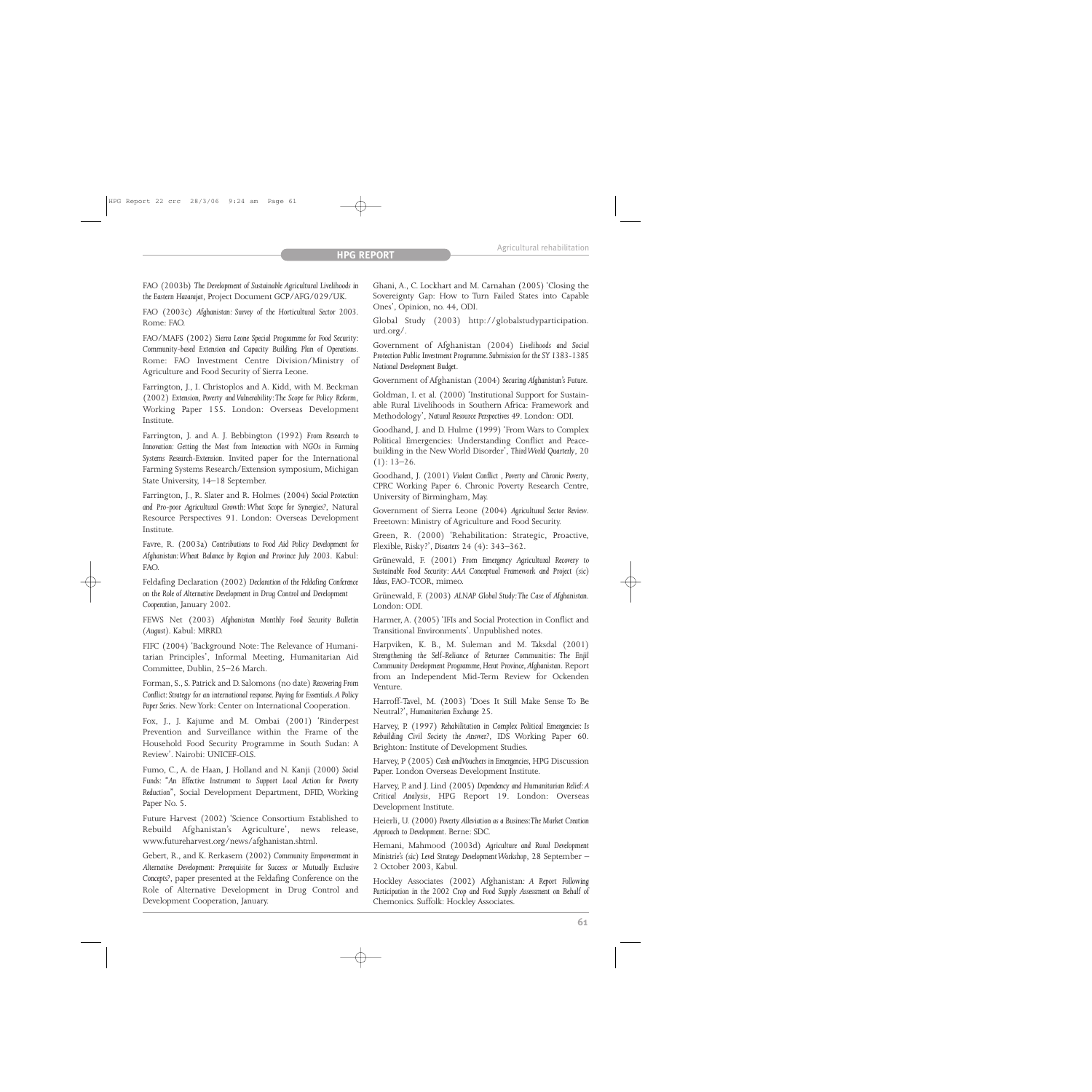FAO (2003b) *The Development of Sustainable Agricultural Livelihoods in the Eastern Hazarajat*, Project Document GCP/AFG/029/UK.

FAO (2003c) *Afghanistan: Survey of the Horticultural Sector 2003*. Rome: FAO.

FAO/MAFS (2002) *Sierra Leone Special Programme for Food Security: Community-based Extension and Capacity Building. Plan of Operations*. Rome: FAO Investment Centre Division/Ministry of Agriculture and Food Security of Sierra Leone.

Farrington, J., I. Christoplos and A. Kidd, with M. Beckman (2002) *Extension, Poverty and Vulnerability:The Scope for Policy Reform*, Working Paper 155. London: Overseas Development Institute.

Farrington, J. and A. J. Bebbington (1992) *From Research to Innovation: Getting the Most from Interaction with NGOs in Farming Systems Research-Extension.* Invited paper for the International Farming Systems Research/Extension symposium, Michigan State University, 14–18 September.

Farrington, J., R. Slater and R. Holmes (2004) *Social Protection and Pro-poor Agricultural Growth: What Scope for Synergies?*, Natural Resource Perspectives 91. London: Overseas Development Institute.

Favre, R. (2003a) *Contributions to Food Aid Policy Development for Afghanistan:Wheat Balance by Region and Province July 2003*. Kabul: FAO.

Feldafing Declaration (2002) *Declaration of the Feldafing Conference on the Role of Alternative Development in Drug Control and Development Cooperation*, January 2002.

FEWS Net (2003) *Afghanistan Monthly Food Security Bulletin (August)*. Kabul: MRRD.

FIFC (2004) 'Background Note: The Relevance of Humanitarian Principles', Informal Meeting, Humanitarian Aid Committee, Dublin, 25–26 March.

Forman, S., S. Patrick and D. Salomons (no date) *Recovering From Conflict: Strategy for an international response. Paying for Essentials.A Policy Paper Series*. NewYork: Center on International Cooperation.

Fox, J., J. Kajume and M. Ombai (2001) 'Rinderpest Prevention and Surveillance within the Frame of the Household Food Security Programme in South Sudan: A Review'. Nairobi: UNICEF-OLS.

Fumo, C., A. de Haan, J. Holland and N. Kanji (2000) *Social Funds: "An Effective Instrument to Support Local Action for Poverty Reduction"*, Social Development Department, DFID, Working Paper No. 5.

Future Harvest (2002) 'Science Consortium Established to Rebuild Afghanistan's Agriculture', news release, www.futureharvest.org/news/afghanistan.shtml.

Gebert, R., and K. Rerkasem (2002) *Community Empowerment in Alternative Development: Prerequisite for Success or Mutually Exclusive Concepts?*, paper presented at the Feldafing Conference on the Role of Alternative Development in Drug Control and Development Cooperation, January.

Ghani, A., C. Lockhart and M. Carnahan (2005) 'Closing the Sovereignty Gap: How to Turn Failed States into Capable Ones', Opinion, no. 44, ODI.

Global Study (2003) http://globalstudyparticipation. urd.org/.

Government of Afghanistan (2004) *Livelihoods and Social Protection Public Investment Programme.Submission for the SY 1383-1385 National Development Budget*.

Government of Afghanistan (2004) *Securing Afghanistan's Future*.

Goldman, I. et al. (2000) 'Institutional Support for Sustainable Rural Livelihoods in Southern Africa: Framework and Methodology', *Natural Resource Perspectives 49*. London: ODI.

Goodhand, J. and D. Hulme (1999) 'From Wars to Complex Political Emergencies: Understanding Conflict and Peacebuilding in the New World Disorder', *Third World Quarterly*, 20  $(1): 13-26.$ 

Goodhand, J. (2001) *Violent Conflict , Poverty and Chronic Poverty*, CPRC Working Paper 6. Chronic Poverty Research Centre, University of Birmingham, May.

Government of Sierra Leone (2004) *Agricultural Sector Review*. Freetown: Ministry of Agriculture and Food Security.

Green, R. (2000) 'Rehabilitation: Strategic, Proactive, Flexible, Risky?', *Disasters* 24 (4): 343–362.

Grünewald, F. (2001) *From Emergency Agricultural Recovery to Sustainable Food Security: AAA Conceptual Framework and Project (sic) Ideas*, FAO-TCOR, mimeo.

Grünewald, F. (2003) *ALNAP Global Study:The Case of Afghanistan*. London: ODI.

Harmer, A. (2005) 'IFIs and Social Protection in Conflict and Transitional Environments'. Unpublished notes.

Harpviken, K. B., M. Suleman and M. Taksdal (2001) *Strengthening the Self-Reliance of Returnee Communities: The Enjil Community Development Programme, Herat Province,Afghanistan*. Report from an Independent Mid-Term Review for Ockenden Venture.

Harroff-Tavel, M. (2003) 'Does It Still Make Sense To Be Neutral?', *Humanitarian Exchange* 25.

Harvey, P. (1997) *Rehabilitation in Complex Political Emergencies: Is Rebuilding Civil Society the Answer?*, IDS Working Paper 60. Brighton: Institute of Development Studies.

Harvey, P (2005) Cash and Vouchers in Emergencies, HPG Discussion Paper. London Overseas Development Institute.

Harvey, P. and J. Lind (2005) *Dependency and Humanitarian Relief:A Critical Analysis*, HPG Report 19. London: Overseas Development Institute.

Heierli, U. (2000) *Poverty Alleviation as a Business:The Market Creation Approach to Development*. Berne: SDC.

Hemani, Mahmood (2003d) *Agriculture and Rural Development Ministrie's (sic) Level Strategy Development Workshop*, 28 September – 2 October 2003, Kabul.

Hockley Associates (2002) Afghanistan*: A Report Following Participation in the 2002 Crop and Food Supply Assessment on Behalf of* Chemonics. Suffolk: Hockley Associates.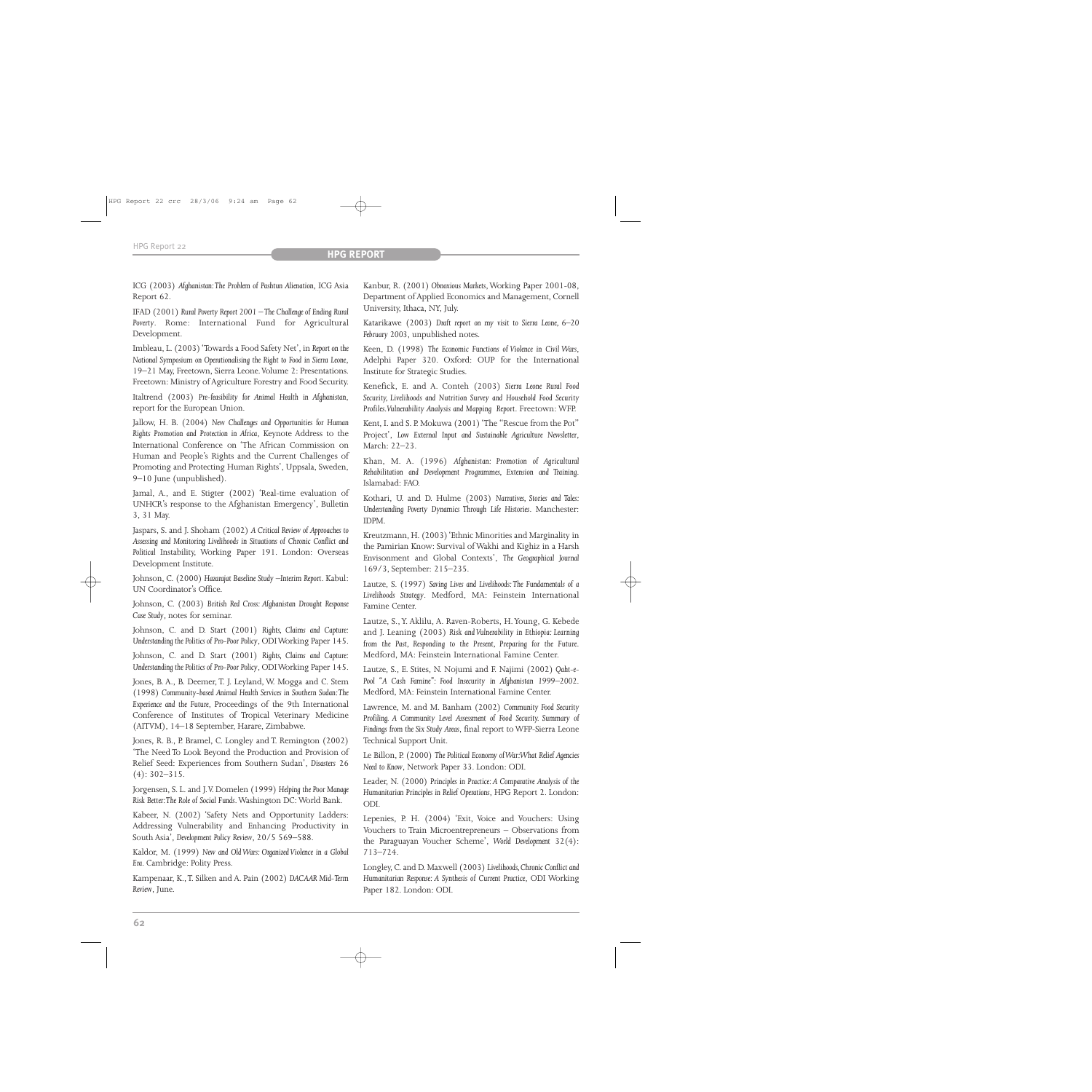ICG (2003) *Afghanistan:The Problem of Pashtun Alienation*, ICG Asia Report 62.

IFAD (2001) *Rural Poverty Report 2001 – The Challenge of Ending Rural Poverty*. Rome: International Fund for Agricultural Development.

Imbleau, L. (2003) 'Towards a Food Safety Net', in *Report on the National Symposium on Operationalising the Right to Food in Sierra Leone*, 19–21 May, Freetown, Sierra Leone.Volume 2: Presentations. Freetown: Ministry of Agriculture Forestry and Food Security.

Italtrend (2003) *Pre-feasibility for Animal Health in Afghanistan*, report for the European Union.

Jallow, H. B. (2004) *New Challenges and Opportunities for Human Rights Promotion and Protection in Africa*, Keynote Address to the International Conference on 'The African Commission on Human and People's Rights and the Current Challenges of Promoting and Protecting Human Rights', Uppsala, Sweden, 9–10 June (unpublished).

Jamal, A., and E. Stigter (2002) 'Real-time evaluation of UNHCR's response to the Afghanistan Emergency', Bulletin 3, 31 May.

Jaspars, S. and J. Shoham (2002) *A Critical Review of Approaches to Assessing and Monitoring Livelihoods in Situations of Chronic Conflict and Political* Instability, Working Paper 191. London: Overseas Development Institute.

Johnson, C. (2000) *Hazarajat Baseline Study –Interim Report*. Kabul: UN Coordinator's Office.

Johnson, C. (2003) *British Red Cross: Afghanistan Drought Response Case Study*, notes for seminar.

Johnson, C. and D. Start (2001) *Rights, Claims and Capture:* Understanding the Politics of Pro-Poor Policy, ODI Working Paper 145.

Johnson, C. and D. Start (2001) *Rights, Claims and Capture:* Understanding the Politics of Pro-Poor Policy, ODI Working Paper 145.

Jones, B. A., B. Deemer, T. J. Leyland, W. Mogga and C. Stem (1998) *Community-based Animal Health Services in Southern Sudan:The Experience and the Future*, Proceedings of the 9th International Conference of Institutes of Tropical Veterinary Medicine (AITVM), 14–18 September, Harare, Zimbabwe.

Jones, R. B., P. Bramel, C. Longley and T. Remington (2002) 'The Need To Look Beyond the Production and Provision of Relief Seed: Experiences from Southern Sudan', *Disasters* 26 (4): 302–315.

Jorgensen, S. L. and J.V. Domelen (1999) *Helping the Poor Manage Risk Better:The Role of Social Funds*.Washington DC:World Bank.

Kabeer, N. (2002) 'Safety Nets and Opportunity Ladders: Addressing Vulnerability and Enhancing Productivity in South Asia', *Development Policy Review*, 20/5 569–588.

Kaldor, M. (1999) *New and Old Wars: Organized Violence in a Global Era*. Cambridge: Polity Press.

Kampenaar, K.,T. Silken and A. Pain (2002) *DACAAR Mid-Term Review*, June.

Kanbur, R. (2001) *Obnoxious Markets*,Working Paper 2001-08, Department of Applied Economics and Management, Cornell University, Ithaca, NY, July.

Katarikawe (2003) *Draft report on my visit to Sierra Leone, 6–20 February 2003*, unpublished notes.

Keen, D. (1998) *The Economic Functions of Violence in Civil Wars*, Adelphi Paper 320. Oxford: OUP for the International Institute for Strategic Studies.

Kenefick, E. and A. Conteh (2003) *Sierra Leone Rural Food Security, Livelihoods and Nutrition Survey and Household Food Security Profiles.Vulnerability Analysis and Mapping Report*. Freetown: WFP.

Kent, I. and S. P. Mokuwa (2001) 'The "Rescue from the Pot" Project', *Low External Input and Sustainable Agriculture Newsletter*, March: 22–23.

Khan, M. A. (1996) *Afghanistan: Promotion of Agricultural Rehabilitation and Development Programmes, Extension and Training*. Islamabad: FAO.

Kothari, U. and D. Hulme (2003) *Narratives, Stories and Tales: Understanding Poverty Dynamics Through Life Histories*. Manchester: IDPM.

Kreutzmann, H. (2003) 'Ethnic Minorities and Marginality in the Pamirian Know: Survival of Wakhi and Kighiz in a Harsh Envisonment and Global Contexts', *The Geographical Journal* 169/3, September: 215–235.

Lautze, S. (1997) *Saving Lives and Livelihoods:The Fundamentals of a Livelihoods Strategy*. Medford, MA: Feinstein International Famine Center.

Lautze, S.,Y. Aklilu, A. Raven-Roberts, H.Young, G. Kebede and J. Leaning (2003) *Risk and Vulnerability in Ethiopia: Learning from the Past, Responding to the Present, Preparing for the Future*. Medford, MA: Feinstein International Famine Center.

Lautze, S., E. Stites, N. Nojumi and F. Najimi (2002) *Qaht-e-Pool "A Cash Famine": Food Insecurity in Afghanistan 1999–2002*. Medford, MA: Feinstein International Famine Center.

Lawrence, M. and M. Banham (2002) *Community Food Security Profiling. A Community Level Assessment of Food Security. Summary of Findings from the Six Study Areas*, final report to WFP-Sierra Leone Technical Support Unit.

Le Billon, P. (2000) *The Political Economy of War:What Relief Agencies Need to Know*, Network Paper 33. London: ODI.

Leader, N. (2000) *Principles in Practice:A Comparative Analysis of the Humanitarian Principles in Relief Operations*, HPG Report 2. London: ODI.

Lepenies, P. H. (2004) 'Exit, Voice and Vouchers: Using Vouchers to Train Microentrepreneurs – Observations from the Paraguayan Voucher Scheme', *World Development* 32(4): 713–724.

Longley, C. and D. Maxwell (2003) *Livelihoods,Chronic Conflict and Humanitarian Response: A Synthesis of Current Practice*, ODI Working Paper 182. London: ODI.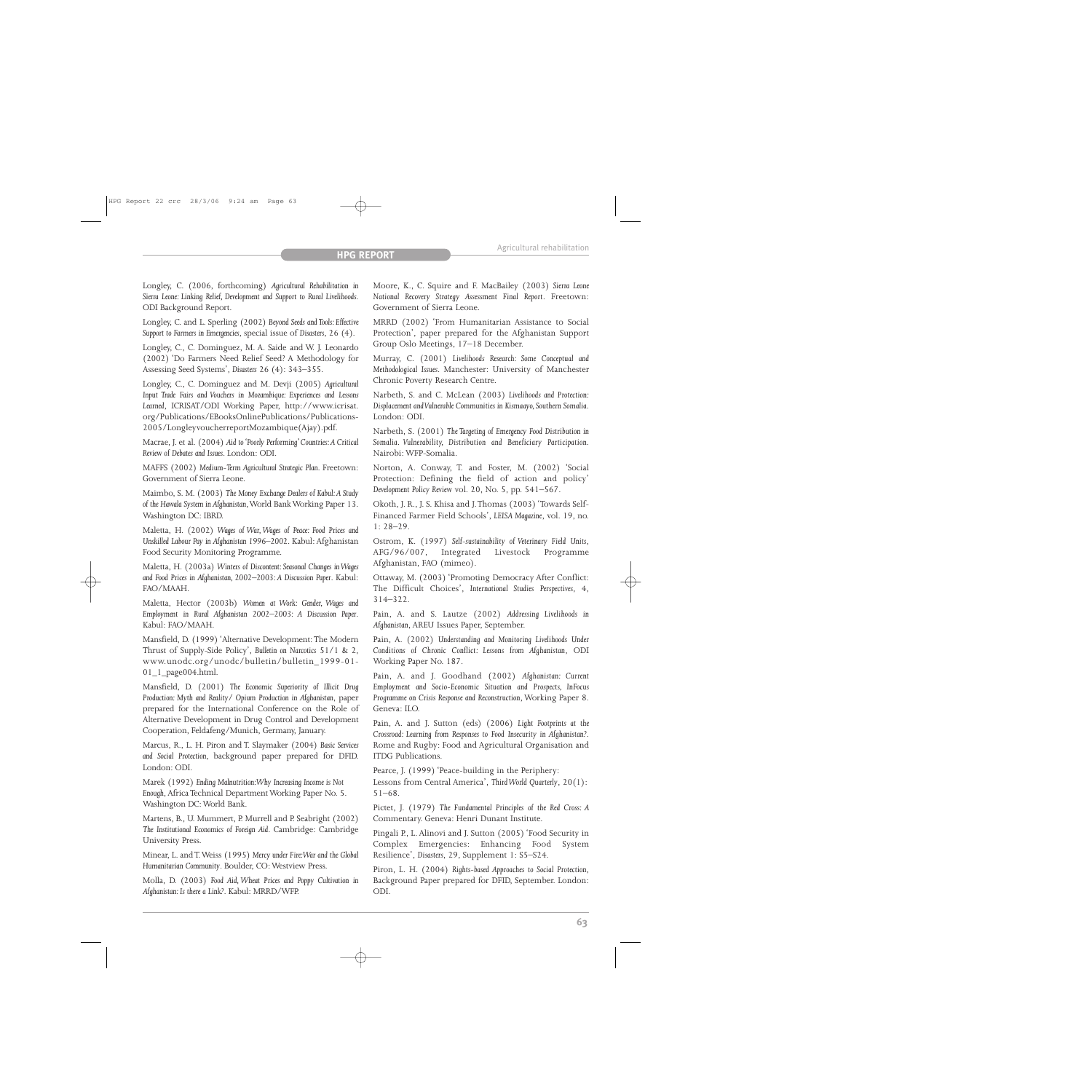Longley, C. (2006, forthcoming) *Agricultural Rehabilitation in Sierra Leone: Linking Relief, Development and Support to Rural Livelihoods*. ODI Background Report.

Longley, C. and L. Sperling (2002) *Beyond Seeds and Tools: Effective Support to Farmers in Emergencies*, special issue of *Disasters*, 26 (4).

Longley, C., C. Dominguez, M. A. Saide and W. J. Leonardo (2002) 'Do Farmers Need Relief Seed? A Methodology for Assessing Seed Systems', *Disasters* 26 (4): 343–355.

Longley, C., C. Dominguez and M. Devji (2005) *Agricultural Input Trade Fairs and Vouchers in Mozambique: Experiences and Lessons Learned*, ICRISAT/ODI Working Paper, http://www.icrisat. org/Publications/EBooksOnlinePublications/Publications-2005/LongleyvoucherreportMozambique(Ajay).pdf.

Macrae, J. et al. (2004) *Aid to 'Poorly Performing'Countries:A Critical Review of Debates and Issues*. London: ODI.

MAFFS (2002) *Medium-Term Agricultural Strategic Plan*. Freetown: Government of Sierra Leone.

Maimbo, S. M. (2003) *The Money Exchange Dealers of Kabul:A Study of the Hawala System in Afghanistan*,World Bank Working Paper 13. Washington DC: IBRD.

Maletta, H. (2002) *Wages of War, Wages of Peace: Food Prices and Unskilled Labour Pay in Afghanistan 1996–2002*. Kabul: Afghanistan Food Security Monitoring Programme.

Maletta, H. (2003a) *Winters of Discontent: Seasonal Changes in Wages and Food Prices in Afghanistan, 2002–2003: A Discussion Paper*. Kabul: FAO/MAAH.

Maletta, Hector (2003b) *Women at Work: Gender, Wages and Employment in Rural Afghanistan 2002–2003: A Discussion Paper*. Kabul: FAO/MAAH.

Mansfield, D. (1999) 'Alternative Development:The Modern Thrust of Supply-Side Policy', *Bulletin on Narcotics* 51/1 & 2, www.unodc.org/unodc/bulletin/bulletin\_1999-01- 01\_1\_page004.html.

Mansfield, D. (2001) *The Economic Superiority of Illicit Drug Production: Myth and Reality/ Opium Production in Afghanistan*, paper prepared for the International Conference on the Role of Alternative Development in Drug Control and Development Cooperation, Feldafeng/Munich, Germany, January.

Marcus, R., L. H. Piron and T. Slaymaker (2004) *Basic Services and Social Protection*, background paper prepared for DFID. London: ODI.

Marek (1992) *Ending Malnutrition:Why Increasing Income is Not Enough*, Africa Technical Department Working Paper No. 5. Washington DC:World Bank.

Martens, B., U. Mummert, P. Murrell and P. Seabright (2002) *The Institutional Economics of Foreign Aid*. Cambridge: Cambridge University Press.

Minear, L. and T.Weiss (1995) *Mercy under Fire:War and the Global Humanitarian Community*. Boulder, CO:Westview Press.

Molla, D. (2003) *Food Aid, Wheat Prices and Poppy Cultivation in Afghanistan: Is there a Link?*. Kabul: MRRD/WFP.

Moore, K., C. Squire and F. MacBailey (2003) *Sierra Leone National Recovery Strategy Assessment Final Report*. Freetown: Government of Sierra Leone.

MRRD (2002) 'From Humanitarian Assistance to Social Protection', paper prepared for the Afghanistan Support Group Oslo Meetings, 17–18 December.

Murray, C. (2001) *Livelihoods Research: Some Conceptual and Methodological Issues*. Manchester: University of Manchester Chronic Poverty Research Centre.

Narbeth, S. and C. McLean (2003) *Livelihoods and Protection: Displacement and Vulnerable Communities in Kismaayo,Southern Somalia*. London: ODI.

Narbeth, S. (2001) *The Targeting of Emergency Food Distribution in Somalia. Vulnerability, Distribution and Beneficiary Participation*. Nairobi: WFP-Somalia.

Norton, A. Conway, T. and Foster, M. (2002) 'Social Protection: Defining the field of action and policy' *Development Policy Review* vol. 20, No. 5, pp. 541–567.

Okoth, J. R., J. S. Khisa and J.Thomas (2003) 'Towards Self-Financed Farmer Field Schools', *LEISA Magazine*, vol. 19, no. 1: 28–29.

Ostrom, K. (1997) *Self-sustainability of Veterinary Field Units*, AFG/96/007, Integrated Livestock Programme Afghanistan, FAO (mimeo).

Ottaway, M. (2003) 'Promoting Democracy After Conflict: The Difficult Choices', *International Studies Perspectives*, 4, 314–322.

Pain, A. and S. Lautze (2002) *Addressing Livelihoods in Afghanistan*, AREU Issues Paper, September.

Pain, A. (2002) *Understanding and Monitoring Livelihoods Under Conditions of Chronic Conflict: Lessons from Afghanistan*, ODI Working Paper No. 187.

Pain, A. and J. Goodhand (2002) *Afghanistan: Current Employment and Socio-Economic Situation and Prospects, InFocus Programme on Crisis Response and Reconstruction*, Working Paper 8. Geneva: ILO.

Pain, A. and J. Sutton (eds) (2006) *Light Footprints at the Crossroad: Learning from Responses to Food Insecurity in Afghanistan?*. Rome and Rugby: Food and Agricultural Organisation and ITDG Publications.

Pearce, J. (1999) 'Peace-building in the Periphery: Lessons from Central America', *Third World Quarterly*, 20(1): 51–68.

Pictet, J. (1979) *The Fundamental Principles of the Red Cross: A* Commentary. Geneva: Henri Dunant Institute.

Pingali P., L. Alinovi and J. Sutton (2005) 'Food Security in Complex Emergencies: Enhancing Food System Resilience', *Disasters*, 29, Supplement 1: S5–S24.

Piron, L. H. (2004) *Rights-based Approaches to Social Protection*, Background Paper prepared for DFID, September. London: ODI.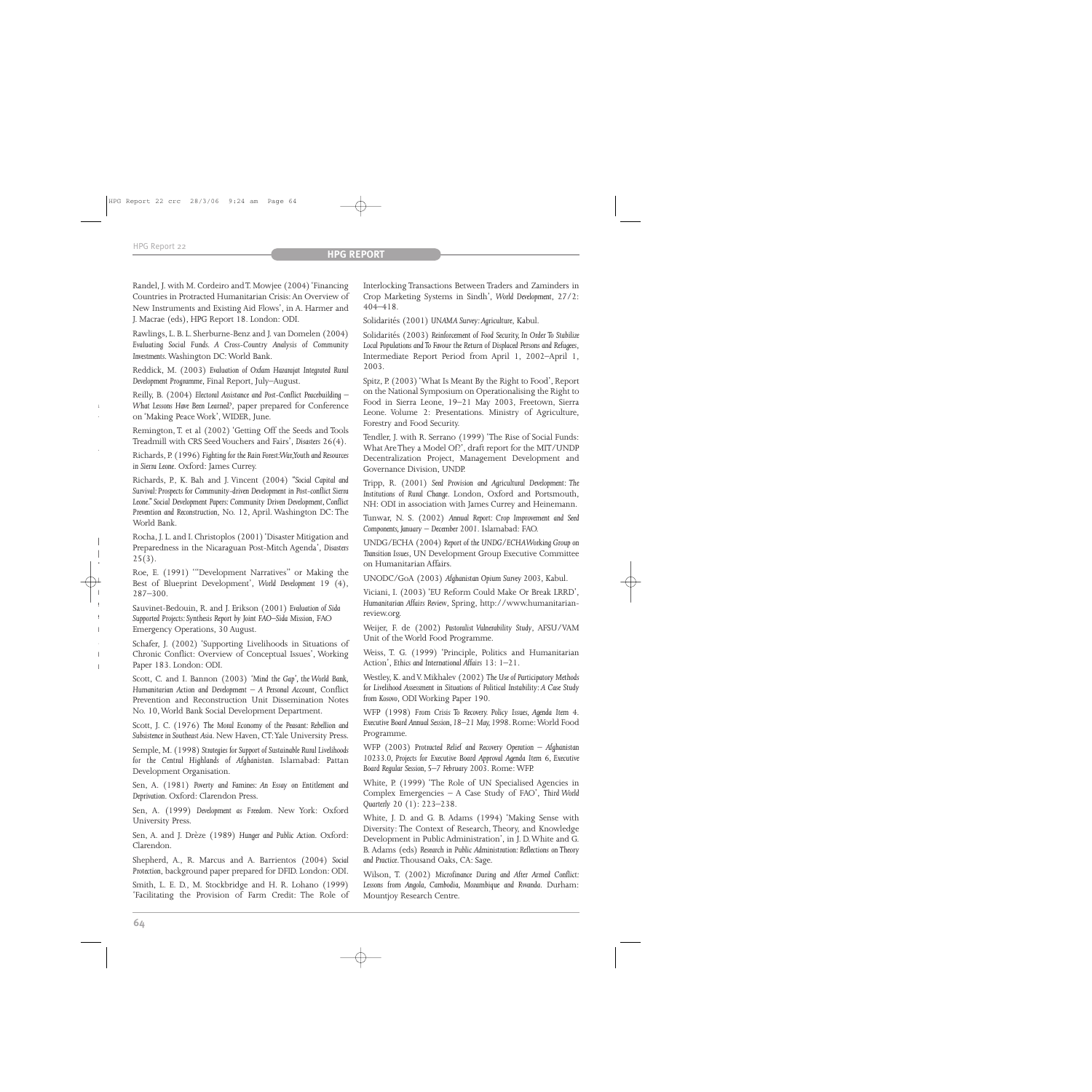Randel, J. with M. Cordeiro and T. Mowjee (2004) 'Financing Countries in Protracted Humanitarian Crisis:An Overview of New Instruments and Existing Aid Flows', in A. Harmer and J. Macrae (eds), HPG Report 18. London: ODI.

Rawlings, L. B. L. Sherburne-Benz and J. van Domelen (2004) *Evaluating Social Funds. A Cross-Country Analysis of Community Investments*.Washington DC:World Bank.

Reddick, M. (2003) *Evaluation of Oxfam Hazarajat Integrated Rural Development Programme*, Final Report, July–August.

Reilly, B. (2004) *Electoral Assistance and Post-Conflict Peacebuilding – What Lessons Have Been Learned?*, paper prepared for Conference on 'Making Peace Work',WIDER, June.

Remington, T. et al (2002) 'Getting Off the Seeds and Tools Treadmill with CRS Seed Vouchers and Fairs', *Disasters* 26(4).

Richards, P. (1996) *Fighting for the Rain Forest:War,Youth and Resources in Sierra Leone*. Oxford: James Currey.

Richards, P., K. Bah and J. Vincent (2004) *"Social Capital and Survival:Prospects for Community-driven Development in Post-conflict Sierra Leone." Social Development Papers: Community Driven Development, Conflict Prevention and Reconstruction*, No. 12, April. Washington DC: The World Bank.

Rocha, J. L. and I. Christoplos (2001) 'Disaster Mitigation and Preparedness in the Nicaraguan Post-Mitch Agenda', *Disasters*  $25(3)$ .

Roe, E. (1991) '"Development Narratives" or Making the Best of Blueprint Development', *World Development* 19 (4), 287–300.

Sauvinet-Bedouin, R. and J. Erikson (2001) *Evaluation of Sida Supported Projects: Synthesis Report by Joint FAO–Sida Mission*, FAO Emergency Operations, 30 August.

Schafer, J. (2002) 'Supporting Livelihoods in Situations of Chronic Conflict: Overview of Conceptual Issues', Working Paper 183. London: ODI.

Scott, C. and I. Bannon (2003) *'Mind the Gap', the World Bank, Humanitarian Action and Development – A Personal Account*, Conflict Prevention and Reconstruction Unit Dissemination Notes No. 10,World Bank Social Development Department.

Scott, J. C. (1976) *The Moral Economy of the Peasant: Rebellion and Subsistence in Southeast Asia*. New Haven, CT:Yale University Press.

Semple, M. (1998) *Strategies for Support of Sustainable Rural Livelihoods for the Central Highlands of Afghanistan*. Islamabad: Pattan Development Organisation.

Sen, A. (1981) *Poverty and Famines: An Essay on Entitlement and Deprivation*. Oxford: Clarendon Press.

Sen, A. (1999) *Development as Freedom*. New York: Oxford University Press.

Sen, A. and J. Drèze (1989) *Hunger and Public Action*. Oxford: Clarendon.

Shepherd, A., R. Marcus and A. Barrientos (2004) *Social Protection*, background paper prepared for DFID. London: ODI.

Smith, L. E. D., M. Stockbridge and H. R. Lohano (1999) 'Facilitating the Provision of Farm Credit: The Role of Interlocking Transactions Between Traders and Zaminders in Crop Marketing Systems in Sindh', *World Development*, 27/2: 404–418.

Solidarités (2001) *UNAMA Survey:Agriculture*, Kabul.

Solidarités (2003) *Reinforcement of Food Security, In Order To Stabilize Local Populations and To Favour the Return of Displaced Persons and Refugees*, Intermediate Report Period from April 1, 2002–April 1, 2003.

Spitz, P. (2003) 'What Is Meant By the Right to Food', Report on the National Symposium on Operationalising the Right to Food in Sierra Leone, 19–21 May 2003, Freetown, Sierra Leone. Volume 2: Presentations. Ministry of Agriculture, Forestry and Food Security.

Tendler, J. with R. Serrano (1999) 'The Rise of Social Funds: What Are They a Model Of?', draft report for the MIT/UNDP Decentralization Project, Management Development and Governance Division, UNDP.

Tripp, R. (2001) *Seed Provision and Agricultural Development: The Institutions of Rural Change*. London, Oxford and Portsmouth, NH: ODI in association with James Currey and Heinemann.

Tunwar, N. S. (2002) *Annual Report: Crop Improvement and Seed Components, January – December 2001*. Islamabad: FAO.

UNDG/ECHA (2004) *Report of the UNDG/ECHA Working Group on Transition Issues*, UN Development Group Executive Committee on Humanitarian Affairs.

UNODC/GoA (2003) *Afghanistan Opium Survey 2003*, Kabul.

Viciani, I. (2003) 'EU Reform Could Make Or Break LRRD', *Humanitarian Affairs Review*, Spring, http://www.humanitarianreview.org.

Weijer, F. de (2002) *Pastoralist Vulnerability Study*, AFSU/VAM Unit of the World Food Programme.

Weiss, T. G. (1999) 'Principle, Politics and Humanitarian Action', *Ethics and International Affairs* 13: 1–21.

Westley, K. and V. Mikhalev (2002) *The Use of Participatory Methods for Livelihood Assessment in Situations of Political Instability:A Case Study from Kosovo*, ODI Working Paper 190.

WFP (1998) *From Crisis To Recovery. Policy Issues, Agenda Item 4. Executive Board Annual Session,18–21 May,1998*. Rome:World Food Programme.

WFP (2003) *Protracted Relief and Recovery Operation – Afghanistan 10233.0, Projects for Executive Board Approval Agenda Item 6, Executive Board Regular Session, 5–7 February 2003*. Rome:WFP.

White, P. (1999) 'The Role of UN Specialised Agencies in Complex Emergencies – A Case Study of FAO', *Third World Quarterly* 20 (1): 223–238.

White, J. D. and G. B. Adams (1994) 'Making Sense with Diversity: The Context of Research, Theory, and Knowledge Development in Public Administration', in J. D.White and G. B. Adams (eds) *Research in Public Administration: Reflections on Theory and Practice*.Thousand Oaks, CA: Sage.

Wilson, T. (2002) *Microfinance During and After Armed Conflict: Lessons from Angola, Cambodia, Mozambique and Rwanda*. Durham: Mountjoy Research Centre.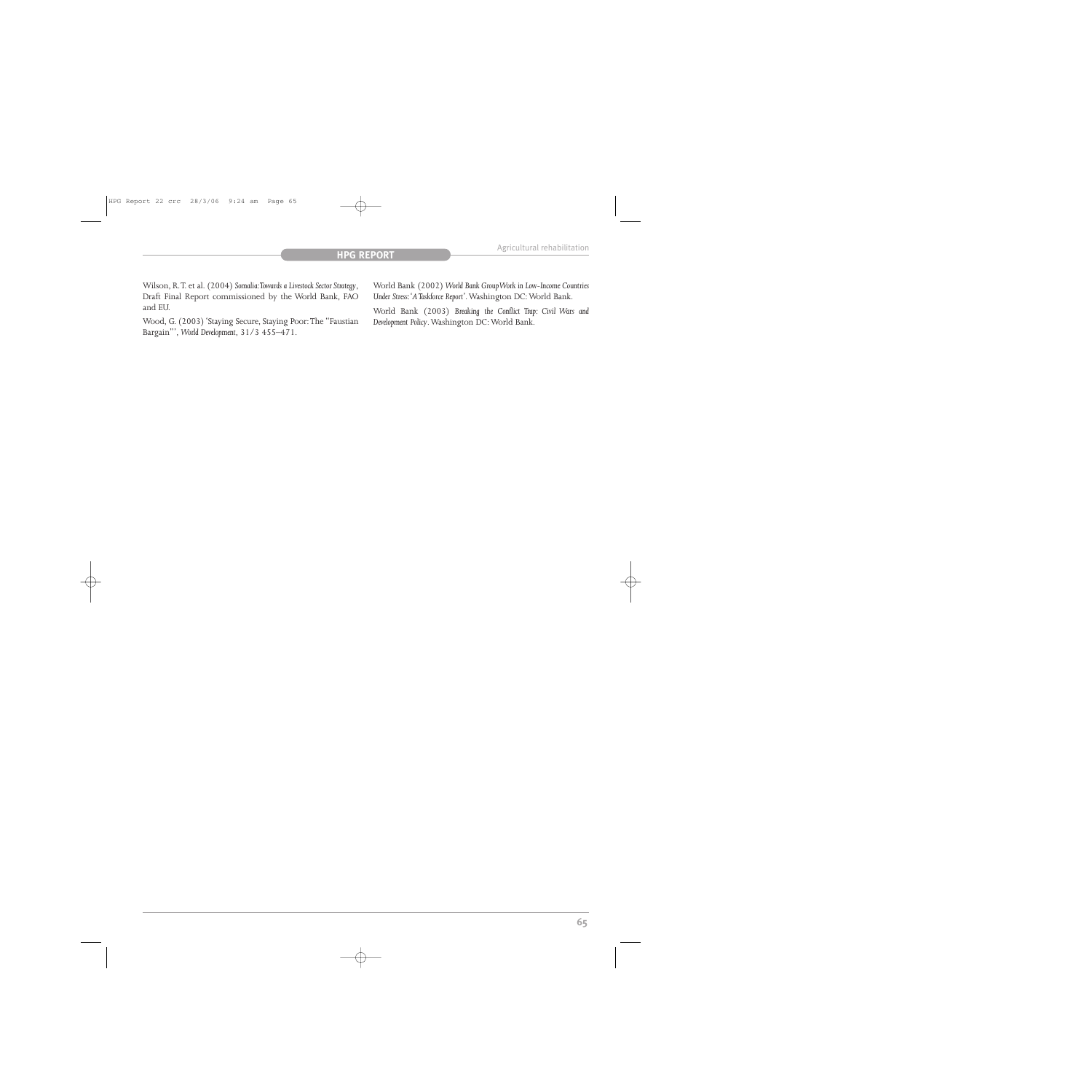Wilson, R.T. et al. (2004) *Somalia:Towards a Livestock Sector Strategy*, Draft Final Report commissioned by the World Bank, FAO and EU.

Wood, G. (2003) 'Staying Secure, Staying Poor:The "Faustian Bargain"', *World Development*, 31/3 455–471.

World Bank (2002) *World Bank Group Work in Low-Income Countries Under Stress:'A Taskforce Report'*.Washington DC:World Bank.

World Bank (2003) *Breaking the Conflict Trap: Civil Wars and Development Policy*.Washington DC:World Bank.